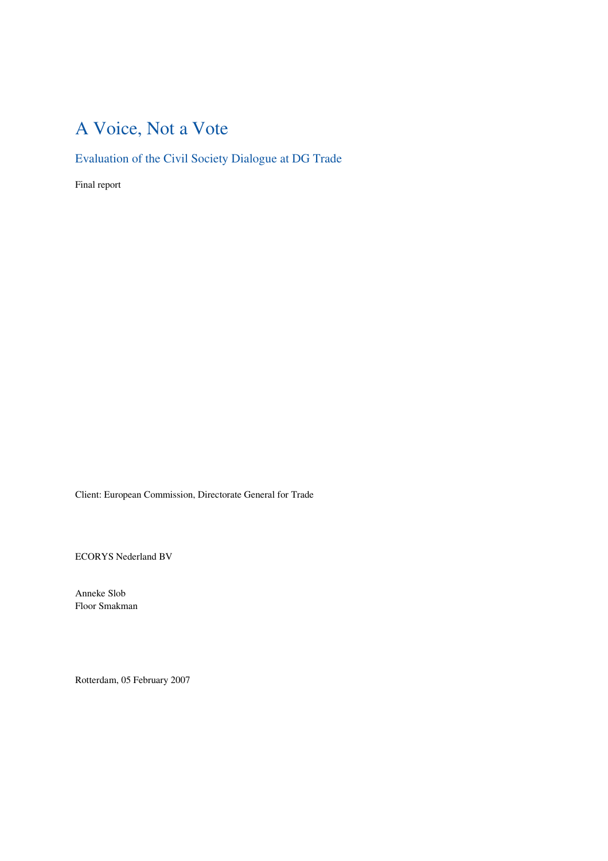## A Voice, Not a Vote

Evaluation of the Civil Society Dialogue at DG Trade

Final report

Client: European Commission, Directorate General for Trade

ECORYS Nederland BV

Anneke Slob Floor Smakman

Rotterdam, 05 February 2007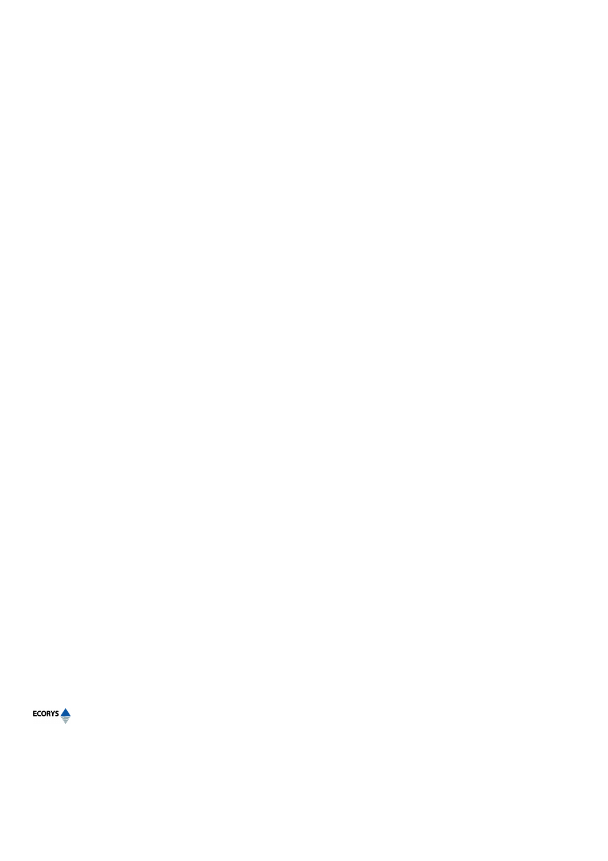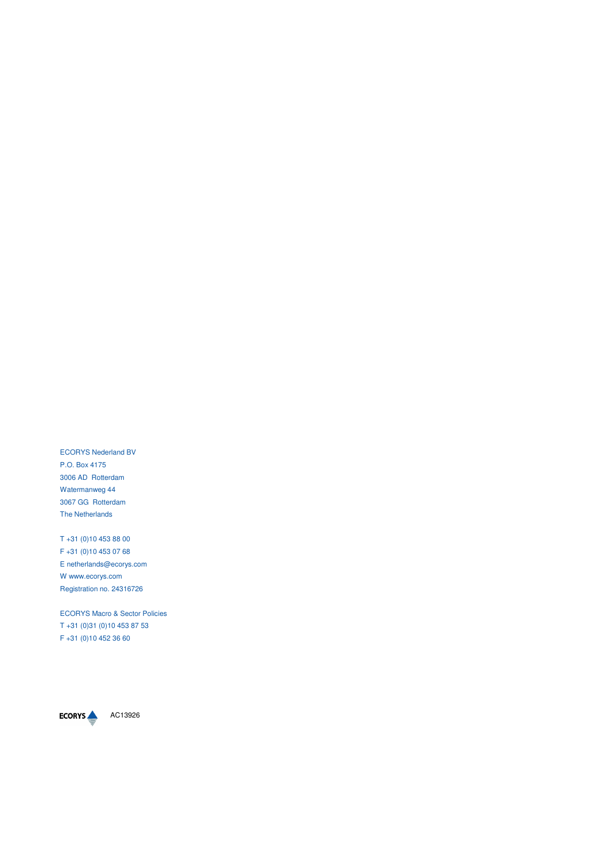ECORYS Nederland BV P.O. Box 4175 3006 AD Rotterdam Watermanweg 44 3067 GG Rotterdam The Netherlands

T +31 (0)10 453 88 00 F +31 (0)10 453 07 68 E netherlands@ecorys.com W www.ecorys.com Registration no. 24316726

ECORYS Macro & Sector Policies T +31 (0)31 (0)10 453 87 53 F +31 (0)10 452 36 60



AC13926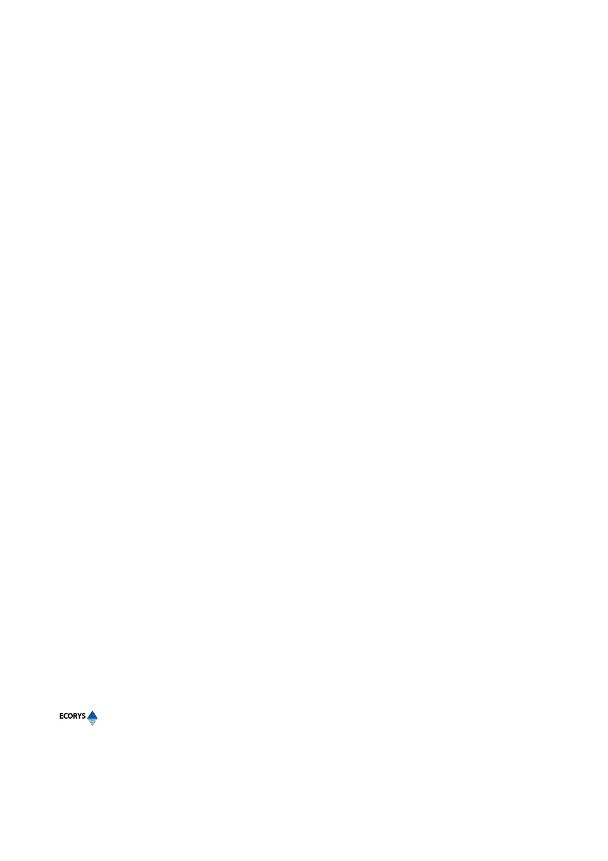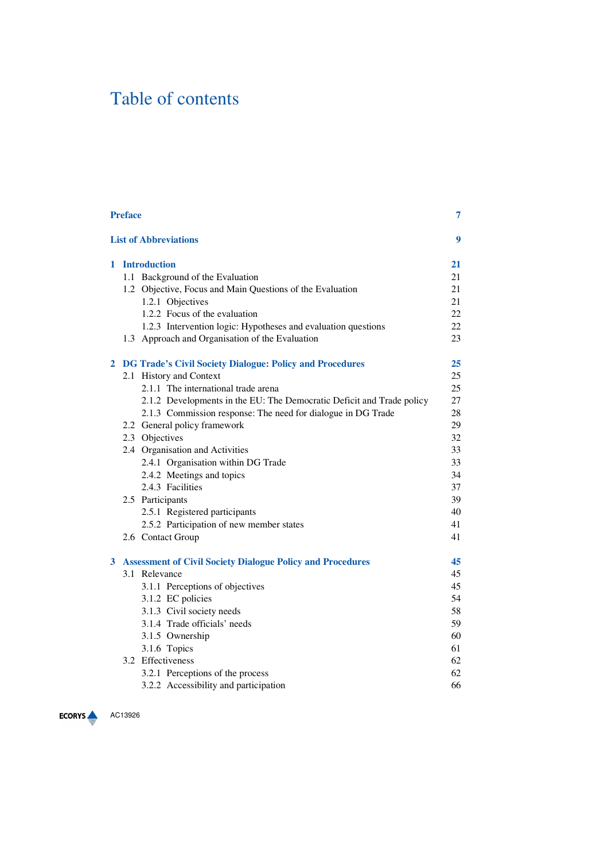## Table of contents

|   | <b>Preface</b><br>7               |                                                                       |    |  |  |
|---|-----------------------------------|-----------------------------------------------------------------------|----|--|--|
|   | <b>List of Abbreviations</b><br>9 |                                                                       |    |  |  |
| 1 | <b>Introduction</b>               |                                                                       |    |  |  |
|   |                                   | 1.1 Background of the Evaluation                                      | 21 |  |  |
|   |                                   | 1.2 Objective, Focus and Main Questions of the Evaluation             | 21 |  |  |
|   |                                   | 1.2.1 Objectives                                                      | 21 |  |  |
|   |                                   | 1.2.2 Focus of the evaluation                                         | 22 |  |  |
|   |                                   | 1.2.3 Intervention logic: Hypotheses and evaluation questions         | 22 |  |  |
|   |                                   | 1.3 Approach and Organisation of the Evaluation                       | 23 |  |  |
|   |                                   | 2 DG Trade's Civil Society Dialogue: Policy and Procedures            | 25 |  |  |
|   |                                   | 2.1 History and Context                                               | 25 |  |  |
|   |                                   | 2.1.1 The international trade arena                                   | 25 |  |  |
|   |                                   | 2.1.2 Developments in the EU: The Democratic Deficit and Trade policy | 27 |  |  |
|   |                                   | 2.1.3 Commission response: The need for dialogue in DG Trade          | 28 |  |  |
|   |                                   | 2.2 General policy framework                                          | 29 |  |  |
|   |                                   | 2.3 Objectives                                                        | 32 |  |  |
|   |                                   | 2.4 Organisation and Activities                                       | 33 |  |  |
|   |                                   | 2.4.1 Organisation within DG Trade                                    | 33 |  |  |
|   |                                   | 2.4.2 Meetings and topics                                             | 34 |  |  |
|   |                                   | 2.4.3 Facilities                                                      | 37 |  |  |
|   |                                   | 2.5 Participants                                                      | 39 |  |  |
|   |                                   | 2.5.1 Registered participants                                         | 40 |  |  |
|   |                                   | 2.5.2 Participation of new member states                              | 41 |  |  |
|   |                                   | 2.6 Contact Group                                                     | 41 |  |  |
|   |                                   | 3 Assessment of Civil Society Dialogue Policy and Procedures          | 45 |  |  |
|   |                                   | 3.1 Relevance                                                         | 45 |  |  |
|   |                                   | 3.1.1 Perceptions of objectives                                       | 45 |  |  |
|   |                                   | 3.1.2 EC policies                                                     | 54 |  |  |
|   |                                   | 3.1.3 Civil society needs                                             | 58 |  |  |
|   |                                   | 3.1.4 Trade officials' needs                                          | 59 |  |  |
|   |                                   | 3.1.5 Ownership                                                       | 60 |  |  |
|   |                                   | 3.1.6 Topics                                                          | 61 |  |  |
|   |                                   | 3.2 Effectiveness                                                     | 62 |  |  |
|   |                                   | 3.2.1 Perceptions of the process                                      | 62 |  |  |
|   |                                   | 3.2.2 Accessibility and participation                                 | 66 |  |  |

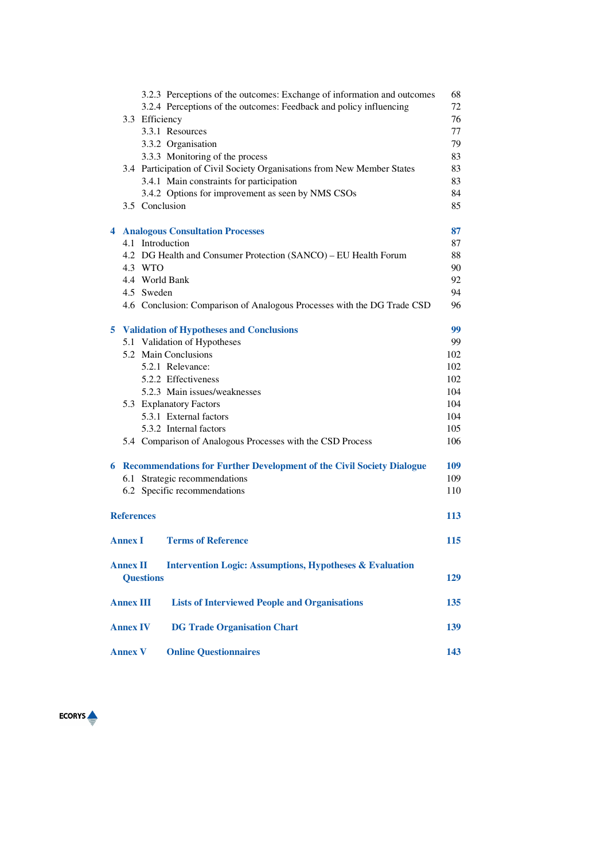|                  | 3.2.3 Perceptions of the outcomes: Exchange of information and outcomes                 | 68  |
|------------------|-----------------------------------------------------------------------------------------|-----|
|                  | 3.2.4 Perceptions of the outcomes: Feedback and policy influencing                      | 72  |
|                  | 3.3 Efficiency                                                                          | 76  |
|                  | 3.3.1 Resources                                                                         | 77  |
|                  | 3.3.2 Organisation                                                                      | 79  |
|                  | 3.3.3 Monitoring of the process                                                         | 83  |
|                  | 3.4 Participation of Civil Society Organisations from New Member States                 | 83  |
|                  | 3.4.1 Main constraints for participation                                                | 83  |
|                  | 3.4.2 Options for improvement as seen by NMS CSOs                                       | 84  |
|                  | 3.5 Conclusion                                                                          | 85  |
|                  |                                                                                         |     |
|                  | <b>4 Analogous Consultation Processes</b>                                               | 87  |
|                  | 4.1 Introduction                                                                        | 87  |
|                  | 4.2 DG Health and Consumer Protection (SANCO) – EU Health Forum                         | 88  |
|                  | 4.3 WTO                                                                                 | 90  |
|                  | 4.4 World Bank                                                                          | 92  |
|                  | 4.5 Sweden                                                                              | 94  |
|                  | 4.6 Conclusion: Comparison of Analogous Processes with the DG Trade CSD                 | 96  |
|                  | 5 Validation of Hypotheses and Conclusions                                              | 99  |
|                  | 5.1 Validation of Hypotheses                                                            | 99  |
|                  | 5.2 Main Conclusions                                                                    | 102 |
|                  | 5.2.1 Relevance:                                                                        | 102 |
|                  | 5.2.2 Effectiveness                                                                     | 102 |
|                  | 5.2.3 Main issues/weaknesses                                                            | 104 |
|                  | 5.3 Explanatory Factors                                                                 | 104 |
|                  | 5.3.1 External factors                                                                  | 104 |
|                  | 5.3.2 Internal factors                                                                  | 105 |
|                  | 5.4 Comparison of Analogous Processes with the CSD Process                              | 106 |
|                  | 6 Recommendations for Further Development of the Civil Society Dialogue                 | 109 |
|                  | 6.1 Strategic recommendations                                                           | 109 |
|                  | 6.2 Specific recommendations                                                            | 110 |
|                  |                                                                                         |     |
|                  | <b>References</b>                                                                       | 113 |
| <b>Annex I</b>   | <b>Terms of Reference</b>                                                               | 115 |
|                  |                                                                                         |     |
| <b>Annex II</b>  | <b>Intervention Logic: Assumptions, Hypotheses &amp; Evaluation</b><br><b>Questions</b> | 129 |
|                  |                                                                                         |     |
| <b>Annex III</b> | <b>Lists of Interviewed People and Organisations</b>                                    | 135 |
| <b>Annex IV</b>  | <b>DG Trade Organisation Chart</b>                                                      | 139 |
| <b>Annex V</b>   | <b>Online Questionnaires</b>                                                            | 143 |
|                  |                                                                                         |     |

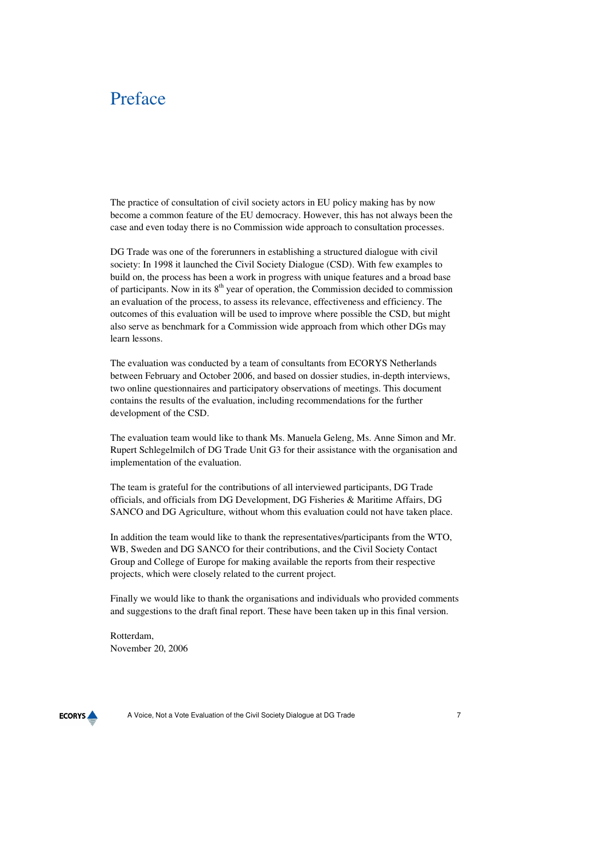## Preface

The practice of consultation of civil society actors in EU policy making has by now become a common feature of the EU democracy. However, this has not always been the case and even today there is no Commission wide approach to consultation processes.

DG Trade was one of the forerunners in establishing a structured dialogue with civil society: In 1998 it launched the Civil Society Dialogue (CSD). With few examples to build on, the process has been a work in progress with unique features and a broad base of participants. Now in its  $8<sup>th</sup>$  year of operation, the Commission decided to commission an evaluation of the process, to assess its relevance, effectiveness and efficiency. The outcomes of this evaluation will be used to improve where possible the CSD, but might also serve as benchmark for a Commission wide approach from which other DGs may learn lessons.

The evaluation was conducted by a team of consultants from ECORYS Netherlands between February and October 2006, and based on dossier studies, in-depth interviews, two online questionnaires and participatory observations of meetings. This document contains the results of the evaluation, including recommendations for the further development of the CSD.

The evaluation team would like to thank Ms. Manuela Geleng, Ms. Anne Simon and Mr. Rupert Schlegelmilch of DG Trade Unit G3 for their assistance with the organisation and implementation of the evaluation.

The team is grateful for the contributions of all interviewed participants, DG Trade officials, and officials from DG Development, DG Fisheries & Maritime Affairs, DG SANCO and DG Agriculture, without whom this evaluation could not have taken place.

In addition the team would like to thank the representatives/participants from the WTO, WB, Sweden and DG SANCO for their contributions, and the Civil Society Contact Group and College of Europe for making available the reports from their respective projects, which were closely related to the current project.

Finally we would like to thank the organisations and individuals who provided comments and suggestions to the draft final report. These have been taken up in this final version.

Rotterdam, November 20, 2006

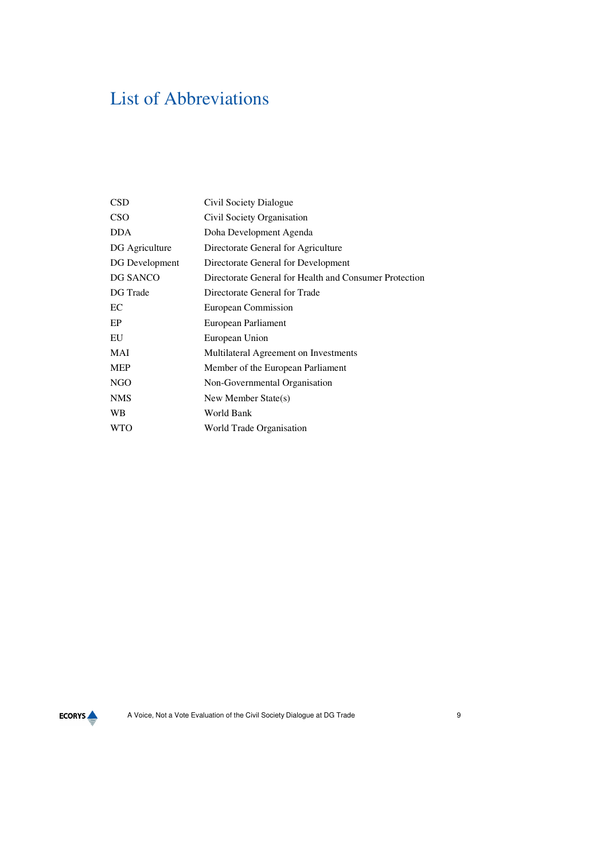# List of Abbreviations

| Civil Society Dialogue                                 |
|--------------------------------------------------------|
| Civil Society Organisation                             |
| Doha Development Agenda                                |
| Directorate General for Agriculture                    |
| Directorate General for Development                    |
| Directorate General for Health and Consumer Protection |
| Directorate General for Trade                          |
| European Commission                                    |
| European Parliament                                    |
| European Union                                         |
| Multilateral Agreement on Investments                  |
| Member of the European Parliament                      |
| Non-Governmental Organisation                          |
| New Member State(s)                                    |
| World Bank                                             |
| World Trade Organisation                               |
|                                                        |

**ECORYS**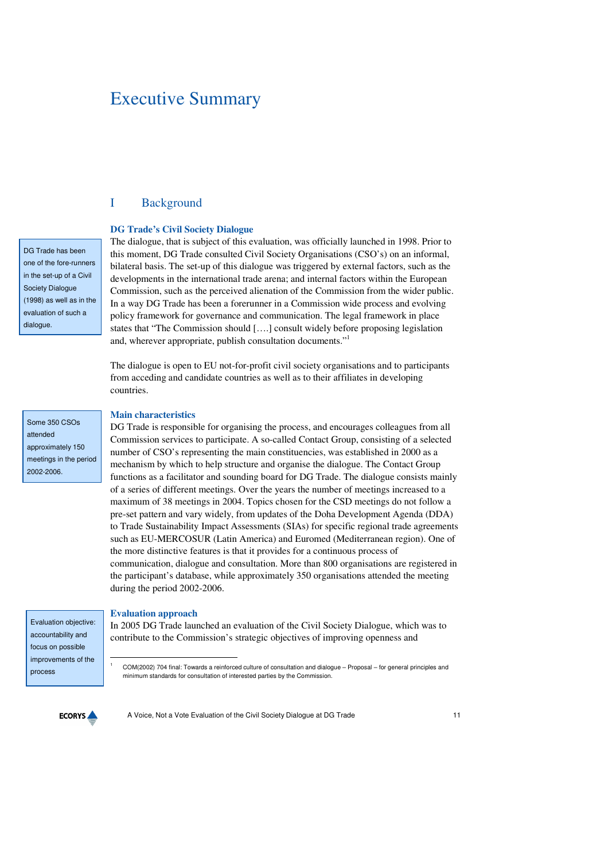## Executive Summary

## I Background

#### **DG Trade's Civil Society Dialogue**

The dialogue, that is subject of this evaluation, was officially launched in 1998. Prior to this moment, DG Trade consulted Civil Society Organisations (CSO's) on an informal, bilateral basis. The set-up of this dialogue was triggered by external factors, such as the developments in the international trade arena; and internal factors within the European Commission, such as the perceived alienation of the Commission from the wider public. In a way DG Trade has been a forerunner in a Commission wide process and evolving policy framework for governance and communication. The legal framework in place states that "The Commission should [….] consult widely before proposing legislation and, wherever appropriate, publish consultation documents."<sup>1</sup>

The dialogue is open to EU not-for-profit civil society organisations and to participants from acceding and candidate countries as well as to their affiliates in developing countries.

Some 350 CSOs attended approximately 150 meetings in the period 2002-2006.

#### **Main characteristics**

DG Trade is responsible for organising the process, and encourages colleagues from all Commission services to participate. A so-called Contact Group, consisting of a selected number of CSO's representing the main constituencies, was established in 2000 as a mechanism by which to help structure and organise the dialogue. The Contact Group functions as a facilitator and sounding board for DG Trade. The dialogue consists mainly of a series of different meetings. Over the years the number of meetings increased to a maximum of 38 meetings in 2004. Topics chosen for the CSD meetings do not follow a pre-set pattern and vary widely, from updates of the Doha Development Agenda (DDA) to Trade Sustainability Impact Assessments (SIAs) for specific regional trade agreements such as EU-MERCOSUR (Latin America) and Euromed (Mediterranean region). One of the more distinctive features is that it provides for a continuous process of communication, dialogue and consultation. More than 800 organisations are registered in the participant's database, while approximately 350 organisations attended the meeting during the period 2002-2006.

Evaluation objective: accountability and focus on possible improvements of the process

#### **Evaluation approach**

In 2005 DG Trade launched an evaluation of the Civil Society Dialogue, which was to contribute to the Commission's strategic objectives of improving openness and

COM(2002) 704 final: Towards a reinforced culture of consultation and dialogue – Proposal – for general principles and minimum standards for consultation of interested parties by the Commission.



 $\overline{a}$ 1

A Voice, Not a Vote Evaluation of the Civil Society Dialogue at DG Trade 11

DG Trade has been one of the fore-runners in the set-up of a Civil Society Dialogue (1998) as well as in the evaluation of such a dialogue.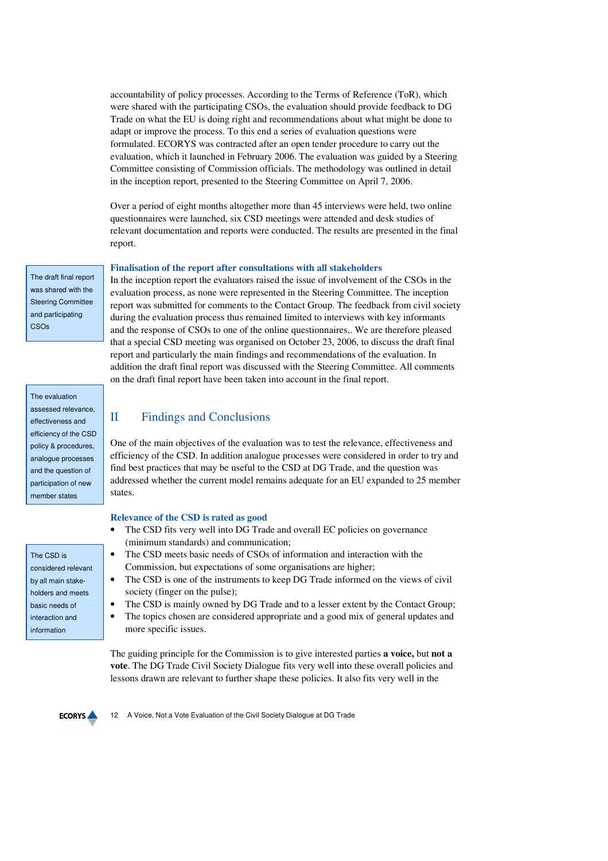accountability of policy processes. According to the Terms of Reference (ToR), which were shared with the participating CSOs, the evaluation should provide feedback to DG Trade on what the EU is doing right and recommendations about what might be done to adapt or improve the process. To this end a series of evaluation questions were formulated. ECORYS was contracted after an open tender procedure to carry out the evaluation, which it launched in February 2006. The evaluation was guided by a Steering Committee consisting of Commission officials. The methodology was outlined in detail in the inception report, presented to the Steering Committee on April 7, 2006.

Over a period of eight months altogether more than 45 interviews were held, two online questionnaires were launched, six CSD meetings were attended and desk studies of relevant documentation and reports were conducted. The results are presented in the final report.

The draft final report was shared with the Steering Committee and participating CSOs

The evaluation assessed relevance, effectiveness and efficiency of the CSD policy & procedures, analogue processes and the question of participation of new member states

The CSD is considered relevant by all main stakeholders and meets basic needs of interaction and information

### **Finalisation of the report after consultations with all stakeholders**

In the inception report the evaluators raised the issue of involvement of the CSOs in the evaluation process, as none were represented in the Steering Committee. The inception report was submitted for comments to the Contact Group. The feedback from civil society during the evaluation process thus remained limited to interviews with key informants and the response of CSOs to one of the online questionnaires,. We are therefore pleased that a special CSD meeting was organised on October 23, 2006, to discuss the draft final report and particularly the main findings and recommendations of the evaluation. In addition the draft final report was discussed with the Steering Committee. All comments on the draft final report have been taken into account in the final report.

## II Findings and Conclusions

One of the main objectives of the evaluation was to test the relevance, effectiveness and efficiency of the CSD. In addition analogue processes were considered in order to try and find best practices that may be useful to the CSD at DG Trade, and the question was addressed whether the current model remains adequate for an EU expanded to 25 member states.

## **Relevance of the CSD is rated as good**

- The CSD fits very well into DG Trade and overall EC policies on governance (minimum standards) and communication;
	- The CSD meets basic needs of CSOs of information and interaction with the Commission, but expectations of some organisations are higher;
- The CSD is one of the instruments to keep DG Trade informed on the views of civil society (finger on the pulse);
- The CSD is mainly owned by DG Trade and to a lesser extent by the Contact Group; • The topics chosen are considered appropriate and a good mix of general updates and more specific issues.

The guiding principle for the Commission is to give interested parties **a voice,** but **not a vote**. The DG Trade Civil Society Dialogue fits very well into these overall policies and lessons drawn are relevant to further shape these policies. It also fits very well in the

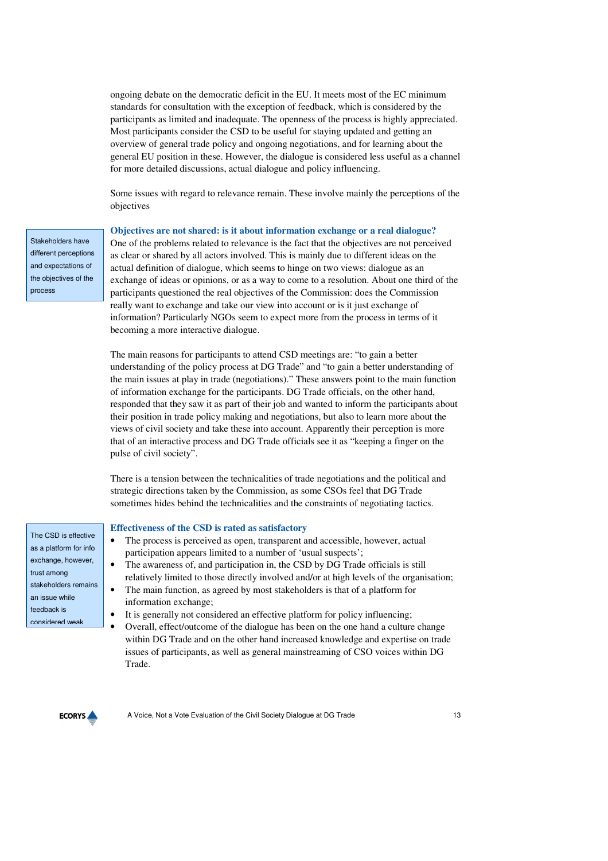ongoing debate on the democratic deficit in the EU. It meets most of the EC minimum standards for consultation with the exception of feedback, which is considered by the participants as limited and inadequate. The openness of the process is highly appreciated. Most participants consider the CSD to be useful for staying updated and getting an overview of general trade policy and ongoing negotiations, and for learning about the general EU position in these. However, the dialogue is considered less useful as a channel for more detailed discussions, actual dialogue and policy influencing.

Some issues with regard to relevance remain. These involve mainly the perceptions of the objectives

Stakeholders have different perceptions and expectations of the objectives of the process

**Objectives are not shared: is it about information exchange or a real dialogue?** 

One of the problems related to relevance is the fact that the objectives are not perceived as clear or shared by all actors involved. This is mainly due to different ideas on the actual definition of dialogue, which seems to hinge on two views: dialogue as an exchange of ideas or opinions, or as a way to come to a resolution. About one third of the participants questioned the real objectives of the Commission: does the Commission really want to exchange and take our view into account or is it just exchange of information? Particularly NGOs seem to expect more from the process in terms of it becoming a more interactive dialogue.

The main reasons for participants to attend CSD meetings are: "to gain a better understanding of the policy process at DG Trade" and "to gain a better understanding of the main issues at play in trade (negotiations)." These answers point to the main function of information exchange for the participants. DG Trade officials, on the other hand, responded that they saw it as part of their job and wanted to inform the participants about their position in trade policy making and negotiations, but also to learn more about the views of civil society and take these into account. Apparently their perception is more that of an interactive process and DG Trade officials see it as "keeping a finger on the pulse of civil society".

There is a tension between the technicalities of trade negotiations and the political and strategic directions taken by the Commission, as some CSOs feel that DG Trade sometimes hides behind the technicalities and the constraints of negotiating tactics.

The CSD is effective as a platform for info exchange, however, trust among stakeholders remains an issue while feedback is considered weak

## **Effectiveness of the CSD is rated as satisfactory**

- The process is perceived as open, transparent and accessible, however, actual participation appears limited to a number of 'usual suspects';
- The awareness of, and participation in, the CSD by DG Trade officials is still relatively limited to those directly involved and/or at high levels of the organisation; • The main function, as agreed by most stakeholders is that of a platform for
- information exchange;
- It is generally not considered an effective platform for policy influencing;
- Overall, effect/outcome of the dialogue has been on the one hand a culture change within DG Trade and on the other hand increased knowledge and expertise on trade issues of participants, as well as general mainstreaming of CSO voices within DG Trade.

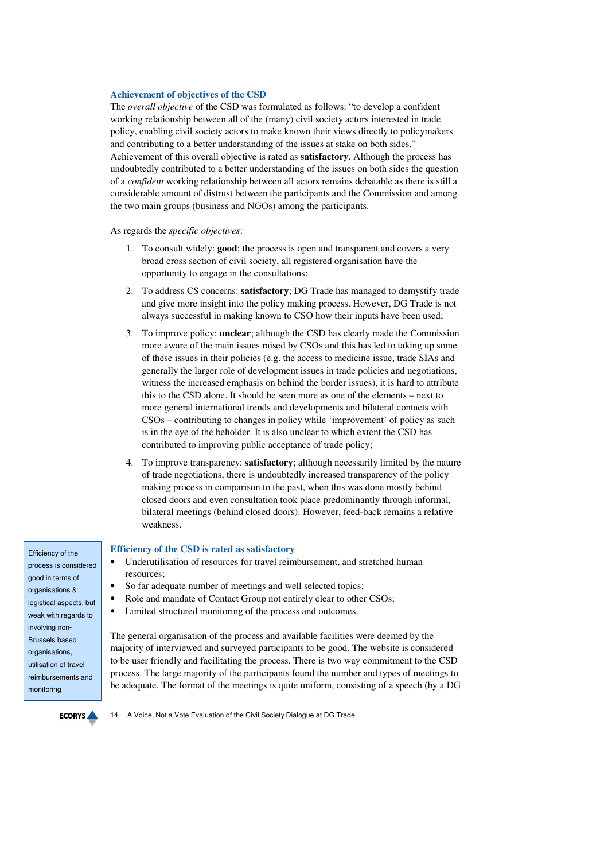### **Achievement of objectives of the CSD**

The *overall objective* of the CSD was formulated as follows: "to develop a confident working relationship between all of the (many) civil society actors interested in trade policy, enabling civil society actors to make known their views directly to policymakers and contributing to a better understanding of the issues at stake on both sides." Achievement of this overall objective is rated as **satisfactory**. Although the process has undoubtedly contributed to a better understanding of the issues on both sides the question of a *confident* working relationship between all actors remains debatable as there is still a considerable amount of distrust between the participants and the Commission and among the two main groups (business and NGOs) among the participants.

As regards the *specific objectives*:

- 1. To consult widely: **good**; the process is open and transparent and covers a very broad cross section of civil society, all registered organisation have the opportunity to engage in the consultations;
- 2. To address CS concerns: **satisfactory**; DG Trade has managed to demystify trade and give more insight into the policy making process. However, DG Trade is not always successful in making known to CSO how their inputs have been used;
- 3. To improve policy: **unclear**; although the CSD has clearly made the Commission more aware of the main issues raised by CSOs and this has led to taking up some of these issues in their policies (e.g. the access to medicine issue, trade SIAs and generally the larger role of development issues in trade policies and negotiations, witness the increased emphasis on behind the border issues), it is hard to attribute this to the CSD alone. It should be seen more as one of the elements – next to more general international trends and developments and bilateral contacts with CSOs – contributing to changes in policy while 'improvement' of policy as such is in the eye of the beholder. It is also unclear to which extent the CSD has contributed to improving public acceptance of trade policy;
- 4. To improve transparency: **satisfactory**; although necessarily limited by the nature of trade negotiations, there is undoubtedly increased transparency of the policy making process in comparison to the past, when this was done mostly behind closed doors and even consultation took place predominantly through informal, bilateral meetings (behind closed doors). However, feed-back remains a relative weakness.

#### **Efficiency of the CSD is rated as satisfactory**

- Underutilisation of resources for travel reimbursement, and stretched human resources;
- So far adequate number of meetings and well selected topics;
- Role and mandate of Contact Group not entirely clear to other CSOs;
- Limited structured monitoring of the process and outcomes.

The general organisation of the process and available facilities were deemed by the majority of interviewed and surveyed participants to be good. The website is considered to be user friendly and facilitating the process. There is two way commitment to the CSD process. The large majority of the participants found the number and types of meetings to be adequate. The format of the meetings is quite uniform, consisting of a speech (by a DG

**ECORYS** 

14 A Voice, Not a Vote Evaluation of the Civil Society Dialogue at DG Trade

Efficiency of the process is considered good in terms of organisations & logistical aspects, but weak with regards to involving non-Brussels based organisations, utilisation of travel reimbursements and monitoring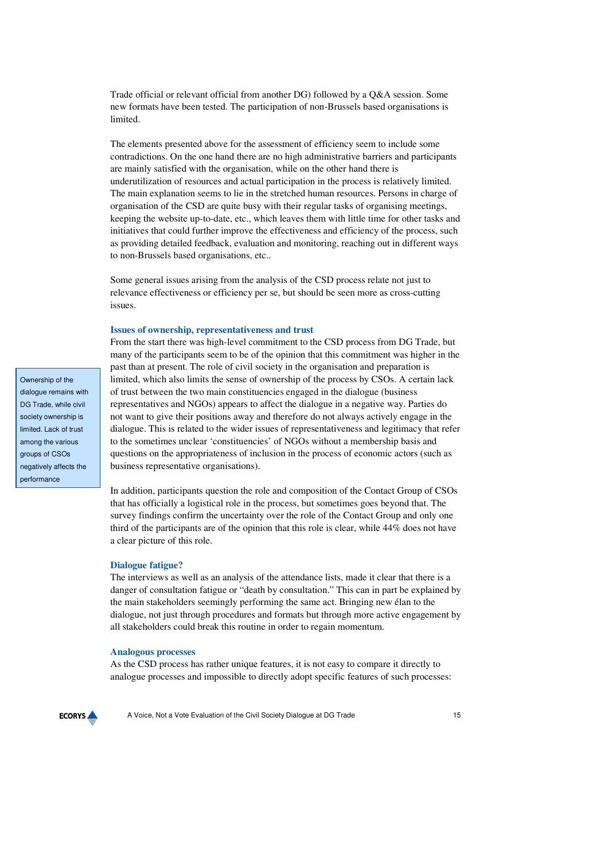Trade official or relevant official from another DG) followed by a Q&A session. Some new formats have been tested. The participation of non-Brussels based organisations is limited.

The elements presented above for the assessment of efficiency seem to include some contradictions. On the one hand there are no high administrative barriers and participants are mainly satisfied with the organisation, while on the other hand there is underutilization of resources and actual participation in the process is relatively limited. The main explanation seems to lie in the stretched human resources. Persons in charge of organisation of the CSD are quite busy with their regular tasks of organising meetings, keeping the website up-to-date, etc., which leaves them with little time for other tasks and initiatives that could further improve the effectiveness and efficiency of the process, such as providing detailed feedback, evaluation and monitoring, reaching out in different ways to non-Brussels based organisations, etc..

Some general issues arising from the analysis of the CSD process relate not just to relevance effectiveness or efficiency per se, but should be seen more as cross-cutting issues.

#### **Issues of ownership, representativeness and trust**

From the start there was high-level commitment to the CSD process from DG Trade, but many of the participants seem to be of the opinion that this commitment was higher in the past than at present. The role of civil society in the organisation and preparation is limited, which also limits the sense of ownership of the process by CSOs. A certain lack of trust between the two main constituencies engaged in the dialogue (business representatives and NGOs) appears to affect the dialogue in a negative way. Parties do not want to give their positions away and therefore do not always actively engage in the dialogue. This is related to the wider issues of representativeness and legitimacy that refer to the sometimes unclear 'constituencies' of NGOs without a membership basis and questions on the appropriateness of inclusion in the process of economic actors (such as business representative organisations).

In addition, participants question the role and composition of the Contact Group of CSOs that has officially a logistical role in the process, but sometimes goes beyond that. The survey findings confirm the uncertainty over the role of the Contact Group and only one third of the participants are of the opinion that this role is clear, while 44% does not have a clear picture of this role.

#### **Dialogue fatigue?**

The interviews as well as an analysis of the attendance lists, made it clear that there is a danger of consultation fatigue or "death by consultation." This can in part be explained by the main stakeholders seemingly performing the same act. Bringing new élan to the dialogue, not just through procedures and formats but through more active engagement by all stakeholders could break this routine in order to regain momentum.

#### **Analogous processes**

As the CSD process has rather unique features, it is not easy to compare it directly to analogue processes and impossible to directly adopt specific features of such processes:



A Voice, Not a Vote Evaluation of the Civil Society Dialogue at DG Trade 15

DG Trade, while civil society ownership is limited. Lack of trust among the various groups of CSOs negatively affects the performance

Ownership of the dialogue remains with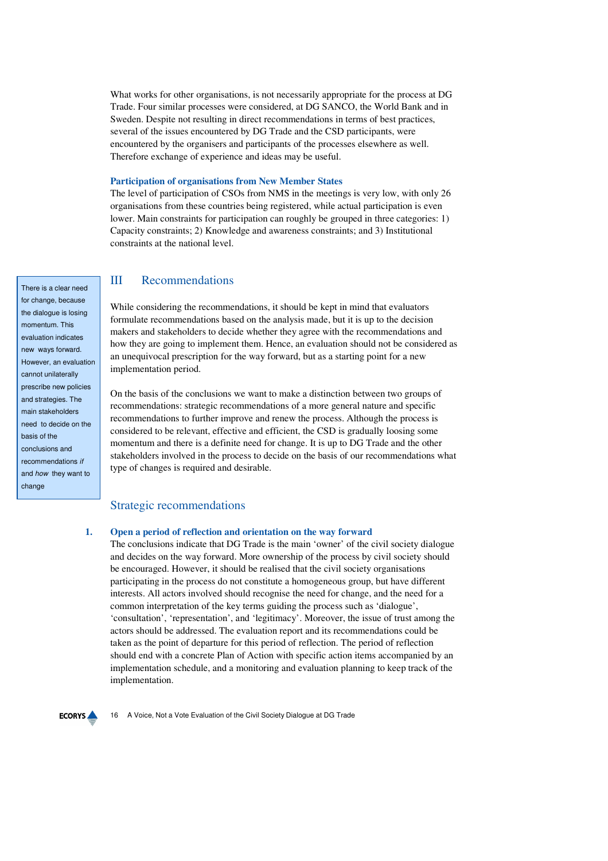What works for other organisations, is not necessarily appropriate for the process at DG Trade. Four similar processes were considered, at DG SANCO, the World Bank and in Sweden. Despite not resulting in direct recommendations in terms of best practices, several of the issues encountered by DG Trade and the CSD participants, were encountered by the organisers and participants of the processes elsewhere as well. Therefore exchange of experience and ideas may be useful.

### **Participation of organisations from New Member States**

The level of participation of CSOs from NMS in the meetings is very low, with only 26 organisations from these countries being registered, while actual participation is even lower. Main constraints for participation can roughly be grouped in three categories: 1) Capacity constraints; 2) Knowledge and awareness constraints; and 3) Institutional constraints at the national level.

## III Recommendations

While considering the recommendations, it should be kept in mind that evaluators formulate recommendations based on the analysis made, but it is up to the decision makers and stakeholders to decide whether they agree with the recommendations and how they are going to implement them. Hence, an evaluation should not be considered as an unequivocal prescription for the way forward, but as a starting point for a new implementation period.

On the basis of the conclusions we want to make a distinction between two groups of recommendations: strategic recommendations of a more general nature and specific recommendations to further improve and renew the process. Although the process is considered to be relevant, effective and efficient, the CSD is gradually loosing some momentum and there is a definite need for change. It is up to DG Trade and the other stakeholders involved in the process to decide on the basis of our recommendations what type of changes is required and desirable.

## Strategic recommendations

## **1. Open a period of reflection and orientation on the way forward**

The conclusions indicate that DG Trade is the main 'owner' of the civil society dialogue and decides on the way forward. More ownership of the process by civil society should be encouraged. However, it should be realised that the civil society organisations participating in the process do not constitute a homogeneous group, but have different interests. All actors involved should recognise the need for change, and the need for a common interpretation of the key terms guiding the process such as 'dialogue', 'consultation', 'representation', and 'legitimacy'. Moreover, the issue of trust among the actors should be addressed. The evaluation report and its recommendations could be taken as the point of departure for this period of reflection. The period of reflection should end with a concrete Plan of Action with specific action items accompanied by an implementation schedule, and a monitoring and evaluation planning to keep track of the implementation.

#### **ECORYS** 16 A Voice, Not a Vote Evaluation of the Civil Society Dialogue at DG Trade

There is a clear need for change, because the dialogue is losing momentum. This evaluation indicates new ways forward. However, an evaluation cannot unilaterally prescribe new policies and strategies. The main stakeholders need to decide on the basis of the conclusions and recommendations if and how they want to change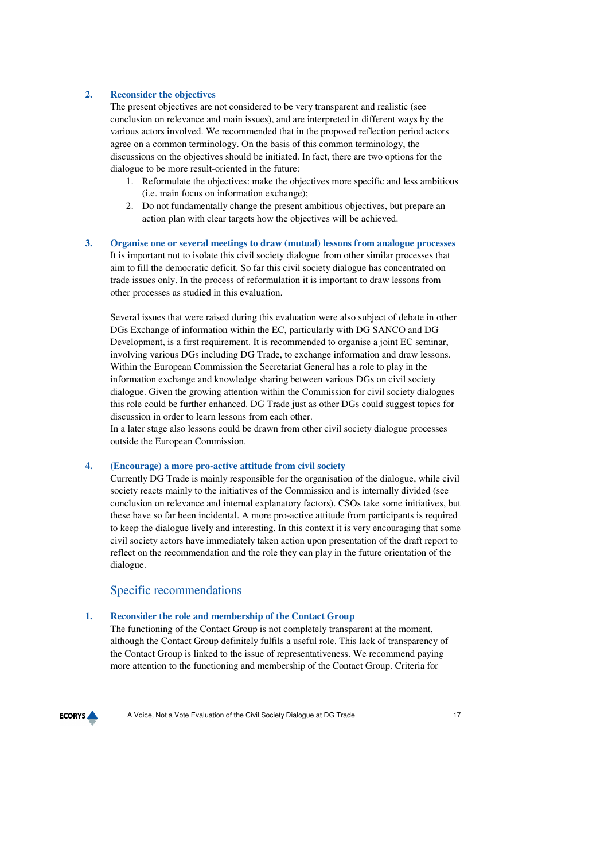### **2. Reconsider the objectives**

The present objectives are not considered to be very transparent and realistic (see conclusion on relevance and main issues), and are interpreted in different ways by the various actors involved. We recommended that in the proposed reflection period actors agree on a common terminology. On the basis of this common terminology, the discussions on the objectives should be initiated. In fact, there are two options for the dialogue to be more result-oriented in the future:

- 1. Reformulate the objectives: make the objectives more specific and less ambitious (i.e. main focus on information exchange);
- 2. Do not fundamentally change the present ambitious objectives, but prepare an action plan with clear targets how the objectives will be achieved.

## **3. Organise one or several meetings to draw (mutual) lessons from analogue processes**  It is important not to isolate this civil society dialogue from other similar processes that aim to fill the democratic deficit. So far this civil society dialogue has concentrated on trade issues only. In the process of reformulation it is important to draw lessons from other processes as studied in this evaluation.

Several issues that were raised during this evaluation were also subject of debate in other DGs Exchange of information within the EC, particularly with DG SANCO and DG Development, is a first requirement. It is recommended to organise a joint EC seminar, involving various DGs including DG Trade, to exchange information and draw lessons. Within the European Commission the Secretariat General has a role to play in the information exchange and knowledge sharing between various DGs on civil society dialogue. Given the growing attention within the Commission for civil society dialogues this role could be further enhanced. DG Trade just as other DGs could suggest topics for discussion in order to learn lessons from each other.

In a later stage also lessons could be drawn from other civil society dialogue processes outside the European Commission.

## **4. (Encourage) a more pro-active attitude from civil society**

Currently DG Trade is mainly responsible for the organisation of the dialogue, while civil society reacts mainly to the initiatives of the Commission and is internally divided (see conclusion on relevance and internal explanatory factors). CSOs take some initiatives, but these have so far been incidental. A more pro-active attitude from participants is required to keep the dialogue lively and interesting. In this context it is very encouraging that some civil society actors have immediately taken action upon presentation of the draft report to reflect on the recommendation and the role they can play in the future orientation of the dialogue.

## Specific recommendations

#### **1. Reconsider the role and membership of the Contact Group**

The functioning of the Contact Group is not completely transparent at the moment, although the Contact Group definitely fulfils a useful role. This lack of transparency of the Contact Group is linked to the issue of representativeness. We recommend paying more attention to the functioning and membership of the Contact Group. Criteria for

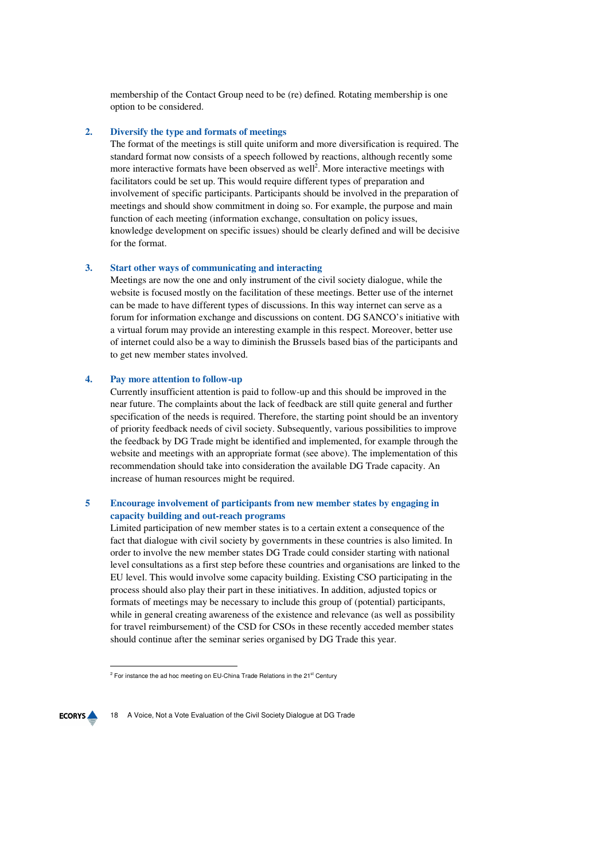membership of the Contact Group need to be (re) defined. Rotating membership is one option to be considered.

### **2. Diversify the type and formats of meetings**

The format of the meetings is still quite uniform and more diversification is required. The standard format now consists of a speech followed by reactions, although recently some more interactive formats have been observed as well<sup>2</sup>. More interactive meetings with facilitators could be set up. This would require different types of preparation and involvement of specific participants. Participants should be involved in the preparation of meetings and should show commitment in doing so. For example, the purpose and main function of each meeting (information exchange, consultation on policy issues, knowledge development on specific issues) should be clearly defined and will be decisive for the format.

## **3. Start other ways of communicating and interacting**

Meetings are now the one and only instrument of the civil society dialogue, while the website is focused mostly on the facilitation of these meetings. Better use of the internet can be made to have different types of discussions. In this way internet can serve as a forum for information exchange and discussions on content. DG SANCO's initiative with a virtual forum may provide an interesting example in this respect. Moreover, better use of internet could also be a way to diminish the Brussels based bias of the participants and to get new member states involved.

### **4. Pay more attention to follow-up**

Currently insufficient attention is paid to follow-up and this should be improved in the near future. The complaints about the lack of feedback are still quite general and further specification of the needs is required. Therefore, the starting point should be an inventory of priority feedback needs of civil society. Subsequently, various possibilities to improve the feedback by DG Trade might be identified and implemented, for example through the website and meetings with an appropriate format (see above). The implementation of this recommendation should take into consideration the available DG Trade capacity. An increase of human resources might be required.

## **5 Encourage involvement of participants from new member states by engaging in capacity building and out-reach programs**

Limited participation of new member states is to a certain extent a consequence of the fact that dialogue with civil society by governments in these countries is also limited. In order to involve the new member states DG Trade could consider starting with national level consultations as a first step before these countries and organisations are linked to the EU level. This would involve some capacity building. Existing CSO participating in the process should also play their part in these initiatives. In addition, adjusted topics or formats of meetings may be necessary to include this group of (potential) participants, while in general creating awareness of the existence and relevance (as well as possibility for travel reimbursement) of the CSD for CSOs in these recently acceded member states should continue after the seminar series organised by DG Trade this year.

18 A Voice, Not a Vote Evaluation of the Civil Society Dialogue at DG Trade **ECORYS** 

 $\overline{\phantom{0}}$ 

 $2^2$  For instance the ad hoc meeting on EU-China Trade Relations in the 21<sup>st</sup> Century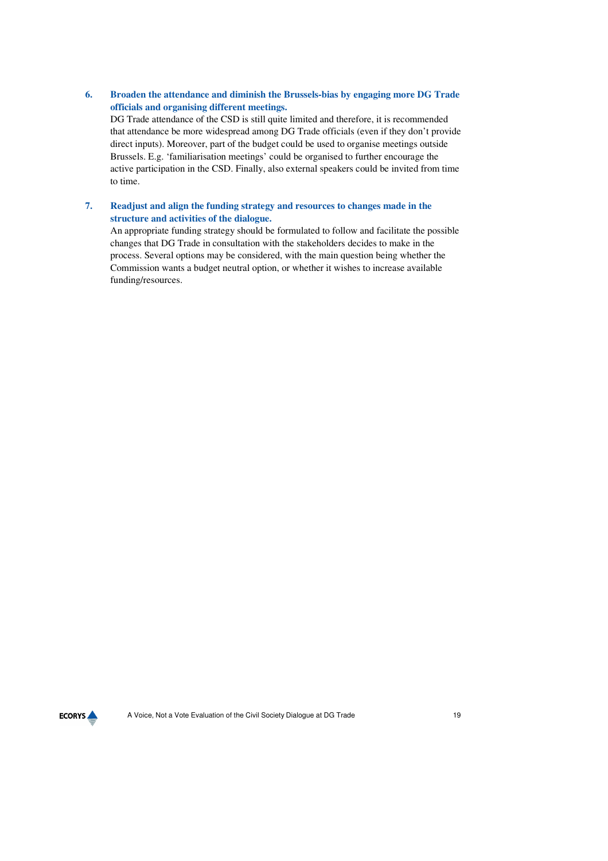## **6. Broaden the attendance and diminish the Brussels-bias by engaging more DG Trade officials and organising different meetings.**

DG Trade attendance of the CSD is still quite limited and therefore, it is recommended that attendance be more widespread among DG Trade officials (even if they don't provide direct inputs). Moreover, part of the budget could be used to organise meetings outside Brussels. E.g. 'familiarisation meetings' could be organised to further encourage the active participation in the CSD. Finally, also external speakers could be invited from time to time.

## **7. Readjust and align the funding strategy and resources to changes made in the structure and activities of the dialogue.**

An appropriate funding strategy should be formulated to follow and facilitate the possible changes that DG Trade in consultation with the stakeholders decides to make in the process. Several options may be considered, with the main question being whether the Commission wants a budget neutral option, or whether it wishes to increase available funding/resources.

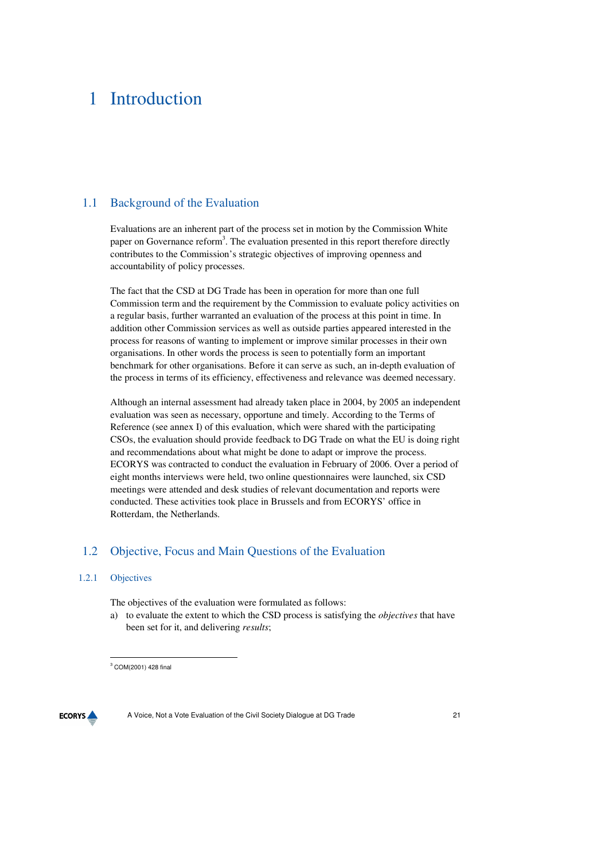## 1 Introduction

## 1.1 Background of the Evaluation

Evaluations are an inherent part of the process set in motion by the Commission White paper on Governance reform<sup>3</sup>. The evaluation presented in this report therefore directly contributes to the Commission's strategic objectives of improving openness and accountability of policy processes.

The fact that the CSD at DG Trade has been in operation for more than one full Commission term and the requirement by the Commission to evaluate policy activities on a regular basis, further warranted an evaluation of the process at this point in time. In addition other Commission services as well as outside parties appeared interested in the process for reasons of wanting to implement or improve similar processes in their own organisations. In other words the process is seen to potentially form an important benchmark for other organisations. Before it can serve as such, an in-depth evaluation of the process in terms of its efficiency, effectiveness and relevance was deemed necessary.

Although an internal assessment had already taken place in 2004, by 2005 an independent evaluation was seen as necessary, opportune and timely. According to the Terms of Reference (see annex I) of this evaluation, which were shared with the participating CSOs, the evaluation should provide feedback to DG Trade on what the EU is doing right and recommendations about what might be done to adapt or improve the process. ECORYS was contracted to conduct the evaluation in February of 2006. Over a period of eight months interviews were held, two online questionnaires were launched, six CSD meetings were attended and desk studies of relevant documentation and reports were conducted. These activities took place in Brussels and from ECORYS' office in Rotterdam, the Netherlands.

## 1.2 Objective, Focus and Main Questions of the Evaluation

## 1.2.1 Objectives

The objectives of the evaluation were formulated as follows:

a) to evaluate the extent to which the CSD process is satisfying the *objectives* that have been set for it, and delivering *results*;

**ECORYS** 

 3 COM(2001) 428 final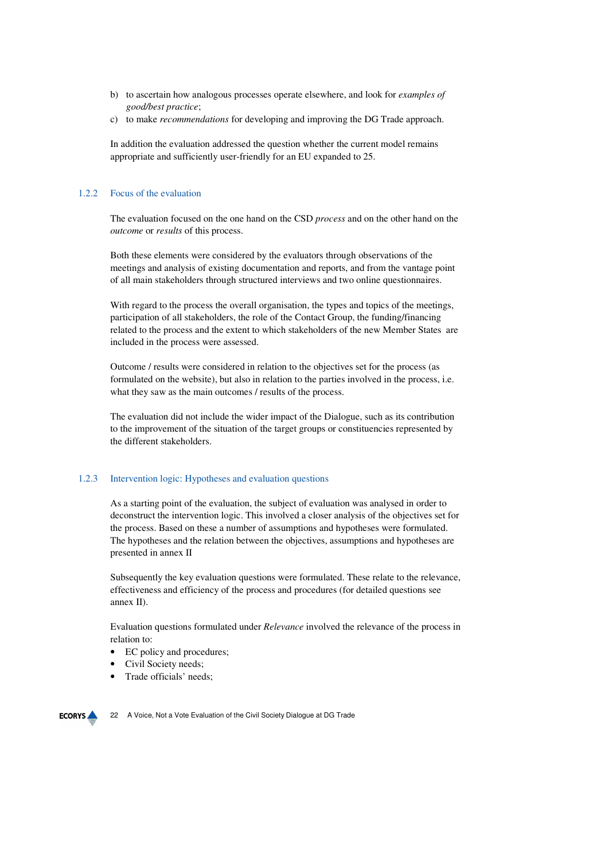- b) to ascertain how analogous processes operate elsewhere, and look for *examples of good/best practice*;
- c) to make *recommendations* for developing and improving the DG Trade approach.

In addition the evaluation addressed the question whether the current model remains appropriate and sufficiently user-friendly for an EU expanded to 25.

## 1.2.2 Focus of the evaluation

The evaluation focused on the one hand on the CSD *process* and on the other hand on the *outcome* or *results* of this process.

Both these elements were considered by the evaluators through observations of the meetings and analysis of existing documentation and reports, and from the vantage point of all main stakeholders through structured interviews and two online questionnaires.

With regard to the process the overall organisation, the types and topics of the meetings, participation of all stakeholders, the role of the Contact Group, the funding/financing related to the process and the extent to which stakeholders of the new Member States are included in the process were assessed.

Outcome / results were considered in relation to the objectives set for the process (as formulated on the website), but also in relation to the parties involved in the process, i.e. what they saw as the main outcomes / results of the process.

The evaluation did not include the wider impact of the Dialogue, such as its contribution to the improvement of the situation of the target groups or constituencies represented by the different stakeholders.

## 1.2.3 Intervention logic: Hypotheses and evaluation questions

As a starting point of the evaluation, the subject of evaluation was analysed in order to deconstruct the intervention logic. This involved a closer analysis of the objectives set for the process. Based on these a number of assumptions and hypotheses were formulated. The hypotheses and the relation between the objectives, assumptions and hypotheses are presented in annex II

Subsequently the key evaluation questions were formulated. These relate to the relevance, effectiveness and efficiency of the process and procedures (for detailed questions see annex II).

Evaluation questions formulated under *Relevance* involved the relevance of the process in relation to:

- EC policy and procedures;
- Civil Society needs;
- Trade officials' needs;

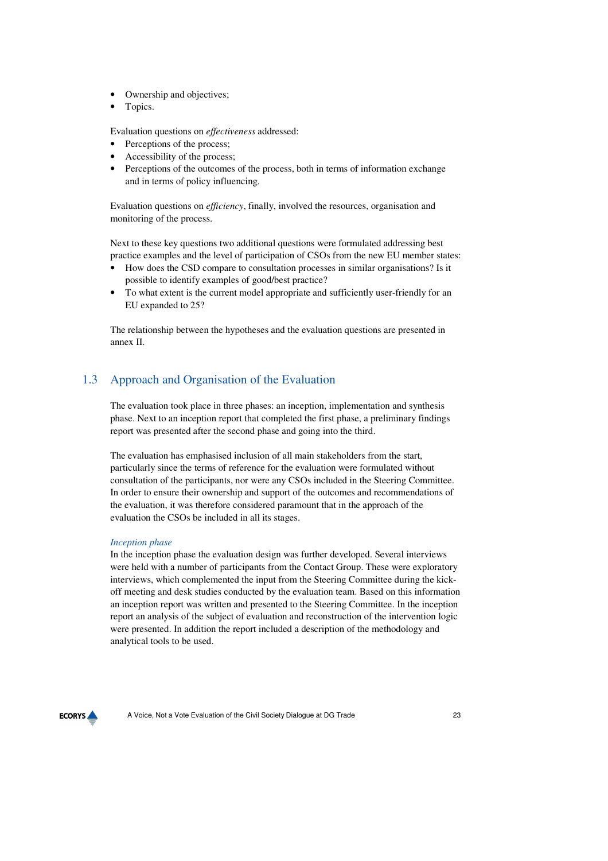- Ownership and objectives;
- Topics.

Evaluation questions on *effectiveness* addressed:

- Perceptions of the process;
- Accessibility of the process;
- Perceptions of the outcomes of the process, both in terms of information exchange and in terms of policy influencing.

Evaluation questions on *efficiency*, finally, involved the resources, organisation and monitoring of the process.

Next to these key questions two additional questions were formulated addressing best practice examples and the level of participation of CSOs from the new EU member states:

- How does the CSD compare to consultation processes in similar organisations? Is it possible to identify examples of good/best practice?
- To what extent is the current model appropriate and sufficiently user-friendly for an EU expanded to 25?

The relationship between the hypotheses and the evaluation questions are presented in annex II.

## 1.3 Approach and Organisation of the Evaluation

The evaluation took place in three phases: an inception, implementation and synthesis phase. Next to an inception report that completed the first phase, a preliminary findings report was presented after the second phase and going into the third.

The evaluation has emphasised inclusion of all main stakeholders from the start, particularly since the terms of reference for the evaluation were formulated without consultation of the participants, nor were any CSOs included in the Steering Committee. In order to ensure their ownership and support of the outcomes and recommendations of the evaluation, it was therefore considered paramount that in the approach of the evaluation the CSOs be included in all its stages.

## *Inception phase*

In the inception phase the evaluation design was further developed. Several interviews were held with a number of participants from the Contact Group. These were exploratory interviews, which complemented the input from the Steering Committee during the kickoff meeting and desk studies conducted by the evaluation team. Based on this information an inception report was written and presented to the Steering Committee. In the inception report an analysis of the subject of evaluation and reconstruction of the intervention logic were presented. In addition the report included a description of the methodology and analytical tools to be used.

## **ECORYS**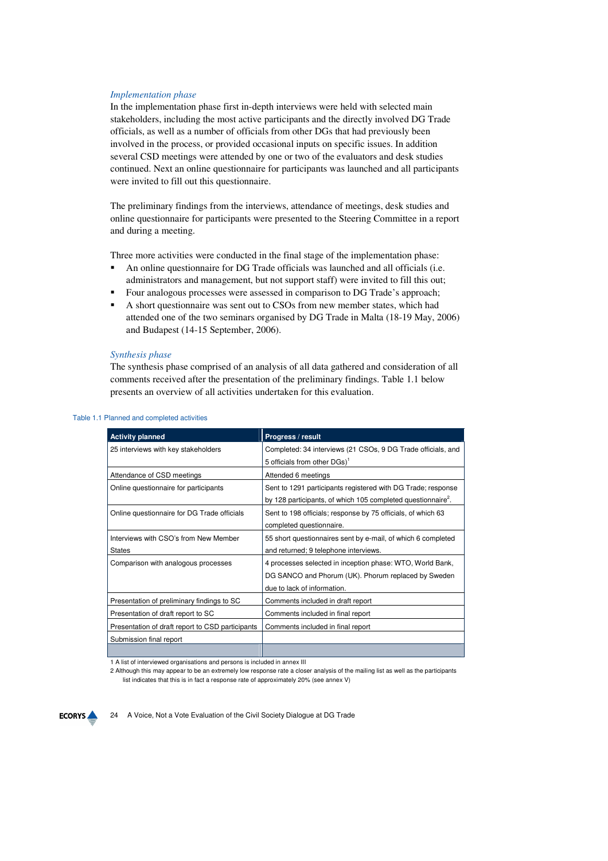### *Implementation phase*

In the implementation phase first in-depth interviews were held with selected main stakeholders, including the most active participants and the directly involved DG Trade officials, as well as a number of officials from other DGs that had previously been involved in the process, or provided occasional inputs on specific issues. In addition several CSD meetings were attended by one or two of the evaluators and desk studies continued. Next an online questionnaire for participants was launched and all participants were invited to fill out this questionnaire.

The preliminary findings from the interviews, attendance of meetings, desk studies and online questionnaire for participants were presented to the Steering Committee in a report and during a meeting.

Three more activities were conducted in the final stage of the implementation phase:

- An online questionnaire for DG Trade officials was launched and all officials (i.e.
- administrators and management, but not support staff) were invited to fill this out;
- Four analogous processes were assessed in comparison to DG Trade's approach;
- A short questionnaire was sent out to CSOs from new member states, which had attended one of the two seminars organised by DG Trade in Malta (18-19 May, 2006) and Budapest (14-15 September, 2006).

#### *Synthesis phase*

The synthesis phase comprised of an analysis of all data gathered and consideration of all comments received after the presentation of the preliminary findings. Table 1.1 below presents an overview of all activities undertaken for this evaluation.

| <b>Activity planned</b>                          | Progress / result                                                        |  |  |
|--------------------------------------------------|--------------------------------------------------------------------------|--|--|
| 25 interviews with key stakeholders              | Completed: 34 interviews (21 CSOs, 9 DG Trade officials, and             |  |  |
|                                                  | 5 officials from other DGs) <sup>1</sup>                                 |  |  |
| Attendance of CSD meetings                       | Attended 6 meetings                                                      |  |  |
| Online questionnaire for participants            | Sent to 1291 participants registered with DG Trade; response             |  |  |
|                                                  | by 128 participants, of which 105 completed questionnaire <sup>2</sup> . |  |  |
| Online questionnaire for DG Trade officials      | Sent to 198 officials; response by 75 officials, of which 63             |  |  |
|                                                  | completed questionnaire.                                                 |  |  |
| Interviews with CSO's from New Member            | 55 short questionnaires sent by e-mail, of which 6 completed             |  |  |
| <b>States</b>                                    | and returned; 9 telephone interviews.                                    |  |  |
| Comparison with analogous processes              | 4 processes selected in inception phase: WTO, World Bank,                |  |  |
|                                                  | DG SANCO and Phorum (UK). Phorum replaced by Sweden                      |  |  |
|                                                  | due to lack of information.                                              |  |  |
| Presentation of preliminary findings to SC       | Comments included in draft report                                        |  |  |
| Presentation of draft report to SC               | Comments included in final report                                        |  |  |
| Presentation of draft report to CSD participants | Comments included in final report                                        |  |  |
| Submission final report                          |                                                                          |  |  |
|                                                  |                                                                          |  |  |

#### Table 1.1 Planned and completed activities

1 A list of interviewed organisations and persons is included in annex III

2 Although this may appear to be an extremely low response rate a closer analysis of the mailing list as well as the participants list indicates that this is in fact a response rate of approximately 20% (see annex V)

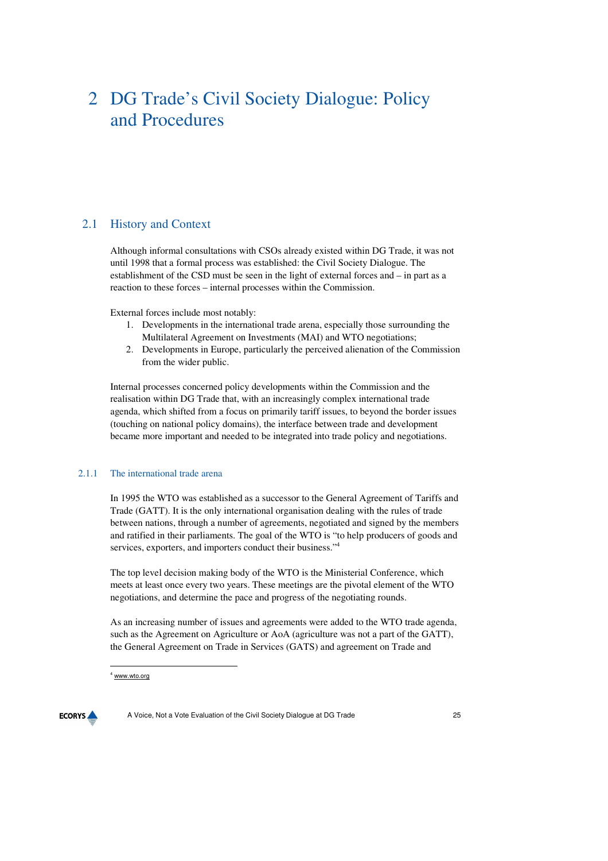## 2 DG Trade's Civil Society Dialogue: Policy and Procedures

## 2.1 History and Context

Although informal consultations with CSOs already existed within DG Trade, it was not until 1998 that a formal process was established: the Civil Society Dialogue. The establishment of the CSD must be seen in the light of external forces and – in part as a reaction to these forces – internal processes within the Commission.

External forces include most notably:

- 1. Developments in the international trade arena, especially those surrounding the Multilateral Agreement on Investments (MAI) and WTO negotiations;
- 2. Developments in Europe, particularly the perceived alienation of the Commission from the wider public.

Internal processes concerned policy developments within the Commission and the realisation within DG Trade that, with an increasingly complex international trade agenda, which shifted from a focus on primarily tariff issues, to beyond the border issues (touching on national policy domains), the interface between trade and development became more important and needed to be integrated into trade policy and negotiations.

## 2.1.1 The international trade arena

In 1995 the WTO was established as a successor to the General Agreement of Tariffs and Trade (GATT). It is the only international organisation dealing with the rules of trade between nations, through a number of agreements, negotiated and signed by the members and ratified in their parliaments. The goal of the WTO is "to help producers of goods and services, exporters, and importers conduct their business."<sup>4</sup>

The top level decision making body of the WTO is the Ministerial Conference, which meets at least once every two years. These meetings are the pivotal element of the WTO negotiations, and determine the pace and progress of the negotiating rounds.

As an increasing number of issues and agreements were added to the WTO trade agenda, such as the Agreement on Agriculture or AoA (agriculture was not a part of the GATT), the General Agreement on Trade in Services (GATS) and agreement on Trade and

 $\overline{\phantom{0}}$ 

**ECORYS** 

<sup>4</sup> www.wto.org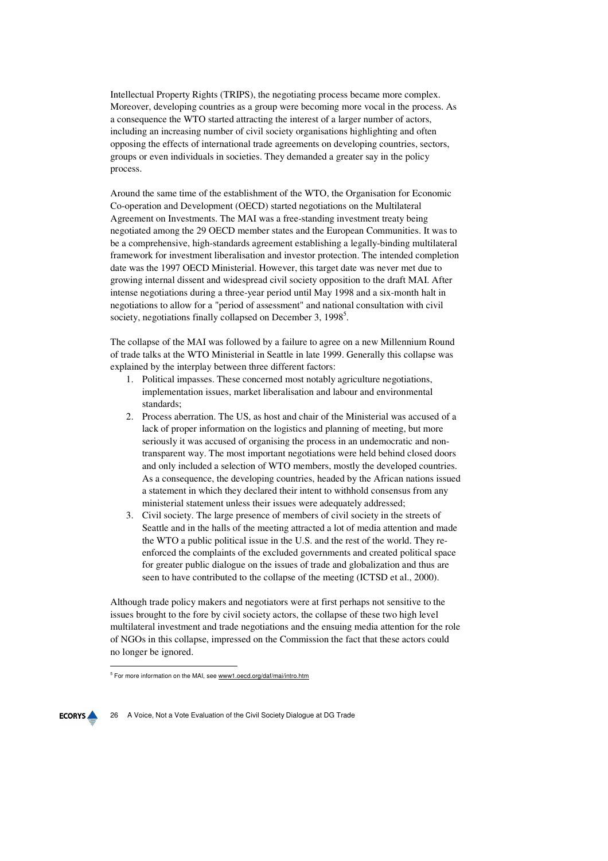Intellectual Property Rights (TRIPS), the negotiating process became more complex. Moreover, developing countries as a group were becoming more vocal in the process. As a consequence the WTO started attracting the interest of a larger number of actors, including an increasing number of civil society organisations highlighting and often opposing the effects of international trade agreements on developing countries, sectors, groups or even individuals in societies. They demanded a greater say in the policy process.

Around the same time of the establishment of the WTO, the Organisation for Economic Co-operation and Development (OECD) started negotiations on the Multilateral Agreement on Investments. The MAI was a free-standing investment treaty being negotiated among the 29 OECD member states and the European Communities. It was to be a comprehensive, high-standards agreement establishing a legally-binding multilateral framework for investment liberalisation and investor protection. The intended completion date was the 1997 OECD Ministerial. However, this target date was never met due to growing internal dissent and widespread civil society opposition to the draft MAI. After intense negotiations during a three-year period until May 1998 and a six-month halt in negotiations to allow for a "period of assessment" and national consultation with civil society, negotiations finally collapsed on December 3, 1998<sup>5</sup>.

The collapse of the MAI was followed by a failure to agree on a new Millennium Round of trade talks at the WTO Ministerial in Seattle in late 1999. Generally this collapse was explained by the interplay between three different factors:

- 1. Political impasses. These concerned most notably agriculture negotiations, implementation issues, market liberalisation and labour and environmental standards;
- 2. Process aberration. The US, as host and chair of the Ministerial was accused of a lack of proper information on the logistics and planning of meeting, but more seriously it was accused of organising the process in an undemocratic and nontransparent way. The most important negotiations were held behind closed doors and only included a selection of WTO members, mostly the developed countries. As a consequence, the developing countries, headed by the African nations issued a statement in which they declared their intent to withhold consensus from any ministerial statement unless their issues were adequately addressed;
- 3. Civil society. The large presence of members of civil society in the streets of Seattle and in the halls of the meeting attracted a lot of media attention and made the WTO a public political issue in the U.S. and the rest of the world. They reenforced the complaints of the excluded governments and created political space for greater public dialogue on the issues of trade and globalization and thus are seen to have contributed to the collapse of the meeting (ICTSD et al., 2000).

Although trade policy makers and negotiators were at first perhaps not sensitive to the issues brought to the fore by civil society actors, the collapse of these two high level multilateral investment and trade negotiations and the ensuing media attention for the role of NGOs in this collapse, impressed on the Commission the fact that these actors could no longer be ignored.

 $\overline{\phantom{0}}$ 

**ECORYS** 

<sup>&</sup>lt;sup>5</sup> For more information on the MAI, see www1.oecd.org/daf/mai/intro.htm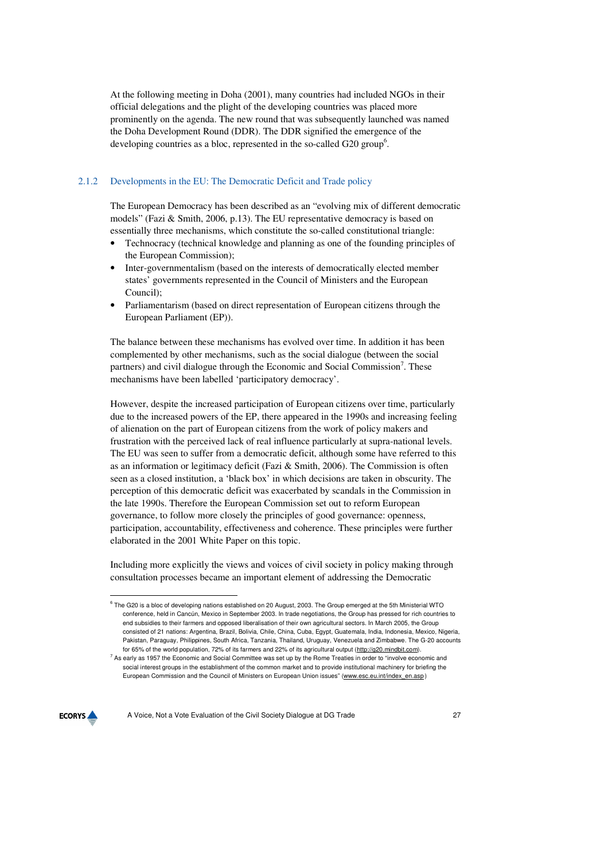At the following meeting in Doha (2001), many countries had included NGOs in their official delegations and the plight of the developing countries was placed more prominently on the agenda. The new round that was subsequently launched was named the Doha Development Round (DDR). The DDR signified the emergence of the developing countries as a bloc, represented in the so-called G20 group<sup>6</sup>.

## 2.1.2 Developments in the EU: The Democratic Deficit and Trade policy

The European Democracy has been described as an "evolving mix of different democratic models" (Fazi & Smith, 2006, p.13). The EU representative democracy is based on essentially three mechanisms, which constitute the so-called constitutional triangle:

- Technocracy (technical knowledge and planning as one of the founding principles of the European Commission);
- Inter-governmentalism (based on the interests of democratically elected member states' governments represented in the Council of Ministers and the European Council);
- Parliamentarism (based on direct representation of European citizens through the European Parliament (EP)).

The balance between these mechanisms has evolved over time. In addition it has been complemented by other mechanisms, such as the social dialogue (between the social partners) and civil dialogue through the Economic and Social Commission<sup>7</sup>. These mechanisms have been labelled 'participatory democracy'.

However, despite the increased participation of European citizens over time, particularly due to the increased powers of the EP, there appeared in the 1990s and increasing feeling of alienation on the part of European citizens from the work of policy makers and frustration with the perceived lack of real influence particularly at supra-national levels. The EU was seen to suffer from a democratic deficit, although some have referred to this as an information or legitimacy deficit (Fazi  $&$  Smith, 2006). The Commission is often seen as a closed institution, a 'black box' in which decisions are taken in obscurity. The perception of this democratic deficit was exacerbated by scandals in the Commission in the late 1990s. Therefore the European Commission set out to reform European governance, to follow more closely the principles of good governance: openness, participation, accountability, effectiveness and coherence. These principles were further elaborated in the 2001 White Paper on this topic.

Including more explicitly the views and voices of civil society in policy making through consultation processes became an important element of addressing the Democratic

 $^7$  As early as 1957 the Economic and Social Committee was set up by the Rome Treaties in order to "involve economic and social interest groups in the establishment of the common market and to provide institutional machinery for briefing the European Commission and the Council of Ministers on European Union issues" (www.esc.eu.int/index\_en.asp )



 $\overline{a}$ 

 $^6$  The G20 is a bloc of developing nations established on 20 August, 2003. The Group emerged at the 5th Ministerial WTO conference, held in Cancún, Mexico in September 2003. In trade negotiations, the Group has pressed for rich countries to end subsidies to their farmers and opposed liberalisation of their own agricultural sectors. In March 2005, the Group consisted of 21 nations: Argentina, Brazil, Bolivia, Chile, China, Cuba, Egypt, Guatemala, India, Indonesia, Mexico, Nigeria, Pakistan, Paraguay, Philippines, South Africa, Tanzania, Thailand, Uruguay, Venezuela and Zimbabwe. The G-20 accounts for 65% of the world population, 72% of its farmers and 22% of its agricultural output (http://g20.mindbit.com).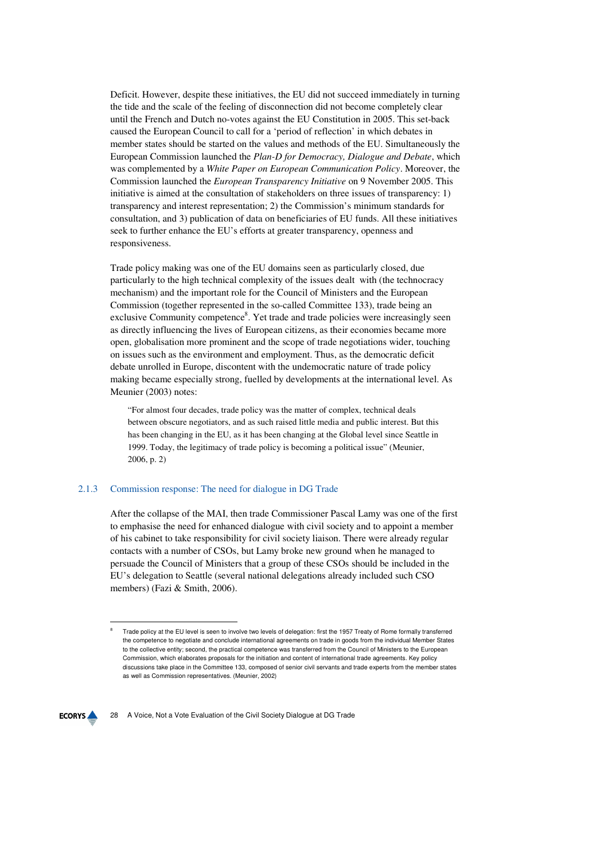Deficit. However, despite these initiatives, the EU did not succeed immediately in turning the tide and the scale of the feeling of disconnection did not become completely clear until the French and Dutch no-votes against the EU Constitution in 2005. This set-back caused the European Council to call for a 'period of reflection' in which debates in member states should be started on the values and methods of the EU. Simultaneously the European Commission launched the *Plan-D for Democracy, Dialogue and Debate*, which was complemented by a *White Paper on European Communication Policy*. Moreover, the Commission launched the *European Transparency Initiative* on 9 November 2005. This initiative is aimed at the consultation of stakeholders on three issues of transparency: 1) transparency and interest representation; 2) the Commission's minimum standards for consultation, and 3) publication of data on beneficiaries of EU funds. All these initiatives seek to further enhance the EU's efforts at greater transparency, openness and responsiveness.

Trade policy making was one of the EU domains seen as particularly closed, due particularly to the high technical complexity of the issues dealt with (the technocracy mechanism) and the important role for the Council of Ministers and the European Commission (together represented in the so-called Committee 133), trade being an exclusive Community competence<sup>8</sup>. Yet trade and trade policies were increasingly seen as directly influencing the lives of European citizens, as their economies became more open, globalisation more prominent and the scope of trade negotiations wider, touching on issues such as the environment and employment. Thus, as the democratic deficit debate unrolled in Europe, discontent with the undemocratic nature of trade policy making became especially strong, fuelled by developments at the international level. As Meunier (2003) notes:

"For almost four decades, trade policy was the matter of complex, technical deals between obscure negotiators, and as such raised little media and public interest. But this has been changing in the EU, as it has been changing at the Global level since Seattle in 1999. Today, the legitimacy of trade policy is becoming a political issue" (Meunier, 2006, p. 2)

### 2.1.3 Commission response: The need for dialogue in DG Trade

After the collapse of the MAI, then trade Commissioner Pascal Lamy was one of the first to emphasise the need for enhanced dialogue with civil society and to appoint a member of his cabinet to take responsibility for civil society liaison. There were already regular contacts with a number of CSOs, but Lamy broke new ground when he managed to persuade the Council of Ministers that a group of these CSOs should be included in the EU's delegation to Seattle (several national delegations already included such CSO members) (Fazi & Smith, 2006).

<sup>8</sup> Trade policy at the EU level is seen to involve two levels of delegation: first the 1957 Treaty of Rome formally transferred the competence to negotiate and conclude international agreements on trade in goods from the individual Member States to the collective entity; second, the practical competence was transferred from the Council of Ministers to the European Commission, which elaborates proposals for the initiation and content of international trade agreements. Key policy discussions take place in the Committee 133, composed of senior civil servants and trade experts from the member states as well as Commission representatives. (Meunier, 2002)



 $\overline{a}$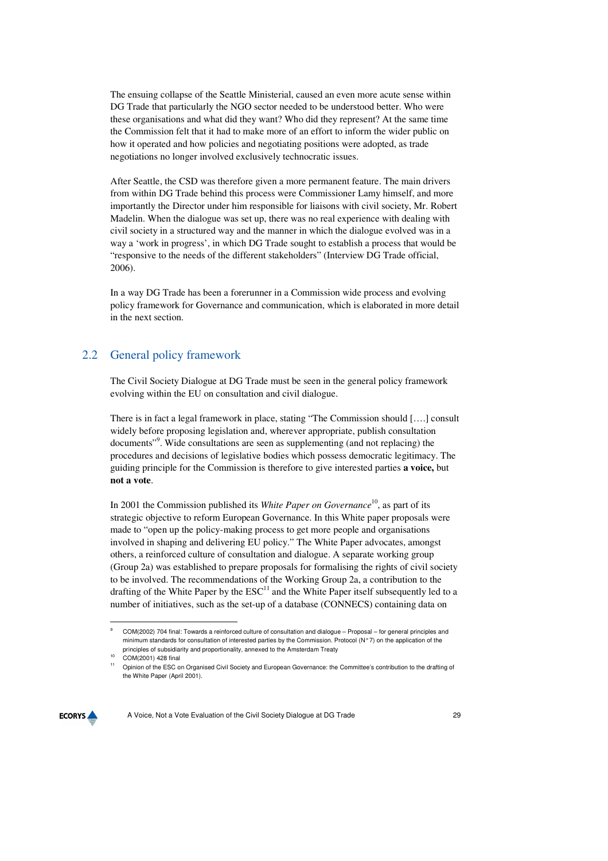The ensuing collapse of the Seattle Ministerial, caused an even more acute sense within DG Trade that particularly the NGO sector needed to be understood better. Who were these organisations and what did they want? Who did they represent? At the same time the Commission felt that it had to make more of an effort to inform the wider public on how it operated and how policies and negotiating positions were adopted, as trade negotiations no longer involved exclusively technocratic issues.

After Seattle, the CSD was therefore given a more permanent feature. The main drivers from within DG Trade behind this process were Commissioner Lamy himself, and more importantly the Director under him responsible for liaisons with civil society, Mr. Robert Madelin. When the dialogue was set up, there was no real experience with dealing with civil society in a structured way and the manner in which the dialogue evolved was in a way a 'work in progress', in which DG Trade sought to establish a process that would be "responsive to the needs of the different stakeholders" (Interview DG Trade official, 2006).

In a way DG Trade has been a forerunner in a Commission wide process and evolving policy framework for Governance and communication, which is elaborated in more detail in the next section.

## 2.2 General policy framework

The Civil Society Dialogue at DG Trade must be seen in the general policy framework evolving within the EU on consultation and civil dialogue.

There is in fact a legal framework in place, stating "The Commission should [….] consult widely before proposing legislation and, wherever appropriate, publish consultation documents"<sup>9</sup> . Wide consultations are seen as supplementing (and not replacing) the procedures and decisions of legislative bodies which possess democratic legitimacy. The guiding principle for the Commission is therefore to give interested parties **a voice,** but **not a vote**.

In 2001 the Commission published its *White Paper on Governance*<sup>10</sup>, as part of its strategic objective to reform European Governance. In this White paper proposals were made to "open up the policy-making process to get more people and organisations involved in shaping and delivering EU policy." The White Paper advocates, amongst others, a reinforced culture of consultation and dialogue. A separate working group (Group 2a) was established to prepare proposals for formalising the rights of civil society to be involved. The recommendations of the Working Group 2a, a contribution to the drafting of the White Paper by the  $\mathrm{ESC}^{11}$  and the White Paper itself subsequently led to a number of initiatives, such as the set-up of a database (CONNECS) containing data on

 $\overline{a}$ 

<sup>11</sup> Opinion of the ESC on Organised Civil Society and European Governance: the Committee's contribution to the drafting of the White Paper (April 2001).



<sup>9</sup> COM(2002) 704 final: Towards a reinforced culture of consultation and dialogue – Proposal – for general principles and minimum standards for consultation of interested parties by the Commission. Protocol (N° 7) on the application of the principles of subsidiarity and proportionality, annexed to the Amsterdam Treaty

<sup>10</sup> COM(2001) 428 final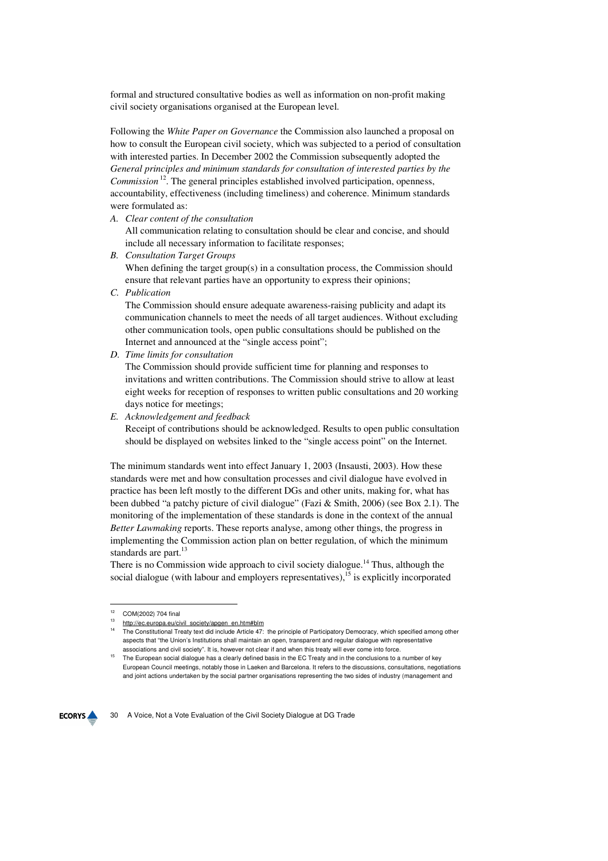formal and structured consultative bodies as well as information on non-profit making civil society organisations organised at the European level.

Following the *White Paper on Governance* the Commission also launched a proposal on how to consult the European civil society, which was subjected to a period of consultation with interested parties. In December 2002 the Commission subsequently adopted the *General principles and minimum standards for consultation of interested parties by the Commission*<sup>12</sup>. The general principles established involved participation, openness, accountability, effectiveness (including timeliness) and coherence. Minimum standards were formulated as:

*A. Clear content of the consultation* 

All communication relating to consultation should be clear and concise, and should include all necessary information to facilitate responses;

*B. Consultation Target Groups* 

When defining the target group(s) in a consultation process, the Commission should ensure that relevant parties have an opportunity to express their opinions;

*C. Publication* 

The Commission should ensure adequate awareness-raising publicity and adapt its communication channels to meet the needs of all target audiences. Without excluding other communication tools, open public consultations should be published on the Internet and announced at the "single access point";

*D. Time limits for consultation* 

The Commission should provide sufficient time for planning and responses to invitations and written contributions. The Commission should strive to allow at least eight weeks for reception of responses to written public consultations and 20 working days notice for meetings;

*E. Acknowledgement and feedback* 

Receipt of contributions should be acknowledged. Results to open public consultation should be displayed on websites linked to the "single access point" on the Internet.

The minimum standards went into effect January 1, 2003 (Insausti, 2003). How these standards were met and how consultation processes and civil dialogue have evolved in practice has been left mostly to the different DGs and other units, making for, what has been dubbed "a patchy picture of civil dialogue" (Fazi & Smith, 2006) (see Box 2.1). The monitoring of the implementation of these standards is done in the context of the annual *Better Lawmaking* reports. These reports analyse, among other things, the progress in implementing the Commission action plan on better regulation, of which the minimum standards are part.<sup>13</sup>

There is no Commission wide approach to civil society dialogue.<sup>14</sup> Thus, although the social dialogue (with labour and employers representatives),  $15$  is explicitly incorporated

 $\overline{a}$ 

The European social dialogue has a clearly defined basis in the EC Treaty and in the conclusions to a number of key European Council meetings, notably those in Laeken and Barcelona. It refers to the discussions, consultations, negotiations and joint actions undertaken by the social partner organisations representing the two sides of industry (management and



<sup>12</sup> COM(2002) 704 final

 $\frac{13}{14}$  http://ec.europa.eu/civil\_society/apgen\_en.htm#blm

<sup>14</sup> The Constitutional Treaty text did include Article 47: the principle of Participatory Democracy, which specified among other aspects that "the Union's Institutions shall maintain an open, transparent and regular dialogue with representative associations and civil society". It is, however not clear if and when this treaty will ever come into force.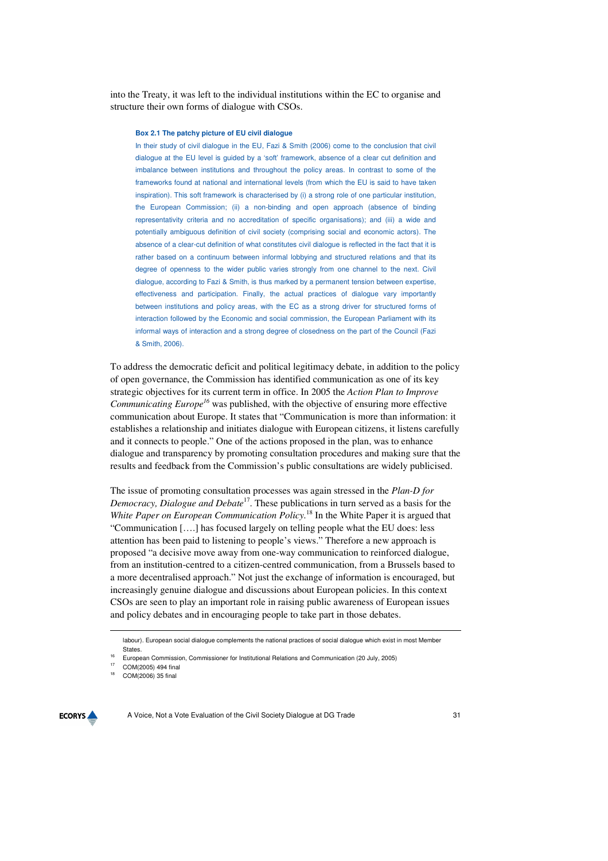into the Treaty, it was left to the individual institutions within the EC to organise and structure their own forms of dialogue with CSOs.

#### **Box 2.1 The patchy picture of EU civil dialogue**

In their study of civil dialogue in the EU, Fazi & Smith (2006) come to the conclusion that civil dialogue at the EU level is guided by a 'soft' framework, absence of a clear cut definition and imbalance between institutions and throughout the policy areas. In contrast to some of the frameworks found at national and international levels (from which the EU is said to have taken inspiration). This soft framework is characterised by (i) a strong role of one particular institution, the European Commission; (ii) a non-binding and open approach (absence of binding representativity criteria and no accreditation of specific organisations); and (iii) a wide and potentially ambiguous definition of civil society (comprising social and economic actors). The absence of a clear-cut definition of what constitutes civil dialogue is reflected in the fact that it is rather based on a continuum between informal lobbying and structured relations and that its degree of openness to the wider public varies strongly from one channel to the next. Civil dialogue, according to Fazi & Smith, is thus marked by a permanent tension between expertise, effectiveness and participation. Finally, the actual practices of dialogue vary importantly between institutions and policy areas, with the EC as a strong driver for structured forms of interaction followed by the Economic and social commission, the European Parliament with its informal ways of interaction and a strong degree of closedness on the part of the Council (Fazi & Smith, 2006).

To address the democratic deficit and political legitimacy debate, in addition to the policy of open governance, the Commission has identified communication as one of its key strategic objectives for its current term in office. In 2005 the *Action Plan to Improve Communicating Europe*<sup>16</sup> was published, with the objective of ensuring more effective communication about Europe. It states that "Communication is more than information: it establishes a relationship and initiates dialogue with European citizens, it listens carefully and it connects to people." One of the actions proposed in the plan, was to enhance dialogue and transparency by promoting consultation procedures and making sure that the results and feedback from the Commission's public consultations are widely publicised.

The issue of promoting consultation processes was again stressed in the *Plan-D for Democracy, Dialogue and Debate*<sup>17</sup>. These publications in turn served as a basis for the *White Paper on European Communication Policy.*<sup>18</sup> In the White Paper it is argued that "Communication [….] has focused largely on telling people what the EU does: less attention has been paid to listening to people's views." Therefore a new approach is proposed "a decisive move away from one-way communication to reinforced dialogue, from an institution-centred to a citizen-centred communication, from a Brussels based to a more decentralised approach." Not just the exchange of information is encouraged, but increasingly genuine dialogue and discussions about European policies. In this context CSOs are seen to play an important role in raising public awareness of European issues and policy debates and in encouraging people to take part in those debates.

 $\overline{\phantom{0}}$ 

**ECORYS** 

labour). European social dialogue complements the national practices of social dialogue which exist in most Member States.

<sup>16</sup> European Commission, Commissioner for Institutional Relations and Communication (20 July, 2005)

COM(2005) 494 final

<sup>18</sup> COM(2006) 35 final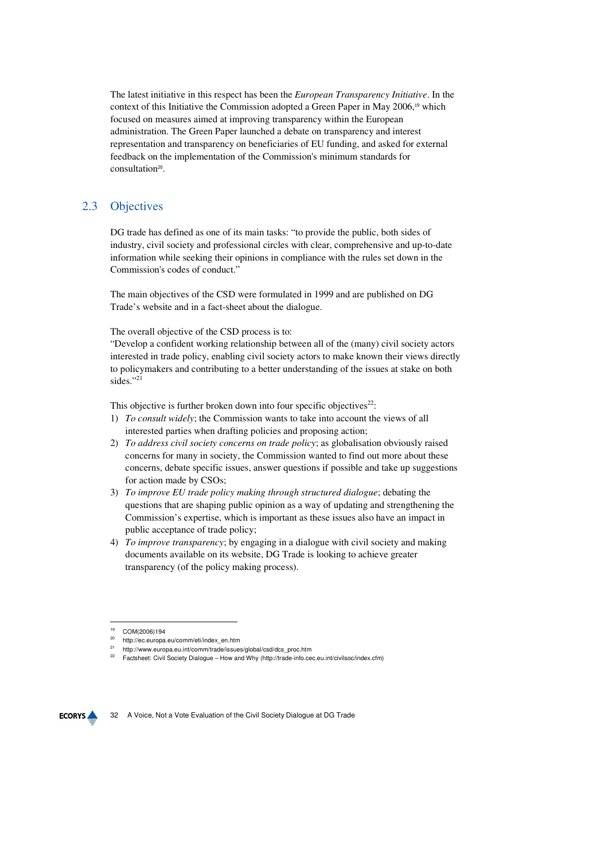The latest initiative in this respect has been the *European Transparency Initiative*. In the context of this Initiative the Commission adopted a Green Paper in May 2006,<sup>19</sup> which focused on measures aimed at improving transparency within the European administration. The Green Paper launched a debate on transparency and interest representation and transparency on beneficiaries of EU funding, and asked for external feedback on the implementation of the Commission's minimum standards for consultation<sup>20</sup>.

## 2.3 Objectives

DG trade has defined as one of its main tasks: "to provide the public, both sides of industry, civil society and professional circles with clear, comprehensive and up-to-date information while seeking their opinions in compliance with the rules set down in the Commission's codes of conduct."

The main objectives of the CSD were formulated in 1999 and are published on DG Trade's website and in a fact-sheet about the dialogue.

The overall objective of the CSD process is to:

"Develop a confident working relationship between all of the (many) civil society actors interested in trade policy, enabling civil society actors to make known their views directly to policymakers and contributing to a better understanding of the issues at stake on both sides."<sup>21</sup>

This objective is further broken down into four specific objectives $22$ :

- 1) *To consult widely*; the Commission wants to take into account the views of all interested parties when drafting policies and proposing action;
- 2) *To address civil society concerns on trade policy*; as globalisation obviously raised concerns for many in society, the Commission wanted to find out more about these concerns, debate specific issues, answer questions if possible and take up suggestions for action made by CSOs;
- 3) *To improve EU trade policy making through structured dialogue*; debating the questions that are shaping public opinion as a way of updating and strengthening the Commission's expertise, which is important as these issues also have an impact in public acceptance of trade policy;
- 4) *To improve transparency*; by engaging in a dialogue with civil society and making documents available on its website, DG Trade is looking to achieve greater transparency (of the policy making process).

 $\overline{a}$ 



<sup>19</sup> COM(2006)194

<sup>20</sup> http://ec.europa.eu/comm/eti/index\_en.htm

<sup>21</sup> http://www.europa.eu.int/comm/trade/issues/global/csd/dcs\_proc.htm

<sup>22</sup> Factsheet: Civil Society Dialogue – How and Why (http://trade-info.cec.eu.int/civilsoc/index.cfm)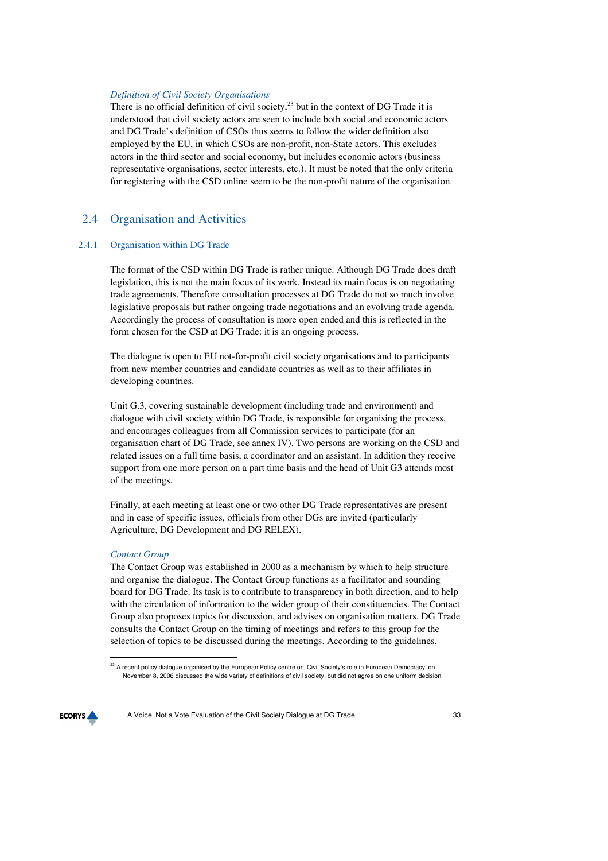## *Definition of Civil Society Organisations*

There is no official definition of civil society, $^{23}$  but in the context of DG Trade it is understood that civil society actors are seen to include both social and economic actors and DG Trade's definition of CSOs thus seems to follow the wider definition also employed by the EU, in which CSOs are non-profit, non-State actors. This excludes actors in the third sector and social economy, but includes economic actors (business representative organisations, sector interests, etc.). It must be noted that the only criteria for registering with the CSD online seem to be the non-profit nature of the organisation.

## 2.4 Organisation and Activities

## 2.4.1 Organisation within DG Trade

The format of the CSD within DG Trade is rather unique. Although DG Trade does draft legislation, this is not the main focus of its work. Instead its main focus is on negotiating trade agreements. Therefore consultation processes at DG Trade do not so much involve legislative proposals but rather ongoing trade negotiations and an evolving trade agenda. Accordingly the process of consultation is more open ended and this is reflected in the form chosen for the CSD at DG Trade: it is an ongoing process.

The dialogue is open to EU not-for-profit civil society organisations and to participants from new member countries and candidate countries as well as to their affiliates in developing countries.

Unit G.3, covering sustainable development (including trade and environment) and dialogue with civil society within DG Trade, is responsible for organising the process, and encourages colleagues from all Commission services to participate (for an organisation chart of DG Trade, see annex IV). Two persons are working on the CSD and related issues on a full time basis, a coordinator and an assistant. In addition they receive support from one more person on a part time basis and the head of Unit G3 attends most of the meetings.

Finally, at each meeting at least one or two other DG Trade representatives are present and in case of specific issues, officials from other DGs are invited (particularly Agriculture, DG Development and DG RELEX).

#### *Contact Group*

The Contact Group was established in 2000 as a mechanism by which to help structure and organise the dialogue. The Contact Group functions as a facilitator and sounding board for DG Trade. Its task is to contribute to transparency in both direction, and to help with the circulation of information to the wider group of their constituencies. The Contact Group also proposes topics for discussion, and advises on organisation matters. DG Trade consults the Contact Group on the timing of meetings and refers to this group for the selection of topics to be discussed during the meetings. According to the guidelines,

<sup>&</sup>lt;sup>23</sup> A recent policy dialogue organised by the European Policy centre on 'Civil Society's role in European Democracy' on November 8, 2006 discussed the wide variety of definitions of civil society, but did not agree on one uniform decision.



 $\overline{a}$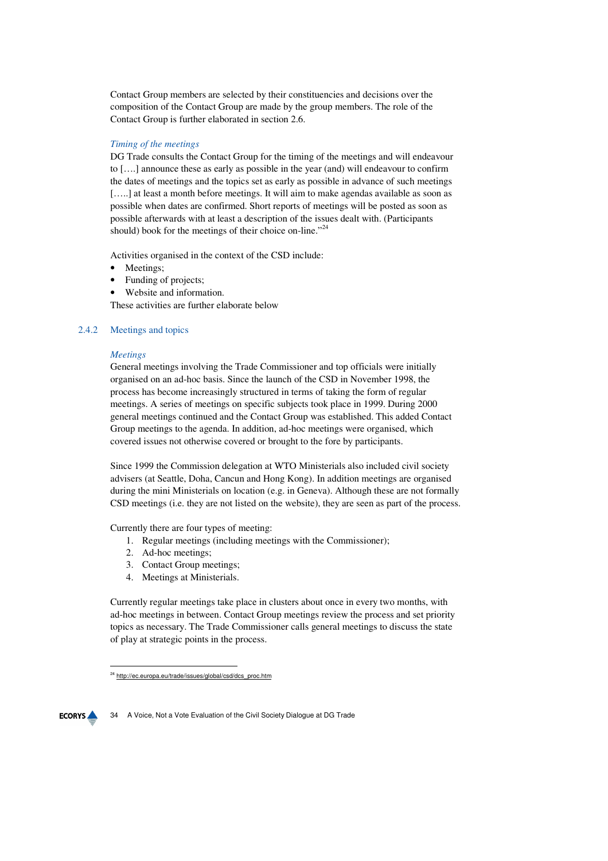Contact Group members are selected by their constituencies and decisions over the composition of the Contact Group are made by the group members. The role of the Contact Group is further elaborated in section 2.6.

## *Timing of the meetings*

DG Trade consults the Contact Group for the timing of the meetings and will endeavour to [….] announce these as early as possible in the year (and) will endeavour to confirm the dates of meetings and the topics set as early as possible in advance of such meetings [.....] at least a month before meetings. It will aim to make agendas available as soon as possible when dates are confirmed. Short reports of meetings will be posted as soon as possible afterwards with at least a description of the issues dealt with. (Participants should) book for the meetings of their choice on-line."<sup>24</sup>

Activities organised in the context of the CSD include:

- Meetings;
- Funding of projects;
- Website and information.

These activities are further elaborate below

## 2.4.2 Meetings and topics

## *Meetings*

General meetings involving the Trade Commissioner and top officials were initially organised on an ad-hoc basis. Since the launch of the CSD in November 1998, the process has become increasingly structured in terms of taking the form of regular meetings. A series of meetings on specific subjects took place in 1999. During 2000 general meetings continued and the Contact Group was established. This added Contact Group meetings to the agenda. In addition, ad-hoc meetings were organised, which covered issues not otherwise covered or brought to the fore by participants.

Since 1999 the Commission delegation at WTO Ministerials also included civil society advisers (at Seattle, Doha, Cancun and Hong Kong). In addition meetings are organised during the mini Ministerials on location (e.g. in Geneva). Although these are not formally CSD meetings (i.e. they are not listed on the website), they are seen as part of the process.

Currently there are four types of meeting:

- 1. Regular meetings (including meetings with the Commissioner);
- 2. Ad-hoc meetings;
- 3. Contact Group meetings;
- 4. Meetings at Ministerials.

Currently regular meetings take place in clusters about once in every two months, with ad-hoc meetings in between. Contact Group meetings review the process and set priority topics as necessary. The Trade Commissioner calls general meetings to discuss the state of play at strategic points in the process.

**ECORYS** 

 $\overline{\phantom{0}}$ 

<sup>&</sup>lt;sup>24</sup> http://ec.europa.eu/trade/issues/global/csd/dcs\_proc.htm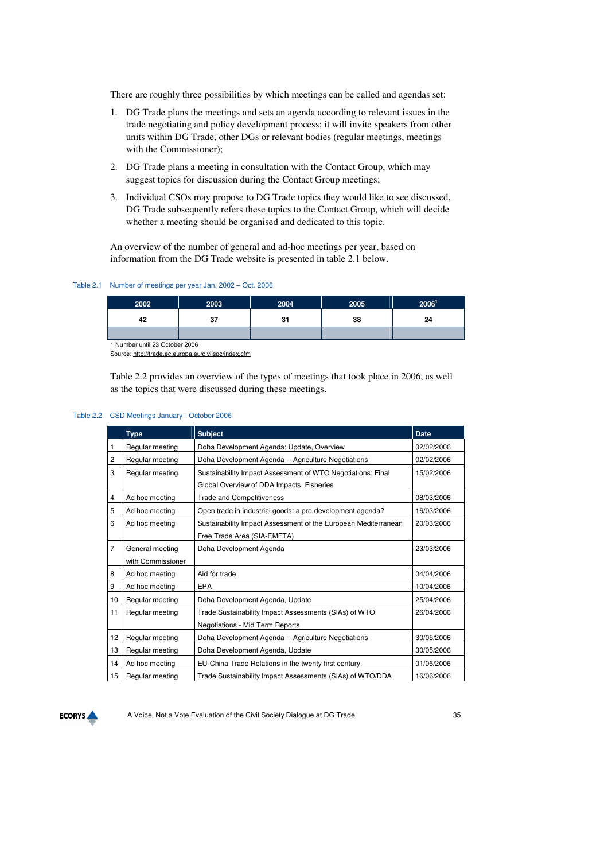There are roughly three possibilities by which meetings can be called and agendas set:

- 1. DG Trade plans the meetings and sets an agenda according to relevant issues in the trade negotiating and policy development process; it will invite speakers from other units within DG Trade, other DGs or relevant bodies (regular meetings, meetings with the Commissioner);
- 2. DG Trade plans a meeting in consultation with the Contact Group, which may suggest topics for discussion during the Contact Group meetings;
- 3. Individual CSOs may propose to DG Trade topics they would like to see discussed, DG Trade subsequently refers these topics to the Contact Group, which will decide whether a meeting should be organised and dedicated to this topic.

An overview of the number of general and ad-hoc meetings per year, based on information from the DG Trade website is presented in table 2.1 below.

### Table 2.1 Number of meetings per year Jan. 2002 – Oct. 2006

| 2002                           | 2003 | 2004 | 2005 | 2006 <sup>1</sup> |
|--------------------------------|------|------|------|-------------------|
| 42                             | 37   | 31   | 38   | 24                |
|                                |      |      |      |                   |
| 1 Number until 23 October 2006 |      |      |      |                   |

Source: http://trade.ec.europa.eu/civilsoc/index.cfm

Table 2.2 provides an overview of the types of meetings that took place in 2006, as well as the topics that were discussed during these meetings.

#### Table 2.2 CSD Meetings January - October 2006

|                | <b>Type</b>       | <b>Subject</b>                                                 | Date       |
|----------------|-------------------|----------------------------------------------------------------|------------|
| 1              | Regular meeting   | Doha Development Agenda: Update, Overview                      | 02/02/2006 |
| $\overline{c}$ | Regular meeting   | Doha Development Agenda -- Agriculture Negotiations            | 02/02/2006 |
| 3              | Regular meeting   | Sustainability Impact Assessment of WTO Negotiations: Final    | 15/02/2006 |
|                |                   | Global Overview of DDA Impacts, Fisheries                      |            |
| 4              | Ad hoc meeting    | <b>Trade and Competitiveness</b>                               | 08/03/2006 |
| 5              | Ad hoc meeting    | Open trade in industrial goods: a pro-development agenda?      | 16/03/2006 |
| 6              | Ad hoc meeting    | Sustainability Impact Assessment of the European Mediterranean | 20/03/2006 |
|                |                   | Free Trade Area (SIA-EMFTA)                                    |            |
| $\overline{7}$ | General meeting   | Doha Development Agenda                                        | 23/03/2006 |
|                | with Commissioner |                                                                |            |
| 8              | Ad hoc meeting    | Aid for trade                                                  | 04/04/2006 |
| 9              | Ad hoc meeting    | EPA                                                            | 10/04/2006 |
| 10             | Regular meeting   | Doha Development Agenda, Update                                | 25/04/2006 |
| 11             | Regular meeting   | Trade Sustainability Impact Assessments (SIAs) of WTO          | 26/04/2006 |
|                |                   | Negotiations - Mid Term Reports                                |            |
| 12             | Regular meeting   | Doha Development Agenda -- Agriculture Negotiations            | 30/05/2006 |
| 13             | Regular meeting   | Doha Development Agenda, Update                                | 30/05/2006 |
| 14             | Ad hoc meeting    | EU-China Trade Relations in the twenty first century           | 01/06/2006 |
| 15             | Regular meeting   | Trade Sustainability Impact Assessments (SIAs) of WTO/DDA      | 16/06/2006 |

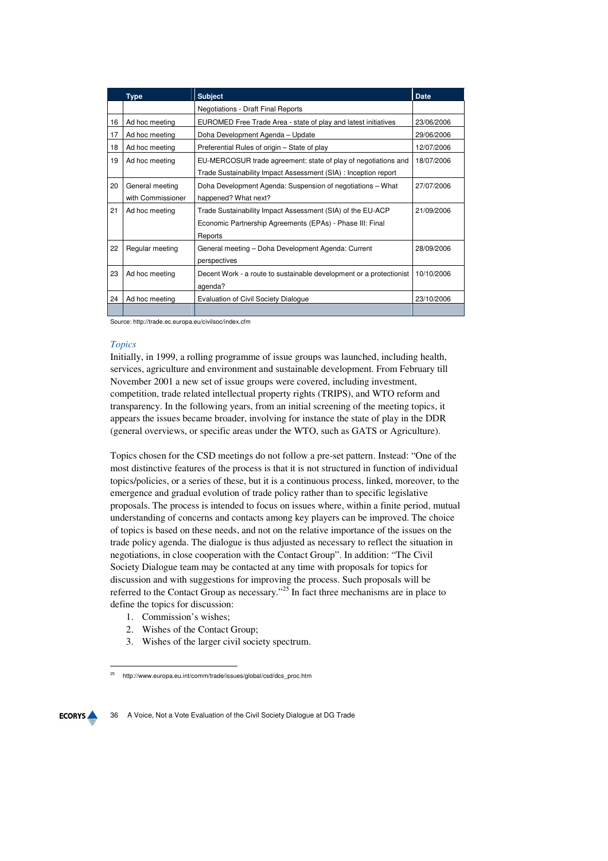|    | <b>Type</b>       | <b>Subject</b>                                                      | Date       |
|----|-------------------|---------------------------------------------------------------------|------------|
|    |                   | <b>Negotiations - Draft Final Reports</b>                           |            |
| 16 | Ad hoc meeting    | EUROMED Free Trade Area - state of play and latest initiatives      | 23/06/2006 |
| 17 | Ad hoc meeting    | Doha Development Agenda - Update                                    | 29/06/2006 |
| 18 | Ad hoc meeting    | Preferential Rules of origin - State of play                        | 12/07/2006 |
| 19 | Ad hoc meeting    | EU-MERCOSUR trade agreement: state of play of negotiations and      | 18/07/2006 |
|    |                   | Trade Sustainability Impact Assessment (SIA) : Inception report     |            |
| 20 | General meeting   | Doha Development Agenda: Suspension of negotiations – What          | 27/07/2006 |
|    | with Commissioner | happened? What next?                                                |            |
| 21 | Ad hoc meeting    | Trade Sustainability Impact Assessment (SIA) of the EU-ACP          | 21/09/2006 |
|    |                   | Economic Partnership Agreements (EPAs) - Phase III: Final           |            |
|    |                   | Reports                                                             |            |
| 22 | Regular meeting   | General meeting - Doha Development Agenda: Current                  | 28/09/2006 |
|    |                   | perspectives                                                        |            |
| 23 | Ad hoc meeting    | Decent Work - a route to sustainable development or a protectionist | 10/10/2006 |
|    |                   | agenda?                                                             |            |
| 24 | Ad hoc meeting    | Evaluation of Civil Society Dialogue                                | 23/10/2006 |
|    |                   |                                                                     |            |

Source: http://trade.ec.europa.eu/civilsoc/index.cfm

#### *Topics*

 $\overline{\phantom{0}}$ 

Initially, in 1999, a rolling programme of issue groups was launched, including health, services, agriculture and environment and sustainable development. From February till November 2001 a new set of issue groups were covered, including investment, competition, trade related intellectual property rights (TRIPS), and WTO reform and transparency. In the following years, from an initial screening of the meeting topics, it appears the issues became broader, involving for instance the state of play in the DDR (general overviews, or specific areas under the WTO, such as GATS or Agriculture).

Topics chosen for the CSD meetings do not follow a pre-set pattern. Instead: "One of the most distinctive features of the process is that it is not structured in function of individual topics/policies, or a series of these, but it is a continuous process, linked, moreover, to the emergence and gradual evolution of trade policy rather than to specific legislative proposals. The process is intended to focus on issues where, within a finite period, mutual understanding of concerns and contacts among key players can be improved. The choice of topics is based on these needs, and not on the relative importance of the issues on the trade policy agenda. The dialogue is thus adjusted as necessary to reflect the situation in negotiations, in close cooperation with the Contact Group". In addition: "The Civil Society Dialogue team may be contacted at any time with proposals for topics for discussion and with suggestions for improving the process. Such proposals will be referred to the Contact Group as necessary."<sup>25</sup> In fact three mechanisms are in place to define the topics for discussion:

- 1. Commission's wishes;
- 2. Wishes of the Contact Group;
- 3. Wishes of the larger civil society spectrum.

<sup>25</sup> http://www.europa.eu.int/comm/trade/issues/global/csd/dcs\_proc.htm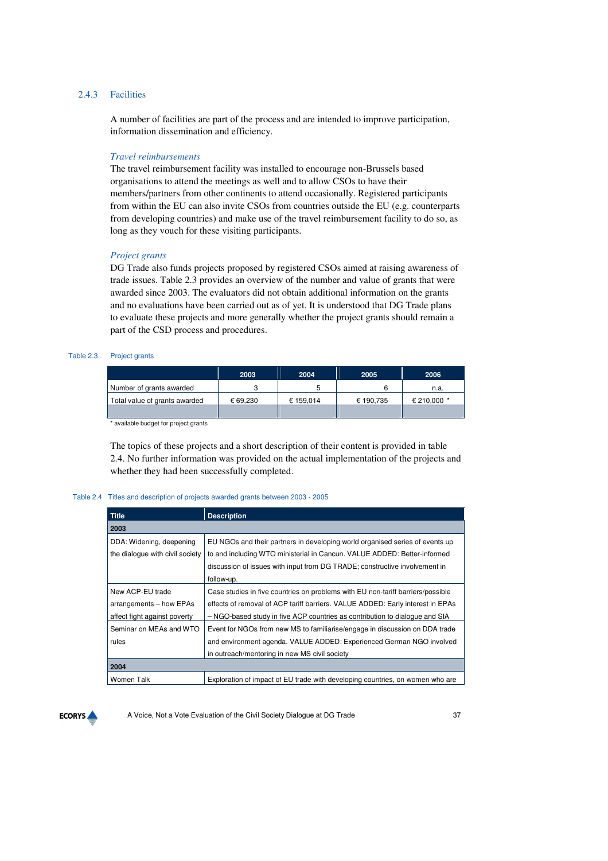### 2.4.3 Facilities

A number of facilities are part of the process and are intended to improve participation, information dissemination and efficiency.

#### *Travel reimbursements*

The travel reimbursement facility was installed to encourage non-Brussels based organisations to attend the meetings as well and to allow CSOs to have their members/partners from other continents to attend occasionally. Registered participants from within the EU can also invite CSOs from countries outside the EU (e.g. counterparts from developing countries) and make use of the travel reimbursement facility to do so, as long as they vouch for these visiting participants.

#### *Project grants*

DG Trade also funds projects proposed by registered CSOs aimed at raising awareness of trade issues. Table 2.3 provides an overview of the number and value of grants that were awarded since 2003. The evaluators did not obtain additional information on the grants and no evaluations have been carried out as of yet. It is understood that DG Trade plans to evaluate these projects and more generally whether the project grants should remain a part of the CSD process and procedures.

### Table 2.3 Project grants

|                               | 2003     | 2004      | 2005      | 2006        |
|-------------------------------|----------|-----------|-----------|-------------|
| Number of grants awarded      |          |           |           | n.a.        |
| Total value of grants awarded | € 69.230 | € 159.014 | € 190,735 | € 210,000 * |
|                               |          |           |           |             |

\* available budget for project grants

The topics of these projects and a short description of their content is provided in table 2.4. No further information was provided on the actual implementation of the projects and whether they had been successfully completed.

#### Table 2.4 Titles and description of projects awarded grants between 2003 - 2005

| <b>Title</b>                    | <b>Description</b>                                                              |
|---------------------------------|---------------------------------------------------------------------------------|
| 2003                            |                                                                                 |
| DDA: Widening, deepening        | EU NGOs and their partners in developing world organised series of events up    |
| the dialogue with civil society | to and including WTO ministerial in Cancun. VALUE ADDED: Better-informed        |
|                                 | discussion of issues with input from DG TRADE; constructive involvement in      |
|                                 | follow-up.                                                                      |
| New ACP-EU trade                | Case studies in five countries on problems with EU non-tariff barriers/possible |
| arrangements - how EPAs         | effects of removal of ACP tariff barriers. VALUE ADDED: Early interest in EPAs  |
| affect fight against poverty    | - NGO-based study in five ACP countries as contribution to dialogue and SIA     |
| Seminar on MEAs and WTO         | Event for NGOs from new MS to familiarise/engage in discussion on DDA trade     |
| rules                           | and environment agenda. VALUE ADDED: Experienced German NGO involved            |
|                                 | in outreach/mentoring in new MS civil society                                   |
| 2004                            |                                                                                 |
| Women Talk                      | Exploration of impact of EU trade with developing countries, on women who are   |

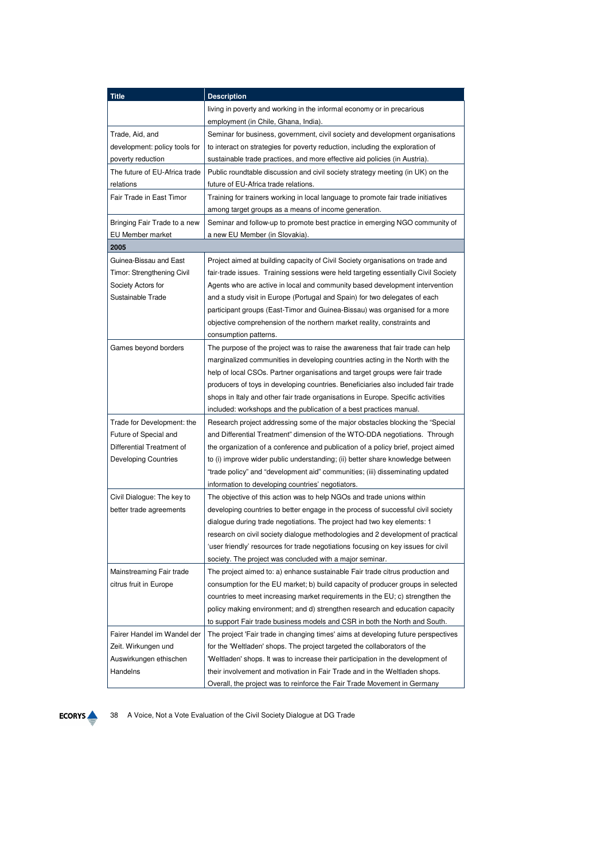| <b>Title</b>                  | <b>Description</b>                                                                 |
|-------------------------------|------------------------------------------------------------------------------------|
|                               | living in poverty and working in the informal economy or in precarious             |
|                               | employment (in Chile, Ghana, India).                                               |
| Trade, Aid, and               | Seminar for business, government, civil society and development organisations      |
| development: policy tools for | to interact on strategies for poverty reduction, including the exploration of      |
| poverty reduction             | sustainable trade practices, and more effective aid policies (in Austria).         |
| The future of EU-Africa trade | Public roundtable discussion and civil society strategy meeting (in UK) on the     |
| relations                     | future of EU-Africa trade relations.                                               |
| Fair Trade in East Timor      | Training for trainers working in local language to promote fair trade initiatives  |
|                               | among target groups as a means of income generation.                               |
| Bringing Fair Trade to a new  | Seminar and follow-up to promote best practice in emerging NGO community of        |
| EU Member market              | a new EU Member (in Slovakia).                                                     |
| 2005                          |                                                                                    |
| Guinea-Bissau and East        | Project aimed at building capacity of Civil Society organisations on trade and     |
| Timor: Strengthening Civil    | fair-trade issues. Training sessions were held targeting essentially Civil Society |
|                               |                                                                                    |
| Society Actors for            | Agents who are active in local and community based development intervention        |
| Sustainable Trade             | and a study visit in Europe (Portugal and Spain) for two delegates of each         |
|                               | participant groups (East-Timor and Guinea-Bissau) was organised for a more         |
|                               | objective comprehension of the northern market reality, constraints and            |
|                               | consumption patterns.                                                              |
| Games beyond borders          | The purpose of the project was to raise the awareness that fair trade can help     |
|                               | marginalized communities in developing countries acting in the North with the      |
|                               | help of local CSOs. Partner organisations and target groups were fair trade        |
|                               | producers of toys in developing countries. Beneficiaries also included fair trade  |
|                               | shops in Italy and other fair trade organisations in Europe. Specific activities   |
|                               | included: workshops and the publication of a best practices manual.                |
| Trade for Development: the    | Research project addressing some of the major obstacles blocking the "Special      |
| Future of Special and         | and Differential Treatment" dimension of the WTO-DDA negotiations. Through         |
| Differential Treatment of     | the organization of a conference and publication of a policy brief, project aimed  |
| <b>Developing Countries</b>   | to (i) improve wider public understanding; (ii) better share knowledge between     |
|                               | "trade policy" and "development aid" communities; (iii) disseminating updated      |
|                               | information to developing countries' negotiators.                                  |
| Civil Dialogue: The key to    | The objective of this action was to help NGOs and trade unions within              |
| better trade agreements       | developing countries to better engage in the process of successful civil society   |
|                               | dialogue during trade negotiations. The project had two key elements: 1            |
|                               | research on civil society dialogue methodologies and 2 development of practical    |
|                               | 'user friendly' resources for trade negotiations focusing on key issues for civil  |
|                               | society. The project was concluded with a major seminar.                           |
| Mainstreaming Fair trade      | The project aimed to: a) enhance sustainable Fair trade citrus production and      |
| citrus fruit in Europe        | consumption for the EU market; b) build capacity of producer groups in selected    |
|                               |                                                                                    |
|                               | countries to meet increasing market requirements in the EU; c) strengthen the      |
|                               | policy making environment; and d) strengthen research and education capacity       |
|                               | to support Fair trade business models and CSR in both the North and South.         |
| Fairer Handel im Wandel der   | The project 'Fair trade in changing times' aims at developing future perspectives  |
| Zeit. Wirkungen und           | for the 'Weltladen' shops. The project targeted the collaborators of the           |
| Auswirkungen ethischen        | Weltladen' shops. It was to increase their participation in the development of     |
| Handelns                      | their involvement and motivation in Fair Trade and in the Weltladen shops.         |
|                               | Overall, the project was to reinforce the Fair Trade Movement in Germany           |

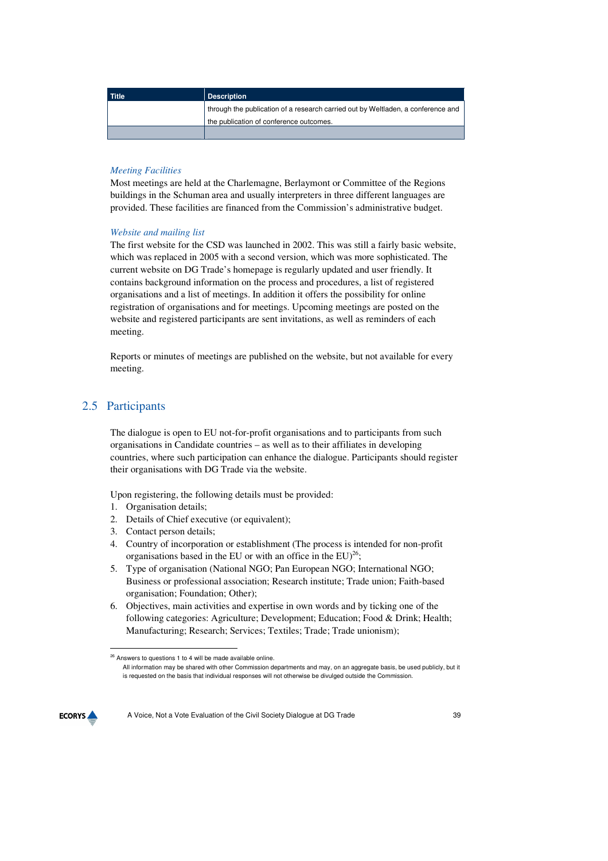| $\blacksquare$ Title | Description                                                                      |
|----------------------|----------------------------------------------------------------------------------|
|                      | through the publication of a research carried out by Weltladen, a conference and |
|                      | the publication of conference outcomes.                                          |
|                      |                                                                                  |

#### *Meeting Facilities*

Most meetings are held at the Charlemagne, Berlaymont or Committee of the Regions buildings in the Schuman area and usually interpreters in three different languages are provided. These facilities are financed from the Commission's administrative budget.

#### *Website and mailing list*

The first website for the CSD was launched in 2002. This was still a fairly basic website, which was replaced in 2005 with a second version, which was more sophisticated. The current website on DG Trade's homepage is regularly updated and user friendly. It contains background information on the process and procedures, a list of registered organisations and a list of meetings. In addition it offers the possibility for online registration of organisations and for meetings. Upcoming meetings are posted on the website and registered participants are sent invitations, as well as reminders of each meeting.

Reports or minutes of meetings are published on the website, but not available for every meeting.

# 2.5 Participants

The dialogue is open to EU not-for-profit organisations and to participants from such organisations in Candidate countries – as well as to their affiliates in developing countries, where such participation can enhance the dialogue. Participants should register their organisations with DG Trade via the website.

Upon registering, the following details must be provided:

- 1. Organisation details;
- 2. Details of Chief executive (or equivalent);
- 3. Contact person details;
- 4. Country of incorporation or establishment (The process is intended for non-profit organisations based in the EU or with an office in the  $EU^{26}$ ;
- 5. Type of organisation (National NGO; Pan European NGO; International NGO; Business or professional association; Research institute; Trade union; Faith-based organisation; Foundation; Other);
- 6. Objectives, main activities and expertise in own words and by ticking one of the following categories: Agriculture; Development; Education; Food & Drink; Health; Manufacturing; Research; Services; Textiles; Trade; Trade unionism);

All information may be shared with other Commission departments and may, on an aggregate basis, be used publicly, but it is requested on the basis that individual responses will not otherwise be divulged outside the Commission.



 $\overline{a}$ 

<sup>&</sup>lt;sup>26</sup> Answers to questions 1 to 4 will be made available online.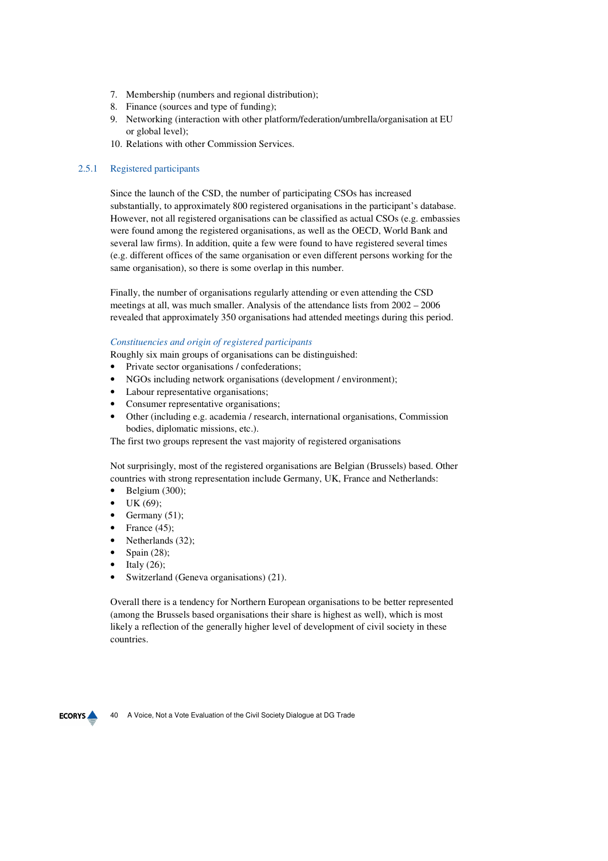- 7. Membership (numbers and regional distribution);
- 8. Finance (sources and type of funding);
- 9. Networking (interaction with other platform/federation/umbrella/organisation at EU or global level);
- 10. Relations with other Commission Services.

### 2.5.1 Registered participants

Since the launch of the CSD, the number of participating CSOs has increased substantially, to approximately 800 registered organisations in the participant's database. However, not all registered organisations can be classified as actual CSOs (e.g. embassies were found among the registered organisations, as well as the OECD, World Bank and several law firms). In addition, quite a few were found to have registered several times (e.g. different offices of the same organisation or even different persons working for the same organisation), so there is some overlap in this number.

Finally, the number of organisations regularly attending or even attending the CSD meetings at all, was much smaller. Analysis of the attendance lists from 2002 – 2006 revealed that approximately 350 organisations had attended meetings during this period.

#### *Constituencies and origin of registered participants*

Roughly six main groups of organisations can be distinguished:

- Private sector organisations / confederations;
- NGOs including network organisations (development / environment);
- Labour representative organisations;
- Consumer representative organisations;
- Other (including e.g. academia / research, international organisations, Commission bodies, diplomatic missions, etc.).

The first two groups represent the vast majority of registered organisations

Not surprisingly, most of the registered organisations are Belgian (Brussels) based. Other countries with strong representation include Germany, UK, France and Netherlands:

- Belgium (300);
- UK (69);
- Germany  $(51)$ ;
- France  $(45)$ ;
- Netherlands (32);
- Spain (28);
- Italy  $(26)$ ;
- Switzerland (Geneva organisations) (21).

Overall there is a tendency for Northern European organisations to be better represented (among the Brussels based organisations their share is highest as well), which is most likely a reflection of the generally higher level of development of civil society in these countries.

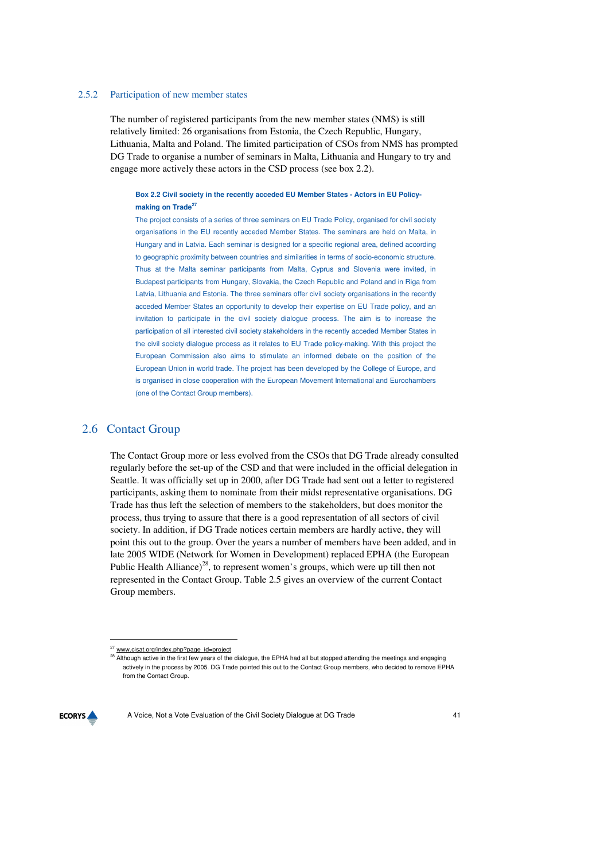### 2.5.2 Participation of new member states

The number of registered participants from the new member states (NMS) is still relatively limited: 26 organisations from Estonia, the Czech Republic, Hungary, Lithuania, Malta and Poland. The limited participation of CSOs from NMS has prompted DG Trade to organise a number of seminars in Malta, Lithuania and Hungary to try and engage more actively these actors in the CSD process (see box 2.2).

#### **Box 2.2 Civil society in the recently acceded EU Member States - Actors in EU Policymaking on Trade<sup>27</sup>**

The project consists of a series of three seminars on EU Trade Policy, organised for civil society organisations in the EU recently acceded Member States. The seminars are held on Malta, in Hungary and in Latvia. Each seminar is designed for a specific regional area, defined according to geographic proximity between countries and similarities in terms of socio-economic structure. Thus at the Malta seminar participants from Malta, Cyprus and Slovenia were invited, in Budapest participants from Hungary, Slovakia, the Czech Republic and Poland and in Riga from Latvia, Lithuania and Estonia. The three seminars offer civil society organisations in the recently acceded Member States an opportunity to develop their expertise on EU Trade policy, and an invitation to participate in the civil society dialogue process. The aim is to increase the participation of all interested civil society stakeholders in the recently acceded Member States in the civil society dialogue process as it relates to EU Trade policy-making. With this project the European Commission also aims to stimulate an informed debate on the position of the European Union in world trade. The project has been developed by the College of Europe, and is organised in close cooperation with the European Movement International and Eurochambers (one of the Contact Group members).

# 2.6 Contact Group

The Contact Group more or less evolved from the CSOs that DG Trade already consulted regularly before the set-up of the CSD and that were included in the official delegation in Seattle. It was officially set up in 2000, after DG Trade had sent out a letter to registered participants, asking them to nominate from their midst representative organisations. DG Trade has thus left the selection of members to the stakeholders, but does monitor the process, thus trying to assure that there is a good representation of all sectors of civil society. In addition, if DG Trade notices certain members are hardly active, they will point this out to the group. Over the years a number of members have been added, and in late 2005 WIDE (Network for Women in Development) replaced EPHA (the European Public Health Alliance)<sup>28</sup>, to represent women's groups, which were up till then not represented in the Contact Group. Table 2.5 gives an overview of the current Contact Group members.

Although active in the first few years of the dialogue, the EPHA had all but stopped attending the meetings and engaging actively in the process by 2005. DG Trade pointed this out to the Contact Group members, who decided to remove EPHA from the Contact Group.



 $\overline{a}$ 

www.cisat.org/index.php?page\_id=project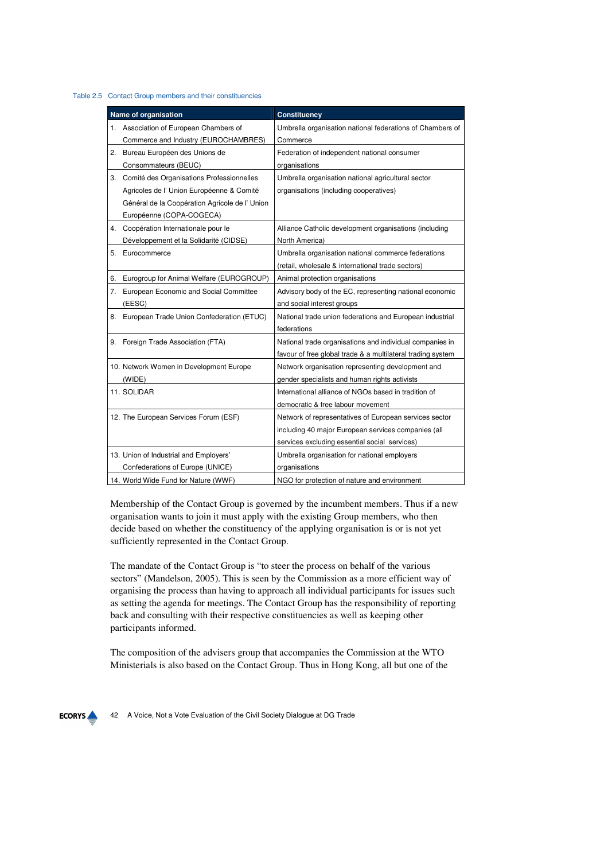#### Table 2.5 Contact Group members and their constituencies

|    | Name of organisation                          | <b>Constituency</b>                                         |
|----|-----------------------------------------------|-------------------------------------------------------------|
| 1. | Association of European Chambers of           | Umbrella organisation national federations of Chambers of   |
|    | Commerce and Industry (EUROCHAMBRES)          | Commerce                                                    |
| 2. | Bureau Européen des Unions de                 | Federation of independent national consumer                 |
|    | Consommateurs (BEUC)                          | organisations                                               |
| 3. | Comité des Organisations Professionnelles     | Umbrella organisation national agricultural sector          |
|    | Agricoles de l' Union Européenne & Comité     | organisations (including cooperatives)                      |
|    | Général de la Coopération Agricole de l'Union |                                                             |
|    | Européenne (COPA-COGECA)                      |                                                             |
| 4. | Coopération Internationale pour le            | Alliance Catholic development organisations (including      |
|    | Développement et la Solidarité (CIDSE)        | North America)                                              |
| 5. | Eurocommerce                                  | Umbrella organisation national commerce federations         |
|    |                                               | (retail, wholesale & international trade sectors)           |
| 6. | Eurogroup for Animal Welfare (EUROGROUP)      | Animal protection organisations                             |
| 7. | European Economic and Social Committee        | Advisory body of the EC, representing national economic     |
|    | (EESC)                                        | and social interest groups                                  |
| 8. | European Trade Union Confederation (ETUC)     | National trade union federations and European industrial    |
|    |                                               | federations                                                 |
| 9. | Foreign Trade Association (FTA)               | National trade organisations and individual companies in    |
|    |                                               | favour of free global trade & a multilateral trading system |
|    | 10. Network Women in Development Europe       | Network organisation representing development and           |
|    | (WIDE)                                        | gender specialists and human rights activists               |
|    | 11. SOLIDAR                                   | International alliance of NGOs based in tradition of        |
|    |                                               | democratic & free labour movement                           |
|    | 12. The European Services Forum (ESF)         | Network of representatives of European services sector      |
|    |                                               | including 40 major European services companies (all         |
|    |                                               | services excluding essential social services)               |
|    | 13. Union of Industrial and Employers'        | Umbrella organisation for national employers                |
|    | Confederations of Europe (UNICE)              | organisations                                               |
|    | 14. World Wide Fund for Nature (WWF)          | NGO for protection of nature and environment                |

Membership of the Contact Group is governed by the incumbent members. Thus if a new organisation wants to join it must apply with the existing Group members, who then decide based on whether the constituency of the applying organisation is or is not yet sufficiently represented in the Contact Group.

The mandate of the Contact Group is "to steer the process on behalf of the various sectors" (Mandelson, 2005). This is seen by the Commission as a more efficient way of organising the process than having to approach all individual participants for issues such as setting the agenda for meetings. The Contact Group has the responsibility of reporting back and consulting with their respective constituencies as well as keeping other participants informed.

The composition of the advisers group that accompanies the Commission at the WTO Ministerials is also based on the Contact Group. Thus in Hong Kong, all but one of the

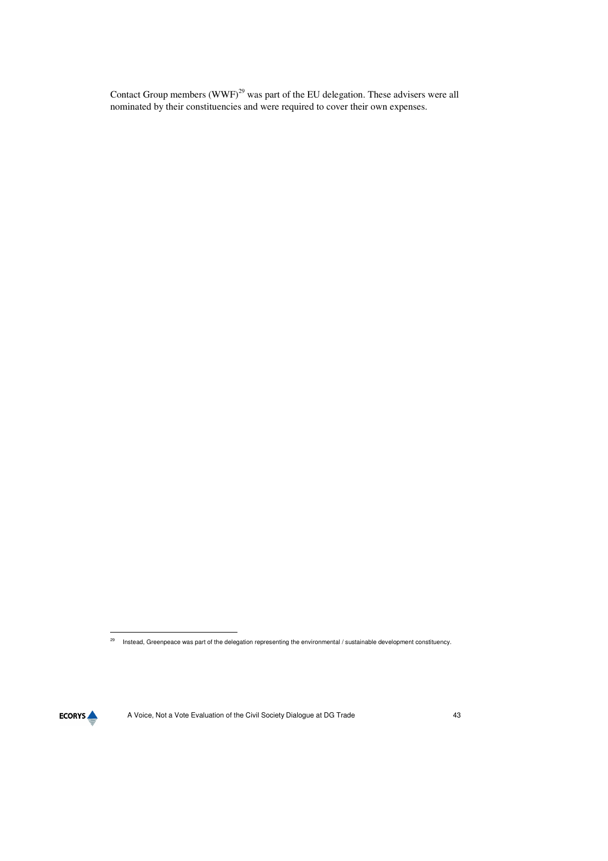Contact Group members (WWF) $^{29}$  was part of the EU delegation. These advisers were all nominated by their constituencies and were required to cover their own expenses.

ECORYS<sup><sup>4</sup></sup>

 $\overline{a}$ 

<sup>&</sup>lt;sup>29</sup> Instead, Greenpeace was part of the delegation representing the environmental / sustainable development constituency.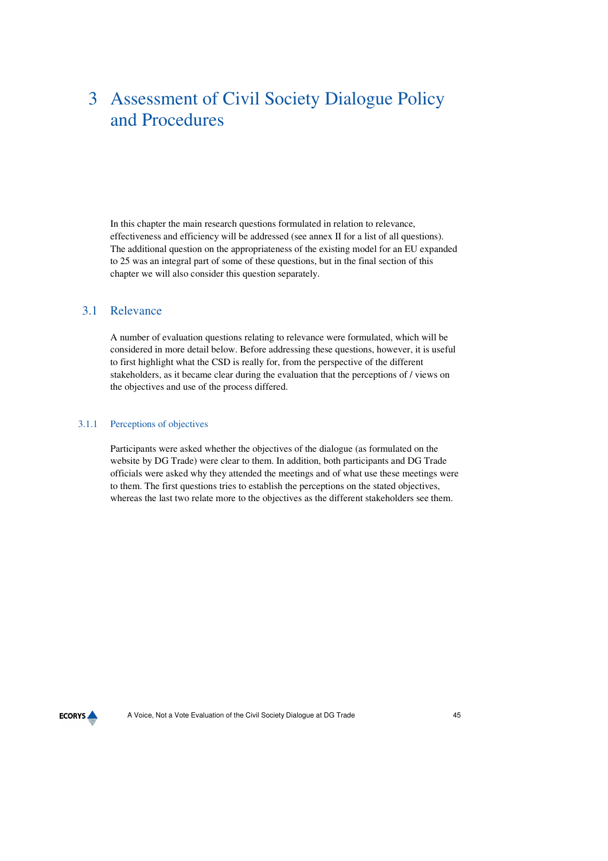# 3 Assessment of Civil Society Dialogue Policy and Procedures

In this chapter the main research questions formulated in relation to relevance, effectiveness and efficiency will be addressed (see annex II for a list of all questions). The additional question on the appropriateness of the existing model for an EU expanded to 25 was an integral part of some of these questions, but in the final section of this chapter we will also consider this question separately.

# 3.1 Relevance

A number of evaluation questions relating to relevance were formulated, which will be considered in more detail below. Before addressing these questions, however, it is useful to first highlight what the CSD is really for, from the perspective of the different stakeholders, as it became clear during the evaluation that the perceptions of / views on the objectives and use of the process differed.

#### 3.1.1 Perceptions of objectives

Participants were asked whether the objectives of the dialogue (as formulated on the website by DG Trade) were clear to them. In addition, both participants and DG Trade officials were asked why they attended the meetings and of what use these meetings were to them. The first questions tries to establish the perceptions on the stated objectives, whereas the last two relate more to the objectives as the different stakeholders see them.

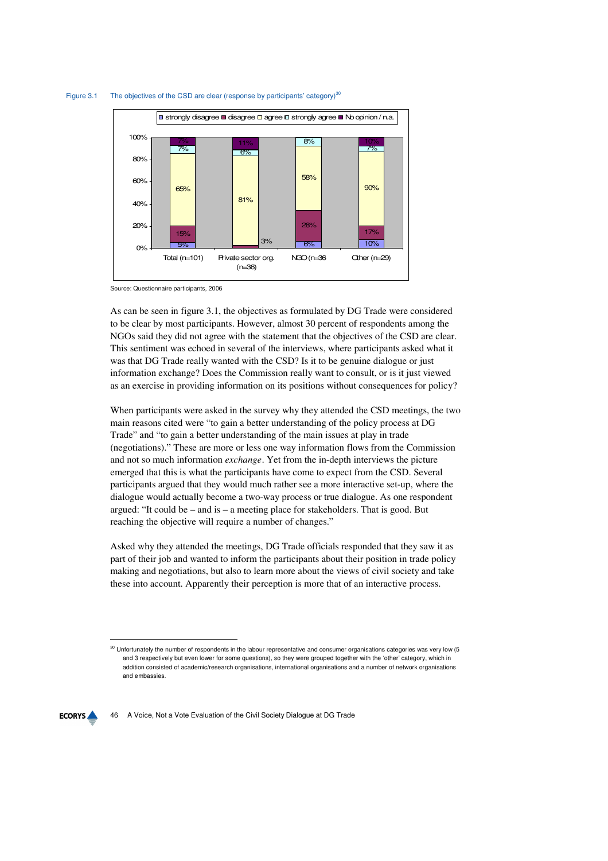

#### Figure 3.1 The objectives of the CSD are clear (response by participants' category) $^{30}$

Source: Questionnaire participants, 2006

As can be seen in figure 3.1, the objectives as formulated by DG Trade were considered to be clear by most participants. However, almost 30 percent of respondents among the NGOs said they did not agree with the statement that the objectives of the CSD are clear. This sentiment was echoed in several of the interviews, where participants asked what it was that DG Trade really wanted with the CSD? Is it to be genuine dialogue or just information exchange? Does the Commission really want to consult, or is it just viewed as an exercise in providing information on its positions without consequences for policy?

When participants were asked in the survey why they attended the CSD meetings, the two main reasons cited were "to gain a better understanding of the policy process at DG Trade" and "to gain a better understanding of the main issues at play in trade (negotiations)." These are more or less one way information flows from the Commission and not so much information *exchange*. Yet from the in-depth interviews the picture emerged that this is what the participants have come to expect from the CSD. Several participants argued that they would much rather see a more interactive set-up, where the dialogue would actually become a two-way process or true dialogue. As one respondent argued: "It could be – and is – a meeting place for stakeholders. That is good. But reaching the objective will require a number of changes."

Asked why they attended the meetings, DG Trade officials responded that they saw it as part of their job and wanted to inform the participants about their position in trade policy making and negotiations, but also to learn more about the views of civil society and take these into account. Apparently their perception is more that of an interactive process.

**ECORYS** 

 $\overline{a}$ 

<sup>&</sup>lt;sup>30</sup> Unfortunately the number of respondents in the labour representative and consumer organisations categories was very low (5 and 3 respectively but even lower for some questions), so they were grouped together with the 'other' category, which in addition consisted of academic/research organisations, international organisations and a number of network organisations and embassies.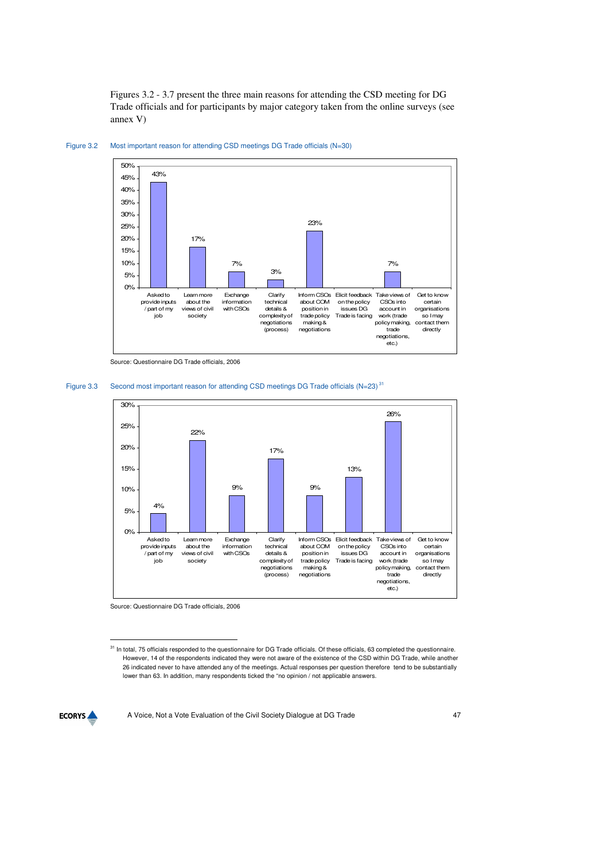Figures 3.2 - 3.7 present the three main reasons for attending the CSD meeting for DG Trade officials and for participants by major category taken from the online surveys (see annex V)





Source: Questionnaire DG Trade officials, 2006





Source: Questionnaire DG Trade officials, 2006

<sup>&</sup>lt;sup>31</sup> In total, 75 officials responded to the questionnaire for DG Trade officials. Of these officials, 63 completed the questionnaire. However, 14 of the respondents indicated they were not aware of the existence of the CSD within DG Trade, while another 26 indicated never to have attended any of the meetings. Actual responses per question therefore tend to be substantially lower than 63. In addition, many respondents ticked the "no opinion / not applicable answers.



 $\overline{a}$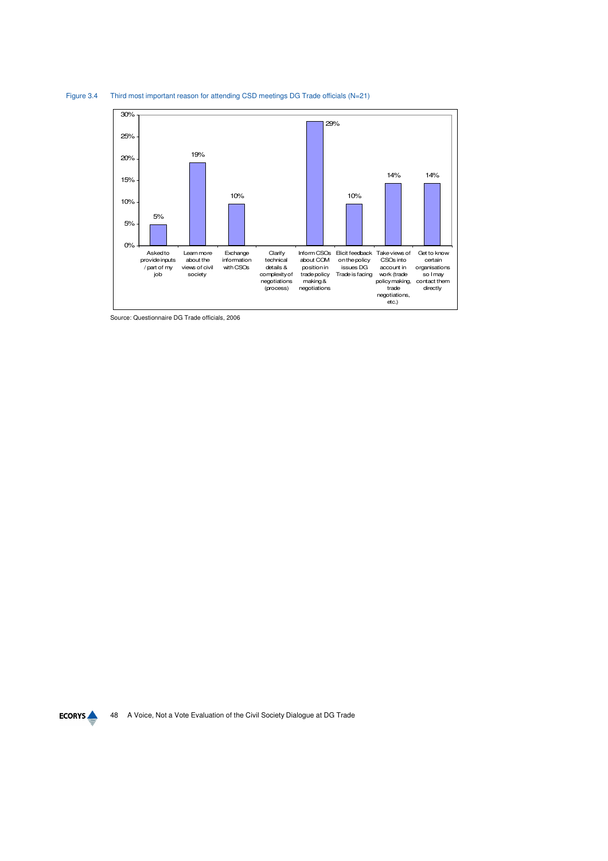

Figure 3.4 Third most important reason for attending CSD meetings DG Trade officials (N=21)

Source: Questionnaire DG Trade officials, 2006

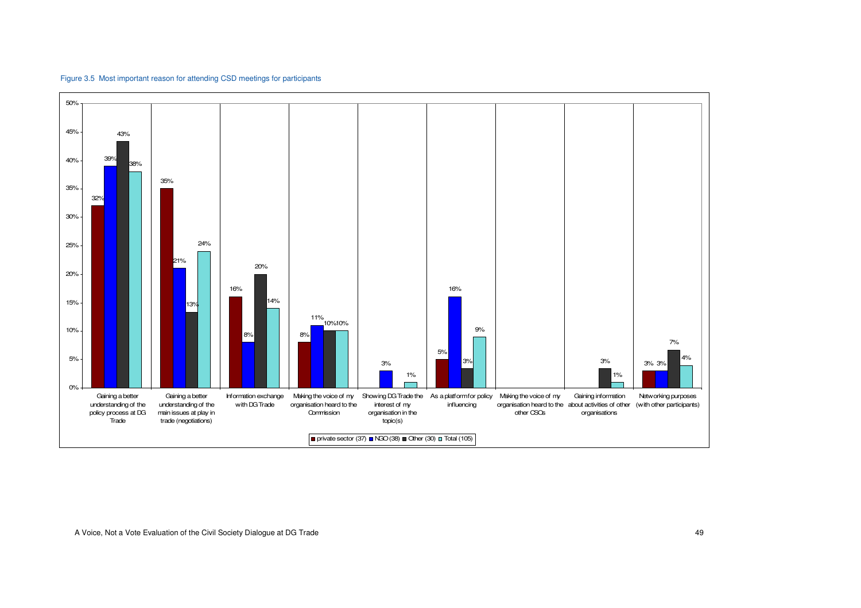

#### Figure 3.5 Most important reason for attending CSD meetings for participants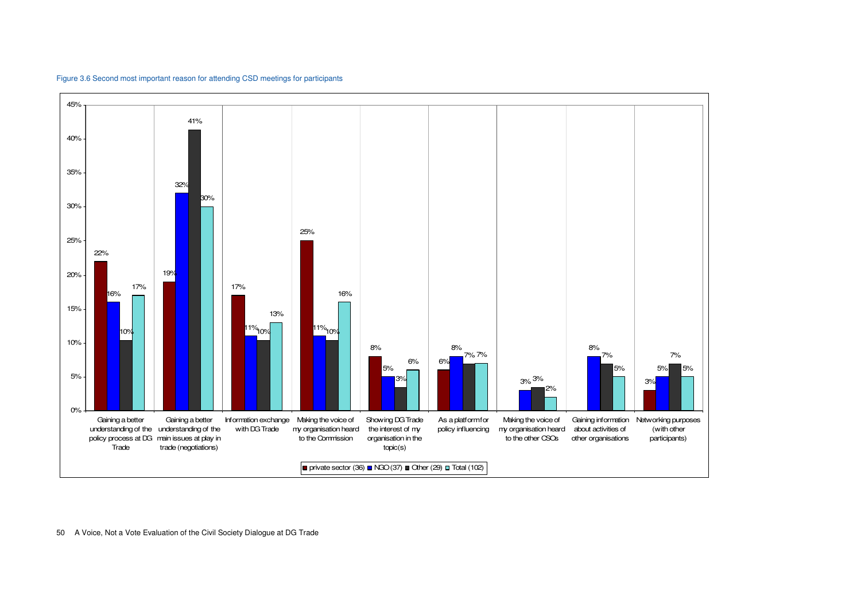

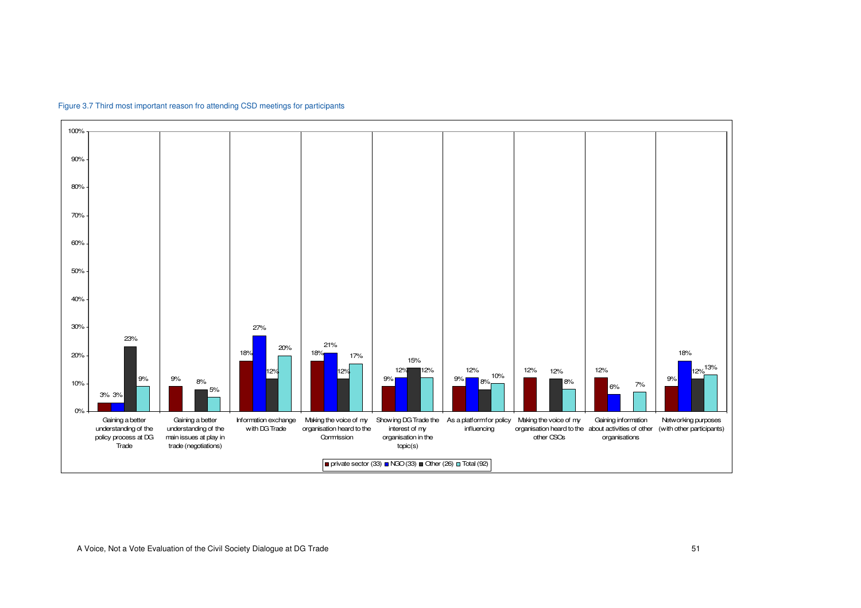

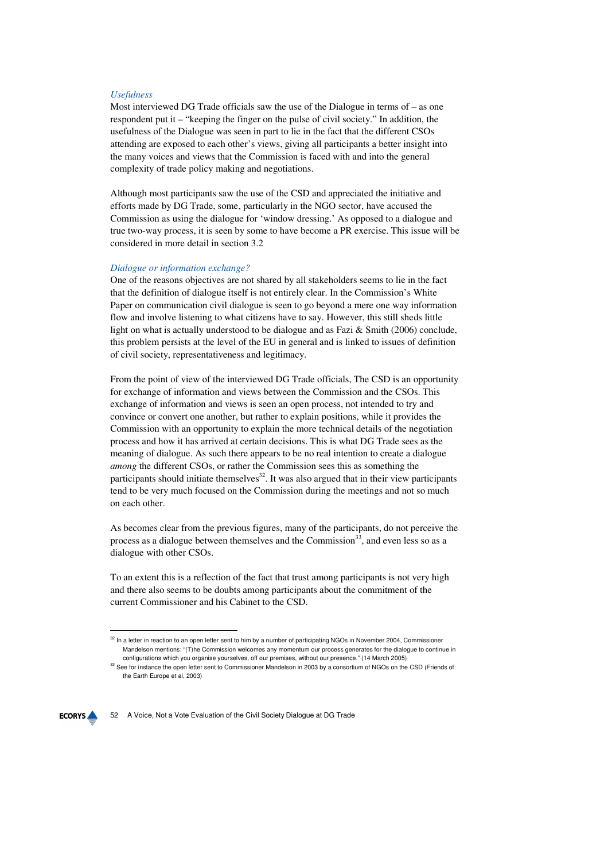#### *Usefulness*

Most interviewed DG Trade officials saw the use of the Dialogue in terms of – as one respondent put it – "keeping the finger on the pulse of civil society." In addition, the usefulness of the Dialogue was seen in part to lie in the fact that the different CSOs attending are exposed to each other's views, giving all participants a better insight into the many voices and views that the Commission is faced with and into the general complexity of trade policy making and negotiations.

Although most participants saw the use of the CSD and appreciated the initiative and efforts made by DG Trade, some, particularly in the NGO sector, have accused the Commission as using the dialogue for 'window dressing.' As opposed to a dialogue and true two-way process, it is seen by some to have become a PR exercise. This issue will be considered in more detail in section 3.2

#### *Dialogue or information exchange?*

One of the reasons objectives are not shared by all stakeholders seems to lie in the fact that the definition of dialogue itself is not entirely clear. In the Commission's White Paper on communication civil dialogue is seen to go beyond a mere one way information flow and involve listening to what citizens have to say. However, this still sheds little light on what is actually understood to be dialogue and as Fazi & Smith (2006) conclude, this problem persists at the level of the EU in general and is linked to issues of definition of civil society, representativeness and legitimacy.

From the point of view of the interviewed DG Trade officials, The CSD is an opportunity for exchange of information and views between the Commission and the CSOs. This exchange of information and views is seen an open process, not intended to try and convince or convert one another, but rather to explain positions, while it provides the Commission with an opportunity to explain the more technical details of the negotiation process and how it has arrived at certain decisions. This is what DG Trade sees as the meaning of dialogue. As such there appears to be no real intention to create a dialogue *among* the different CSOs, or rather the Commission sees this as something the participants should initiate themselves $32$ . It was also argued that in their view participants tend to be very much focused on the Commission during the meetings and not so much on each other.

As becomes clear from the previous figures, many of the participants, do not perceive the process as a dialogue between themselves and the Commission<sup>33</sup>, and even less so as a dialogue with other CSOs.

To an extent this is a reflection of the fact that trust among participants is not very high and there also seems to be doubts among participants about the commitment of the current Commissioner and his Cabinet to the CSD.

<sup>33</sup> See for instance the open letter sent to Commissioner Mandelson in 2003 by a consortium of NGOs on the CSD (Friends of the Earth Europe et al, 2003)



 $\overline{a}$ 

<sup>&</sup>lt;sup>32</sup> In a letter in reaction to an open letter sent to him by a number of participating NGOs in November 2004, Commissioner Mandelson mentions: "(T)he Commission welcomes any momentum our process generates for the dialogue to continue in configurations which you organise yourselves, off our premises, without our presence." (14 March 2005)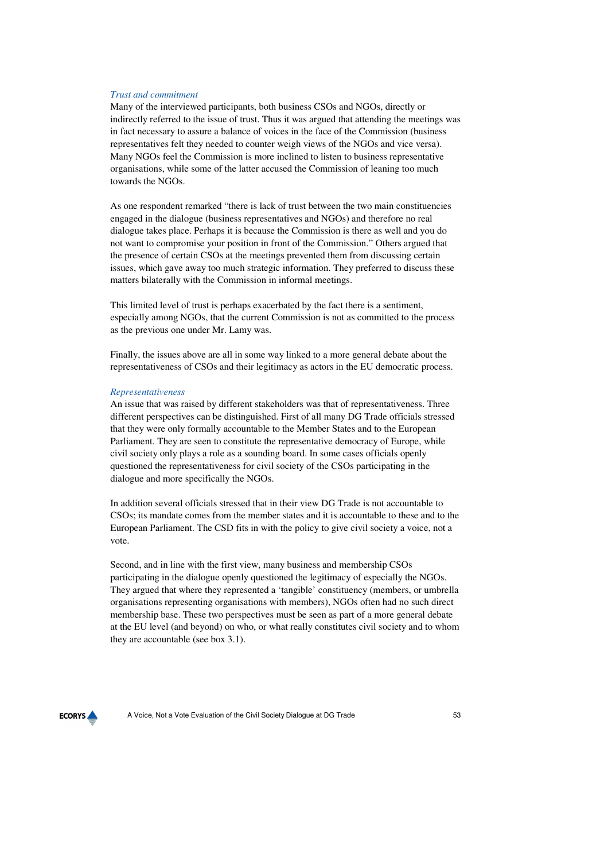#### *Trust and commitment*

Many of the interviewed participants, both business CSOs and NGOs, directly or indirectly referred to the issue of trust. Thus it was argued that attending the meetings was in fact necessary to assure a balance of voices in the face of the Commission (business representatives felt they needed to counter weigh views of the NGOs and vice versa). Many NGOs feel the Commission is more inclined to listen to business representative organisations, while some of the latter accused the Commission of leaning too much towards the NGOs.

As one respondent remarked "there is lack of trust between the two main constituencies engaged in the dialogue (business representatives and NGOs) and therefore no real dialogue takes place. Perhaps it is because the Commission is there as well and you do not want to compromise your position in front of the Commission." Others argued that the presence of certain CSOs at the meetings prevented them from discussing certain issues, which gave away too much strategic information. They preferred to discuss these matters bilaterally with the Commission in informal meetings.

This limited level of trust is perhaps exacerbated by the fact there is a sentiment, especially among NGOs, that the current Commission is not as committed to the process as the previous one under Mr. Lamy was.

Finally, the issues above are all in some way linked to a more general debate about the representativeness of CSOs and their legitimacy as actors in the EU democratic process.

#### *Representativeness*

An issue that was raised by different stakeholders was that of representativeness. Three different perspectives can be distinguished. First of all many DG Trade officials stressed that they were only formally accountable to the Member States and to the European Parliament. They are seen to constitute the representative democracy of Europe, while civil society only plays a role as a sounding board. In some cases officials openly questioned the representativeness for civil society of the CSOs participating in the dialogue and more specifically the NGOs.

In addition several officials stressed that in their view DG Trade is not accountable to CSOs; its mandate comes from the member states and it is accountable to these and to the European Parliament. The CSD fits in with the policy to give civil society a voice, not a vote.

Second, and in line with the first view, many business and membership CSOs participating in the dialogue openly questioned the legitimacy of especially the NGOs. They argued that where they represented a 'tangible' constituency (members, or umbrella organisations representing organisations with members), NGOs often had no such direct membership base. These two perspectives must be seen as part of a more general debate at the EU level (and beyond) on who, or what really constitutes civil society and to whom they are accountable (see box 3.1).

# **ECORYS**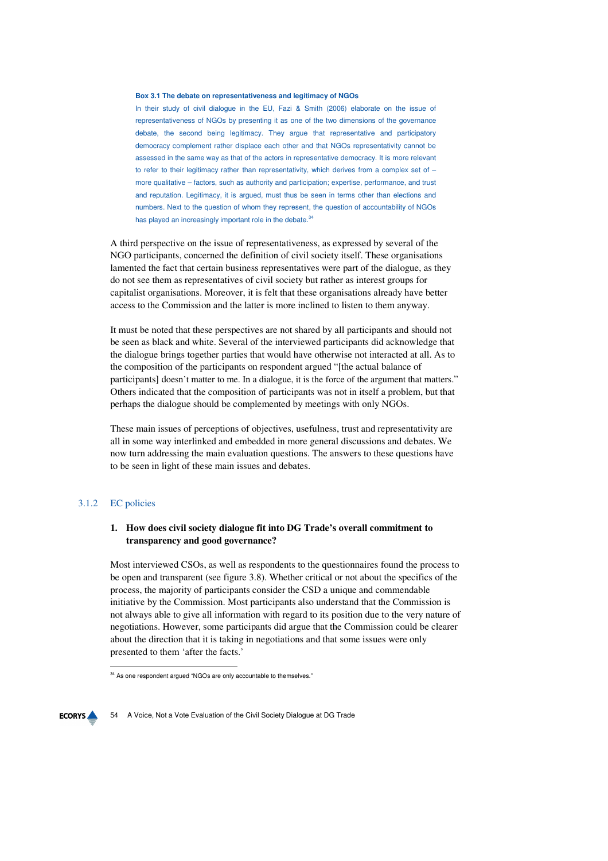#### **Box 3.1 The debate on representativeness and legitimacy of NGOs**

In their study of civil dialogue in the EU, Fazi & Smith (2006) elaborate on the issue of representativeness of NGOs by presenting it as one of the two dimensions of the governance debate, the second being legitimacy. They argue that representative and participatory democracy complement rather displace each other and that NGOs representativity cannot be assessed in the same way as that of the actors in representative democracy. It is more relevant to refer to their legitimacy rather than representativity, which derives from a complex set of  $$ more qualitative – factors, such as authority and participation; expertise, performance, and trust and reputation. Legitimacy, it is argued, must thus be seen in terms other than elections and numbers. Next to the question of whom they represent, the question of accountability of NGOs has played an increasingly important role in the debate.<sup>34</sup>

A third perspective on the issue of representativeness, as expressed by several of the NGO participants, concerned the definition of civil society itself. These organisations lamented the fact that certain business representatives were part of the dialogue, as they do not see them as representatives of civil society but rather as interest groups for capitalist organisations. Moreover, it is felt that these organisations already have better access to the Commission and the latter is more inclined to listen to them anyway.

It must be noted that these perspectives are not shared by all participants and should not be seen as black and white. Several of the interviewed participants did acknowledge that the dialogue brings together parties that would have otherwise not interacted at all. As to the composition of the participants on respondent argued "[the actual balance of participants] doesn't matter to me. In a dialogue, it is the force of the argument that matters." Others indicated that the composition of participants was not in itself a problem, but that perhaps the dialogue should be complemented by meetings with only NGOs.

These main issues of perceptions of objectives, usefulness, trust and representativity are all in some way interlinked and embedded in more general discussions and debates. We now turn addressing the main evaluation questions. The answers to these questions have to be seen in light of these main issues and debates.

#### 3.1.2 EC policies

 $\overline{a}$ 

# **1. How does civil society dialogue fit into DG Trade's overall commitment to transparency and good governance?**

Most interviewed CSOs, as well as respondents to the questionnaires found the process to be open and transparent (see figure 3.8). Whether critical or not about the specifics of the process, the majority of participants consider the CSD a unique and commendable initiative by the Commission. Most participants also understand that the Commission is not always able to give all information with regard to its position due to the very nature of negotiations. However, some participants did argue that the Commission could be clearer about the direction that it is taking in negotiations and that some issues were only presented to them 'after the facts.'

<sup>&</sup>lt;sup>34</sup> As one respondent argued "NGOs are only accountable to themselves."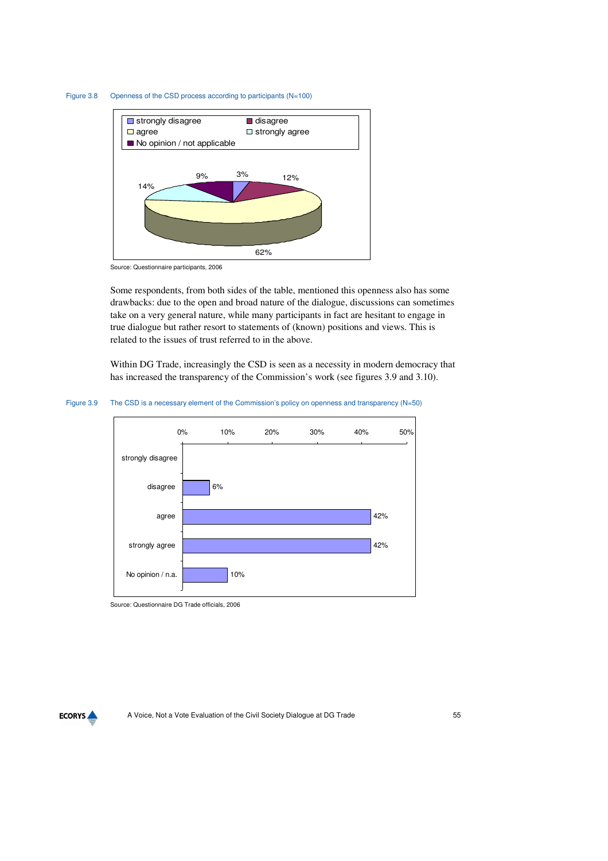#### Figure 3.8 Openness of the CSD process according to participants (N=100)



Source: Questionnaire participants, 2006

Some respondents, from both sides of the table, mentioned this openness also has some drawbacks: due to the open and broad nature of the dialogue, discussions can sometimes take on a very general nature, while many participants in fact are hesitant to engage in true dialogue but rather resort to statements of (known) positions and views. This is related to the issues of trust referred to in the above.

Within DG Trade, increasingly the CSD is seen as a necessity in modern democracy that has increased the transparency of the Commission's work (see figures 3.9 and 3.10).

#### Figure 3.9 The CSD is a necessary element of the Commission's policy on openness and transparency (N=50)



Source: Questionnaire DG Trade officials, 2006

**ECORYS**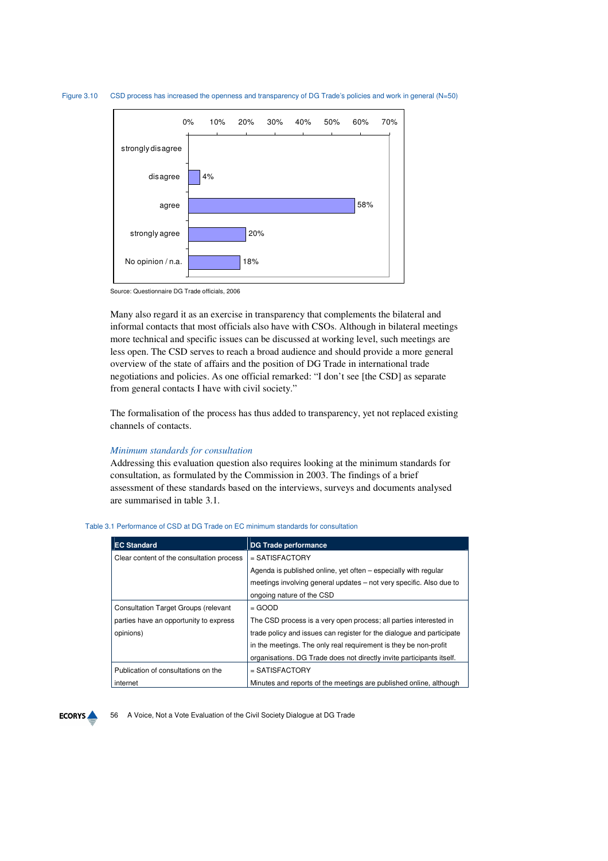



Source: Questionnaire DG Trade officials, 2006

Many also regard it as an exercise in transparency that complements the bilateral and informal contacts that most officials also have with CSOs. Although in bilateral meetings more technical and specific issues can be discussed at working level, such meetings are less open. The CSD serves to reach a broad audience and should provide a more general overview of the state of affairs and the position of DG Trade in international trade negotiations and policies. As one official remarked: "I don't see [the CSD] as separate from general contacts I have with civil society."

The formalisation of the process has thus added to transparency, yet not replaced existing channels of contacts.

#### *Minimum standards for consultation*

Addressing this evaluation question also requires looking at the minimum standards for consultation, as formulated by the Commission in 2003. The findings of a brief assessment of these standards based on the interviews, surveys and documents analysed are summarised in table 3.1.

| <b>EC Standard</b>                          | <b>DG Trade performance</b>                                           |
|---------------------------------------------|-----------------------------------------------------------------------|
| Clear content of the consultation process   | $=$ SATISFACTORY                                                      |
|                                             | Agenda is published online, yet often – especially with regular       |
|                                             | meetings involving general updates – not very specific. Also due to   |
|                                             | ongoing nature of the CSD                                             |
| <b>Consultation Target Groups (relevant</b> | $=$ GOOD                                                              |
| parties have an opportunity to express      | The CSD process is a very open process; all parties interested in     |
| opinions)                                   | trade policy and issues can register for the dialogue and participate |
|                                             | in the meetings. The only real requirement is they be non-profit      |
|                                             | organisations. DG Trade does not directly invite participants itself. |
| Publication of consultations on the         | $=$ SATISFACTORY                                                      |
| internet                                    | Minutes and reports of the meetings are published online, although    |

#### Table 3.1 Performance of CSD at DG Trade on EC minimum standards for consultation

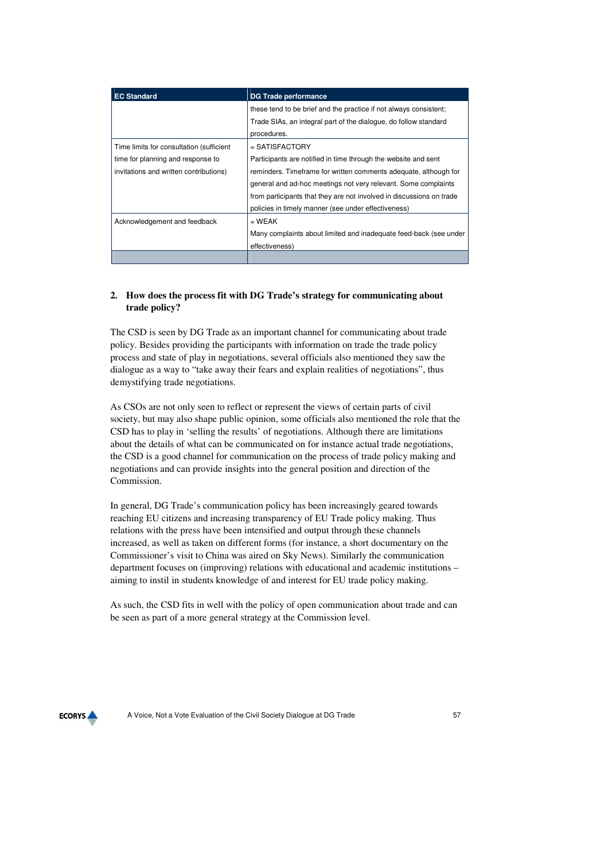| <b>EC Standard</b>                       | <b>DG Trade performance</b>                                          |
|------------------------------------------|----------------------------------------------------------------------|
|                                          | these tend to be brief and the practice if not always consistent;    |
|                                          | Trade SIAs, an integral part of the dialogue, do follow standard     |
|                                          | procedures.                                                          |
| Time limits for consultation (sufficient | $=$ SATISFACTORY                                                     |
| time for planning and response to        | Participants are notified in time through the website and sent       |
| invitations and written contributions)   | reminders. Timeframe for written comments adequate, although for     |
|                                          | general and ad-hoc meetings not very relevant. Some complaints       |
|                                          | from participants that they are not involved in discussions on trade |
|                                          | policies in timely manner (see under effectiveness)                  |
| Acknowledgement and feedback             | $= WEAK$                                                             |
|                                          | Many complaints about limited and inadequate feed-back (see under    |
|                                          | effectiveness)                                                       |
|                                          |                                                                      |

# **2. How does the process fit with DG Trade's strategy for communicating about trade policy?**

The CSD is seen by DG Trade as an important channel for communicating about trade policy. Besides providing the participants with information on trade the trade policy process and state of play in negotiations, several officials also mentioned they saw the dialogue as a way to "take away their fears and explain realities of negotiations", thus demystifying trade negotiations.

As CSOs are not only seen to reflect or represent the views of certain parts of civil society, but may also shape public opinion, some officials also mentioned the role that the CSD has to play in 'selling the results' of negotiations. Although there are limitations about the details of what can be communicated on for instance actual trade negotiations, the CSD is a good channel for communication on the process of trade policy making and negotiations and can provide insights into the general position and direction of the Commission.

In general, DG Trade's communication policy has been increasingly geared towards reaching EU citizens and increasing transparency of EU Trade policy making. Thus relations with the press have been intensified and output through these channels increased, as well as taken on different forms (for instance, a short documentary on the Commissioner's visit to China was aired on Sky News). Similarly the communication department focuses on (improving) relations with educational and academic institutions – aiming to instil in students knowledge of and interest for EU trade policy making.

As such, the CSD fits in well with the policy of open communication about trade and can be seen as part of a more general strategy at the Commission level.

**ECORYS**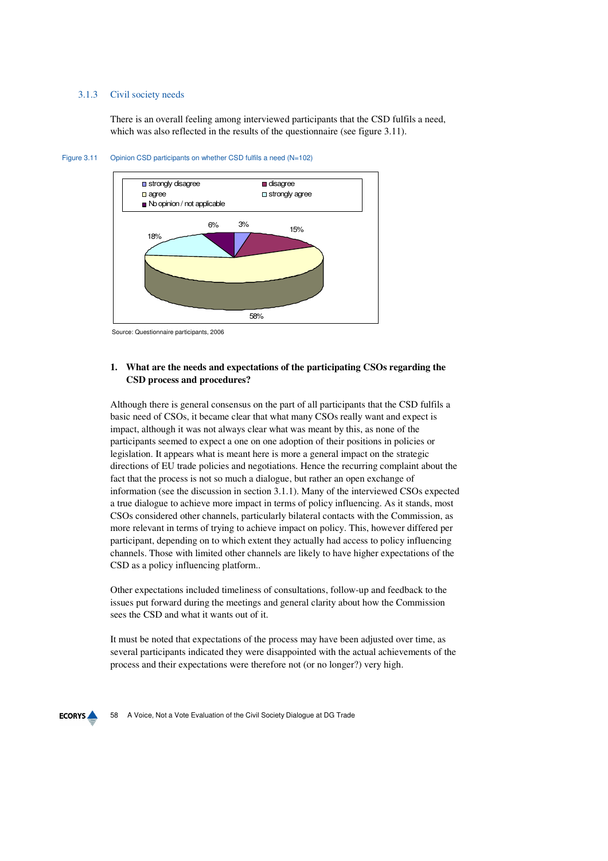### 3.1.3 Civil society needs

There is an overall feeling among interviewed participants that the CSD fulfils a need, which was also reflected in the results of the questionnaire (see figure 3.11).



Figure 3.11 Opinion CSD participants on whether CSD fulfils a need (N=102)

Source: Questionnaire participants, 2006

### **1. What are the needs and expectations of the participating CSOs regarding the CSD process and procedures?**

Although there is general consensus on the part of all participants that the CSD fulfils a basic need of CSOs, it became clear that what many CSOs really want and expect is impact, although it was not always clear what was meant by this, as none of the participants seemed to expect a one on one adoption of their positions in policies or legislation. It appears what is meant here is more a general impact on the strategic directions of EU trade policies and negotiations. Hence the recurring complaint about the fact that the process is not so much a dialogue, but rather an open exchange of information (see the discussion in section 3.1.1). Many of the interviewed CSOs expected a true dialogue to achieve more impact in terms of policy influencing. As it stands, most CSOs considered other channels, particularly bilateral contacts with the Commission, as more relevant in terms of trying to achieve impact on policy. This, however differed per participant, depending on to which extent they actually had access to policy influencing channels. Those with limited other channels are likely to have higher expectations of the CSD as a policy influencing platform..

Other expectations included timeliness of consultations, follow-up and feedback to the issues put forward during the meetings and general clarity about how the Commission sees the CSD and what it wants out of it.

It must be noted that expectations of the process may have been adjusted over time, as several participants indicated they were disappointed with the actual achievements of the process and their expectations were therefore not (or no longer?) very high.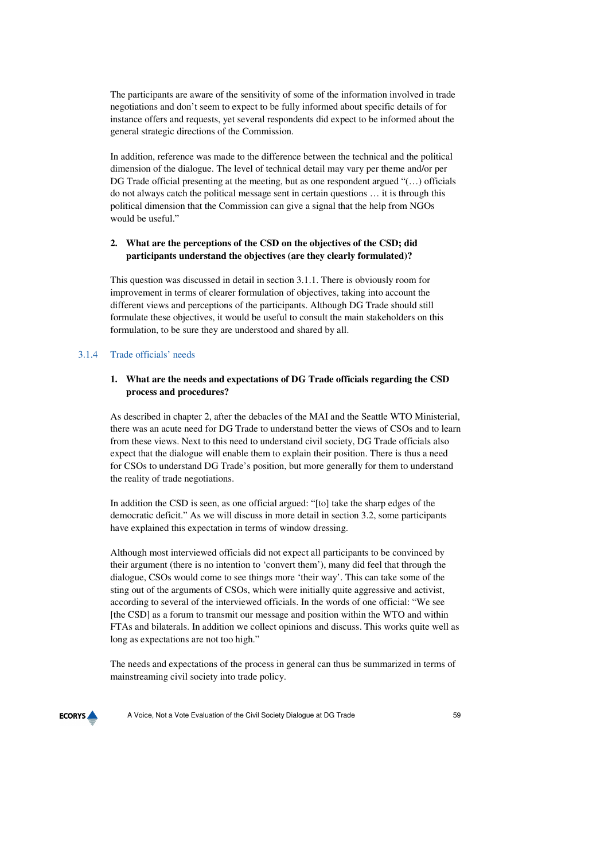The participants are aware of the sensitivity of some of the information involved in trade negotiations and don't seem to expect to be fully informed about specific details of for instance offers and requests, yet several respondents did expect to be informed about the general strategic directions of the Commission.

In addition, reference was made to the difference between the technical and the political dimension of the dialogue. The level of technical detail may vary per theme and/or per DG Trade official presenting at the meeting, but as one respondent argued "(…) officials do not always catch the political message sent in certain questions … it is through this political dimension that the Commission can give a signal that the help from NGOs would be useful."

# **2. What are the perceptions of the CSD on the objectives of the CSD; did participants understand the objectives (are they clearly formulated)?**

This question was discussed in detail in section 3.1.1. There is obviously room for improvement in terms of clearer formulation of objectives, taking into account the different views and perceptions of the participants. Although DG Trade should still formulate these objectives, it would be useful to consult the main stakeholders on this formulation, to be sure they are understood and shared by all.

# 3.1.4 Trade officials' needs

# **1. What are the needs and expectations of DG Trade officials regarding the CSD process and procedures?**

As described in chapter 2, after the debacles of the MAI and the Seattle WTO Ministerial, there was an acute need for DG Trade to understand better the views of CSOs and to learn from these views. Next to this need to understand civil society, DG Trade officials also expect that the dialogue will enable them to explain their position. There is thus a need for CSOs to understand DG Trade's position, but more generally for them to understand the reality of trade negotiations.

In addition the CSD is seen, as one official argued: "[to] take the sharp edges of the democratic deficit." As we will discuss in more detail in section 3.2, some participants have explained this expectation in terms of window dressing.

Although most interviewed officials did not expect all participants to be convinced by their argument (there is no intention to 'convert them'), many did feel that through the dialogue, CSOs would come to see things more 'their way'. This can take some of the sting out of the arguments of CSOs, which were initially quite aggressive and activist, according to several of the interviewed officials. In the words of one official: "We see [the CSD] as a forum to transmit our message and position within the WTO and within FTAs and bilaterals. In addition we collect opinions and discuss. This works quite well as long as expectations are not too high."

The needs and expectations of the process in general can thus be summarized in terms of mainstreaming civil society into trade policy.

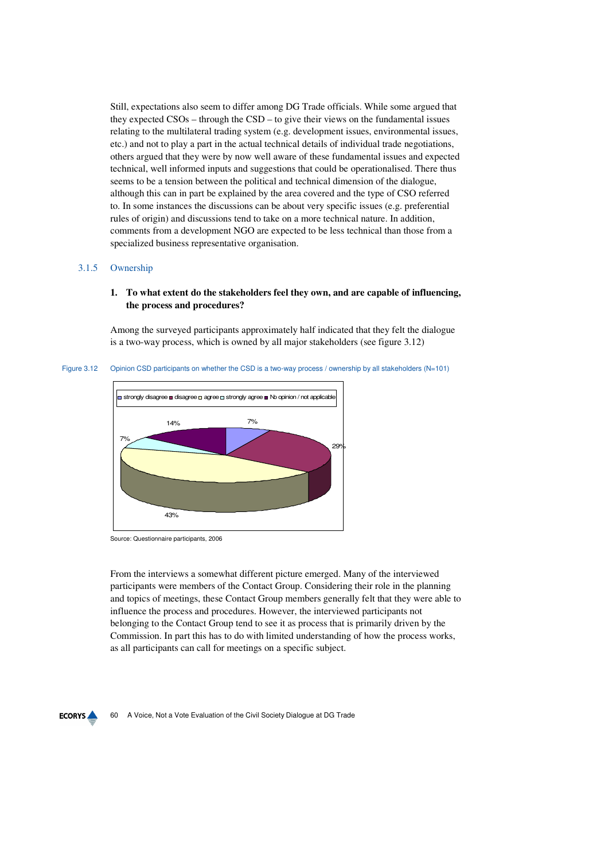Still, expectations also seem to differ among DG Trade officials. While some argued that they expected CSOs – through the CSD – to give their views on the fundamental issues relating to the multilateral trading system (e.g. development issues, environmental issues, etc.) and not to play a part in the actual technical details of individual trade negotiations, others argued that they were by now well aware of these fundamental issues and expected technical, well informed inputs and suggestions that could be operationalised. There thus seems to be a tension between the political and technical dimension of the dialogue, although this can in part be explained by the area covered and the type of CSO referred to. In some instances the discussions can be about very specific issues (e.g. preferential rules of origin) and discussions tend to take on a more technical nature. In addition, comments from a development NGO are expected to be less technical than those from a specialized business representative organisation.

#### 3.1.5 Ownership

# **1. To what extent do the stakeholders feel they own, and are capable of influencing, the process and procedures?**

Among the surveyed participants approximately half indicated that they felt the dialogue is a two-way process, which is owned by all major stakeholders (see figure 3.12)

Figure 3.12 Opinion CSD participants on whether the CSD is a two-way process / ownership by all stakeholders (N=101)



Source: Questionnaire participants, 2006

From the interviews a somewhat different picture emerged. Many of the interviewed participants were members of the Contact Group. Considering their role in the planning and topics of meetings, these Contact Group members generally felt that they were able to influence the process and procedures. However, the interviewed participants not belonging to the Contact Group tend to see it as process that is primarily driven by the Commission. In part this has to do with limited understanding of how the process works, as all participants can call for meetings on a specific subject.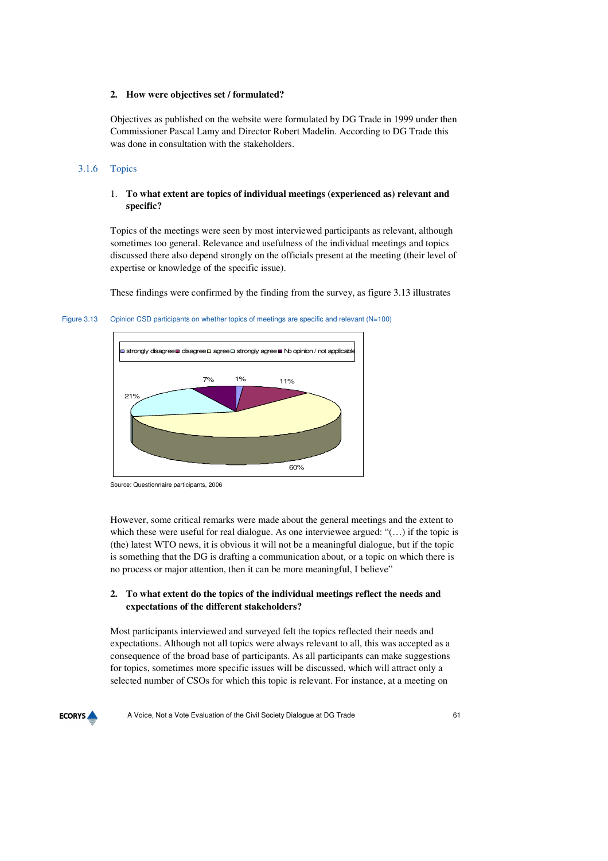### **2. How were objectives set / formulated?**

Objectives as published on the website were formulated by DG Trade in 1999 under then Commissioner Pascal Lamy and Director Robert Madelin. According to DG Trade this was done in consultation with the stakeholders.

#### 3.1.6 Topics

# 1. **To what extent are topics of individual meetings (experienced as) relevant and specific?**

Topics of the meetings were seen by most interviewed participants as relevant, although sometimes too general. Relevance and usefulness of the individual meetings and topics discussed there also depend strongly on the officials present at the meeting (their level of expertise or knowledge of the specific issue).

These findings were confirmed by the finding from the survey, as figure 3.13 illustrates

Figure 3.13 Opinion CSD participants on whether topics of meetings are specific and relevant (N=100)



Source: Questionnaire participants, 2006

However, some critical remarks were made about the general meetings and the extent to which these were useful for real dialogue. As one interviewee argued: "(...) if the topic is (the) latest WTO news, it is obvious it will not be a meaningful dialogue, but if the topic is something that the DG is drafting a communication about, or a topic on which there is no process or major attention, then it can be more meaningful, I believe"

### **2. To what extent do the topics of the individual meetings reflect the needs and expectations of the different stakeholders?**

Most participants interviewed and surveyed felt the topics reflected their needs and expectations. Although not all topics were always relevant to all, this was accepted as a consequence of the broad base of participants. As all participants can make suggestions for topics, sometimes more specific issues will be discussed, which will attract only a selected number of CSOs for which this topic is relevant. For instance, at a meeting on

# **ECORYS**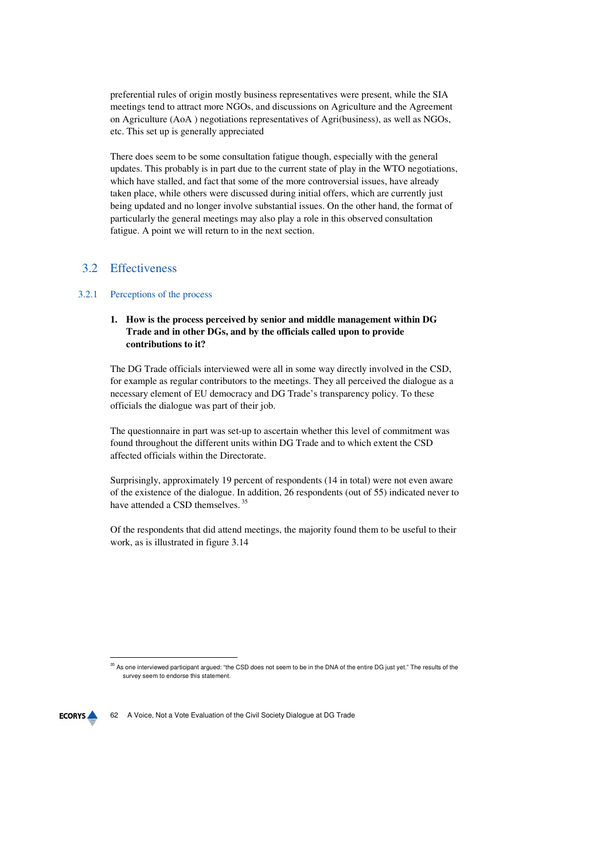preferential rules of origin mostly business representatives were present, while the SIA meetings tend to attract more NGOs, and discussions on Agriculture and the Agreement on Agriculture (AoA ) negotiations representatives of Agri(business), as well as NGOs, etc. This set up is generally appreciated

There does seem to be some consultation fatigue though, especially with the general updates. This probably is in part due to the current state of play in the WTO negotiations, which have stalled, and fact that some of the more controversial issues, have already taken place, while others were discussed during initial offers, which are currently just being updated and no longer involve substantial issues. On the other hand, the format of particularly the general meetings may also play a role in this observed consultation fatigue. A point we will return to in the next section.

# 3.2 Effectiveness

### 3.2.1 Perceptions of the process

# **1. How is the process perceived by senior and middle management within DG Trade and in other DGs, and by the officials called upon to provide contributions to it?**

The DG Trade officials interviewed were all in some way directly involved in the CSD, for example as regular contributors to the meetings. They all perceived the dialogue as a necessary element of EU democracy and DG Trade's transparency policy. To these officials the dialogue was part of their job.

The questionnaire in part was set-up to ascertain whether this level of commitment was found throughout the different units within DG Trade and to which extent the CSD affected officials within the Directorate.

Surprisingly, approximately 19 percent of respondents (14 in total) were not even aware of the existence of the dialogue. In addition, 26 respondents (out of 55) indicated never to have attended a CSD themselves.<sup>35</sup>

Of the respondents that did attend meetings, the majority found them to be useful to their work, as is illustrated in figure 3.14

<sup>&</sup>lt;sup>35</sup> As one interviewed participant argued: "the CSD does not seem to be in the DNA of the entire DG just yet." The results of the survey seem to endorse this statement.



 $\overline{a}$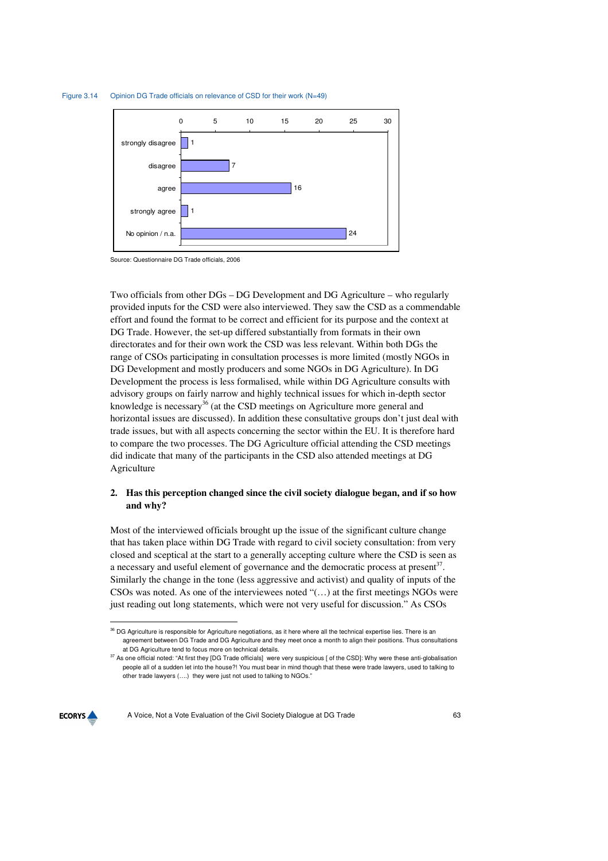



Source: Questionnaire DG Trade officials, 2006

Two officials from other DGs – DG Development and DG Agriculture – who regularly provided inputs for the CSD were also interviewed. They saw the CSD as a commendable effort and found the format to be correct and efficient for its purpose and the context at DG Trade. However, the set-up differed substantially from formats in their own directorates and for their own work the CSD was less relevant. Within both DGs the range of CSOs participating in consultation processes is more limited (mostly NGOs in DG Development and mostly producers and some NGOs in DG Agriculture). In DG Development the process is less formalised, while within DG Agriculture consults with advisory groups on fairly narrow and highly technical issues for which in-depth sector knowledge is necessary $36$  (at the CSD meetings on Agriculture more general and horizontal issues are discussed). In addition these consultative groups don't just deal with trade issues, but with all aspects concerning the sector within the EU. It is therefore hard to compare the two processes. The DG Agriculture official attending the CSD meetings did indicate that many of the participants in the CSD also attended meetings at DG Agriculture

#### **2. Has this perception changed since the civil society dialogue began, and if so how and why?**

Most of the interviewed officials brought up the issue of the significant culture change that has taken place within DG Trade with regard to civil society consultation: from very closed and sceptical at the start to a generally accepting culture where the CSD is seen as a necessary and useful element of governance and the democratic process at present $37$ . Similarly the change in the tone (less aggressive and activist) and quality of inputs of the CSOs was noted. As one of the interviewees noted "(…) at the first meetings NGOs were just reading out long statements, which were not very useful for discussion." As CSOs

<sup>&</sup>lt;sup>37</sup> As one official noted: "At first they [DG Trade officials] were very suspicious [ of the CSD]: Why were these anti-globalisation people all of a sudden let into the house?! You must bear in mind though that these were trade lawyers, used to talking to other trade lawyers (….) they were just not used to talking to NGOs."



 $\overline{a}$ 

<sup>&</sup>lt;sup>36</sup> DG Agriculture is responsible for Agriculture negotiations, as it here where all the technical expertise lies. There is an agreement between DG Trade and DG Agriculture and they meet once a month to align their positions. Thus consultations at DG Agriculture tend to focus more on technical details.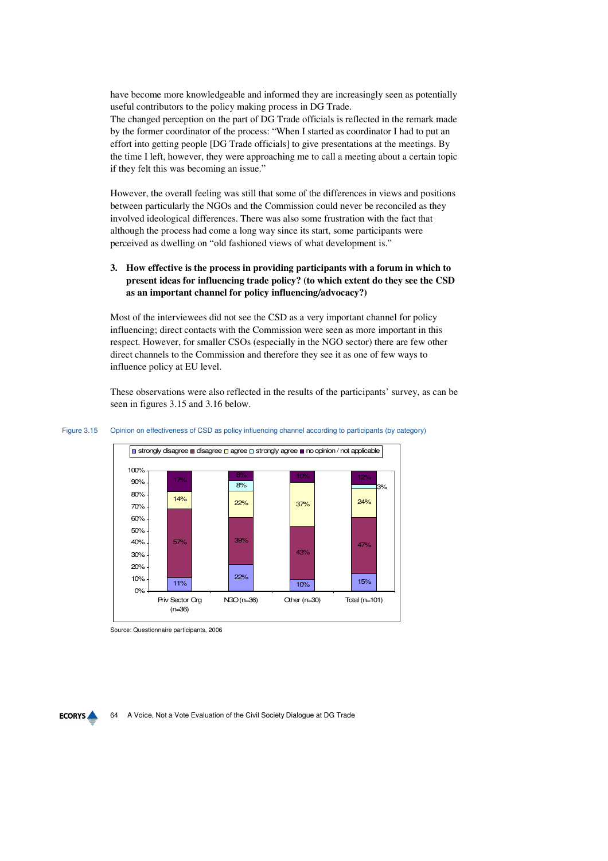have become more knowledgeable and informed they are increasingly seen as potentially useful contributors to the policy making process in DG Trade. The changed perception on the part of DG Trade officials is reflected in the remark made by the former coordinator of the process: "When I started as coordinator I had to put an effort into getting people [DG Trade officials] to give presentations at the meetings. By the time I left, however, they were approaching me to call a meeting about a certain topic if they felt this was becoming an issue."

However, the overall feeling was still that some of the differences in views and positions between particularly the NGOs and the Commission could never be reconciled as they involved ideological differences. There was also some frustration with the fact that although the process had come a long way since its start, some participants were perceived as dwelling on "old fashioned views of what development is."

# **3. How effective is the process in providing participants with a forum in which to present ideas for influencing trade policy? (to which extent do they see the CSD as an important channel for policy influencing/advocacy?)**

Most of the interviewees did not see the CSD as a very important channel for policy influencing; direct contacts with the Commission were seen as more important in this respect. However, for smaller CSOs (especially in the NGO sector) there are few other direct channels to the Commission and therefore they see it as one of few ways to influence policy at EU level.

These observations were also reflected in the results of the participants' survey, as can be seen in figures 3.15 and 3.16 below.



#### Figure 3.15 Opinion on effectiveness of CSD as policy influencing channel according to participants (by category)

Source: Questionnaire participants, 2006

**ECORYS**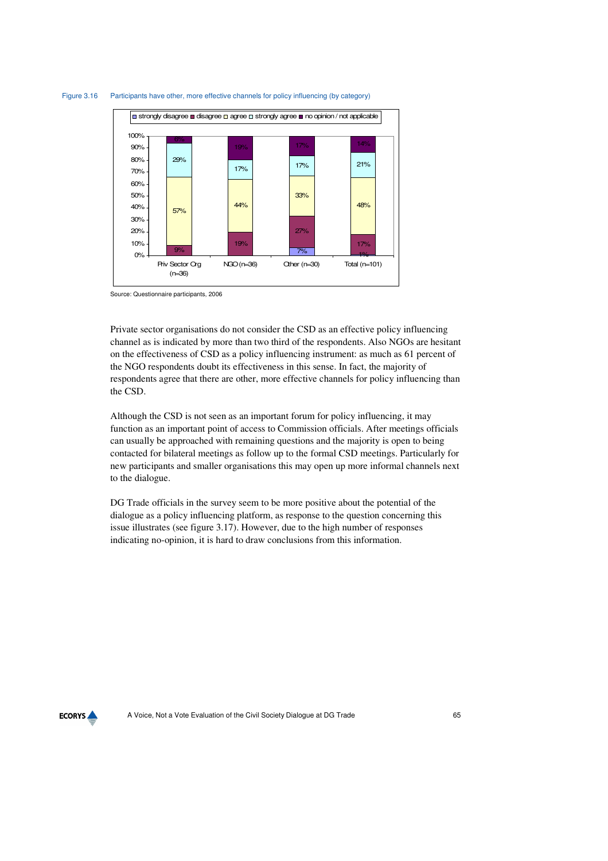

#### Figure 3.16 Participants have other, more effective channels for policy influencing (by category)

Source: Questionnaire participants, 2006

Private sector organisations do not consider the CSD as an effective policy influencing channel as is indicated by more than two third of the respondents. Also NGOs are hesitant on the effectiveness of CSD as a policy influencing instrument: as much as 61 percent of the NGO respondents doubt its effectiveness in this sense. In fact, the majority of respondents agree that there are other, more effective channels for policy influencing than the CSD.

Although the CSD is not seen as an important forum for policy influencing, it may function as an important point of access to Commission officials. After meetings officials can usually be approached with remaining questions and the majority is open to being contacted for bilateral meetings as follow up to the formal CSD meetings. Particularly for new participants and smaller organisations this may open up more informal channels next to the dialogue.

DG Trade officials in the survey seem to be more positive about the potential of the dialogue as a policy influencing platform, as response to the question concerning this issue illustrates (see figure 3.17). However, due to the high number of responses indicating no-opinion, it is hard to draw conclusions from this information.

**ECORYS**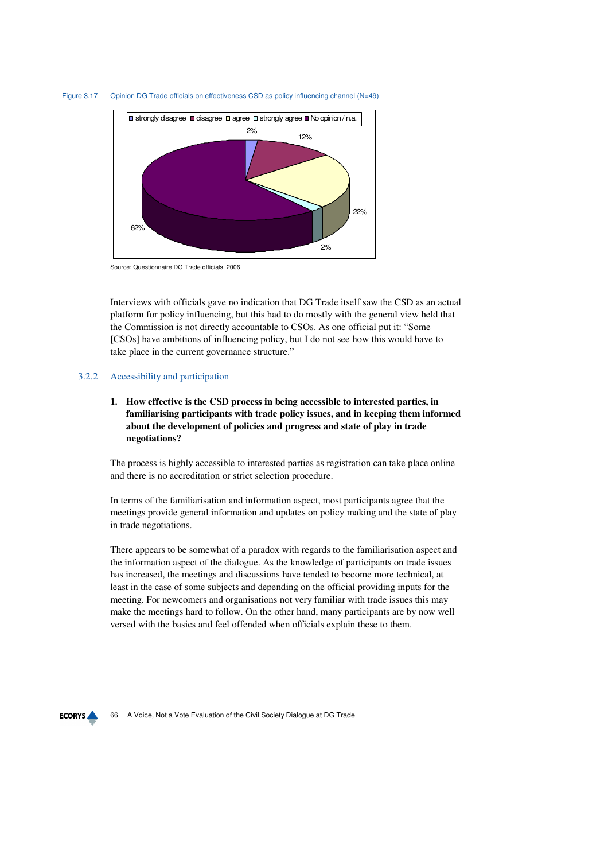

#### Figure 3.17 Opinion DG Trade officials on effectiveness CSD as policy influencing channel (N=49)

Source: Questionnaire DG Trade officials, 2006

Interviews with officials gave no indication that DG Trade itself saw the CSD as an actual platform for policy influencing, but this had to do mostly with the general view held that the Commission is not directly accountable to CSOs. As one official put it: "Some [CSOs] have ambitions of influencing policy, but I do not see how this would have to take place in the current governance structure."

# 3.2.2 Accessibility and participation

**1. How effective is the CSD process in being accessible to interested parties, in familiarising participants with trade policy issues, and in keeping them informed about the development of policies and progress and state of play in trade negotiations?** 

The process is highly accessible to interested parties as registration can take place online and there is no accreditation or strict selection procedure.

In terms of the familiarisation and information aspect, most participants agree that the meetings provide general information and updates on policy making and the state of play in trade negotiations.

There appears to be somewhat of a paradox with regards to the familiarisation aspect and the information aspect of the dialogue. As the knowledge of participants on trade issues has increased, the meetings and discussions have tended to become more technical, at least in the case of some subjects and depending on the official providing inputs for the meeting. For newcomers and organisations not very familiar with trade issues this may make the meetings hard to follow. On the other hand, many participants are by now well versed with the basics and feel offended when officials explain these to them.

**ECORYS**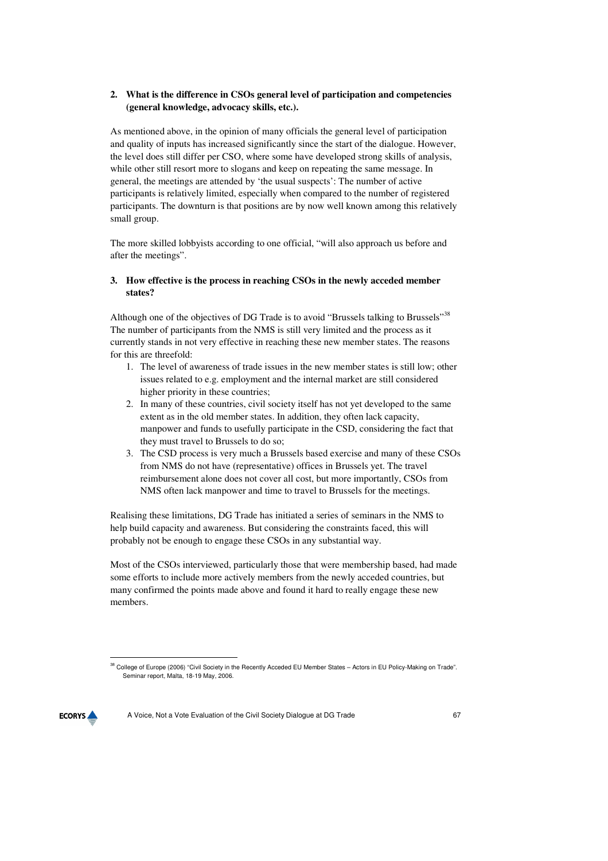# **2. What is the difference in CSOs general level of participation and competencies (general knowledge, advocacy skills, etc.).**

As mentioned above, in the opinion of many officials the general level of participation and quality of inputs has increased significantly since the start of the dialogue. However, the level does still differ per CSO, where some have developed strong skills of analysis, while other still resort more to slogans and keep on repeating the same message. In general, the meetings are attended by 'the usual suspects': The number of active participants is relatively limited, especially when compared to the number of registered participants. The downturn is that positions are by now well known among this relatively small group.

The more skilled lobbyists according to one official, "will also approach us before and after the meetings".

# **3. How effective is the process in reaching CSOs in the newly acceded member states?**

Although one of the objectives of DG Trade is to avoid "Brussels talking to Brussels"<sup>38</sup> The number of participants from the NMS is still very limited and the process as it currently stands in not very effective in reaching these new member states. The reasons for this are threefold:

- 1. The level of awareness of trade issues in the new member states is still low; other issues related to e.g. employment and the internal market are still considered higher priority in these countries;
- 2. In many of these countries, civil society itself has not yet developed to the same extent as in the old member states. In addition, they often lack capacity, manpower and funds to usefully participate in the CSD, considering the fact that they must travel to Brussels to do so;
- 3. The CSD process is very much a Brussels based exercise and many of these CSOs from NMS do not have (representative) offices in Brussels yet. The travel reimbursement alone does not cover all cost, but more importantly, CSOs from NMS often lack manpower and time to travel to Brussels for the meetings.

Realising these limitations, DG Trade has initiated a series of seminars in the NMS to help build capacity and awareness. But considering the constraints faced, this will probably not be enough to engage these CSOs in any substantial way.

Most of the CSOs interviewed, particularly those that were membership based, had made some efforts to include more actively members from the newly acceded countries, but many confirmed the points made above and found it hard to really engage these new members.

**ECORYS** 

 $\overline{a}$ 

<sup>38</sup> College of Europe (2006) "Civil Society in the Recently Acceded EU Member States – Actors in EU Policy-Making on Trade". Seminar report, Malta, 18-19 May, 2006.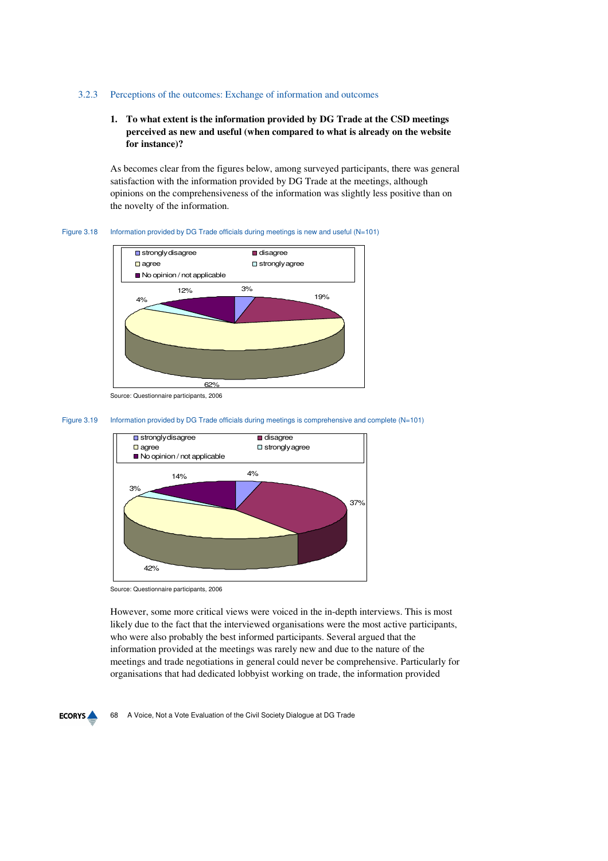#### 3.2.3 Perceptions of the outcomes: Exchange of information and outcomes

# **1. To what extent is the information provided by DG Trade at the CSD meetings perceived as new and useful (when compared to what is already on the website for instance)?**

As becomes clear from the figures below, among surveyed participants, there was general satisfaction with the information provided by DG Trade at the meetings, although opinions on the comprehensiveness of the information was slightly less positive than on the novelty of the information.

#### Figure 3.18 Information provided by DG Trade officials during meetings is new and useful (N=101)



Source: Questionnaire participants, 2006

#### Figure 3.19 Information provided by DG Trade officials during meetings is comprehensive and complete (N=101)



Source: Questionnaire participants, 2006

However, some more critical views were voiced in the in-depth interviews. This is most likely due to the fact that the interviewed organisations were the most active participants, who were also probably the best informed participants. Several argued that the information provided at the meetings was rarely new and due to the nature of the meetings and trade negotiations in general could never be comprehensive. Particularly for organisations that had dedicated lobbyist working on trade, the information provided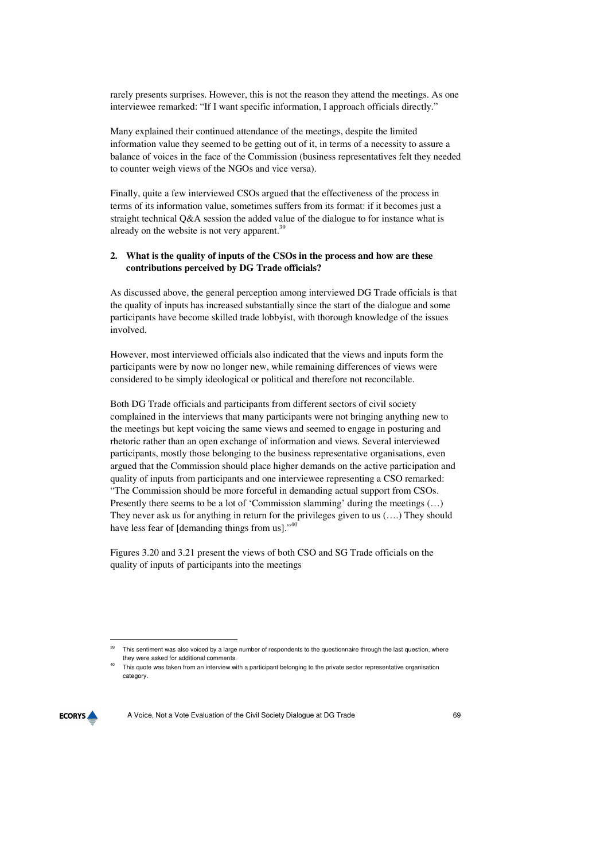rarely presents surprises. However, this is not the reason they attend the meetings. As one interviewee remarked: "If I want specific information, I approach officials directly."

Many explained their continued attendance of the meetings, despite the limited information value they seemed to be getting out of it, in terms of a necessity to assure a balance of voices in the face of the Commission (business representatives felt they needed to counter weigh views of the NGOs and vice versa).

Finally, quite a few interviewed CSOs argued that the effectiveness of the process in terms of its information value, sometimes suffers from its format: if it becomes just a straight technical Q&A session the added value of the dialogue to for instance what is already on the website is not very apparent.<sup>39</sup>

# **2. What is the quality of inputs of the CSOs in the process and how are these contributions perceived by DG Trade officials?**

As discussed above, the general perception among interviewed DG Trade officials is that the quality of inputs has increased substantially since the start of the dialogue and some participants have become skilled trade lobbyist, with thorough knowledge of the issues involved.

However, most interviewed officials also indicated that the views and inputs form the participants were by now no longer new, while remaining differences of views were considered to be simply ideological or political and therefore not reconcilable.

Both DG Trade officials and participants from different sectors of civil society complained in the interviews that many participants were not bringing anything new to the meetings but kept voicing the same views and seemed to engage in posturing and rhetoric rather than an open exchange of information and views. Several interviewed participants, mostly those belonging to the business representative organisations, even argued that the Commission should place higher demands on the active participation and quality of inputs from participants and one interviewee representing a CSO remarked: "The Commission should be more forceful in demanding actual support from CSOs. Presently there seems to be a lot of 'Commission slamming' during the meetings (…) They never ask us for anything in return for the privileges given to us (….) They should have less fear of [demanding things from us]."<sup>40</sup>

Figures 3.20 and 3.21 present the views of both CSO and SG Trade officials on the quality of inputs of participants into the meetings

This quote was taken from an interview with a participant belonging to the private sector representative organisation category.



 $\overline{a}$ 

This sentiment was also voiced by a large number of respondents to the questionnaire through the last question, where they were asked for additional comments.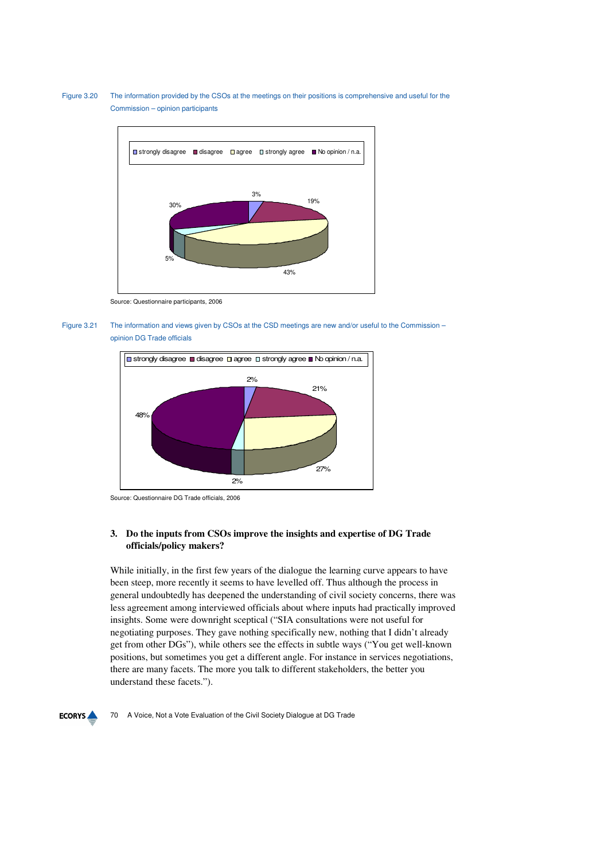Figure 3.20 The information provided by the CSOs at the meetings on their positions is comprehensive and useful for the Commission – opinion participants



Source: Questionnaire participants, 2006

Figure 3.21 The information and views given by CSOs at the CSD meetings are new and/or useful to the Commission – opinion DG Trade officials



Source: Questionnaire DG Trade officials, 2006

# **3. Do the inputs from CSOs improve the insights and expertise of DG Trade officials/policy makers?**

While initially, in the first few years of the dialogue the learning curve appears to have been steep, more recently it seems to have levelled off. Thus although the process in general undoubtedly has deepened the understanding of civil society concerns, there was less agreement among interviewed officials about where inputs had practically improved insights. Some were downright sceptical ("SIA consultations were not useful for negotiating purposes. They gave nothing specifically new, nothing that I didn't already get from other DGs"), while others see the effects in subtle ways ("You get well-known positions, but sometimes you get a different angle. For instance in services negotiations, there are many facets. The more you talk to different stakeholders, the better you understand these facets.").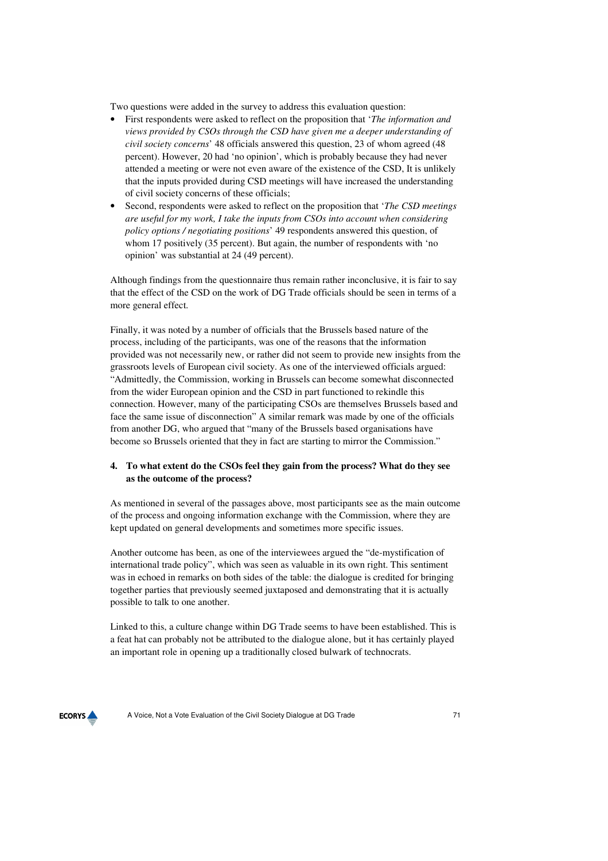Two questions were added in the survey to address this evaluation question:

- First respondents were asked to reflect on the proposition that '*The information and views provided by CSOs through the CSD have given me a deeper understanding of civil society concerns*' 48 officials answered this question, 23 of whom agreed (48 percent). However, 20 had 'no opinion', which is probably because they had never attended a meeting or were not even aware of the existence of the CSD, It is unlikely that the inputs provided during CSD meetings will have increased the understanding of civil society concerns of these officials;
- Second, respondents were asked to reflect on the proposition that '*The CSD meetings are useful for my work, I take the inputs from CSOs into account when considering policy options / negotiating positions*' 49 respondents answered this question, of whom 17 positively (35 percent). But again, the number of respondents with 'no opinion' was substantial at 24 (49 percent).

Although findings from the questionnaire thus remain rather inconclusive, it is fair to say that the effect of the CSD on the work of DG Trade officials should be seen in terms of a more general effect.

Finally, it was noted by a number of officials that the Brussels based nature of the process, including of the participants, was one of the reasons that the information provided was not necessarily new, or rather did not seem to provide new insights from the grassroots levels of European civil society. As one of the interviewed officials argued: "Admittedly, the Commission, working in Brussels can become somewhat disconnected from the wider European opinion and the CSD in part functioned to rekindle this connection. However, many of the participating CSOs are themselves Brussels based and face the same issue of disconnection" A similar remark was made by one of the officials from another DG, who argued that "many of the Brussels based organisations have become so Brussels oriented that they in fact are starting to mirror the Commission."

# **4. To what extent do the CSOs feel they gain from the process? What do they see as the outcome of the process?**

As mentioned in several of the passages above, most participants see as the main outcome of the process and ongoing information exchange with the Commission, where they are kept updated on general developments and sometimes more specific issues.

Another outcome has been, as one of the interviewees argued the "de-mystification of international trade policy", which was seen as valuable in its own right. This sentiment was in echoed in remarks on both sides of the table: the dialogue is credited for bringing together parties that previously seemed juxtaposed and demonstrating that it is actually possible to talk to one another.

Linked to this, a culture change within DG Trade seems to have been established. This is a feat hat can probably not be attributed to the dialogue alone, but it has certainly played an important role in opening up a traditionally closed bulwark of technocrats.

**ECORYS**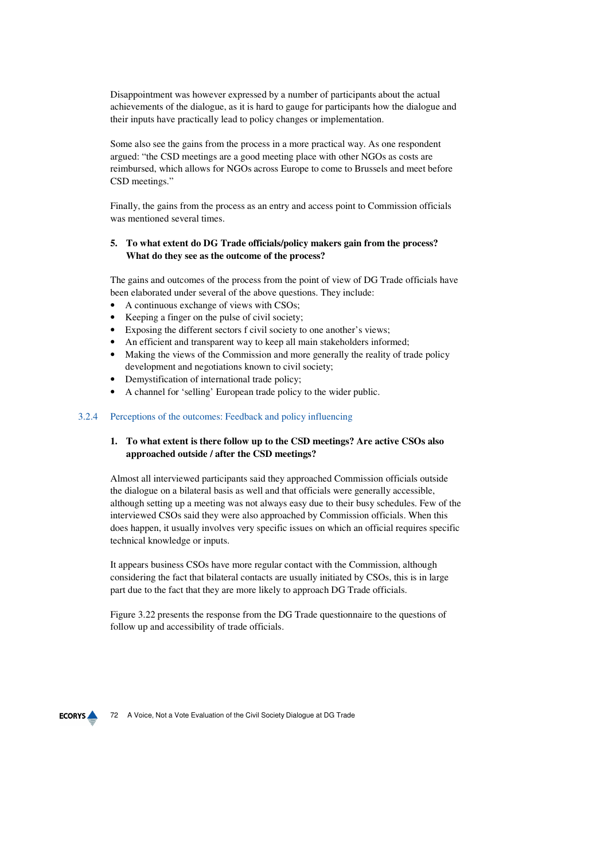Disappointment was however expressed by a number of participants about the actual achievements of the dialogue, as it is hard to gauge for participants how the dialogue and their inputs have practically lead to policy changes or implementation.

Some also see the gains from the process in a more practical way. As one respondent argued: "the CSD meetings are a good meeting place with other NGOs as costs are reimbursed, which allows for NGOs across Europe to come to Brussels and meet before CSD meetings."

Finally, the gains from the process as an entry and access point to Commission officials was mentioned several times.

# **5. To what extent do DG Trade officials/policy makers gain from the process? What do they see as the outcome of the process?**

The gains and outcomes of the process from the point of view of DG Trade officials have been elaborated under several of the above questions. They include:

- A continuous exchange of views with CSOs;
- Keeping a finger on the pulse of civil society;
- Exposing the different sectors f civil society to one another's views;
- An efficient and transparent way to keep all main stakeholders informed;
- Making the views of the Commission and more generally the reality of trade policy development and negotiations known to civil society;
- Demystification of international trade policy;
- A channel for 'selling' European trade policy to the wider public.

#### 3.2.4 Perceptions of the outcomes: Feedback and policy influencing

# **1. To what extent is there follow up to the CSD meetings? Are active CSOs also approached outside / after the CSD meetings?**

Almost all interviewed participants said they approached Commission officials outside the dialogue on a bilateral basis as well and that officials were generally accessible, although setting up a meeting was not always easy due to their busy schedules. Few of the interviewed CSOs said they were also approached by Commission officials. When this does happen, it usually involves very specific issues on which an official requires specific technical knowledge or inputs.

It appears business CSOs have more regular contact with the Commission, although considering the fact that bilateral contacts are usually initiated by CSOs, this is in large part due to the fact that they are more likely to approach DG Trade officials.

Figure 3.22 presents the response from the DG Trade questionnaire to the questions of follow up and accessibility of trade officials.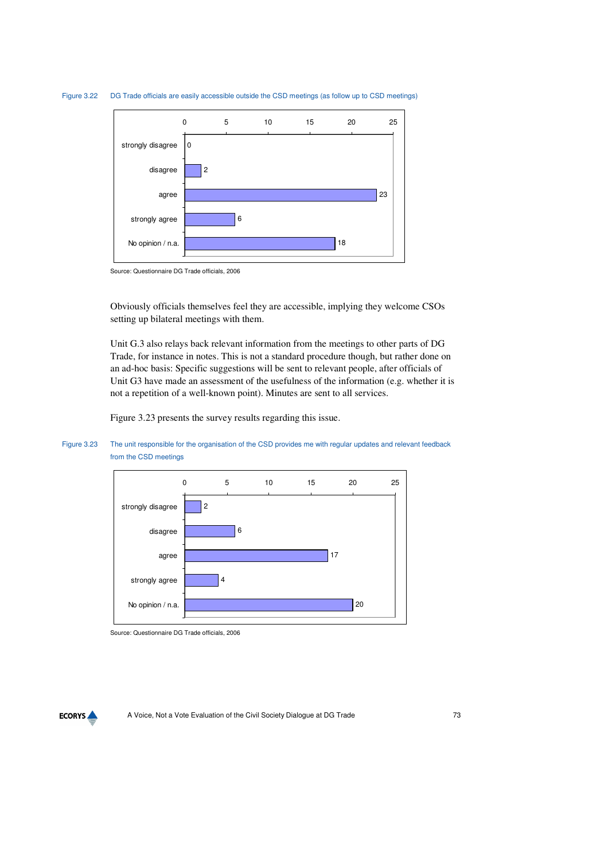



Source: Questionnaire DG Trade officials, 2006

Obviously officials themselves feel they are accessible, implying they welcome CSOs setting up bilateral meetings with them.

Unit G.3 also relays back relevant information from the meetings to other parts of DG Trade, for instance in notes. This is not a standard procedure though, but rather done on an ad-hoc basis: Specific suggestions will be sent to relevant people, after officials of Unit G3 have made an assessment of the usefulness of the information (e.g. whether it is not a repetition of a well-known point). Minutes are sent to all services.

Figure 3.23 presents the survey results regarding this issue.

#### Figure 3.23 The unit responsible for the organisation of the CSD provides me with regular updates and relevant feedback from the CSD meetings



Source: Questionnaire DG Trade officials, 2006

**ECORYS**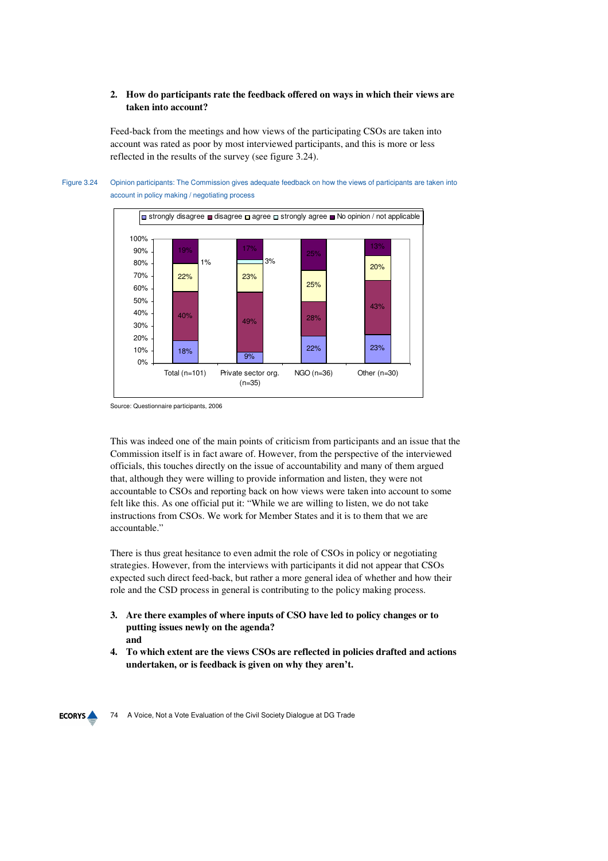## **2. How do participants rate the feedback offered on ways in which their views are taken into account?**

Feed-back from the meetings and how views of the participating CSOs are taken into account was rated as poor by most interviewed participants, and this is more or less reflected in the results of the survey (see figure 3.24).





Source: Questionnaire participants, 2006

This was indeed one of the main points of criticism from participants and an issue that the Commission itself is in fact aware of. However, from the perspective of the interviewed officials, this touches directly on the issue of accountability and many of them argued that, although they were willing to provide information and listen, they were not accountable to CSOs and reporting back on how views were taken into account to some felt like this. As one official put it: "While we are willing to listen, we do not take instructions from CSOs. We work for Member States and it is to them that we are accountable."

There is thus great hesitance to even admit the role of CSOs in policy or negotiating strategies. However, from the interviews with participants it did not appear that CSOs expected such direct feed-back, but rather a more general idea of whether and how their role and the CSD process in general is contributing to the policy making process.

- **3. Are there examples of where inputs of CSO have led to policy changes or to putting issues newly on the agenda? and**
- **4. To which extent are the views CSOs are reflected in policies drafted and actions undertaken, or is feedback is given on why they aren't.**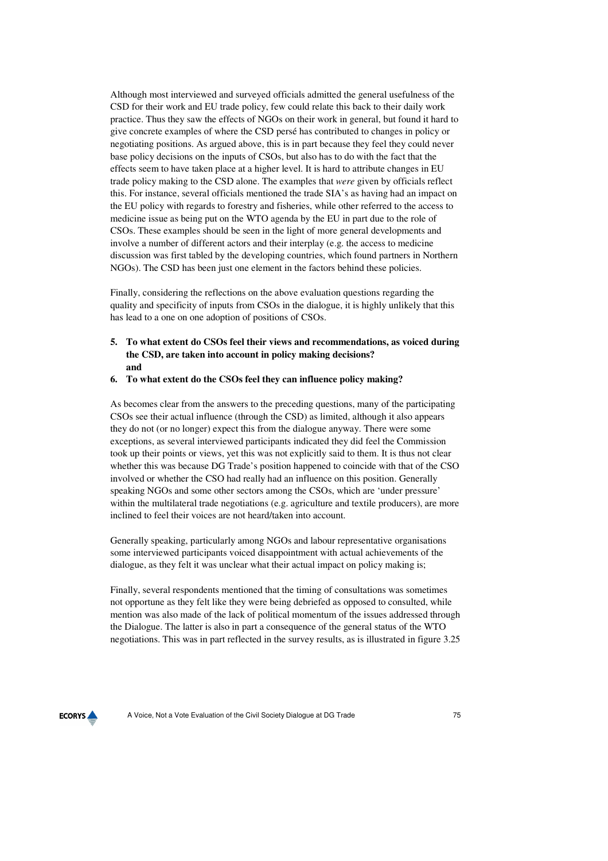Although most interviewed and surveyed officials admitted the general usefulness of the CSD for their work and EU trade policy, few could relate this back to their daily work practice. Thus they saw the effects of NGOs on their work in general, but found it hard to give concrete examples of where the CSD persé has contributed to changes in policy or negotiating positions. As argued above, this is in part because they feel they could never base policy decisions on the inputs of CSOs, but also has to do with the fact that the effects seem to have taken place at a higher level. It is hard to attribute changes in EU trade policy making to the CSD alone. The examples that *were* given by officials reflect this. For instance, several officials mentioned the trade SIA's as having had an impact on the EU policy with regards to forestry and fisheries, while other referred to the access to medicine issue as being put on the WTO agenda by the EU in part due to the role of CSOs. These examples should be seen in the light of more general developments and involve a number of different actors and their interplay (e.g. the access to medicine discussion was first tabled by the developing countries, which found partners in Northern NGOs). The CSD has been just one element in the factors behind these policies.

Finally, considering the reflections on the above evaluation questions regarding the quality and specificity of inputs from CSOs in the dialogue, it is highly unlikely that this has lead to a one on one adoption of positions of CSOs.

- **5. To what extent do CSOs feel their views and recommendations, as voiced during the CSD, are taken into account in policy making decisions? and**
- **6. To what extent do the CSOs feel they can influence policy making?**

As becomes clear from the answers to the preceding questions, many of the participating CSOs see their actual influence (through the CSD) as limited, although it also appears they do not (or no longer) expect this from the dialogue anyway. There were some exceptions, as several interviewed participants indicated they did feel the Commission took up their points or views, yet this was not explicitly said to them. It is thus not clear whether this was because DG Trade's position happened to coincide with that of the CSO involved or whether the CSO had really had an influence on this position. Generally speaking NGOs and some other sectors among the CSOs, which are 'under pressure' within the multilateral trade negotiations (e.g. agriculture and textile producers), are more inclined to feel their voices are not heard/taken into account.

Generally speaking, particularly among NGOs and labour representative organisations some interviewed participants voiced disappointment with actual achievements of the dialogue, as they felt it was unclear what their actual impact on policy making is;

Finally, several respondents mentioned that the timing of consultations was sometimes not opportune as they felt like they were being debriefed as opposed to consulted, while mention was also made of the lack of political momentum of the issues addressed through the Dialogue. The latter is also in part a consequence of the general status of the WTO negotiations. This was in part reflected in the survey results, as is illustrated in figure 3.25

**ECORYS**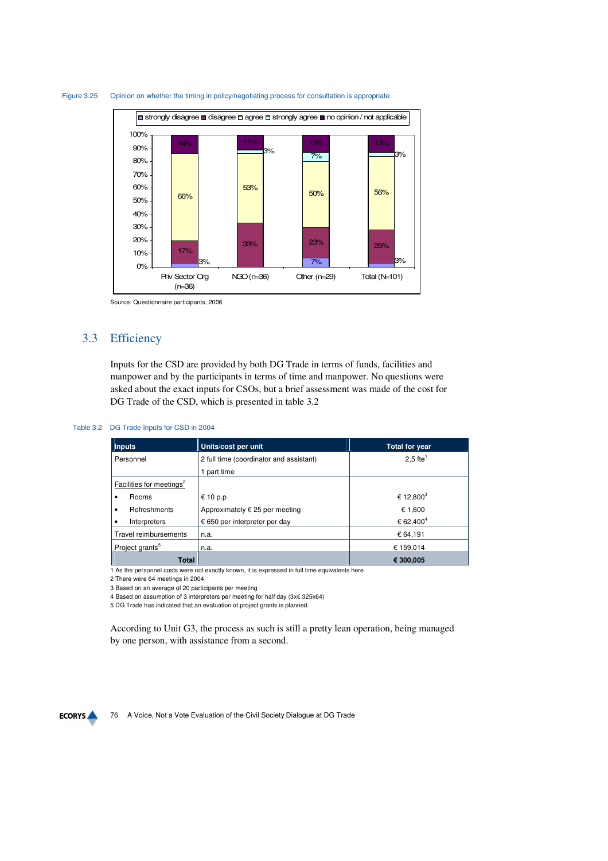

#### Figure 3.25 Opinion on whether the timing in policy/negotiating process for consultation is appropriate

Source: Questionnaire participants, 2006

## 3.3 Efficiency

Inputs for the CSD are provided by both DG Trade in terms of funds, facilities and manpower and by the participants in terms of time and manpower. No questions were asked about the exact inputs for CSOs, but a brief assessment was made of the cost for DG Trade of the CSD, which is presented in table 3.2

#### Table 3.2 DG Trade Inputs for CSD in 2004

| <b>Inputs</b>                        | Units/cost per unit                     | <b>Total for year</b>  |
|--------------------------------------|-----------------------------------------|------------------------|
| Personnel                            | 2 full time (coordinator and assistant) | $2.5$ fte <sup>1</sup> |
|                                      | part time                               |                        |
| Facilities for meetings <sup>2</sup> |                                         |                        |
| Rooms                                | € 10 p.p                                | € 12,800 <sup>3</sup>  |
| Refreshments<br>٠                    | Approximately € 25 per meeting          | € 1,600                |
| Interpreters                         | € 650 per interpreter per day           | € 62,400 <sup>4</sup>  |
| Travel reimbursements                | n.a.                                    | € 64,191               |
| Project grants <sup>5</sup>          | n.a.                                    | € 159,014              |
| <b>Total</b>                         |                                         | € 300,005              |

1 As the personnel costs were not exactly known, it is expressed in full time equivalents here

2 There were 64 meetings in 2004

3 Based on an average of 20 participants per meeting

4 Based on assumption of 3 interpreters per meeting for half day (3x€ 325x64)

5 DG Trade has indicated that an evaluation of project grants is planned.

According to Unit G3, the process as such is still a pretty lean operation, being managed by one person, with assistance from a second.

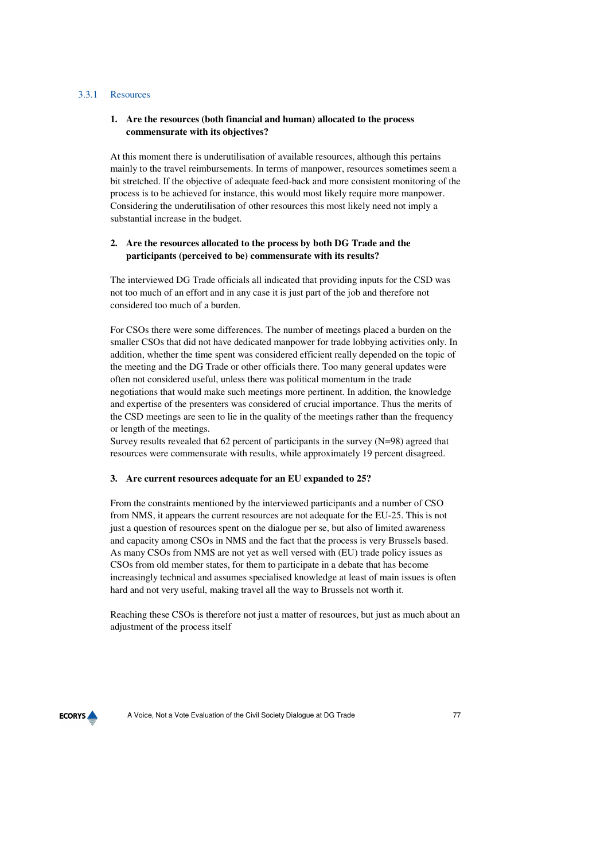#### 3.3.1 Resources

#### **1. Are the resources (both financial and human) allocated to the process commensurate with its objectives?**

At this moment there is underutilisation of available resources, although this pertains mainly to the travel reimbursements. In terms of manpower, resources sometimes seem a bit stretched. If the objective of adequate feed-back and more consistent monitoring of the process is to be achieved for instance, this would most likely require more manpower. Considering the underutilisation of other resources this most likely need not imply a substantial increase in the budget.

### **2. Are the resources allocated to the process by both DG Trade and the participants (perceived to be) commensurate with its results?**

The interviewed DG Trade officials all indicated that providing inputs for the CSD was not too much of an effort and in any case it is just part of the job and therefore not considered too much of a burden.

For CSOs there were some differences. The number of meetings placed a burden on the smaller CSOs that did not have dedicated manpower for trade lobbying activities only. In addition, whether the time spent was considered efficient really depended on the topic of the meeting and the DG Trade or other officials there. Too many general updates were often not considered useful, unless there was political momentum in the trade negotiations that would make such meetings more pertinent. In addition, the knowledge and expertise of the presenters was considered of crucial importance. Thus the merits of the CSD meetings are seen to lie in the quality of the meetings rather than the frequency or length of the meetings.

Survey results revealed that 62 percent of participants in the survey (N=98) agreed that resources were commensurate with results, while approximately 19 percent disagreed.

#### **3. Are current resources adequate for an EU expanded to 25?**

From the constraints mentioned by the interviewed participants and a number of CSO from NMS, it appears the current resources are not adequate for the EU-25. This is not just a question of resources spent on the dialogue per se, but also of limited awareness and capacity among CSOs in NMS and the fact that the process is very Brussels based. As many CSOs from NMS are not yet as well versed with (EU) trade policy issues as CSOs from old member states, for them to participate in a debate that has become increasingly technical and assumes specialised knowledge at least of main issues is often hard and not very useful, making travel all the way to Brussels not worth it.

Reaching these CSOs is therefore not just a matter of resources, but just as much about an adjustment of the process itself

**ECORYS**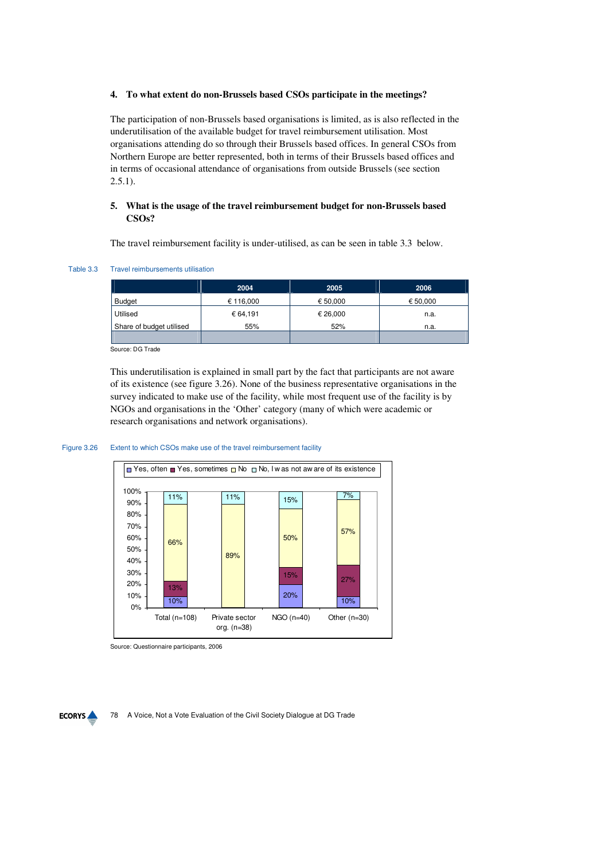## **4. To what extent do non-Brussels based CSOs participate in the meetings?**

The participation of non-Brussels based organisations is limited, as is also reflected in the underutilisation of the available budget for travel reimbursement utilisation. Most organisations attending do so through their Brussels based offices. In general CSOs from Northern Europe are better represented, both in terms of their Brussels based offices and in terms of occasional attendance of organisations from outside Brussels (see section  $2.5.1$ ).

## **5. What is the usage of the travel reimbursement budget for non-Brussels based CSOs?**

The travel reimbursement facility is under-utilised, as can be seen in table 3.3 below.

Table 3.3 Travel reimbursements utilisation

|                          | 2004      | 2005     | 2006     |
|--------------------------|-----------|----------|----------|
| <b>Budget</b>            | € 116,000 | € 50,000 | € 50,000 |
| Utilised                 | € 64,191  | € 26,000 | n.a.     |
| Share of budget utilised | 55%       | 52%      | n.a.     |
|                          |           |          |          |

Source: DG Trade

This underutilisation is explained in small part by the fact that participants are not aware of its existence (see figure 3.26). None of the business representative organisations in the survey indicated to make use of the facility, while most frequent use of the facility is by NGOs and organisations in the 'Other' category (many of which were academic or research organisations and network organisations).

#### Figure 3.26 Extent to which CSOs make use of the travel reimbursement facility



Source: Questionnaire participants, 2006

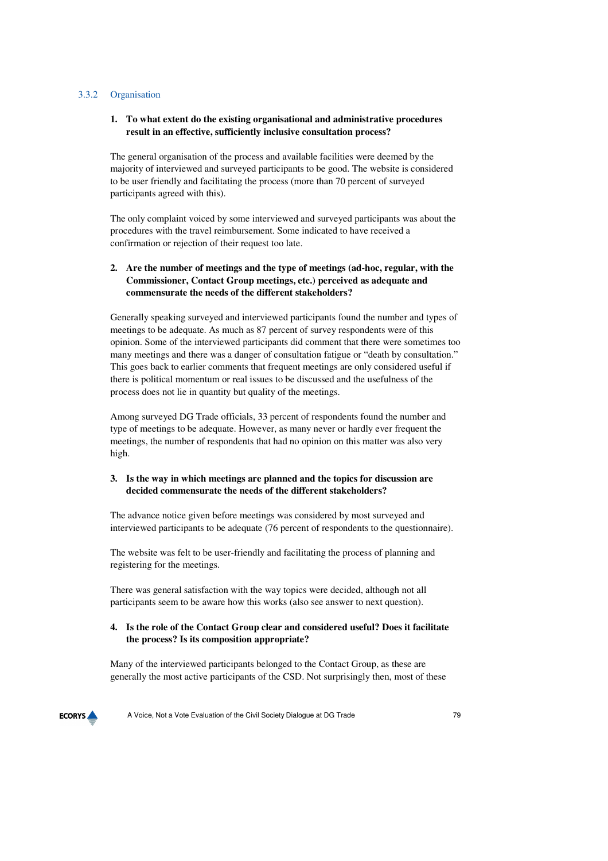#### 3.3.2 Organisation

### **1. To what extent do the existing organisational and administrative procedures result in an effective, sufficiently inclusive consultation process?**

The general organisation of the process and available facilities were deemed by the majority of interviewed and surveyed participants to be good. The website is considered to be user friendly and facilitating the process (more than 70 percent of surveyed participants agreed with this).

The only complaint voiced by some interviewed and surveyed participants was about the procedures with the travel reimbursement. Some indicated to have received a confirmation or rejection of their request too late.

## **2. Are the number of meetings and the type of meetings (ad-hoc, regular, with the Commissioner, Contact Group meetings, etc.) perceived as adequate and commensurate the needs of the different stakeholders?**

Generally speaking surveyed and interviewed participants found the number and types of meetings to be adequate. As much as 87 percent of survey respondents were of this opinion. Some of the interviewed participants did comment that there were sometimes too many meetings and there was a danger of consultation fatigue or "death by consultation." This goes back to earlier comments that frequent meetings are only considered useful if there is political momentum or real issues to be discussed and the usefulness of the process does not lie in quantity but quality of the meetings.

Among surveyed DG Trade officials, 33 percent of respondents found the number and type of meetings to be adequate. However, as many never or hardly ever frequent the meetings, the number of respondents that had no opinion on this matter was also very high.

## **3. Is the way in which meetings are planned and the topics for discussion are decided commensurate the needs of the different stakeholders?**

The advance notice given before meetings was considered by most surveyed and interviewed participants to be adequate (76 percent of respondents to the questionnaire).

The website was felt to be user-friendly and facilitating the process of planning and registering for the meetings.

There was general satisfaction with the way topics were decided, although not all participants seem to be aware how this works (also see answer to next question).

## **4. Is the role of the Contact Group clear and considered useful? Does it facilitate the process? Is its composition appropriate?**

Many of the interviewed participants belonged to the Contact Group, as these are generally the most active participants of the CSD. Not surprisingly then, most of these

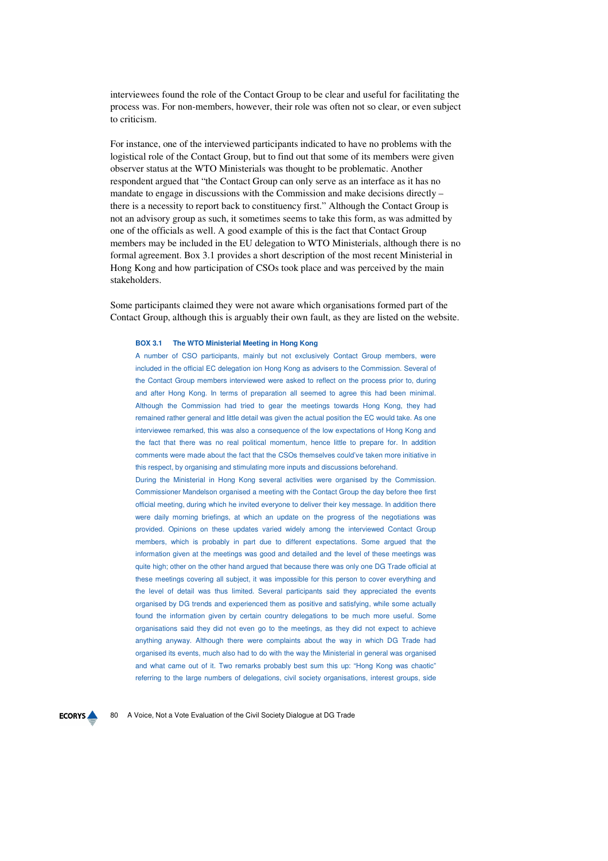interviewees found the role of the Contact Group to be clear and useful for facilitating the process was. For non-members, however, their role was often not so clear, or even subject to criticism.

For instance, one of the interviewed participants indicated to have no problems with the logistical role of the Contact Group, but to find out that some of its members were given observer status at the WTO Ministerials was thought to be problematic. Another respondent argued that "the Contact Group can only serve as an interface as it has no mandate to engage in discussions with the Commission and make decisions directly – there is a necessity to report back to constituency first." Although the Contact Group is not an advisory group as such, it sometimes seems to take this form, as was admitted by one of the officials as well. A good example of this is the fact that Contact Group members may be included in the EU delegation to WTO Ministerials, although there is no formal agreement. Box 3.1 provides a short description of the most recent Ministerial in Hong Kong and how participation of CSOs took place and was perceived by the main stakeholders.

Some participants claimed they were not aware which organisations formed part of the Contact Group, although this is arguably their own fault, as they are listed on the website.

#### **BOX 3.1 The WTO Ministerial Meeting in Hong Kong**

A number of CSO participants, mainly but not exclusively Contact Group members, were included in the official EC delegation ion Hong Kong as advisers to the Commission. Several of the Contact Group members interviewed were asked to reflect on the process prior to, during and after Hong Kong. In terms of preparation all seemed to agree this had been minimal. Although the Commission had tried to gear the meetings towards Hong Kong, they had remained rather general and little detail was given the actual position the EC would take. As one interviewee remarked, this was also a consequence of the low expectations of Hong Kong and the fact that there was no real political momentum, hence little to prepare for. In addition comments were made about the fact that the CSOs themselves could've taken more initiative in this respect, by organising and stimulating more inputs and discussions beforehand.

During the Ministerial in Hong Kong several activities were organised by the Commission. Commissioner Mandelson organised a meeting with the Contact Group the day before thee first official meeting, during which he invited everyone to deliver their key message. In addition there were daily morning briefings, at which an update on the progress of the negotiations was provided. Opinions on these updates varied widely among the interviewed Contact Group members, which is probably in part due to different expectations. Some argued that the information given at the meetings was good and detailed and the level of these meetings was quite high; other on the other hand argued that because there was only one DG Trade official at these meetings covering all subject, it was impossible for this person to cover everything and the level of detail was thus limited. Several participants said they appreciated the events organised by DG trends and experienced them as positive and satisfying, while some actually found the information given by certain country delegations to be much more useful. Some organisations said they did not even go to the meetings, as they did not expect to achieve anything anyway. Although there were complaints about the way in which DG Trade had organised its events, much also had to do with the way the Ministerial in general was organised and what came out of it. Two remarks probably best sum this up: "Hong Kong was chaotic" referring to the large numbers of delegations, civil society organisations, interest groups, side

**ECORYS**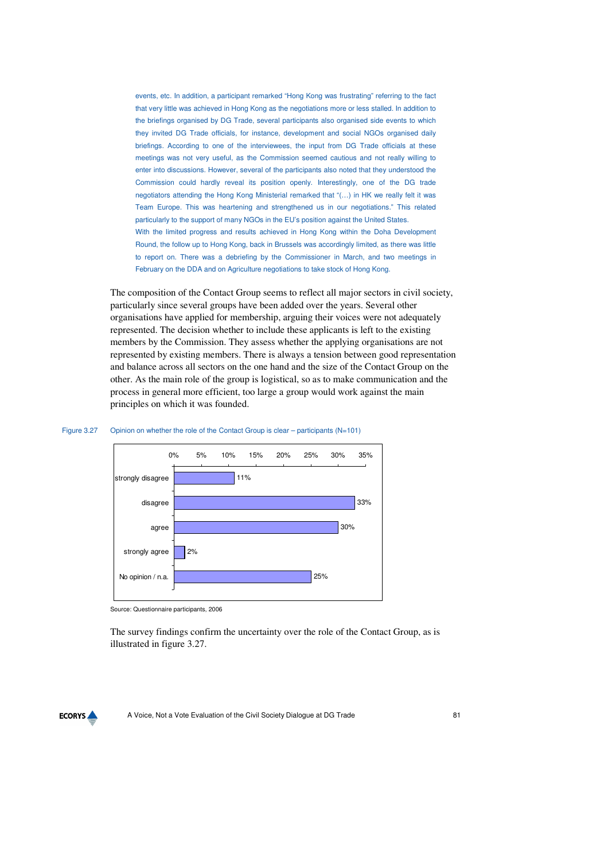events, etc. In addition, a participant remarked "Hong Kong was frustrating" referring to the fact that very little was achieved in Hong Kong as the negotiations more or less stalled. In addition to the briefings organised by DG Trade, several participants also organised side events to which they invited DG Trade officials, for instance, development and social NGOs organised daily briefings. According to one of the interviewees, the input from DG Trade officials at these meetings was not very useful, as the Commission seemed cautious and not really willing to enter into discussions. However, several of the participants also noted that they understood the Commission could hardly reveal its position openly. Interestingly, one of the DG trade negotiators attending the Hong Kong Ministerial remarked that "(…) in HK we really felt it was Team Europe. This was heartening and strengthened us in our negotiations." This related particularly to the support of many NGOs in the EU's position against the United States. With the limited progress and results achieved in Hong Kong within the Doha Development Round, the follow up to Hong Kong, back in Brussels was accordingly limited, as there was little to report on. There was a debriefing by the Commissioner in March, and two meetings in February on the DDA and on Agriculture negotiations to take stock of Hong Kong.

The composition of the Contact Group seems to reflect all major sectors in civil society, particularly since several groups have been added over the years. Several other organisations have applied for membership, arguing their voices were not adequately represented. The decision whether to include these applicants is left to the existing members by the Commission. They assess whether the applying organisations are not represented by existing members. There is always a tension between good representation and balance across all sectors on the one hand and the size of the Contact Group on the other. As the main role of the group is logistical, so as to make communication and the process in general more efficient, too large a group would work against the main principles on which it was founded.

#### Figure 3.27 Opinion on whether the role of the Contact Group is clear – participants (N=101)



Source: Questionnaire participants, 2006

The survey findings confirm the uncertainty over the role of the Contact Group, as is illustrated in figure 3.27.

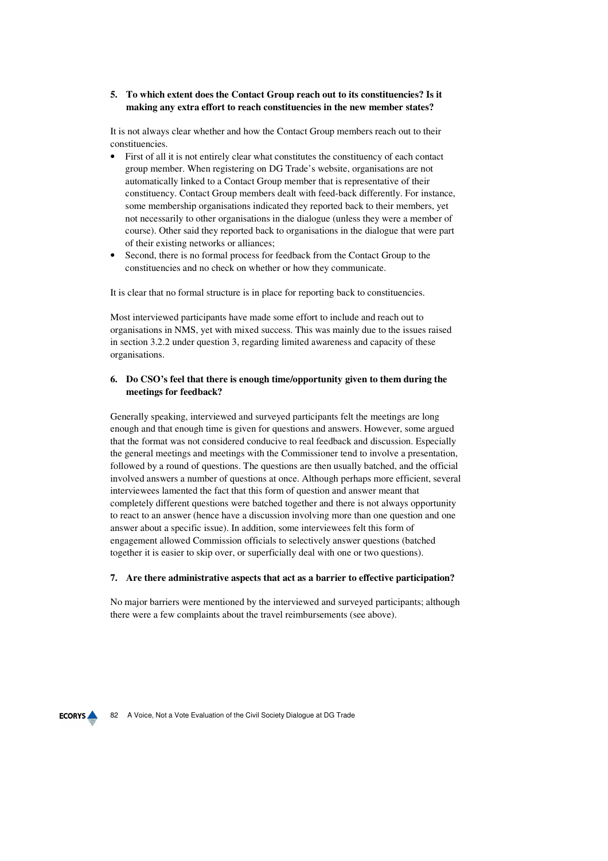## **5. To which extent does the Contact Group reach out to its constituencies? Is it making any extra effort to reach constituencies in the new member states?**

It is not always clear whether and how the Contact Group members reach out to their constituencies.

- First of all it is not entirely clear what constitutes the constituency of each contact group member. When registering on DG Trade's website, organisations are not automatically linked to a Contact Group member that is representative of their constituency. Contact Group members dealt with feed-back differently. For instance, some membership organisations indicated they reported back to their members, yet not necessarily to other organisations in the dialogue (unless they were a member of course). Other said they reported back to organisations in the dialogue that were part of their existing networks or alliances;
- Second, there is no formal process for feedback from the Contact Group to the constituencies and no check on whether or how they communicate.

It is clear that no formal structure is in place for reporting back to constituencies.

Most interviewed participants have made some effort to include and reach out to organisations in NMS, yet with mixed success. This was mainly due to the issues raised in section 3.2.2 under question 3, regarding limited awareness and capacity of these organisations.

### **6. Do CSO's feel that there is enough time/opportunity given to them during the meetings for feedback?**

Generally speaking, interviewed and surveyed participants felt the meetings are long enough and that enough time is given for questions and answers. However, some argued that the format was not considered conducive to real feedback and discussion. Especially the general meetings and meetings with the Commissioner tend to involve a presentation, followed by a round of questions. The questions are then usually batched, and the official involved answers a number of questions at once. Although perhaps more efficient, several interviewees lamented the fact that this form of question and answer meant that completely different questions were batched together and there is not always opportunity to react to an answer (hence have a discussion involving more than one question and one answer about a specific issue). In addition, some interviewees felt this form of engagement allowed Commission officials to selectively answer questions (batched together it is easier to skip over, or superficially deal with one or two questions).

#### **7. Are there administrative aspects that act as a barrier to effective participation?**

No major barriers were mentioned by the interviewed and surveyed participants; although there were a few complaints about the travel reimbursements (see above).

**ECORYS**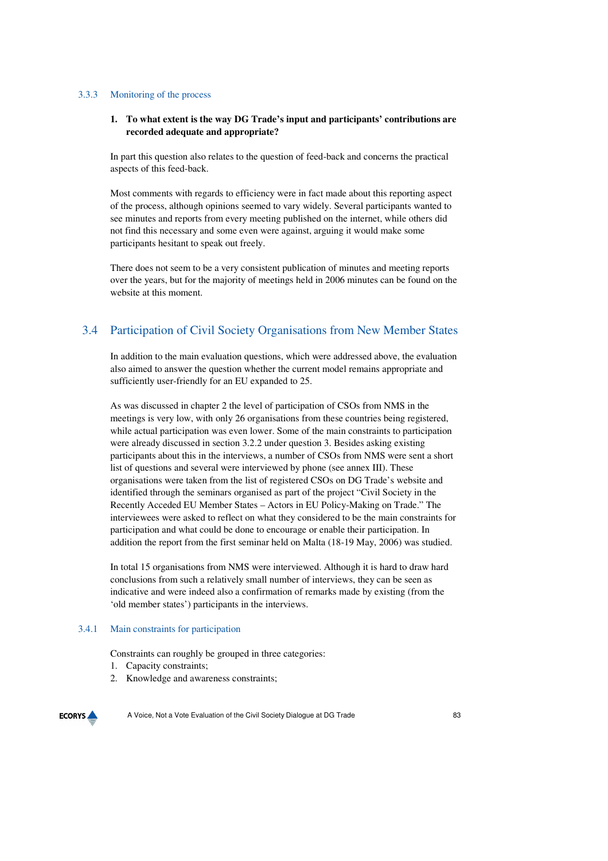#### 3.3.3 Monitoring of the process

#### **1. To what extent is the way DG Trade's input and participants' contributions are recorded adequate and appropriate?**

In part this question also relates to the question of feed-back and concerns the practical aspects of this feed-back.

Most comments with regards to efficiency were in fact made about this reporting aspect of the process, although opinions seemed to vary widely. Several participants wanted to see minutes and reports from every meeting published on the internet, while others did not find this necessary and some even were against, arguing it would make some participants hesitant to speak out freely.

There does not seem to be a very consistent publication of minutes and meeting reports over the years, but for the majority of meetings held in 2006 minutes can be found on the website at this moment.

## 3.4 Participation of Civil Society Organisations from New Member States

In addition to the main evaluation questions, which were addressed above, the evaluation also aimed to answer the question whether the current model remains appropriate and sufficiently user-friendly for an EU expanded to 25.

As was discussed in chapter 2 the level of participation of CSOs from NMS in the meetings is very low, with only 26 organisations from these countries being registered, while actual participation was even lower. Some of the main constraints to participation were already discussed in section 3.2.2 under question 3. Besides asking existing participants about this in the interviews, a number of CSOs from NMS were sent a short list of questions and several were interviewed by phone (see annex III). These organisations were taken from the list of registered CSOs on DG Trade's website and identified through the seminars organised as part of the project "Civil Society in the Recently Acceded EU Member States – Actors in EU Policy-Making on Trade." The interviewees were asked to reflect on what they considered to be the main constraints for participation and what could be done to encourage or enable their participation. In addition the report from the first seminar held on Malta (18-19 May, 2006) was studied.

In total 15 organisations from NMS were interviewed. Although it is hard to draw hard conclusions from such a relatively small number of interviews, they can be seen as indicative and were indeed also a confirmation of remarks made by existing (from the 'old member states') participants in the interviews.

#### 3.4.1 Main constraints for participation

Constraints can roughly be grouped in three categories:

- 1. Capacity constraints;
- 2. Knowledge and awareness constraints;

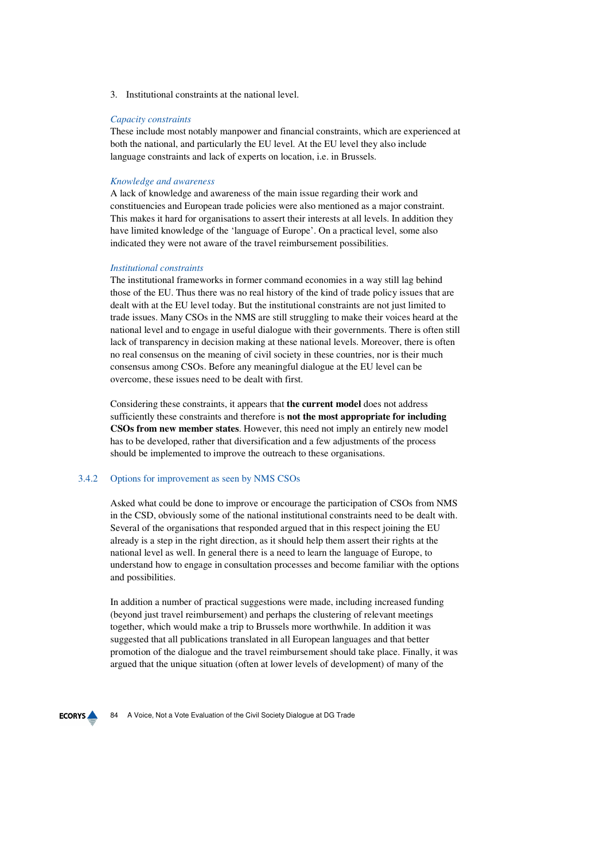3. Institutional constraints at the national level.

#### *Capacity constraints*

These include most notably manpower and financial constraints, which are experienced at both the national, and particularly the EU level. At the EU level they also include language constraints and lack of experts on location, i.e. in Brussels.

#### *Knowledge and awareness*

A lack of knowledge and awareness of the main issue regarding their work and constituencies and European trade policies were also mentioned as a major constraint. This makes it hard for organisations to assert their interests at all levels. In addition they have limited knowledge of the 'language of Europe'. On a practical level, some also indicated they were not aware of the travel reimbursement possibilities.

#### *Institutional constraints*

The institutional frameworks in former command economies in a way still lag behind those of the EU. Thus there was no real history of the kind of trade policy issues that are dealt with at the EU level today. But the institutional constraints are not just limited to trade issues. Many CSOs in the NMS are still struggling to make their voices heard at the national level and to engage in useful dialogue with their governments. There is often still lack of transparency in decision making at these national levels. Moreover, there is often no real consensus on the meaning of civil society in these countries, nor is their much consensus among CSOs. Before any meaningful dialogue at the EU level can be overcome, these issues need to be dealt with first.

Considering these constraints, it appears that **the current model** does not address sufficiently these constraints and therefore is **not the most appropriate for including CSOs from new member states**. However, this need not imply an entirely new model has to be developed, rather that diversification and a few adjustments of the process should be implemented to improve the outreach to these organisations.

#### 3.4.2 Options for improvement as seen by NMS CSOs

Asked what could be done to improve or encourage the participation of CSOs from NMS in the CSD, obviously some of the national institutional constraints need to be dealt with. Several of the organisations that responded argued that in this respect joining the EU already is a step in the right direction, as it should help them assert their rights at the national level as well. In general there is a need to learn the language of Europe, to understand how to engage in consultation processes and become familiar with the options and possibilities.

In addition a number of practical suggestions were made, including increased funding (beyond just travel reimbursement) and perhaps the clustering of relevant meetings together, which would make a trip to Brussels more worthwhile. In addition it was suggested that all publications translated in all European languages and that better promotion of the dialogue and the travel reimbursement should take place. Finally, it was argued that the unique situation (often at lower levels of development) of many of the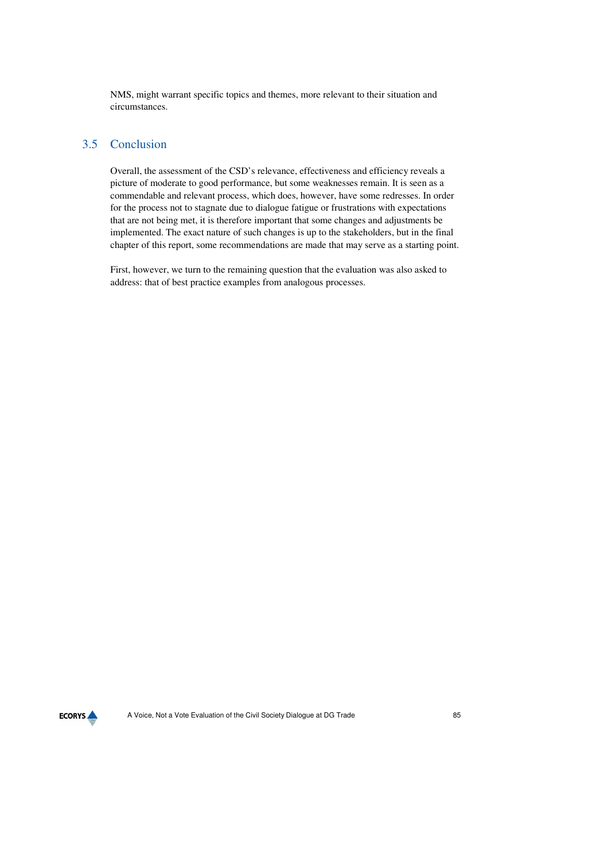NMS, might warrant specific topics and themes, more relevant to their situation and circumstances.

## 3.5 Conclusion

Overall, the assessment of the CSD's relevance, effectiveness and efficiency reveals a picture of moderate to good performance, but some weaknesses remain. It is seen as a commendable and relevant process, which does, however, have some redresses. In order for the process not to stagnate due to dialogue fatigue or frustrations with expectations that are not being met, it is therefore important that some changes and adjustments be implemented. The exact nature of such changes is up to the stakeholders, but in the final chapter of this report, some recommendations are made that may serve as a starting point.

First, however, we turn to the remaining question that the evaluation was also asked to address: that of best practice examples from analogous processes.

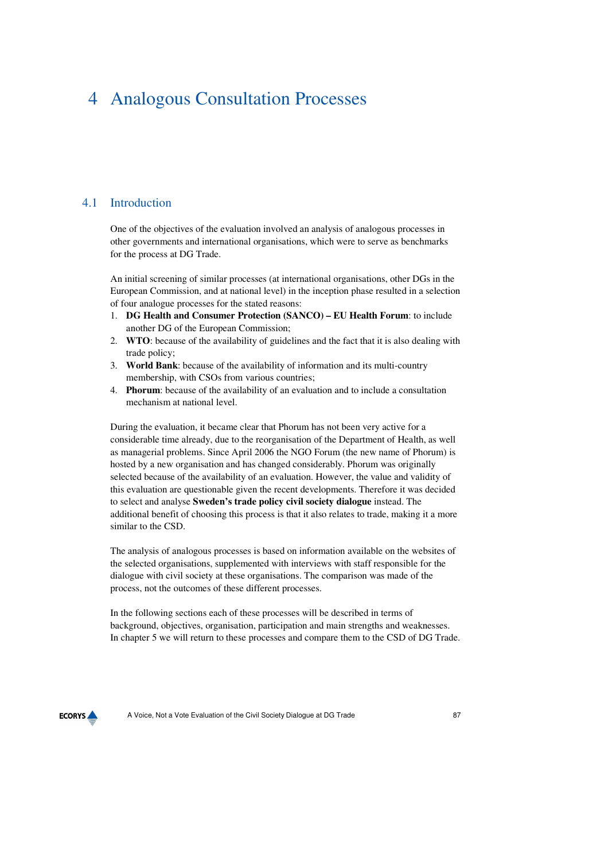## 4 Analogous Consultation Processes

## 4.1 Introduction

One of the objectives of the evaluation involved an analysis of analogous processes in other governments and international organisations, which were to serve as benchmarks for the process at DG Trade.

An initial screening of similar processes (at international organisations, other DGs in the European Commission, and at national level) in the inception phase resulted in a selection of four analogue processes for the stated reasons:

- 1. **DG Health and Consumer Protection (SANCO) EU Health Forum**: to include another DG of the European Commission;
- 2. **WTO**: because of the availability of guidelines and the fact that it is also dealing with trade policy;
- 3. **World Bank**: because of the availability of information and its multi-country membership, with CSOs from various countries;
- 4. **Phorum**: because of the availability of an evaluation and to include a consultation mechanism at national level.

During the evaluation, it became clear that Phorum has not been very active for a considerable time already, due to the reorganisation of the Department of Health, as well as managerial problems. Since April 2006 the NGO Forum (the new name of Phorum) is hosted by a new organisation and has changed considerably. Phorum was originally selected because of the availability of an evaluation. However, the value and validity of this evaluation are questionable given the recent developments. Therefore it was decided to select and analyse **Sweden's trade policy civil society dialogue** instead. The additional benefit of choosing this process is that it also relates to trade, making it a more similar to the CSD.

The analysis of analogous processes is based on information available on the websites of the selected organisations, supplemented with interviews with staff responsible for the dialogue with civil society at these organisations. The comparison was made of the process, not the outcomes of these different processes.

In the following sections each of these processes will be described in terms of background, objectives, organisation, participation and main strengths and weaknesses. In chapter 5 we will return to these processes and compare them to the CSD of DG Trade.

**ECORYS**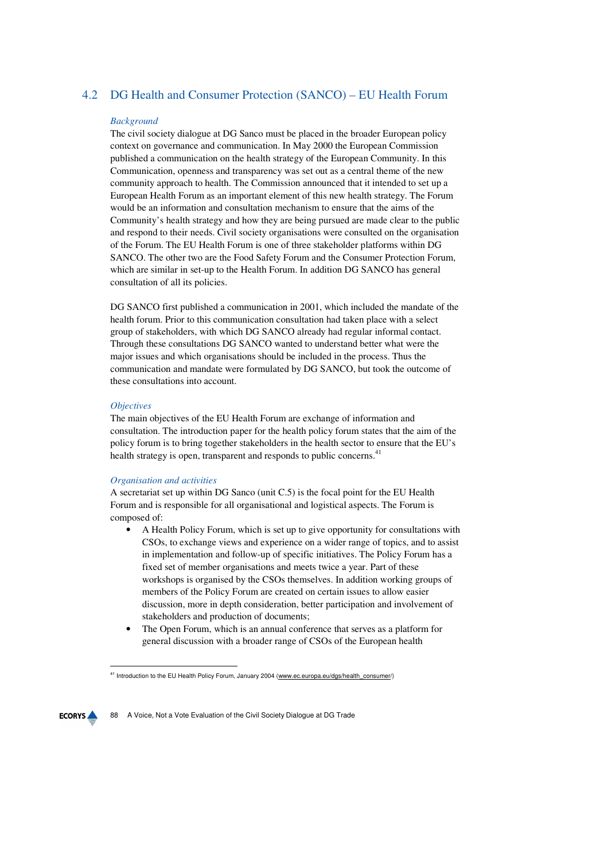## 4.2 DG Health and Consumer Protection (SANCO) – EU Health Forum

#### *Background*

The civil society dialogue at DG Sanco must be placed in the broader European policy context on governance and communication. In May 2000 the European Commission published a communication on the health strategy of the European Community. In this Communication, openness and transparency was set out as a central theme of the new community approach to health. The Commission announced that it intended to set up a European Health Forum as an important element of this new health strategy. The Forum would be an information and consultation mechanism to ensure that the aims of the Community's health strategy and how they are being pursued are made clear to the public and respond to their needs. Civil society organisations were consulted on the organisation of the Forum. The EU Health Forum is one of three stakeholder platforms within DG SANCO. The other two are the Food Safety Forum and the Consumer Protection Forum, which are similar in set-up to the Health Forum. In addition DG SANCO has general consultation of all its policies.

DG SANCO first published a communication in 2001, which included the mandate of the health forum. Prior to this communication consultation had taken place with a select group of stakeholders, with which DG SANCO already had regular informal contact. Through these consultations DG SANCO wanted to understand better what were the major issues and which organisations should be included in the process. Thus the communication and mandate were formulated by DG SANCO, but took the outcome of these consultations into account.

#### *Objectives*

The main objectives of the EU Health Forum are exchange of information and consultation. The introduction paper for the health policy forum states that the aim of the policy forum is to bring together stakeholders in the health sector to ensure that the EU's health strategy is open, transparent and responds to public concerns.<sup>41</sup>

#### *Organisation and activities*

A secretariat set up within DG Sanco (unit C.5) is the focal point for the EU Health Forum and is responsible for all organisational and logistical aspects. The Forum is composed of:

- A Health Policy Forum, which is set up to give opportunity for consultations with CSOs, to exchange views and experience on a wider range of topics, and to assist in implementation and follow-up of specific initiatives. The Policy Forum has a fixed set of member organisations and meets twice a year. Part of these workshops is organised by the CSOs themselves. In addition working groups of members of the Policy Forum are created on certain issues to allow easier discussion, more in depth consideration, better participation and involvement of stakeholders and production of documents;
- The Open Forum, which is an annual conference that serves as a platform for general discussion with a broader range of CSOs of the European health

**ECORYS** 

 $\overline{a}$ 

<sup>&</sup>lt;sup>41</sup> Introduction to the EU Health Policy Forum, January 2004 (www.ec.europa.eu/dgs/health\_consumer/)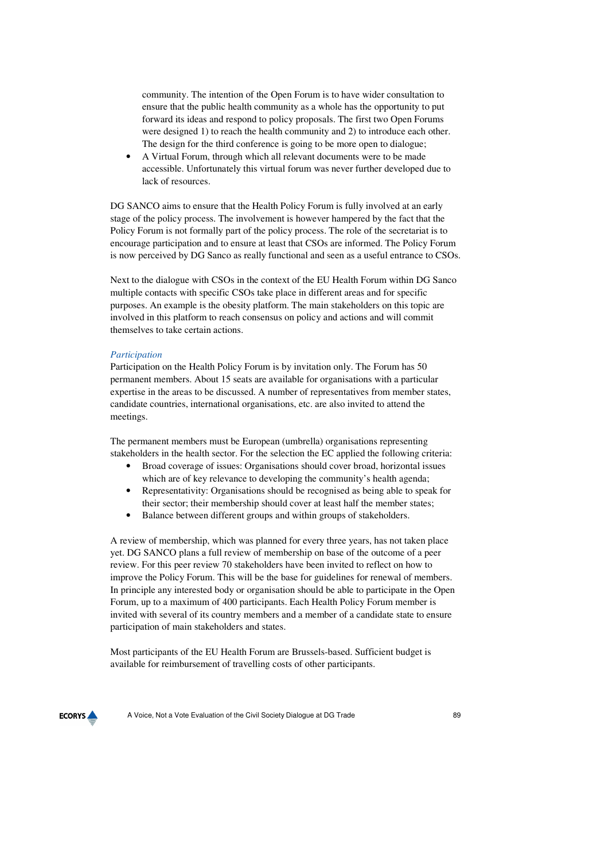community. The intention of the Open Forum is to have wider consultation to ensure that the public health community as a whole has the opportunity to put forward its ideas and respond to policy proposals. The first two Open Forums were designed 1) to reach the health community and 2) to introduce each other. The design for the third conference is going to be more open to dialogue;

• A Virtual Forum, through which all relevant documents were to be made accessible. Unfortunately this virtual forum was never further developed due to lack of resources.

DG SANCO aims to ensure that the Health Policy Forum is fully involved at an early stage of the policy process. The involvement is however hampered by the fact that the Policy Forum is not formally part of the policy process. The role of the secretariat is to encourage participation and to ensure at least that CSOs are informed. The Policy Forum is now perceived by DG Sanco as really functional and seen as a useful entrance to CSOs.

Next to the dialogue with CSOs in the context of the EU Health Forum within DG Sanco multiple contacts with specific CSOs take place in different areas and for specific purposes. An example is the obesity platform. The main stakeholders on this topic are involved in this platform to reach consensus on policy and actions and will commit themselves to take certain actions.

#### *Participation*

Participation on the Health Policy Forum is by invitation only. The Forum has 50 permanent members. About 15 seats are available for organisations with a particular expertise in the areas to be discussed. A number of representatives from member states, candidate countries, international organisations, etc. are also invited to attend the meetings.

The permanent members must be European (umbrella) organisations representing stakeholders in the health sector. For the selection the EC applied the following criteria:

- Broad coverage of issues: Organisations should cover broad, horizontal issues which are of key relevance to developing the community's health agenda;
- Representativity: Organisations should be recognised as being able to speak for their sector; their membership should cover at least half the member states;
- Balance between different groups and within groups of stakeholders.

A review of membership, which was planned for every three years, has not taken place yet. DG SANCO plans a full review of membership on base of the outcome of a peer review. For this peer review 70 stakeholders have been invited to reflect on how to improve the Policy Forum. This will be the base for guidelines for renewal of members. In principle any interested body or organisation should be able to participate in the Open Forum, up to a maximum of 400 participants. Each Health Policy Forum member is invited with several of its country members and a member of a candidate state to ensure participation of main stakeholders and states.

Most participants of the EU Health Forum are Brussels-based. Sufficient budget is available for reimbursement of travelling costs of other participants.

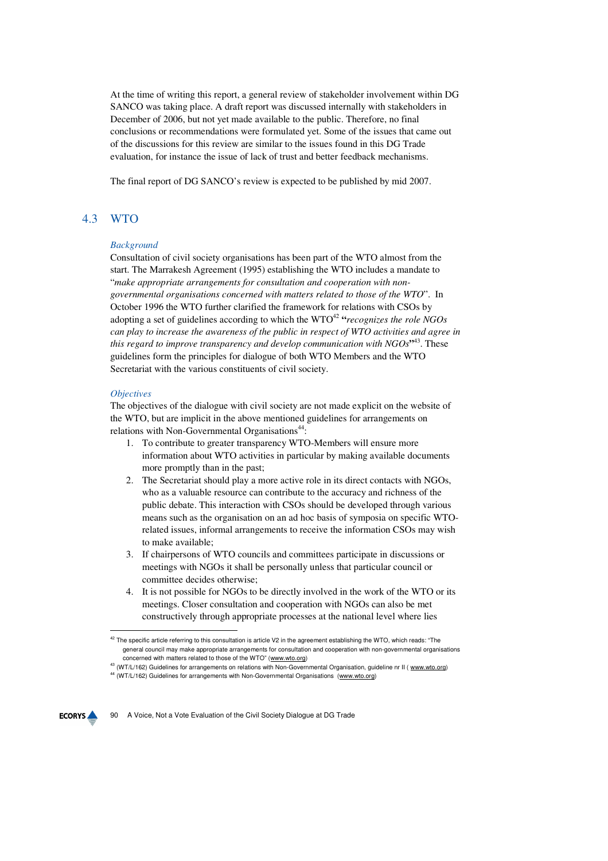At the time of writing this report, a general review of stakeholder involvement within DG SANCO was taking place. A draft report was discussed internally with stakeholders in December of 2006, but not yet made available to the public. Therefore, no final conclusions or recommendations were formulated yet. Some of the issues that came out of the discussions for this review are similar to the issues found in this DG Trade evaluation, for instance the issue of lack of trust and better feedback mechanisms.

The final report of DG SANCO's review is expected to be published by mid 2007.

## 4.3 WTO

#### *Background*

Consultation of civil society organisations has been part of the WTO almost from the start. The Marrakesh Agreement (1995) establishing the WTO includes a mandate to "*make appropriate arrangements for consultation and cooperation with nongovernmental organisations concerned with matters related to those of the WTO*". In October 1996 the WTO further clarified the framework for relations with CSOs by adopting a set of guidelines according to which the WTO<sup>42</sup> "*recognizes the role NGOs can play to increase the awareness of the public in respect of WTO activities and agree in this regard to improve transparency and develop communication with NGOs***"** <sup>43</sup>. These guidelines form the principles for dialogue of both WTO Members and the WTO Secretariat with the various constituents of civil society.

#### *Objectives*

The objectives of the dialogue with civil society are not made explicit on the website of the WTO, but are implicit in the above mentioned guidelines for arrangements on relations with Non-Governmental Organisations<sup>44</sup>:

- 1. To contribute to greater transparency WTO-Members will ensure more information about WTO activities in particular by making available documents more promptly than in the past;
- 2. The Secretariat should play a more active role in its direct contacts with NGOs, who as a valuable resource can contribute to the accuracy and richness of the public debate. This interaction with CSOs should be developed through various means such as the organisation on an ad hoc basis of symposia on specific WTOrelated issues, informal arrangements to receive the information CSOs may wish to make available;
- 3. If chairpersons of WTO councils and committees participate in discussions or meetings with NGOs it shall be personally unless that particular council or committee decides otherwise;
- 4. It is not possible for NGOs to be directly involved in the work of the WTO or its meetings. Closer consultation and cooperation with NGOs can also be met constructively through appropriate processes at the national level where lies

<sup>44 (</sup>WT/L/162) Guidelines for arrangements with Non-Governmental Organisations (www.wto.org)



 $\overline{a}$ 

<sup>&</sup>lt;sup>42</sup> The specific article referring to this consultation is article V2 in the agreement establishing the WTO, which reads: "The general council may make appropriate arrangements for consultation and cooperation with non-governmental organisations concerned with matters related to those of the WTO" (www.wto.org)

<sup>&</sup>lt;sup>43</sup> (WT/L/162) Guidelines for arrangements on relations with Non-Governmental Organisation, guideline nr II ( www.wto.org)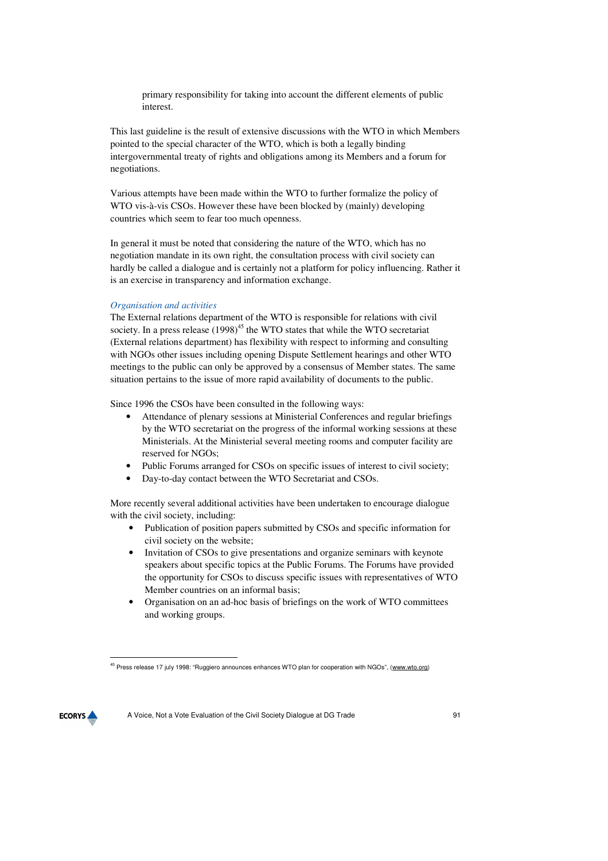primary responsibility for taking into account the different elements of public interest.

This last guideline is the result of extensive discussions with the WTO in which Members pointed to the special character of the WTO, which is both a legally binding intergovernmental treaty of rights and obligations among its Members and a forum for negotiations.

Various attempts have been made within the WTO to further formalize the policy of WTO vis-à-vis CSOs. However these have been blocked by (mainly) developing countries which seem to fear too much openness.

In general it must be noted that considering the nature of the WTO, which has no negotiation mandate in its own right, the consultation process with civil society can hardly be called a dialogue and is certainly not a platform for policy influencing. Rather it is an exercise in transparency and information exchange.

#### *Organisation and activities*

The External relations department of the WTO is responsible for relations with civil society. In a press release  $(1998)^{45}$  the WTO states that while the WTO secretariat (External relations department) has flexibility with respect to informing and consulting with NGOs other issues including opening Dispute Settlement hearings and other WTO meetings to the public can only be approved by a consensus of Member states. The same situation pertains to the issue of more rapid availability of documents to the public.

Since 1996 the CSOs have been consulted in the following ways:

- Attendance of plenary sessions at Ministerial Conferences and regular briefings by the WTO secretariat on the progress of the informal working sessions at these Ministerials. At the Ministerial several meeting rooms and computer facility are reserved for NGOs;
- Public Forums arranged for CSOs on specific issues of interest to civil society;
- Day-to-day contact between the WTO Secretariat and CSOs.

More recently several additional activities have been undertaken to encourage dialogue with the civil society, including:

- Publication of position papers submitted by CSOs and specific information for civil society on the website;
- Invitation of CSOs to give presentations and organize seminars with keynote speakers about specific topics at the Public Forums. The Forums have provided the opportunity for CSOs to discuss specific issues with representatives of WTO Member countries on an informal basis;
- Organisation on an ad-hoc basis of briefings on the work of WTO committees and working groups.

<sup>&</sup>lt;sup>45</sup> Press release 17 july 1998: "Ruggiero announces enhances WTO plan for cooperation with NGOs", (www.wto.org)



 $\overline{a}$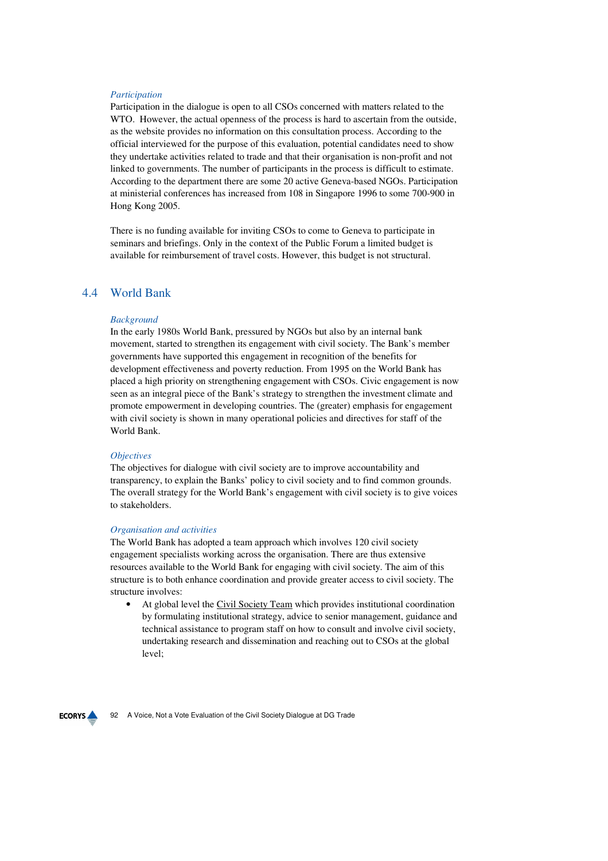#### *Participation*

Participation in the dialogue is open to all CSOs concerned with matters related to the WTO. However, the actual openness of the process is hard to ascertain from the outside, as the website provides no information on this consultation process. According to the official interviewed for the purpose of this evaluation, potential candidates need to show they undertake activities related to trade and that their organisation is non-profit and not linked to governments. The number of participants in the process is difficult to estimate. According to the department there are some 20 active Geneva-based NGOs. Participation at ministerial conferences has increased from 108 in Singapore 1996 to some 700-900 in Hong Kong 2005.

There is no funding available for inviting CSOs to come to Geneva to participate in seminars and briefings. Only in the context of the Public Forum a limited budget is available for reimbursement of travel costs. However, this budget is not structural.

## 4.4 World Bank

#### *Background*

In the early 1980s World Bank, pressured by NGOs but also by an internal bank movement, started to strengthen its engagement with civil society. The Bank's member governments have supported this engagement in recognition of the benefits for development effectiveness and poverty reduction. From 1995 on the World Bank has placed a high priority on strengthening engagement with CSOs. Civic engagement is now seen as an integral piece of the Bank's strategy to strengthen the investment climate and promote empowerment in developing countries. The (greater) emphasis for engagement with civil society is shown in many operational policies and directives for staff of the World Bank.

#### *Objectives*

The objectives for dialogue with civil society are to improve accountability and transparency, to explain the Banks' policy to civil society and to find common grounds. The overall strategy for the World Bank's engagement with civil society is to give voices to stakeholders.

#### *Organisation and activities*

The World Bank has adopted a team approach which involves 120 civil society engagement specialists working across the organisation. There are thus extensive resources available to the World Bank for engaging with civil society. The aim of this structure is to both enhance coordination and provide greater access to civil society. The structure involves:

• At global level the Civil Society Team which provides institutional coordination by formulating institutional strategy, advice to senior management, guidance and technical assistance to program staff on how to consult and involve civil society, undertaking research and dissemination and reaching out to CSOs at the global level;

**ECORYS**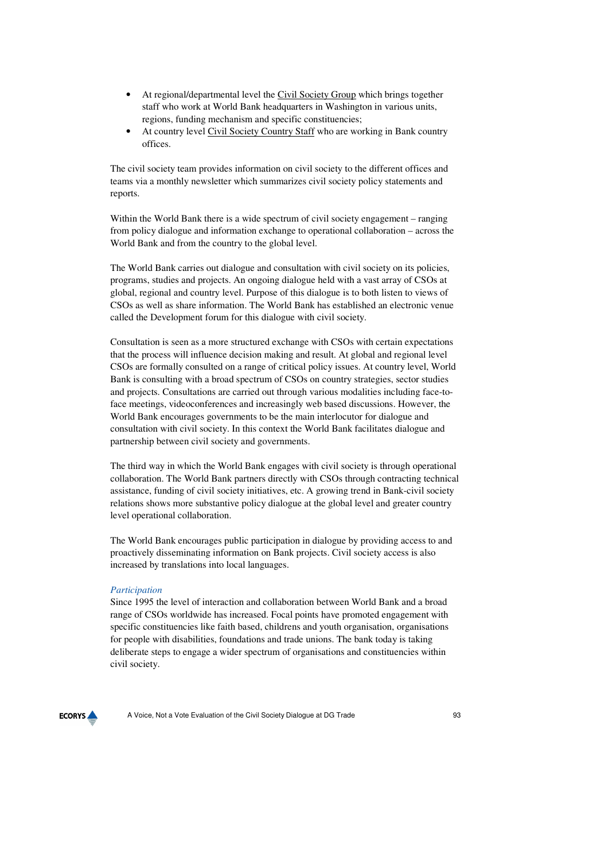- At regional/departmental level the Civil Society Group which brings together staff who work at World Bank headquarters in Washington in various units, regions, funding mechanism and specific constituencies;
- At country level Civil Society Country Staff who are working in Bank country offices.

The civil society team provides information on civil society to the different offices and teams via a monthly newsletter which summarizes civil society policy statements and reports.

Within the World Bank there is a wide spectrum of civil society engagement – ranging from policy dialogue and information exchange to operational collaboration – across the World Bank and from the country to the global level.

The World Bank carries out dialogue and consultation with civil society on its policies, programs, studies and projects. An ongoing dialogue held with a vast array of CSOs at global, regional and country level. Purpose of this dialogue is to both listen to views of CSOs as well as share information. The World Bank has established an electronic venue called the Development forum for this dialogue with civil society.

Consultation is seen as a more structured exchange with CSOs with certain expectations that the process will influence decision making and result. At global and regional level CSOs are formally consulted on a range of critical policy issues. At country level, World Bank is consulting with a broad spectrum of CSOs on country strategies, sector studies and projects. Consultations are carried out through various modalities including face-toface meetings, videoconferences and increasingly web based discussions. However, the World Bank encourages governments to be the main interlocutor for dialogue and consultation with civil society. In this context the World Bank facilitates dialogue and partnership between civil society and governments.

The third way in which the World Bank engages with civil society is through operational collaboration. The World Bank partners directly with CSOs through contracting technical assistance, funding of civil society initiatives, etc. A growing trend in Bank-civil society relations shows more substantive policy dialogue at the global level and greater country level operational collaboration.

The World Bank encourages public participation in dialogue by providing access to and proactively disseminating information on Bank projects. Civil society access is also increased by translations into local languages.

#### *Participation*

Since 1995 the level of interaction and collaboration between World Bank and a broad range of CSOs worldwide has increased. Focal points have promoted engagement with specific constituencies like faith based, childrens and youth organisation, organisations for people with disabilities, foundations and trade unions. The bank today is taking deliberate steps to engage a wider spectrum of organisations and constituencies within civil society.

#### **ECORYS**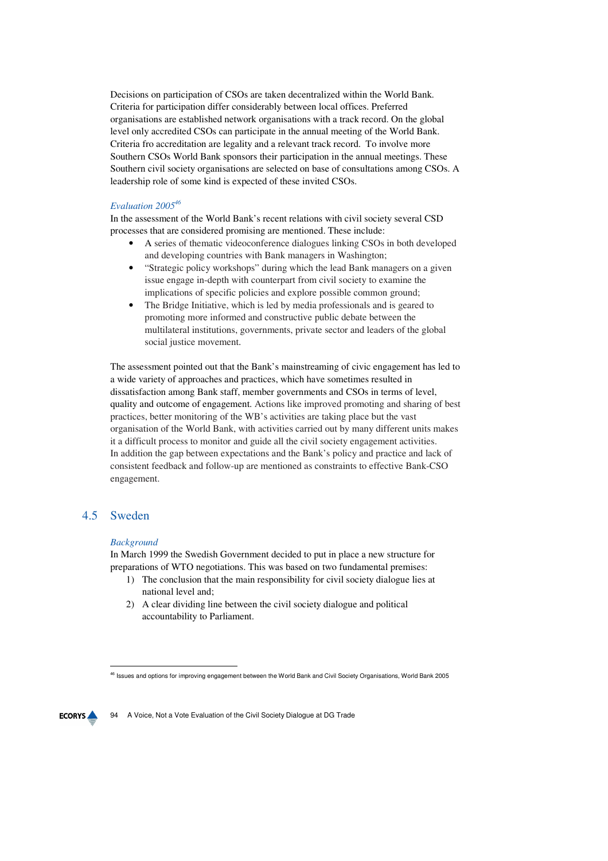Decisions on participation of CSOs are taken decentralized within the World Bank. Criteria for participation differ considerably between local offices. Preferred organisations are established network organisations with a track record. On the global level only accredited CSOs can participate in the annual meeting of the World Bank. Criteria fro accreditation are legality and a relevant track record. To involve more Southern CSOs World Bank sponsors their participation in the annual meetings. These Southern civil society organisations are selected on base of consultations among CSOs. A leadership role of some kind is expected of these invited CSOs.

## *Evaluation 2005<sup>46</sup>*

In the assessment of the World Bank's recent relations with civil society several CSD processes that are considered promising are mentioned. These include:

- A series of thematic videoconference dialogues linking CSOs in both developed and developing countries with Bank managers in Washington;
- "Strategic policy workshops" during which the lead Bank managers on a given issue engage in-depth with counterpart from civil society to examine the implications of specific policies and explore possible common ground;
- The Bridge Initiative, which is led by media professionals and is geared to promoting more informed and constructive public debate between the multilateral institutions, governments, private sector and leaders of the global social justice movement.

The assessment pointed out that the Bank's mainstreaming of civic engagement has led to a wide variety of approaches and practices, which have sometimes resulted in dissatisfaction among Bank staff, member governments and CSOs in terms of level, quality and outcome of engagement. Actions like improved promoting and sharing of best practices, better monitoring of the WB's activities are taking place but the vast organisation of the World Bank, with activities carried out by many different units makes it a difficult process to monitor and guide all the civil society engagement activities. In addition the gap between expectations and the Bank's policy and practice and lack of consistent feedback and follow-up are mentioned as constraints to effective Bank-CSO engagement.

## 4.5 Sweden

 $\overline{a}$ 

**ECORYS** 

#### *Background*

In March 1999 the Swedish Government decided to put in place a new structure for preparations of WTO negotiations. This was based on two fundamental premises:

- 1) The conclusion that the main responsibility for civil society dialogue lies at national level and;
- 2) A clear dividing line between the civil society dialogue and political accountability to Parliament.

<sup>46</sup> Issues and options for improving engagement between the World Bank and Civil Society Organisations, World Bank 2005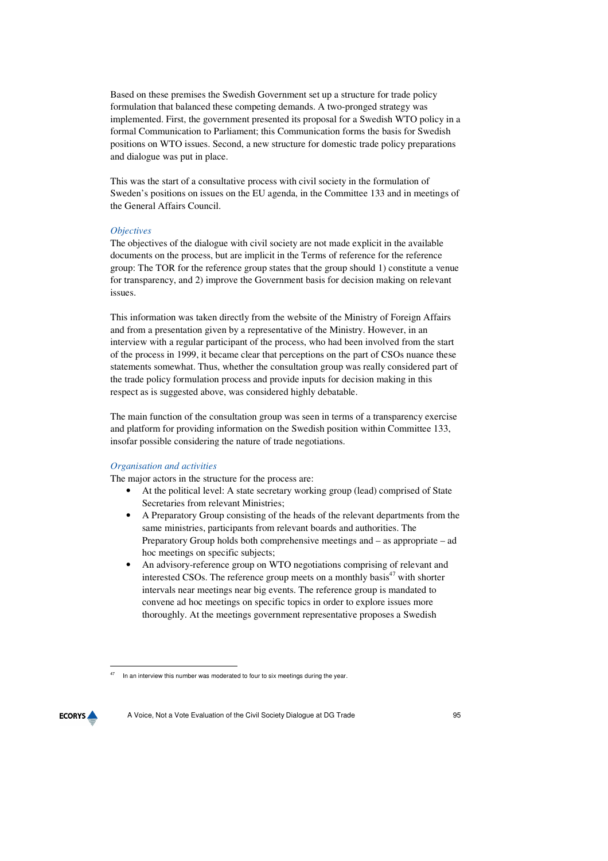Based on these premises the Swedish Government set up a structure for trade policy formulation that balanced these competing demands. A two-pronged strategy was implemented. First, the government presented its proposal for a Swedish WTO policy in a formal Communication to Parliament; this Communication forms the basis for Swedish positions on WTO issues. Second, a new structure for domestic trade policy preparations and dialogue was put in place.

This was the start of a consultative process with civil society in the formulation of Sweden's positions on issues on the EU agenda, in the Committee 133 and in meetings of the General Affairs Council.

#### *Objectives*

The objectives of the dialogue with civil society are not made explicit in the available documents on the process, but are implicit in the Terms of reference for the reference group: The TOR for the reference group states that the group should 1) constitute a venue for transparency, and 2) improve the Government basis for decision making on relevant issues.

This information was taken directly from the website of the Ministry of Foreign Affairs and from a presentation given by a representative of the Ministry. However, in an interview with a regular participant of the process, who had been involved from the start of the process in 1999, it became clear that perceptions on the part of CSOs nuance these statements somewhat. Thus, whether the consultation group was really considered part of the trade policy formulation process and provide inputs for decision making in this respect as is suggested above, was considered highly debatable.

The main function of the consultation group was seen in terms of a transparency exercise and platform for providing information on the Swedish position within Committee 133, insofar possible considering the nature of trade negotiations.

#### *Organisation and activities*

The major actors in the structure for the process are:

- At the political level: A state secretary working group (lead) comprised of State Secretaries from relevant Ministries;
- A Preparatory Group consisting of the heads of the relevant departments from the same ministries, participants from relevant boards and authorities. The Preparatory Group holds both comprehensive meetings and – as appropriate – ad hoc meetings on specific subjects;
- An advisory-reference group on WTO negotiations comprising of relevant and interested CSOs. The reference group meets on a monthly basis $47$  with shorter intervals near meetings near big events. The reference group is mandated to convene ad hoc meetings on specific topics in order to explore issues more thoroughly. At the meetings government representative proposes a Swedish

In an interview this number was moderated to four to six meetings during the year.



 $\overline{a}$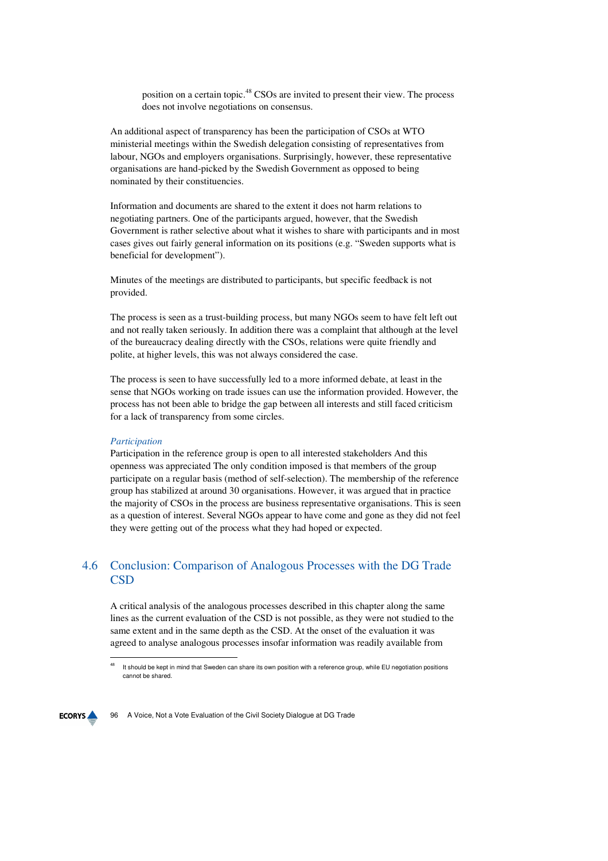position on a certain topic.<sup>48</sup> CSOs are invited to present their view. The process does not involve negotiations on consensus.

An additional aspect of transparency has been the participation of CSOs at WTO ministerial meetings within the Swedish delegation consisting of representatives from labour, NGOs and employers organisations. Surprisingly, however, these representative organisations are hand-picked by the Swedish Government as opposed to being nominated by their constituencies.

Information and documents are shared to the extent it does not harm relations to negotiating partners. One of the participants argued, however, that the Swedish Government is rather selective about what it wishes to share with participants and in most cases gives out fairly general information on its positions (e.g. "Sweden supports what is beneficial for development").

Minutes of the meetings are distributed to participants, but specific feedback is not provided.

The process is seen as a trust-building process, but many NGOs seem to have felt left out and not really taken seriously. In addition there was a complaint that although at the level of the bureaucracy dealing directly with the CSOs, relations were quite friendly and polite, at higher levels, this was not always considered the case.

The process is seen to have successfully led to a more informed debate, at least in the sense that NGOs working on trade issues can use the information provided. However, the process has not been able to bridge the gap between all interests and still faced criticism for a lack of transparency from some circles.

#### *Participation*

Participation in the reference group is open to all interested stakeholders And this openness was appreciated The only condition imposed is that members of the group participate on a regular basis (method of self-selection). The membership of the reference group has stabilized at around 30 organisations. However, it was argued that in practice the majority of CSOs in the process are business representative organisations. This is seen as a question of interest. Several NGOs appear to have come and gone as they did not feel they were getting out of the process what they had hoped or expected.

## 4.6 Conclusion: Comparison of Analogous Processes with the DG Trade **CSD**

A critical analysis of the analogous processes described in this chapter along the same lines as the current evaluation of the CSD is not possible, as they were not studied to the same extent and in the same depth as the CSD. At the onset of the evaluation it was agreed to analyse analogous processes insofar information was readily available from

**ECORYS** 

 $\overline{a}$ 

It should be kept in mind that Sweden can share its own position with a reference group, while EU negotiation positions cannot be shared.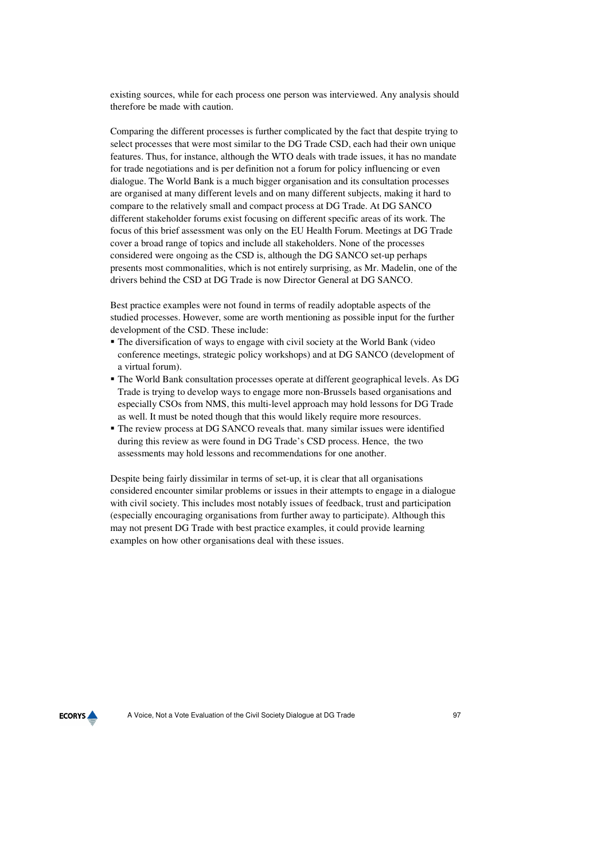existing sources, while for each process one person was interviewed. Any analysis should therefore be made with caution.

Comparing the different processes is further complicated by the fact that despite trying to select processes that were most similar to the DG Trade CSD, each had their own unique features. Thus, for instance, although the WTO deals with trade issues, it has no mandate for trade negotiations and is per definition not a forum for policy influencing or even dialogue. The World Bank is a much bigger organisation and its consultation processes are organised at many different levels and on many different subjects, making it hard to compare to the relatively small and compact process at DG Trade. At DG SANCO different stakeholder forums exist focusing on different specific areas of its work. The focus of this brief assessment was only on the EU Health Forum. Meetings at DG Trade cover a broad range of topics and include all stakeholders. None of the processes considered were ongoing as the CSD is, although the DG SANCO set-up perhaps presents most commonalities, which is not entirely surprising, as Mr. Madelin, one of the drivers behind the CSD at DG Trade is now Director General at DG SANCO.

Best practice examples were not found in terms of readily adoptable aspects of the studied processes. However, some are worth mentioning as possible input for the further development of the CSD. These include:

- The diversification of ways to engage with civil society at the World Bank (video conference meetings, strategic policy workshops) and at DG SANCO (development of a virtual forum).
- The World Bank consultation processes operate at different geographical levels. As DG Trade is trying to develop ways to engage more non-Brussels based organisations and especially CSOs from NMS, this multi-level approach may hold lessons for DG Trade as well. It must be noted though that this would likely require more resources.
- The review process at DG SANCO reveals that. many similar issues were identified during this review as were found in DG Trade's CSD process. Hence, the two assessments may hold lessons and recommendations for one another.

Despite being fairly dissimilar in terms of set-up, it is clear that all organisations considered encounter similar problems or issues in their attempts to engage in a dialogue with civil society. This includes most notably issues of feedback, trust and participation (especially encouraging organisations from further away to participate). Although this may not present DG Trade with best practice examples, it could provide learning examples on how other organisations deal with these issues.

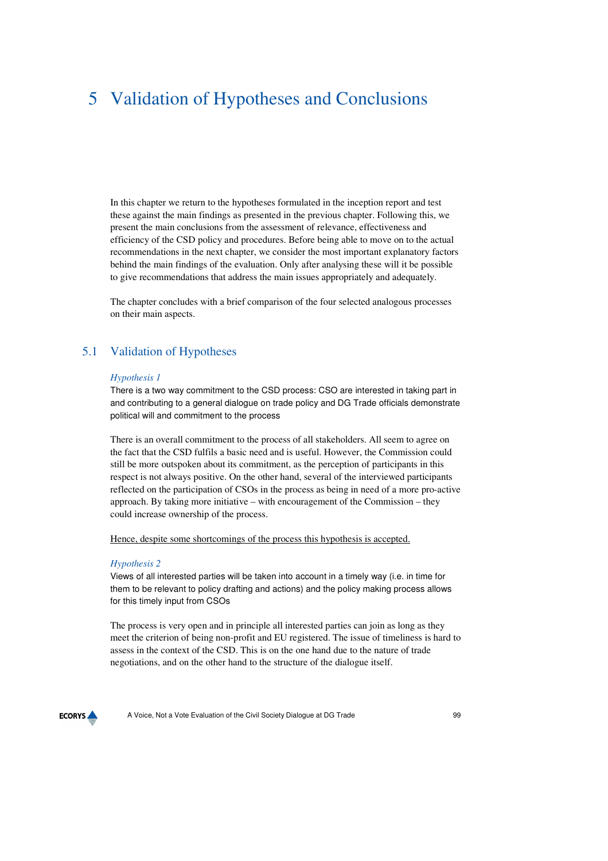# 5 Validation of Hypotheses and Conclusions

In this chapter we return to the hypotheses formulated in the inception report and test these against the main findings as presented in the previous chapter. Following this, we present the main conclusions from the assessment of relevance, effectiveness and efficiency of the CSD policy and procedures. Before being able to move on to the actual recommendations in the next chapter, we consider the most important explanatory factors behind the main findings of the evaluation. Only after analysing these will it be possible to give recommendations that address the main issues appropriately and adequately.

The chapter concludes with a brief comparison of the four selected analogous processes on their main aspects.

## 5.1 Validation of Hypotheses

#### *Hypothesis 1*

There is a two way commitment to the CSD process: CSO are interested in taking part in and contributing to a general dialogue on trade policy and DG Trade officials demonstrate political will and commitment to the process

There is an overall commitment to the process of all stakeholders. All seem to agree on the fact that the CSD fulfils a basic need and is useful. However, the Commission could still be more outspoken about its commitment, as the perception of participants in this respect is not always positive. On the other hand, several of the interviewed participants reflected on the participation of CSOs in the process as being in need of a more pro-active approach. By taking more initiative – with encouragement of the Commission – they could increase ownership of the process.

Hence, despite some shortcomings of the process this hypothesis is accepted.

#### *Hypothesis 2*

Views of all interested parties will be taken into account in a timely way (i.e. in time for them to be relevant to policy drafting and actions) and the policy making process allows for this timely input from CSOs

The process is very open and in principle all interested parties can join as long as they meet the criterion of being non-profit and EU registered. The issue of timeliness is hard to assess in the context of the CSD. This is on the one hand due to the nature of trade negotiations, and on the other hand to the structure of the dialogue itself.

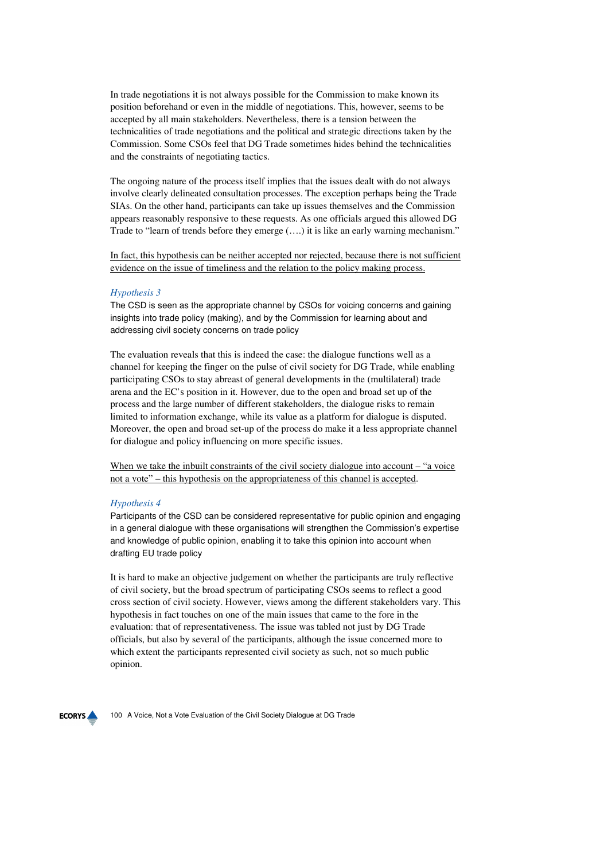In trade negotiations it is not always possible for the Commission to make known its position beforehand or even in the middle of negotiations. This, however, seems to be accepted by all main stakeholders. Nevertheless, there is a tension between the technicalities of trade negotiations and the political and strategic directions taken by the Commission. Some CSOs feel that DG Trade sometimes hides behind the technicalities and the constraints of negotiating tactics.

The ongoing nature of the process itself implies that the issues dealt with do not always involve clearly delineated consultation processes. The exception perhaps being the Trade SIAs. On the other hand, participants can take up issues themselves and the Commission appears reasonably responsive to these requests. As one officials argued this allowed DG Trade to "learn of trends before they emerge  $(...)$  it is like an early warning mechanism."

In fact, this hypothesis can be neither accepted nor rejected, because there is not sufficient evidence on the issue of timeliness and the relation to the policy making process.

#### *Hypothesis 3*

The CSD is seen as the appropriate channel by CSOs for voicing concerns and gaining insights into trade policy (making), and by the Commission for learning about and addressing civil society concerns on trade policy

The evaluation reveals that this is indeed the case: the dialogue functions well as a channel for keeping the finger on the pulse of civil society for DG Trade, while enabling participating CSOs to stay abreast of general developments in the (multilateral) trade arena and the EC's position in it. However, due to the open and broad set up of the process and the large number of different stakeholders, the dialogue risks to remain limited to information exchange, while its value as a platform for dialogue is disputed. Moreover, the open and broad set-up of the process do make it a less appropriate channel for dialogue and policy influencing on more specific issues.

When we take the inbuilt constraints of the civil society dialogue into account – "a voice" not a vote" – this hypothesis on the appropriateness of this channel is accepted.

#### *Hypothesis 4*

Participants of the CSD can be considered representative for public opinion and engaging in a general dialogue with these organisations will strengthen the Commission's expertise and knowledge of public opinion, enabling it to take this opinion into account when drafting EU trade policy

It is hard to make an objective judgement on whether the participants are truly reflective of civil society, but the broad spectrum of participating CSOs seems to reflect a good cross section of civil society. However, views among the different stakeholders vary. This hypothesis in fact touches on one of the main issues that came to the fore in the evaluation: that of representativeness. The issue was tabled not just by DG Trade officials, but also by several of the participants, although the issue concerned more to which extent the participants represented civil society as such, not so much public opinion.

**ECORYS**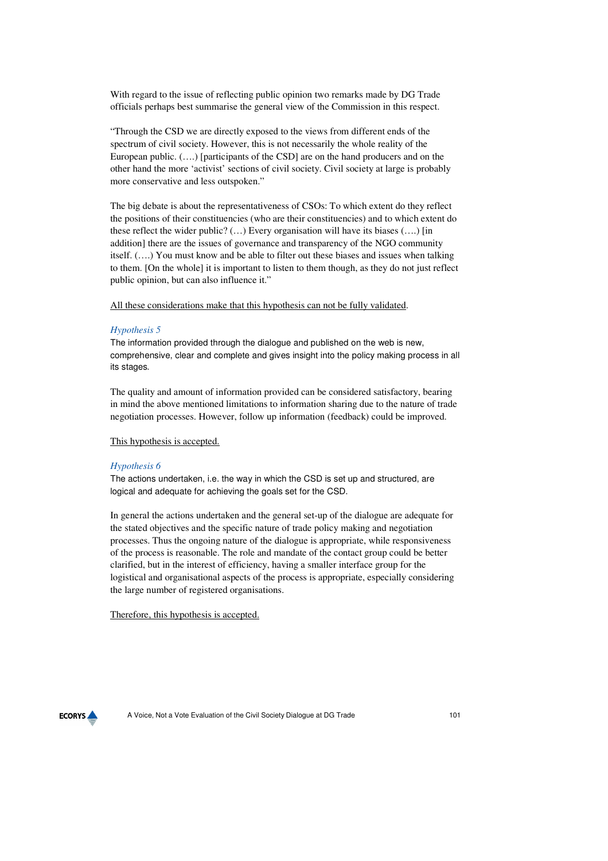With regard to the issue of reflecting public opinion two remarks made by DG Trade officials perhaps best summarise the general view of the Commission in this respect.

"Through the CSD we are directly exposed to the views from different ends of the spectrum of civil society. However, this is not necessarily the whole reality of the European public. (….) [participants of the CSD] are on the hand producers and on the other hand the more 'activist' sections of civil society. Civil society at large is probably more conservative and less outspoken."

The big debate is about the representativeness of CSOs: To which extent do they reflect the positions of their constituencies (who are their constituencies) and to which extent do these reflect the wider public? (…) Every organisation will have its biases (….) [in addition] there are the issues of governance and transparency of the NGO community itself. (….) You must know and be able to filter out these biases and issues when talking to them. [On the whole] it is important to listen to them though, as they do not just reflect public opinion, but can also influence it."

All these considerations make that this hypothesis can not be fully validated.

#### *Hypothesis 5*

The information provided through the dialogue and published on the web is new, comprehensive, clear and complete and gives insight into the policy making process in all its stages*.* 

The quality and amount of information provided can be considered satisfactory, bearing in mind the above mentioned limitations to information sharing due to the nature of trade negotiation processes. However, follow up information (feedback) could be improved.

This hypothesis is accepted.

#### *Hypothesis 6*

The actions undertaken, i.e. the way in which the CSD is set up and structured, are logical and adequate for achieving the goals set for the CSD.

In general the actions undertaken and the general set-up of the dialogue are adequate for the stated objectives and the specific nature of trade policy making and negotiation processes. Thus the ongoing nature of the dialogue is appropriate, while responsiveness of the process is reasonable. The role and mandate of the contact group could be better clarified, but in the interest of efficiency, having a smaller interface group for the logistical and organisational aspects of the process is appropriate, especially considering the large number of registered organisations.

Therefore, this hypothesis is accepted.

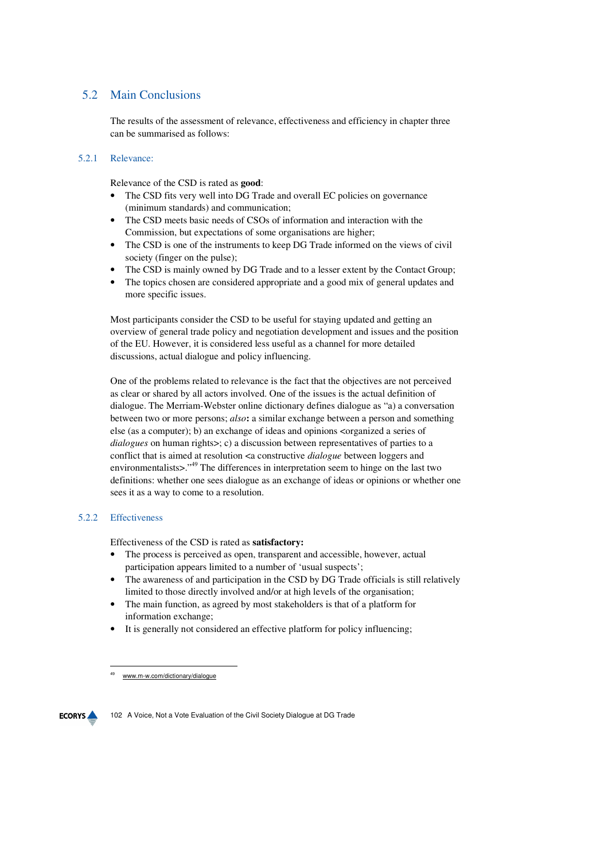## 5.2 Main Conclusions

The results of the assessment of relevance, effectiveness and efficiency in chapter three can be summarised as follows:

#### 5.2.1 Relevance:

Relevance of the CSD is rated as **good**:

- The CSD fits very well into DG Trade and overall EC policies on governance (minimum standards) and communication;
- The CSD meets basic needs of CSOs of information and interaction with the Commission, but expectations of some organisations are higher;
- The CSD is one of the instruments to keep DG Trade informed on the views of civil society (finger on the pulse);
- The CSD is mainly owned by DG Trade and to a lesser extent by the Contact Group;
- The topics chosen are considered appropriate and a good mix of general updates and more specific issues.

Most participants consider the CSD to be useful for staying updated and getting an overview of general trade policy and negotiation development and issues and the position of the EU. However, it is considered less useful as a channel for more detailed discussions, actual dialogue and policy influencing.

One of the problems related to relevance is the fact that the objectives are not perceived as clear or shared by all actors involved. One of the issues is the actual definition of dialogue. The Merriam-Webster online dictionary defines dialogue as "a) a conversation between two or more persons; *also***:** a similar exchange between a person and something else (as a computer); b) an exchange of ideas and opinions <organized a series of *dialogues* on human rights>; c) a discussion between representatives of parties to a conflict that is aimed at resolution <a constructive *dialogue* between loggers and environmentalists>."<sup>49</sup> The differences in interpretation seem to hinge on the last two definitions: whether one sees dialogue as an exchange of ideas or opinions or whether one sees it as a way to come to a resolution.

## 5.2.2 Effectiveness

Effectiveness of the CSD is rated as **satisfactory:**

- The process is perceived as open, transparent and accessible, however, actual participation appears limited to a number of 'usual suspects';
- The awareness of and participation in the CSD by DG Trade officials is still relatively limited to those directly involved and/or at high levels of the organisation;
- The main function, as agreed by most stakeholders is that of a platform for information exchange;
- It is generally not considered an effective platform for policy influencing;

 $\overline{a}$ www.m-w.com/dictionary/dialogue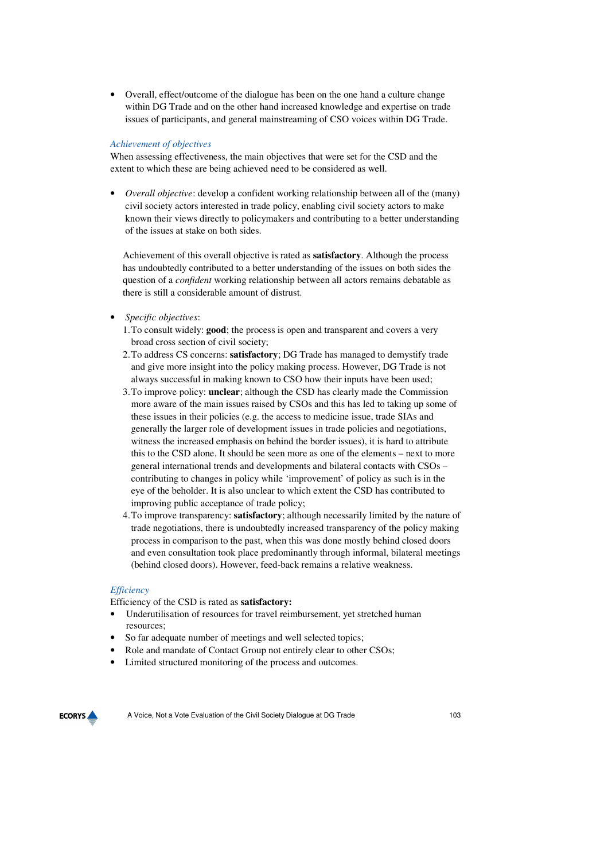• Overall, effect/outcome of the dialogue has been on the one hand a culture change within DG Trade and on the other hand increased knowledge and expertise on trade issues of participants, and general mainstreaming of CSO voices within DG Trade.

#### *Achievement of objectives*

When assessing effectiveness, the main objectives that were set for the CSD and the extent to which these are being achieved need to be considered as well.

• *Overall objective*: develop a confident working relationship between all of the (many) civil society actors interested in trade policy, enabling civil society actors to make known their views directly to policymakers and contributing to a better understanding of the issues at stake on both sides.

Achievement of this overall objective is rated as **satisfactory**. Although the process has undoubtedly contributed to a better understanding of the issues on both sides the question of a *confident* working relationship between all actors remains debatable as there is still a considerable amount of distrust.

- *Specific objectives*:
	- 1.To consult widely: **good**; the process is open and transparent and covers a very broad cross section of civil society;
	- 2.To address CS concerns: **satisfactory**; DG Trade has managed to demystify trade and give more insight into the policy making process. However, DG Trade is not always successful in making known to CSO how their inputs have been used;
	- 3.To improve policy: **unclear**; although the CSD has clearly made the Commission more aware of the main issues raised by CSOs and this has led to taking up some of these issues in their policies (e.g. the access to medicine issue, trade SIAs and generally the larger role of development issues in trade policies and negotiations, witness the increased emphasis on behind the border issues), it is hard to attribute this to the CSD alone. It should be seen more as one of the elements – next to more general international trends and developments and bilateral contacts with CSOs – contributing to changes in policy while 'improvement' of policy as such is in the eye of the beholder. It is also unclear to which extent the CSD has contributed to improving public acceptance of trade policy;
	- 4.To improve transparency: **satisfactory**; although necessarily limited by the nature of trade negotiations, there is undoubtedly increased transparency of the policy making process in comparison to the past, when this was done mostly behind closed doors and even consultation took place predominantly through informal, bilateral meetings (behind closed doors). However, feed-back remains a relative weakness.

#### *Efficiency*

Efficiency of the CSD is rated as **satisfactory:**

- Underutilisation of resources for travel reimbursement, yet stretched human resources;
- So far adequate number of meetings and well selected topics;
- Role and mandate of Contact Group not entirely clear to other CSOs;
- Limited structured monitoring of the process and outcomes.

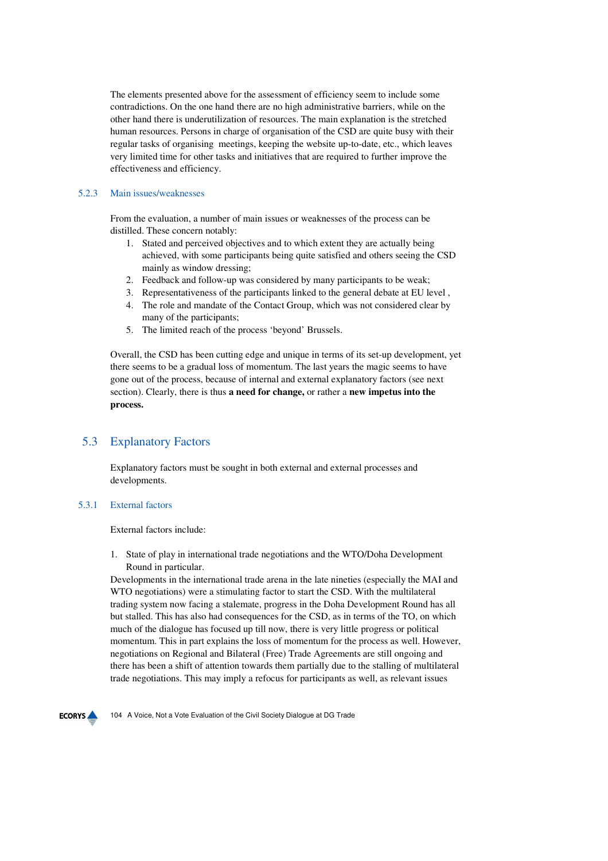The elements presented above for the assessment of efficiency seem to include some contradictions. On the one hand there are no high administrative barriers, while on the other hand there is underutilization of resources. The main explanation is the stretched human resources. Persons in charge of organisation of the CSD are quite busy with their regular tasks of organising meetings, keeping the website up-to-date, etc., which leaves very limited time for other tasks and initiatives that are required to further improve the effectiveness and efficiency.

#### 5.2.3 Main issues/weaknesses

From the evaluation, a number of main issues or weaknesses of the process can be distilled. These concern notably:

- 1. Stated and perceived objectives and to which extent they are actually being achieved, with some participants being quite satisfied and others seeing the CSD mainly as window dressing;
- 2. Feedback and follow-up was considered by many participants to be weak;
- 3. Representativeness of the participants linked to the general debate at EU level ,
- 4. The role and mandate of the Contact Group, which was not considered clear by many of the participants;
- 5. The limited reach of the process 'beyond' Brussels.

Overall, the CSD has been cutting edge and unique in terms of its set-up development, yet there seems to be a gradual loss of momentum. The last years the magic seems to have gone out of the process, because of internal and external explanatory factors (see next section). Clearly, there is thus **a need for change,** or rather a **new impetus into the process.** 

## 5.3 Explanatory Factors

Explanatory factors must be sought in both external and external processes and developments.

#### 5.3.1 External factors

External factors include:

1. State of play in international trade negotiations and the WTO/Doha Development Round in particular.

Developments in the international trade arena in the late nineties (especially the MAI and WTO negotiations) were a stimulating factor to start the CSD. With the multilateral trading system now facing a stalemate, progress in the Doha Development Round has all but stalled. This has also had consequences for the CSD, as in terms of the TO, on which much of the dialogue has focused up till now, there is very little progress or political momentum. This in part explains the loss of momentum for the process as well. However, negotiations on Regional and Bilateral (Free) Trade Agreements are still ongoing and there has been a shift of attention towards them partially due to the stalling of multilateral trade negotiations. This may imply a refocus for participants as well, as relevant issues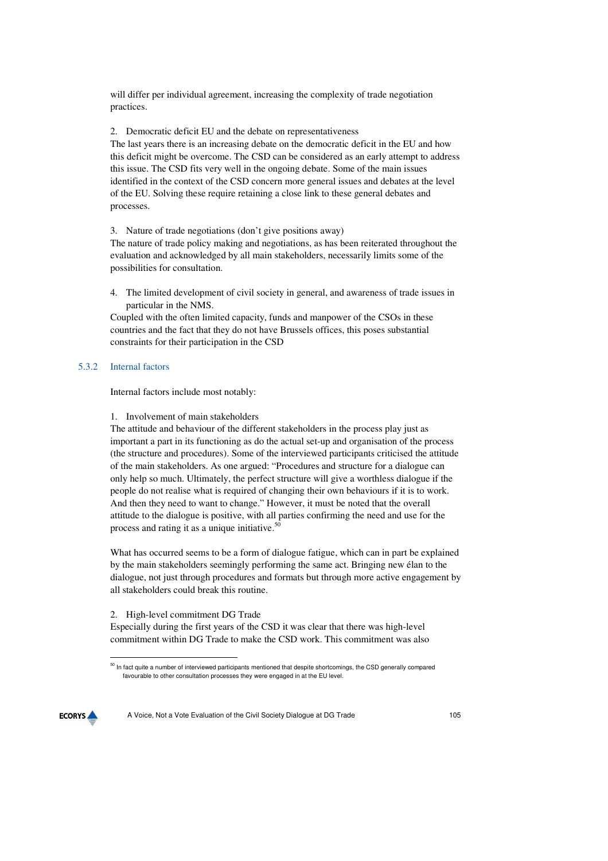will differ per individual agreement, increasing the complexity of trade negotiation practices.

2. Democratic deficit EU and the debate on representativeness

The last years there is an increasing debate on the democratic deficit in the EU and how this deficit might be overcome. The CSD can be considered as an early attempt to address this issue. The CSD fits very well in the ongoing debate. Some of the main issues identified in the context of the CSD concern more general issues and debates at the level of the EU. Solving these require retaining a close link to these general debates and processes.

3. Nature of trade negotiations (don't give positions away)

The nature of trade policy making and negotiations, as has been reiterated throughout the evaluation and acknowledged by all main stakeholders, necessarily limits some of the possibilities for consultation.

4. The limited development of civil society in general, and awareness of trade issues in particular in the NMS.

Coupled with the often limited capacity, funds and manpower of the CSOs in these countries and the fact that they do not have Brussels offices, this poses substantial constraints for their participation in the CSD

#### 5.3.2 Internal factors

Internal factors include most notably:

#### 1. Involvement of main stakeholders

The attitude and behaviour of the different stakeholders in the process play just as important a part in its functioning as do the actual set-up and organisation of the process (the structure and procedures). Some of the interviewed participants criticised the attitude of the main stakeholders. As one argued: "Procedures and structure for a dialogue can only help so much. Ultimately, the perfect structure will give a worthless dialogue if the people do not realise what is required of changing their own behaviours if it is to work. And then they need to want to change." However, it must be noted that the overall attitude to the dialogue is positive, with all parties confirming the need and use for the process and rating it as a unique initiative.<sup>50</sup>

What has occurred seems to be a form of dialogue fatigue, which can in part be explained by the main stakeholders seemingly performing the same act. Bringing new élan to the dialogue, not just through procedures and formats but through more active engagement by all stakeholders could break this routine.

#### 2. High-level commitment DG Trade

Especially during the first years of the CSD it was clear that there was high-level commitment within DG Trade to make the CSD work. This commitment was also

<sup>&</sup>lt;sup>50</sup> In fact quite a number of interviewed participants mentioned that despite shortcomings, the CSD generally compared favourable to other consultation processes they were engaged in at the EU level.



 $\overline{a}$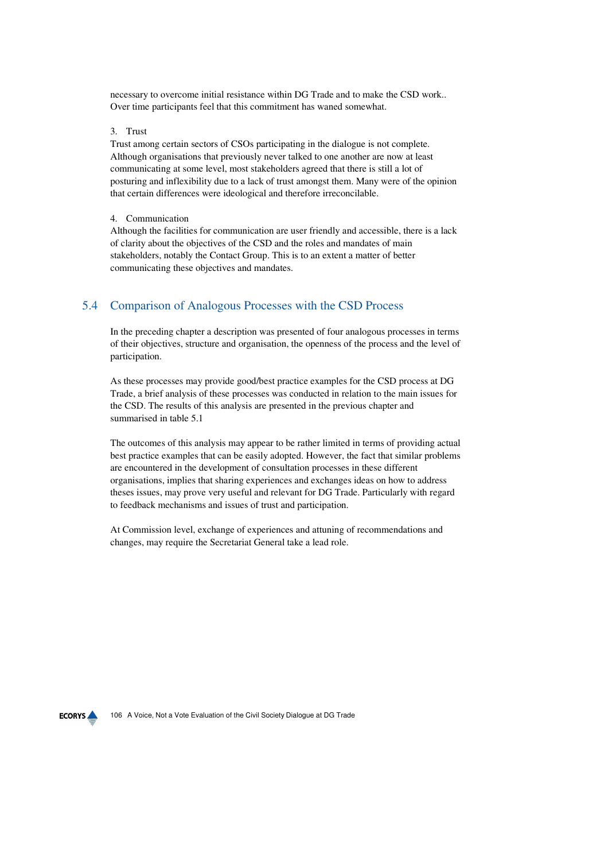necessary to overcome initial resistance within DG Trade and to make the CSD work.. Over time participants feel that this commitment has waned somewhat.

## 3. Trust

Trust among certain sectors of CSOs participating in the dialogue is not complete. Although organisations that previously never talked to one another are now at least communicating at some level, most stakeholders agreed that there is still a lot of posturing and inflexibility due to a lack of trust amongst them. Many were of the opinion that certain differences were ideological and therefore irreconcilable.

## 4. Communication

Although the facilities for communication are user friendly and accessible, there is a lack of clarity about the objectives of the CSD and the roles and mandates of main stakeholders, notably the Contact Group. This is to an extent a matter of better communicating these objectives and mandates.

## 5.4 Comparison of Analogous Processes with the CSD Process

In the preceding chapter a description was presented of four analogous processes in terms of their objectives, structure and organisation, the openness of the process and the level of participation.

As these processes may provide good/best practice examples for the CSD process at DG Trade, a brief analysis of these processes was conducted in relation to the main issues for the CSD. The results of this analysis are presented in the previous chapter and summarised in table 5.1

The outcomes of this analysis may appear to be rather limited in terms of providing actual best practice examples that can be easily adopted. However, the fact that similar problems are encountered in the development of consultation processes in these different organisations, implies that sharing experiences and exchanges ideas on how to address theses issues, may prove very useful and relevant for DG Trade. Particularly with regard to feedback mechanisms and issues of trust and participation.

At Commission level, exchange of experiences and attuning of recommendations and changes, may require the Secretariat General take a lead role.

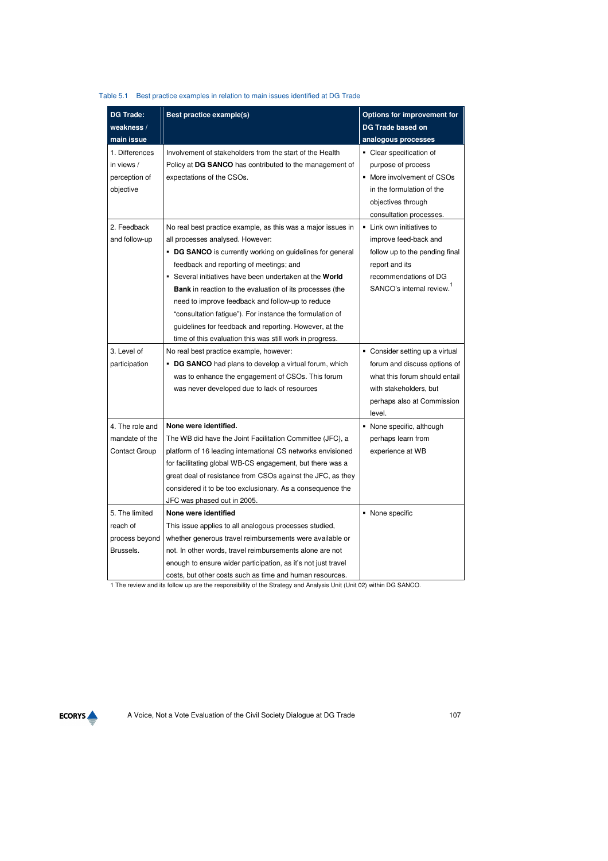| <b>DG Trade:</b>                                           | Best practice example(s)                                                                                                                                                                                                                                                                                                                                                                                                                                                                                                                                                     | Options for improvement for                                                                                                                                        |
|------------------------------------------------------------|------------------------------------------------------------------------------------------------------------------------------------------------------------------------------------------------------------------------------------------------------------------------------------------------------------------------------------------------------------------------------------------------------------------------------------------------------------------------------------------------------------------------------------------------------------------------------|--------------------------------------------------------------------------------------------------------------------------------------------------------------------|
| weakness /                                                 |                                                                                                                                                                                                                                                                                                                                                                                                                                                                                                                                                                              | <b>DG Trade based on</b>                                                                                                                                           |
| main issue                                                 |                                                                                                                                                                                                                                                                                                                                                                                                                                                                                                                                                                              | analogous processes                                                                                                                                                |
| 1. Differences<br>in views /<br>perception of<br>objective | Involvement of stakeholders from the start of the Health<br>Policy at DG SANCO has contributed to the management of<br>expectations of the CSOs.                                                                                                                                                                                                                                                                                                                                                                                                                             | • Clear specification of<br>purpose of process<br>• More involvement of CSOs<br>in the formulation of the<br>objectives through<br>consultation processes.         |
| 2. Feedback<br>and follow-up                               | No real best practice example, as this was a major issues in<br>all processes analysed. However:<br>• DG SANCO is currently working on guidelines for general<br>feedback and reporting of meetings; and<br>• Several initiatives have been undertaken at the World<br><b>Bank</b> in reaction to the evaluation of its processes (the<br>need to improve feedback and follow-up to reduce<br>"consultation fatigue"). For instance the formulation of<br>guidelines for feedback and reporting. However, at the<br>time of this evaluation this was still work in progress. | • Link own initiatives to<br>improve feed-back and<br>follow up to the pending final<br>report and its<br>recommendations of DG<br>SANCO's internal review.        |
| 3. Level of<br>participation                               | No real best practice example, however:<br>• DG SANCO had plans to develop a virtual forum, which<br>was to enhance the engagement of CSOs. This forum<br>was never developed due to lack of resources                                                                                                                                                                                                                                                                                                                                                                       | • Consider setting up a virtual<br>forum and discuss options of<br>what this forum should entail<br>with stakeholders, but<br>perhaps also at Commission<br>level. |
| 4. The role and<br>mandate of the<br>Contact Group         | None were identified.<br>The WB did have the Joint Facilitation Committee (JFC), a<br>platform of 16 leading international CS networks envisioned<br>for facilitating global WB-CS engagement, but there was a<br>great deal of resistance from CSOs against the JFC, as they<br>considered it to be too exclusionary. As a consequence the<br>JFC was phased out in 2005.                                                                                                                                                                                                   | • None specific, although<br>perhaps learn from<br>experience at WB                                                                                                |
| 5. The limited<br>reach of<br>process beyond<br>Brussels.  | None were identified<br>This issue applies to all analogous processes studied,<br>whether generous travel reimbursements were available or<br>not. In other words, travel reimbursements alone are not<br>enough to ensure wider participation, as it's not just travel<br>costs, but other costs such as time and human resources.                                                                                                                                                                                                                                          | • None specific                                                                                                                                                    |

## Table 5.1 Best practice examples in relation to main issues identified at DG Trade

1 The review and its follow up are the responsibility of the Strategy and Analysis Unit (Unit 02) within DG SANCO.

**ECORYS**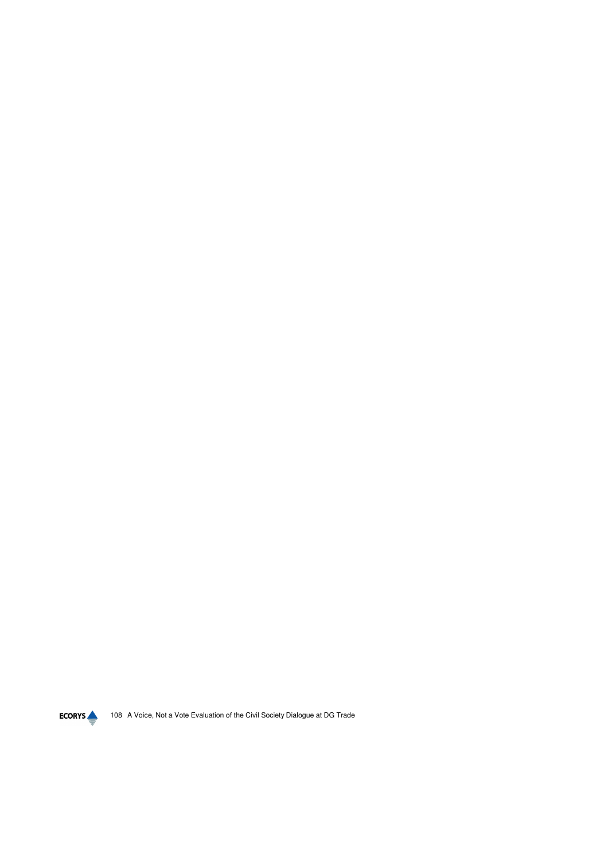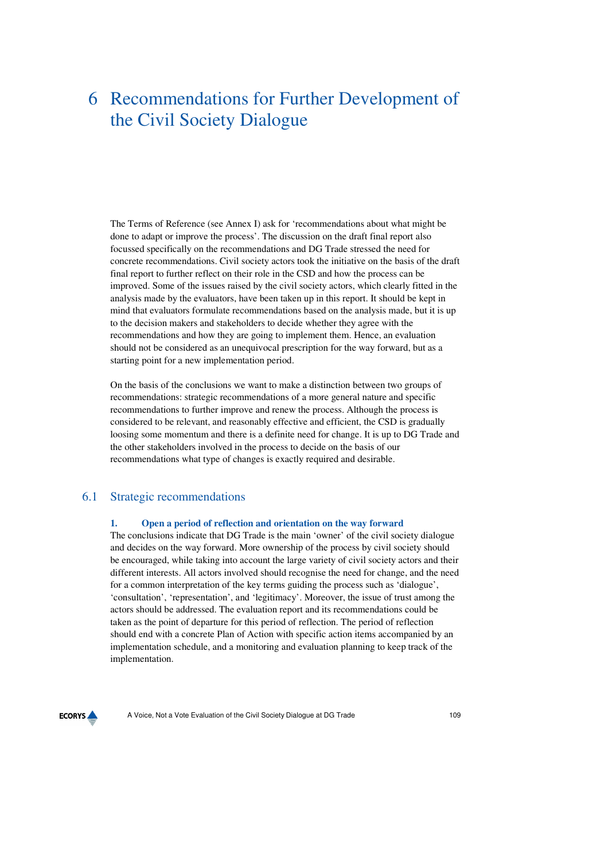## 6 Recommendations for Further Development of the Civil Society Dialogue

The Terms of Reference (see Annex I) ask for 'recommendations about what might be done to adapt or improve the process'. The discussion on the draft final report also focussed specifically on the recommendations and DG Trade stressed the need for concrete recommendations. Civil society actors took the initiative on the basis of the draft final report to further reflect on their role in the CSD and how the process can be improved. Some of the issues raised by the civil society actors, which clearly fitted in the analysis made by the evaluators, have been taken up in this report. It should be kept in mind that evaluators formulate recommendations based on the analysis made, but it is up to the decision makers and stakeholders to decide whether they agree with the recommendations and how they are going to implement them. Hence, an evaluation should not be considered as an unequivocal prescription for the way forward, but as a starting point for a new implementation period.

On the basis of the conclusions we want to make a distinction between two groups of recommendations: strategic recommendations of a more general nature and specific recommendations to further improve and renew the process. Although the process is considered to be relevant, and reasonably effective and efficient, the CSD is gradually loosing some momentum and there is a definite need for change. It is up to DG Trade and the other stakeholders involved in the process to decide on the basis of our recommendations what type of changes is exactly required and desirable.

## 6.1 Strategic recommendations

#### **1. Open a period of reflection and orientation on the way forward**

The conclusions indicate that DG Trade is the main 'owner' of the civil society dialogue and decides on the way forward. More ownership of the process by civil society should be encouraged, while taking into account the large variety of civil society actors and their different interests. All actors involved should recognise the need for change, and the need for a common interpretation of the key terms guiding the process such as 'dialogue', 'consultation', 'representation', and 'legitimacy'. Moreover, the issue of trust among the actors should be addressed. The evaluation report and its recommendations could be taken as the point of departure for this period of reflection. The period of reflection should end with a concrete Plan of Action with specific action items accompanied by an implementation schedule, and a monitoring and evaluation planning to keep track of the implementation.

**ECORYS**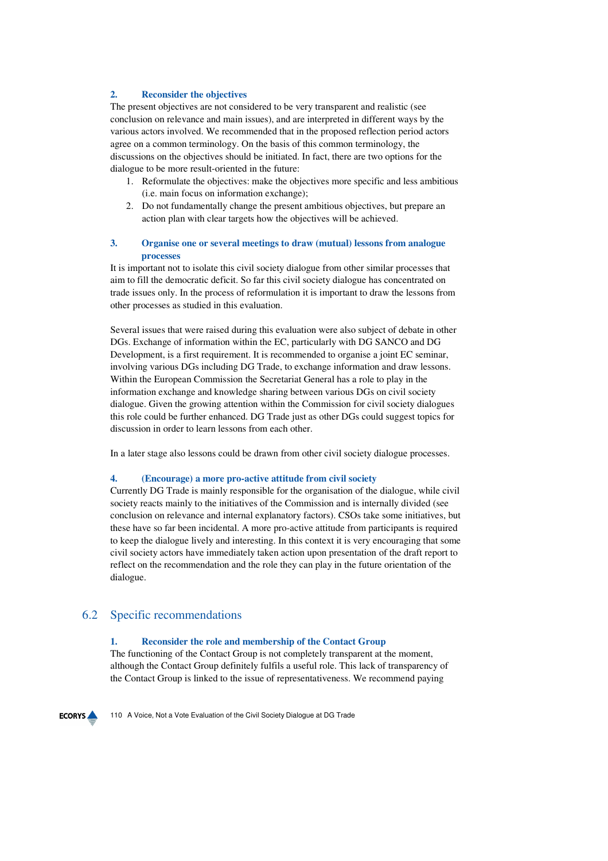#### **2. Reconsider the objectives**

The present objectives are not considered to be very transparent and realistic (see conclusion on relevance and main issues), and are interpreted in different ways by the various actors involved. We recommended that in the proposed reflection period actors agree on a common terminology. On the basis of this common terminology, the discussions on the objectives should be initiated. In fact, there are two options for the dialogue to be more result-oriented in the future:

- 1. Reformulate the objectives: make the objectives more specific and less ambitious (i.e. main focus on information exchange);
- 2. Do not fundamentally change the present ambitious objectives, but prepare an action plan with clear targets how the objectives will be achieved.

#### **3. Organise one or several meetings to draw (mutual) lessons from analogue processes**

It is important not to isolate this civil society dialogue from other similar processes that aim to fill the democratic deficit. So far this civil society dialogue has concentrated on trade issues only. In the process of reformulation it is important to draw the lessons from other processes as studied in this evaluation.

Several issues that were raised during this evaluation were also subject of debate in other DGs. Exchange of information within the EC, particularly with DG SANCO and DG Development, is a first requirement. It is recommended to organise a joint EC seminar, involving various DGs including DG Trade, to exchange information and draw lessons. Within the European Commission the Secretariat General has a role to play in the information exchange and knowledge sharing between various DGs on civil society dialogue. Given the growing attention within the Commission for civil society dialogues this role could be further enhanced. DG Trade just as other DGs could suggest topics for discussion in order to learn lessons from each other.

In a later stage also lessons could be drawn from other civil society dialogue processes.

#### **4. (Encourage) a more pro-active attitude from civil society**

Currently DG Trade is mainly responsible for the organisation of the dialogue, while civil society reacts mainly to the initiatives of the Commission and is internally divided (see conclusion on relevance and internal explanatory factors). CSOs take some initiatives, but these have so far been incidental. A more pro-active attitude from participants is required to keep the dialogue lively and interesting. In this context it is very encouraging that some civil society actors have immediately taken action upon presentation of the draft report to reflect on the recommendation and the role they can play in the future orientation of the dialogue.

## 6.2 Specific recommendations

#### **1. Reconsider the role and membership of the Contact Group**

The functioning of the Contact Group is not completely transparent at the moment, although the Contact Group definitely fulfils a useful role. This lack of transparency of the Contact Group is linked to the issue of representativeness. We recommend paying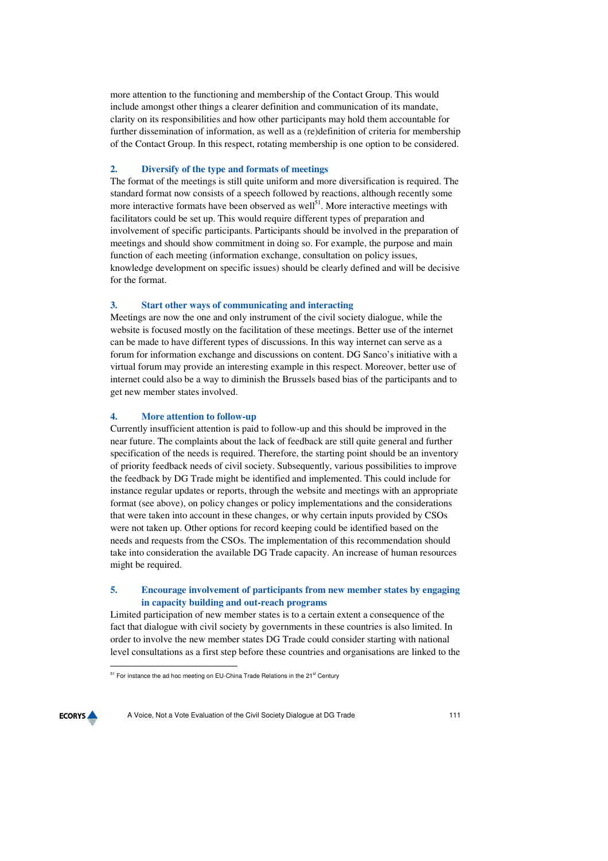more attention to the functioning and membership of the Contact Group. This would include amongst other things a clearer definition and communication of its mandate, clarity on its responsibilities and how other participants may hold them accountable for further dissemination of information, as well as a (re)definition of criteria for membership of the Contact Group. In this respect, rotating membership is one option to be considered.

#### **2. Diversify of the type and formats of meetings**

The format of the meetings is still quite uniform and more diversification is required. The standard format now consists of a speech followed by reactions, although recently some more interactive formats have been observed as well $^{51}$ . More interactive meetings with facilitators could be set up. This would require different types of preparation and involvement of specific participants. Participants should be involved in the preparation of meetings and should show commitment in doing so. For example, the purpose and main function of each meeting (information exchange, consultation on policy issues, knowledge development on specific issues) should be clearly defined and will be decisive for the format.

#### **3. Start other ways of communicating and interacting**

Meetings are now the one and only instrument of the civil society dialogue, while the website is focused mostly on the facilitation of these meetings. Better use of the internet can be made to have different types of discussions. In this way internet can serve as a forum for information exchange and discussions on content. DG Sanco's initiative with a virtual forum may provide an interesting example in this respect. Moreover, better use of internet could also be a way to diminish the Brussels based bias of the participants and to get new member states involved.

#### **4. More attention to follow-up**

Currently insufficient attention is paid to follow-up and this should be improved in the near future. The complaints about the lack of feedback are still quite general and further specification of the needs is required. Therefore, the starting point should be an inventory of priority feedback needs of civil society. Subsequently, various possibilities to improve the feedback by DG Trade might be identified and implemented. This could include for instance regular updates or reports, through the website and meetings with an appropriate format (see above), on policy changes or policy implementations and the considerations that were taken into account in these changes, or why certain inputs provided by CSOs were not taken up. Other options for record keeping could be identified based on the needs and requests from the CSOs. The implementation of this recommendation should take into consideration the available DG Trade capacity. An increase of human resources might be required.

#### **5. Encourage involvement of participants from new member states by engaging in capacity building and out-reach programs**

Limited participation of new member states is to a certain extent a consequence of the fact that dialogue with civil society by governments in these countries is also limited. In order to involve the new member states DG Trade could consider starting with national level consultations as a first step before these countries and organisations are linked to the

 $51$  For instance the ad hoc meeting on EU-China Trade Relations in the 21 $^{\rm st}$  Century



 $\overline{\phantom{0}}$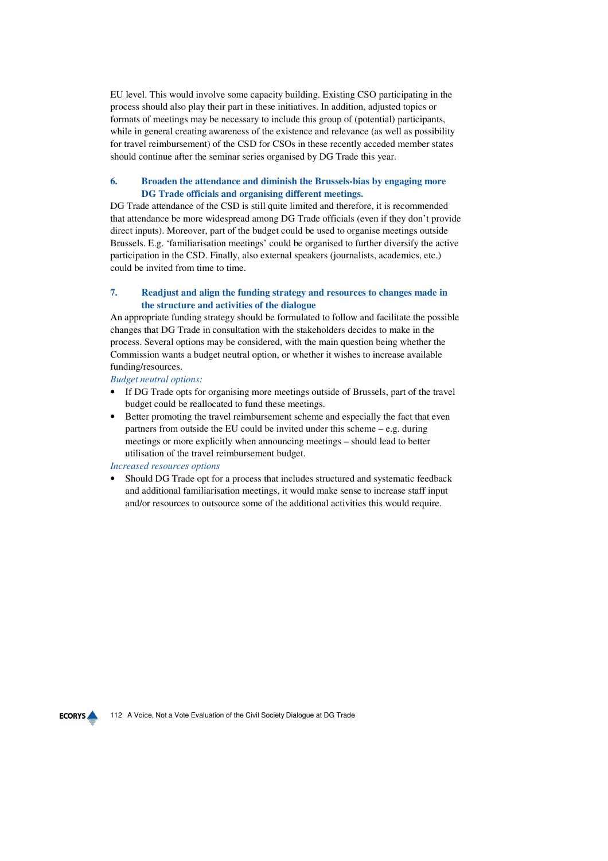EU level. This would involve some capacity building. Existing CSO participating in the process should also play their part in these initiatives. In addition, adjusted topics or formats of meetings may be necessary to include this group of (potential) participants, while in general creating awareness of the existence and relevance (as well as possibility for travel reimbursement) of the CSD for CSOs in these recently acceded member states should continue after the seminar series organised by DG Trade this year.

#### **6. Broaden the attendance and diminish the Brussels-bias by engaging more DG Trade officials and organising different meetings.**

DG Trade attendance of the CSD is still quite limited and therefore, it is recommended that attendance be more widespread among DG Trade officials (even if they don't provide direct inputs). Moreover, part of the budget could be used to organise meetings outside Brussels. E.g. 'familiarisation meetings' could be organised to further diversify the active participation in the CSD. Finally, also external speakers (journalists, academics, etc.) could be invited from time to time.

#### **7. Readjust and align the funding strategy and resources to changes made in the structure and activities of the dialogue**

An appropriate funding strategy should be formulated to follow and facilitate the possible changes that DG Trade in consultation with the stakeholders decides to make in the process. Several options may be considered, with the main question being whether the Commission wants a budget neutral option, or whether it wishes to increase available funding/resources.

*Budget neutral options:* 

- If DG Trade opts for organising more meetings outside of Brussels, part of the travel budget could be reallocated to fund these meetings.
- Better promoting the travel reimbursement scheme and especially the fact that even partners from outside the EU could be invited under this scheme – e.g. during meetings or more explicitly when announcing meetings – should lead to better utilisation of the travel reimbursement budget.

*Increased resources options* 

• Should DG Trade opt for a process that includes structured and systematic feedback and additional familiarisation meetings, it would make sense to increase staff input and/or resources to outsource some of the additional activities this would require.

**ECORYS**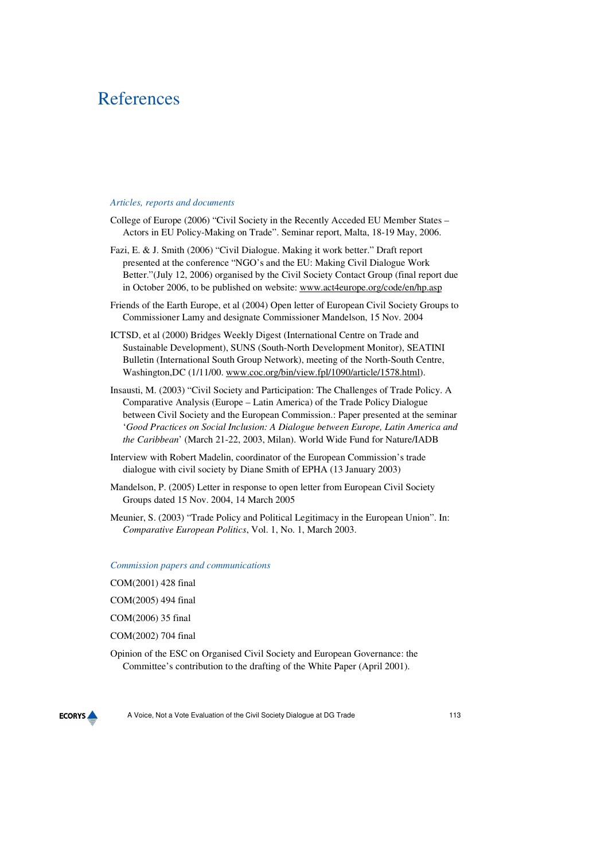## References

#### *Articles, reports and documents*

- College of Europe (2006) "Civil Society in the Recently Acceded EU Member States Actors in EU Policy-Making on Trade". Seminar report, Malta, 18-19 May, 2006.
- Fazi, E. & J. Smith (2006) "Civil Dialogue. Making it work better." Draft report presented at the conference "NGO's and the EU: Making Civil Dialogue Work Better."(July 12, 2006) organised by the Civil Society Contact Group (final report due in October 2006, to be published on website: www.act4europe.org/code/en/hp.asp
- Friends of the Earth Europe, et al (2004) Open letter of European Civil Society Groups to Commissioner Lamy and designate Commissioner Mandelson, 15 Nov. 2004
- ICTSD, et al (2000) Bridges Weekly Digest (International Centre on Trade and Sustainable Development), SUNS (South-North Development Monitor), SEATINI Bulletin (International South Group Network), meeting of the North-South Centre, Washington,DC (1/11/00. www.coc.org/bin/view.fpl/1090/article/1578.html).
- Insausti, M. (2003) "Civil Society and Participation: The Challenges of Trade Policy. A Comparative Analysis (Europe – Latin America) of the Trade Policy Dialogue between Civil Society and the European Commission.: Paper presented at the seminar '*Good Practices on Social Inclusion: A Dialogue between Europe, Latin America and the Caribbean*' (March 21-22, 2003, Milan). World Wide Fund for Nature/IADB
- Interview with Robert Madelin, coordinator of the European Commission's trade dialogue with civil society by Diane Smith of EPHA (13 January 2003)
- Mandelson, P. (2005) Letter in response to open letter from European Civil Society Groups dated 15 Nov. 2004, 14 March 2005
- Meunier, S. (2003) "Trade Policy and Political Legitimacy in the European Union". In: *Comparative European Politics*, Vol. 1, No. 1, March 2003.

#### *Commission papers and communications*

- COM(2001) 428 final COM(2005) 494 final COM(2006) 35 final COM(2002) 704 final
- Opinion of the ESC on Organised Civil Society and European Governance: the Committee's contribution to the drafting of the White Paper (April 2001).

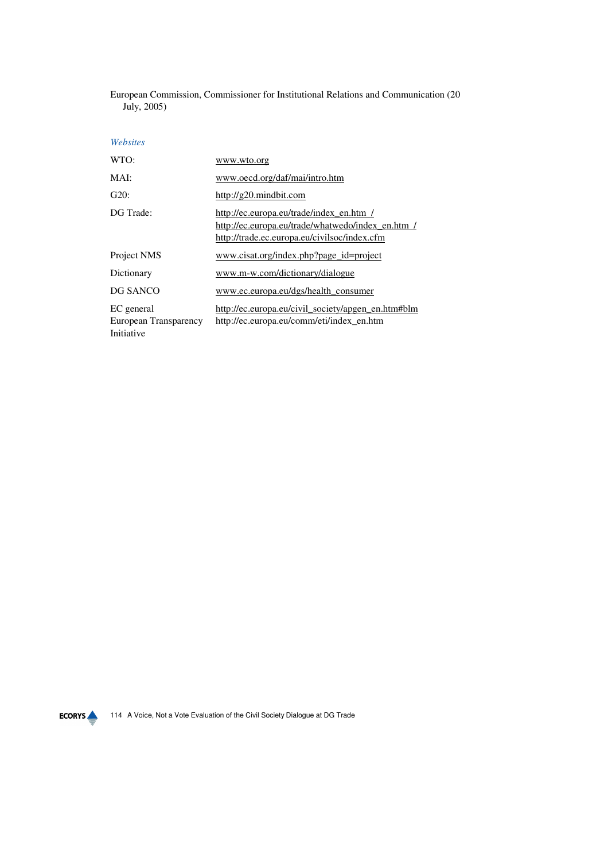European Commission, Commissioner for Institutional Relations and Communication (20 July, 2005)

| Websites                                          |                                                                                                                                               |
|---------------------------------------------------|-----------------------------------------------------------------------------------------------------------------------------------------------|
| WTO:                                              | www.wto.org                                                                                                                                   |
| MAI:                                              | www.oecd.org/daf/mai/intro.htm                                                                                                                |
| G20:                                              | http://g20.mindbit.com                                                                                                                        |
| DG Trade:                                         | http://ec.europa.eu/trade/index en.htm /<br>http://ec.europa.eu/trade/whatwedo/index_en.htm /<br>http://trade.ec.europa.eu/civilsoc/index.cfm |
| Project NMS                                       | www.cisat.org/index.php?page_id=project                                                                                                       |
| Dictionary                                        | www.m-w.com/dictionary/dialogue                                                                                                               |
| DG SANCO                                          | www.ec.europa.eu/dgs/health consumer                                                                                                          |
| EC general<br>European Transparency<br>Initiative | http://ec.europa.eu/civil_society/apgen_en.htm#blm<br>http://ec.europa.eu/comm/eti/index en.htm                                               |

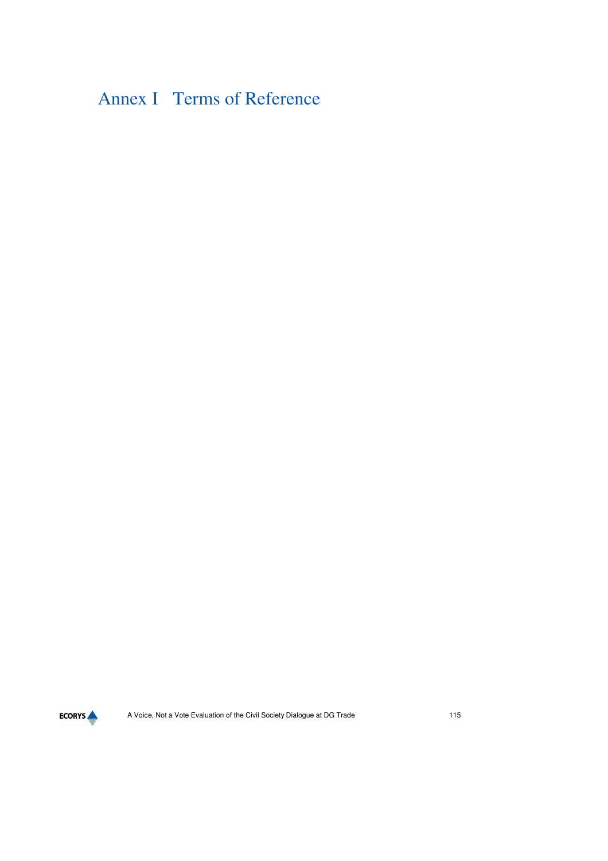## Annex I Terms of Reference

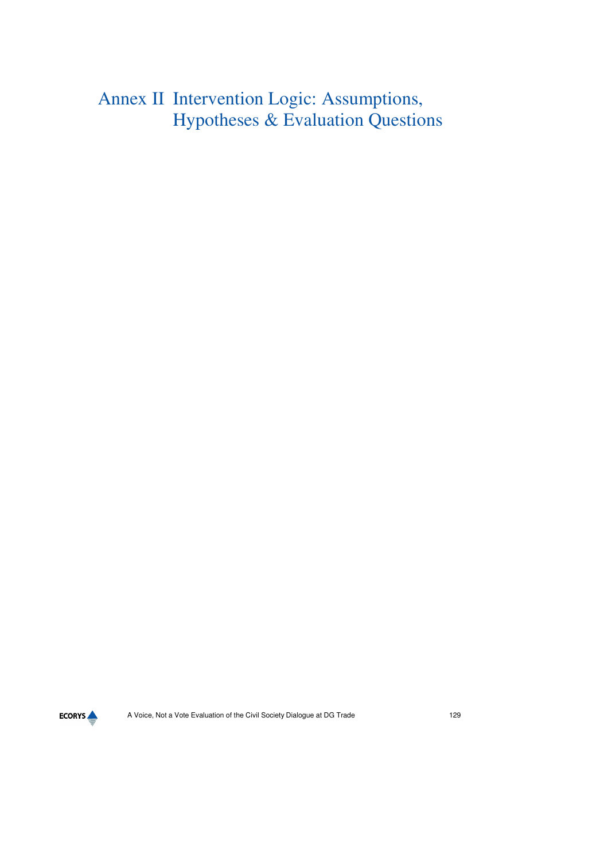## Annex II Intervention Logic: Assumptions, Hypotheses & Evaluation Questions

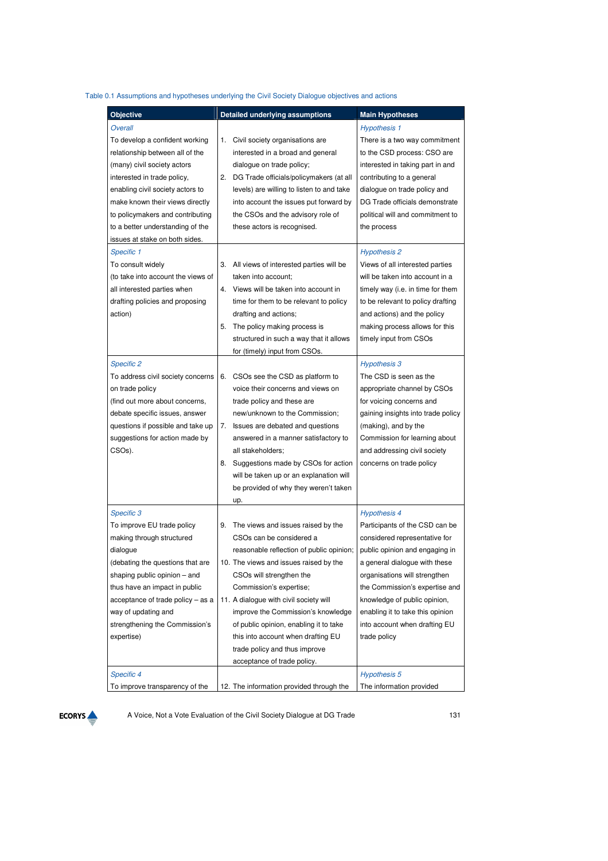#### Table 0.1 Assumptions and hypotheses underlying the Civil Society Dialogue objectives and actions

| Objective                                            |    | Detailed underlying assumptions                                      | <b>Main Hypotheses</b>                                          |
|------------------------------------------------------|----|----------------------------------------------------------------------|-----------------------------------------------------------------|
| Overall                                              |    |                                                                      | <b>Hypothesis 1</b>                                             |
| To develop a confident working                       | 1. | Civil society organisations are                                      | There is a two way commitment                                   |
| relationship between all of the                      |    | interested in a broad and general                                    | to the CSD process: CSO are                                     |
| (many) civil society actors                          |    | dialogue on trade policy;                                            | interested in taking part in and                                |
| interested in trade policy,                          |    | 2. DG Trade officials/policymakers (at all                           | contributing to a general                                       |
| enabling civil society actors to                     |    | levels) are willing to listen to and take                            | dialogue on trade policy and                                    |
| make known their views directly                      |    | into account the issues put forward by                               | DG Trade officials demonstrate                                  |
| to policymakers and contributing                     |    | the CSOs and the advisory role of                                    | political will and commitment to                                |
| to a better understanding of the                     |    | these actors is recognised.                                          | the process                                                     |
| issues at stake on both sides.                       |    |                                                                      |                                                                 |
| Specific 1                                           |    |                                                                      | <b>Hypothesis 2</b>                                             |
| To consult widely                                    | 3. | All views of interested parties will be                              | Views of all interested parties                                 |
| (to take into account the views of                   |    | taken into account;                                                  | will be taken into account in a                                 |
| all interested parties when                          |    | 4. Views will be taken into account in                               | timely way (i.e. in time for them                               |
| drafting policies and proposing                      |    | time for them to be relevant to policy                               | to be relevant to policy drafting                               |
| action)                                              |    | drafting and actions;                                                | and actions) and the policy                                     |
|                                                      | 5. | The policy making process is                                         | making process allows for this                                  |
|                                                      |    | structured in such a way that it allows                              | timely input from CSOs                                          |
|                                                      |    | for (timely) input from CSOs.                                        |                                                                 |
|                                                      |    |                                                                      |                                                                 |
| <b>Specific 2</b>                                    |    |                                                                      | <b>Hypothesis 3</b><br>The CSD is seen as the                   |
| To address civil society concerns<br>on trade policy | 6. | CSOs see the CSD as platform to<br>voice their concerns and views on |                                                                 |
|                                                      |    |                                                                      | appropriate channel by CSOs                                     |
| (find out more about concerns,                       |    | trade policy and these are                                           | for voicing concerns and                                        |
| debate specific issues, answer                       |    | new/unknown to the Commission;                                       | gaining insights into trade policy                              |
| questions if possible and take up                    | 7. | Issues are debated and questions                                     | (making), and by the                                            |
| suggestions for action made by                       |    | answered in a manner satisfactory to                                 | Commission for learning about                                   |
| CSOs).                                               |    | all stakeholders;                                                    | and addressing civil society                                    |
|                                                      | 8. | Suggestions made by CSOs for action                                  | concerns on trade policy                                        |
|                                                      |    | will be taken up or an explanation will                              |                                                                 |
|                                                      |    | be provided of why they weren't taken                                |                                                                 |
|                                                      |    | up.                                                                  |                                                                 |
| <b>Specific 3</b>                                    |    |                                                                      | <b>Hypothesis 4</b>                                             |
| To improve EU trade policy                           | 9. | The views and issues raised by the                                   | Participants of the CSD can be                                  |
| making through structured                            |    | CSOs can be considered a                                             | considered representative for                                   |
| dialogue                                             |    | reasonable reflection of public opinion;                             | public opinion and engaging in                                  |
| (debating the questions that are                     |    | 10. The views and issues raised by the                               | a general dialogue with these                                   |
| shaping public opinion - and                         |    | CSOs will strengthen the                                             | organisations will strengthen<br>the Commission's expertise and |
| thus have an impact in public                        |    | Commission's expertise;                                              |                                                                 |
| acceptance of trade policy - as a                    |    | 11. A dialogue with civil society will                               | knowledge of public opinion,                                    |
| way of updating and                                  |    | improve the Commission's knowledge                                   | enabling it to take this opinion                                |
| strengthening the Commission's                       |    | of public opinion, enabling it to take                               | into account when drafting EU                                   |
| expertise)                                           |    | this into account when drafting EU                                   | trade policy                                                    |
|                                                      |    | trade policy and thus improve                                        |                                                                 |
|                                                      |    | acceptance of trade policy.                                          |                                                                 |
| Specific 4                                           |    |                                                                      | <b>Hypothesis 5</b>                                             |
| To improve transparency of the                       |    | 12. The information provided through the                             | The information provided                                        |

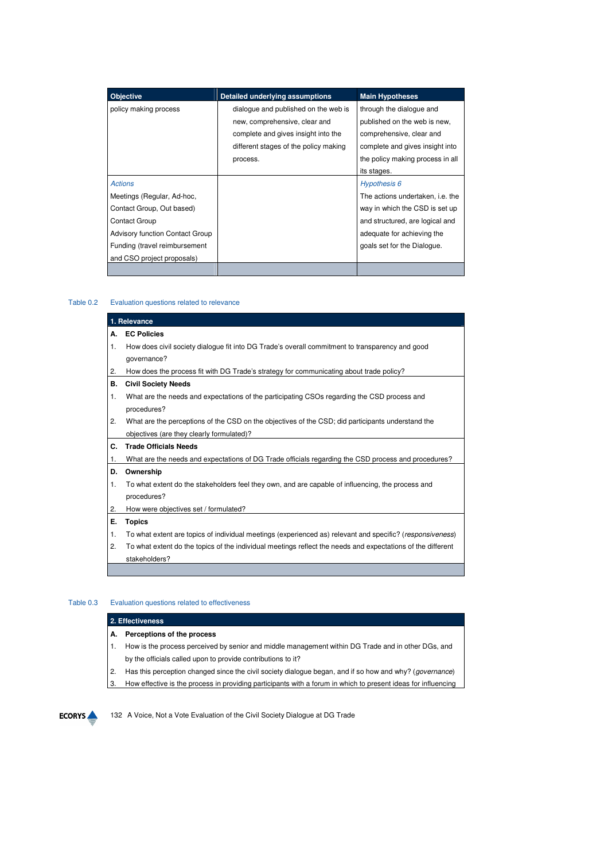| <b>Objective</b>                | Detailed underlying assumptions       | <b>Main Hypotheses</b>           |
|---------------------------------|---------------------------------------|----------------------------------|
| policy making process           | dialogue and published on the web is  | through the dialogue and         |
|                                 | new, comprehensive, clear and         | published on the web is new.     |
|                                 | complete and gives insight into the   | comprehensive, clear and         |
|                                 | different stages of the policy making | complete and gives insight into  |
|                                 | process.                              | the policy making process in all |
|                                 |                                       | its stages.                      |
| <b>Actions</b>                  |                                       | <b>Hypothesis 6</b>              |
| Meetings (Regular, Ad-hoc,      |                                       | The actions undertaken, i.e. the |
| Contact Group, Out based)       |                                       | way in which the CSD is set up   |
| Contact Group                   |                                       | and structured, are logical and  |
| Advisory function Contact Group |                                       | adequate for achieving the       |
| Funding (travel reimbursement   |                                       | goals set for the Dialogue.      |
| and CSO project proposals)      |                                       |                                  |
|                                 |                                       |                                  |

#### Table 0.2 Evaluation questions related to relevance

|    | 1. Relevance                                                                                                |
|----|-------------------------------------------------------------------------------------------------------------|
| А. | <b>EC Policies</b>                                                                                          |
| 1. | How does civil society dialogue fit into DG Trade's overall commitment to transparency and good             |
|    | governance?                                                                                                 |
| 2. | How does the process fit with DG Trade's strategy for communicating about trade policy?                     |
| В. | <b>Civil Society Needs</b>                                                                                  |
| 1. | What are the needs and expectations of the participating CSOs regarding the CSD process and                 |
|    | procedures?                                                                                                 |
| 2. | What are the perceptions of the CSD on the objectives of the CSD; did participants understand the           |
|    | objectives (are they clearly formulated)?                                                                   |
|    | <b>Trade Officials Needs</b>                                                                                |
| C. |                                                                                                             |
| 1. | What are the needs and expectations of DG Trade officials regarding the CSD process and procedures?         |
| D. | Ownership                                                                                                   |
| 1. | To what extent do the stakeholders feel they own, and are capable of influencing, the process and           |
|    | procedures?                                                                                                 |
| 2. | How were objectives set / formulated?                                                                       |
| Е. | <b>Topics</b>                                                                                               |
| 1. | To what extent are topics of individual meetings (experienced as) relevant and specific? (responsiveness)   |
| 2. | To what extent do the topics of the individual meetings reflect the needs and expectations of the different |

#### Table 0.3 Evaluation questions related to effectiveness

## **2. Effectiveness**

- **A. Perceptions of the process**
- 1. How is the process perceived by senior and middle management within DG Trade and in other DGs, and by the officials called upon to provide contributions to it?
- 2. Has this perception changed since the civil society dialogue began, and if so how and why? (governance)
- 3. How effective is the process in providing participants with a forum in which to present ideas for influencing

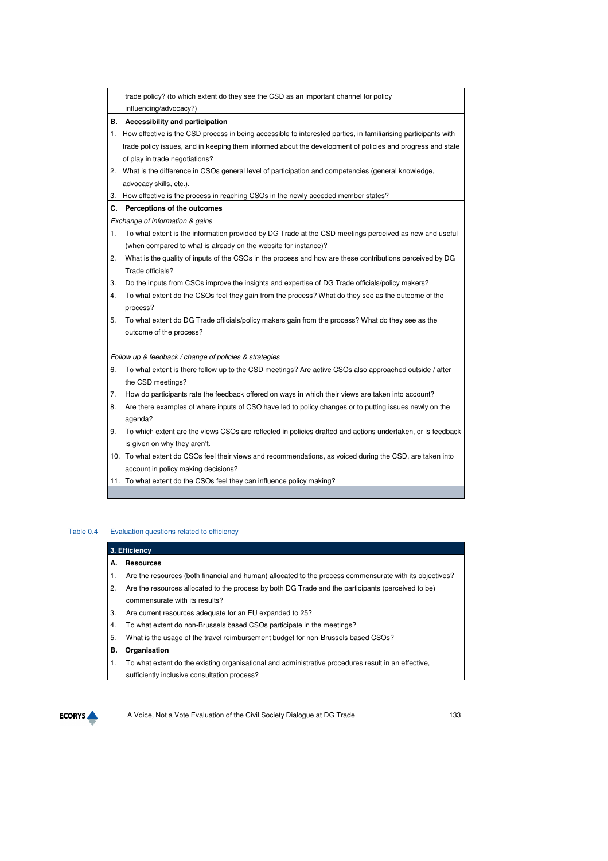|    | trade policy? (to which extent do they see the CSD as an important channel for policy                                        |
|----|------------------------------------------------------------------------------------------------------------------------------|
|    | influencing/advocacy?)                                                                                                       |
| В. | Accessibility and participation                                                                                              |
| 1. | How effective is the CSD process in being accessible to interested parties, in familiarising participants with               |
|    | trade policy issues, and in keeping them informed about the development of policies and progress and state                   |
|    | of play in trade negotiations?                                                                                               |
|    | 2. What is the difference in CSOs general level of participation and competencies (general knowledge,                        |
|    | advocacy skills, etc.).                                                                                                      |
| 3. | How effective is the process in reaching CSOs in the newly acceded member states?                                            |
|    | C. Perceptions of the outcomes                                                                                               |
|    | Exchange of information & gains                                                                                              |
| 1. | To what extent is the information provided by DG Trade at the CSD meetings perceived as new and useful                       |
|    | (when compared to what is already on the website for instance)?                                                              |
| 2. | What is the quality of inputs of the CSOs in the process and how are these contributions perceived by DG                     |
|    | Trade officials?                                                                                                             |
| 3. | Do the inputs from CSOs improve the insights and expertise of DG Trade officials/policy makers?                              |
| 4. | To what extent do the CSOs feel they gain from the process? What do they see as the outcome of the<br>process?               |
| 5. | To what extent do DG Trade officials/policy makers gain from the process? What do they see as the<br>outcome of the process? |
|    | Follow up & feedback / change of policies & strategies                                                                       |
| 6. | To what extent is there follow up to the CSD meetings? Are active CSOs also approached outside / after<br>the CSD meetings?  |
| 7. | How do participants rate the feedback offered on ways in which their views are taken into account?                           |
| 8. | Are there examples of where inputs of CSO have led to policy changes or to putting issues newly on the                       |
|    | agenda?                                                                                                                      |
| 9. | To which extent are the views CSOs are reflected in policies drafted and actions undertaken, or is feedback                  |
|    | is given on why they aren't.                                                                                                 |
|    | 10. To what extent do CSOs feel their views and recommendations, as voiced during the CSD, are taken into                    |
|    | account in policy making decisions?                                                                                          |

#### 11. To what extent do the CSOs feel they can influence policy making?

#### Table 0.4 Evaluation questions related to efficiency

### **3. Efficiency**

#### **A. Resources**

- 1. Are the resources (both financial and human) allocated to the process commensurate with its objectives?
- 2. Are the resources allocated to the process by both DG Trade and the participants (perceived to be) commensurate with its results?
- 3. Are current resources adequate for an EU expanded to 25?
- 4. To what extent do non-Brussels based CSOs participate in the meetings?
- 5. What is the usage of the travel reimbursement budget for non-Brussels based CSOs?

#### **B. Organisation**

1. To what extent do the existing organisational and administrative procedures result in an effective, sufficiently inclusive consultation process?

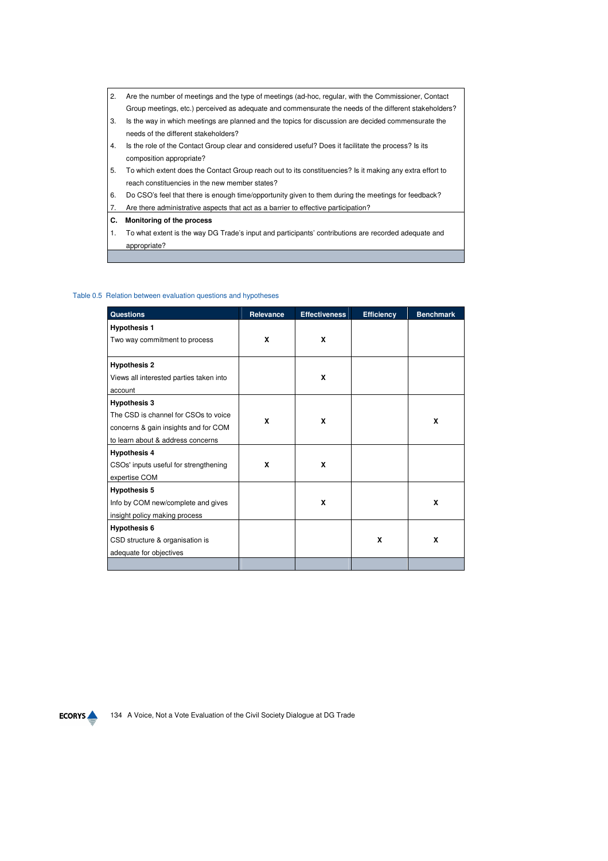- 2. Are the number of meetings and the type of meetings (ad-hoc, regular, with the Commissioner, Contact Group meetings, etc.) perceived as adequate and commensurate the needs of the different stakeholders?
- 3. Is the way in which meetings are planned and the topics for discussion are decided commensurate the needs of the different stakeholders?
- 4. Is the role of the Contact Group clear and considered useful? Does it facilitate the process? Is its composition appropriate?
- 5. To which extent does the Contact Group reach out to its constituencies? Is it making any extra effort to reach constituencies in the new member states?
- 6. Do CSO's feel that there is enough time/opportunity given to them during the meetings for feedback?
- 7. Are there administrative aspects that act as a barrier to effective participation?
- **C. Monitoring of the process**
- 1. To what extent is the way DG Trade's input and participants' contributions are recorded adequate and appropriate?

#### Table 0.5 Relation between evaluation questions and hypotheses

| <b>Questions</b>                        | <b>Relevance</b> | <b>Effectiveness</b> | <b>Efficiency</b> | <b>Benchmark</b> |
|-----------------------------------------|------------------|----------------------|-------------------|------------------|
| <b>Hypothesis 1</b>                     |                  |                      |                   |                  |
| Two way commitment to process           | X                | x                    |                   |                  |
|                                         |                  |                      |                   |                  |
| <b>Hypothesis 2</b>                     |                  |                      |                   |                  |
| Views all interested parties taken into |                  | X                    |                   |                  |
| account                                 |                  |                      |                   |                  |
| <b>Hypothesis 3</b>                     |                  |                      |                   |                  |
| The CSD is channel for CSOs to voice    | X                | X                    |                   | X                |
| concerns & gain insights and for COM    |                  |                      |                   |                  |
| to learn about & address concerns       |                  |                      |                   |                  |
| <b>Hypothesis 4</b>                     |                  |                      |                   |                  |
| CSOs' inputs useful for strengthening   | X                | x                    |                   |                  |
| expertise COM                           |                  |                      |                   |                  |
| <b>Hypothesis 5</b>                     |                  |                      |                   |                  |
| Info by COM new/complete and gives      |                  | X                    |                   | x                |
| insight policy making process           |                  |                      |                   |                  |
| <b>Hypothesis 6</b>                     |                  |                      |                   |                  |
| CSD structure & organisation is         |                  |                      | X                 | X                |
| adequate for objectives                 |                  |                      |                   |                  |
|                                         |                  |                      |                   |                  |

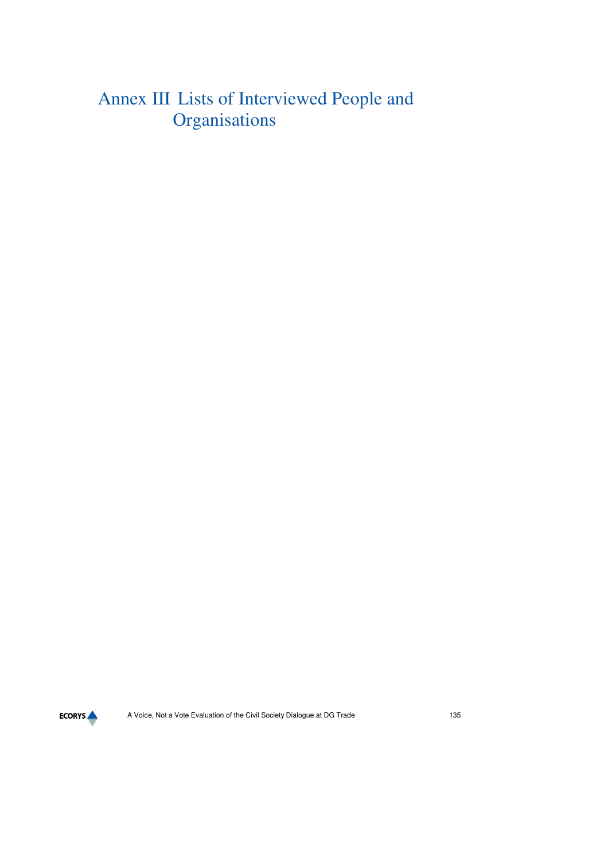## Annex III Lists of Interviewed People and **Organisations**

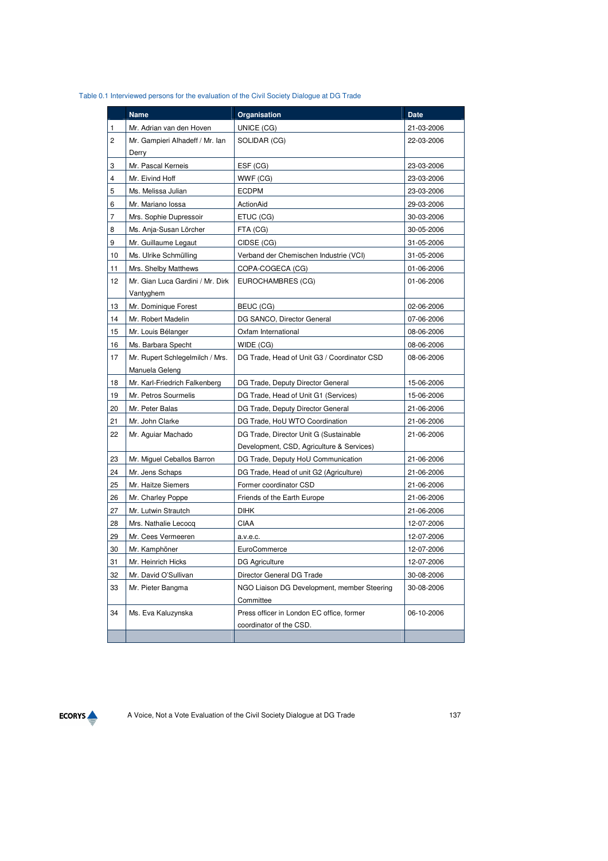| Table 0.1 Interviewed persons for the evaluation of the Civil Society Dialogue at DG Trade |  |  |  |
|--------------------------------------------------------------------------------------------|--|--|--|
|--------------------------------------------------------------------------------------------|--|--|--|

|                | <b>Name</b>                      | Organisation                                | <b>Date</b> |
|----------------|----------------------------------|---------------------------------------------|-------------|
| 1              | Mr. Adrian van den Hoven         | UNICE (CG)                                  | 21-03-2006  |
| $\overline{2}$ | Mr. Gampieri Alhadeff / Mr. Ian  | SOLIDAR (CG)                                | 22-03-2006  |
|                | Derry                            |                                             |             |
| 3              | Mr. Pascal Kerneis               | ESF (CG)                                    | 23-03-2006  |
| 4              | Mr. Eivind Hoff                  | WWF (CG)                                    | 23-03-2006  |
| 5              | Ms. Melissa Julian               | <b>ECDPM</b>                                | 23-03-2006  |
| 6              | Mr. Mariano lossa                | ActionAid                                   | 29-03-2006  |
| 7              | Mrs. Sophie Dupressoir           | ETUC (CG)                                   | 30-03-2006  |
| 8              | Ms. Anja-Susan Lörcher           | FTA (CG)                                    | 30-05-2006  |
| 9              | Mr. Guillaume Legaut             | CIDSE (CG)                                  | 31-05-2006  |
| 10             | Ms. Ulrike Schmülling            | Verband der Chemischen Industrie (VCI)      | 31-05-2006  |
| 11             | Mrs. Shelby Matthews             | COPA-COGECA (CG)                            | 01-06-2006  |
| 12             | Mr. Gian Luca Gardini / Mr. Dirk | EUROCHAMBRES (CG)                           | 01-06-2006  |
|                | Vantyghem                        |                                             |             |
| 13             | Mr. Dominique Forest             | BEUC (CG)                                   | 02-06-2006  |
| 14             | Mr. Robert Madelin               | DG SANCO, Director General                  | 07-06-2006  |
| 15             | Mr. Louis Bélanger               | Oxfam International                         | 08-06-2006  |
| 16             | Ms. Barbara Specht               | WIDE (CG)                                   | 08-06-2006  |
| 17             | Mr. Rupert Schlegelmilch / Mrs.  | DG Trade, Head of Unit G3 / Coordinator CSD | 08-06-2006  |
|                | Manuela Geleng                   |                                             |             |
| 18             | Mr. Karl-Friedrich Falkenberg    | DG Trade, Deputy Director General           | 15-06-2006  |
| 19             | Mr. Petros Sourmelis             | DG Trade, Head of Unit G1 (Services)        | 15-06-2006  |
| 20             | Mr. Peter Balas                  | DG Trade, Deputy Director General           | 21-06-2006  |
| 21             | Mr. John Clarke                  | DG Trade, HoU WTO Coordination              | 21-06-2006  |
| 22             | Mr. Aguiar Machado               | DG Trade, Director Unit G (Sustainable      | 21-06-2006  |
|                |                                  | Development, CSD, Agriculture & Services)   |             |
| 23             | Mr. Miguel Ceballos Barron       | DG Trade, Deputy HoU Communication          | 21-06-2006  |
| 24             | Mr. Jens Schaps                  | DG Trade, Head of unit G2 (Agriculture)     | 21-06-2006  |
| 25             | Mr. Haitze Siemers               | Former coordinator CSD                      | 21-06-2006  |
| 26             | Mr. Charley Poppe                | Friends of the Earth Europe                 | 21-06-2006  |
| 27             | Mr. Lutwin Strautch              | <b>DIHK</b>                                 | 21-06-2006  |
| 28             | Mrs. Nathalie Lecocq             | CIAA                                        | 12-07-2006  |
| 29             | Mr. Cees Vermeeren               | a.v.e.c.                                    | 12-07-2006  |
| 30             | Mr. Kamphöner                    | EuroCommerce                                | 12-07-2006  |
| 31             | Mr. Heinrich Hicks               | DG Agriculture                              | 12-07-2006  |
| 32             | Mr. David O'Sullivan             | Director General DG Trade                   | 30-08-2006  |
| 33             | Mr. Pieter Bangma                | NGO Liaison DG Development, member Steering | 30-08-2006  |
|                |                                  | Committee                                   |             |
| 34             | Ms. Eva Kaluzynska               | Press officer in London EC office, former   | 06-10-2006  |
|                |                                  | coordinator of the CSD.                     |             |
|                |                                  |                                             |             |

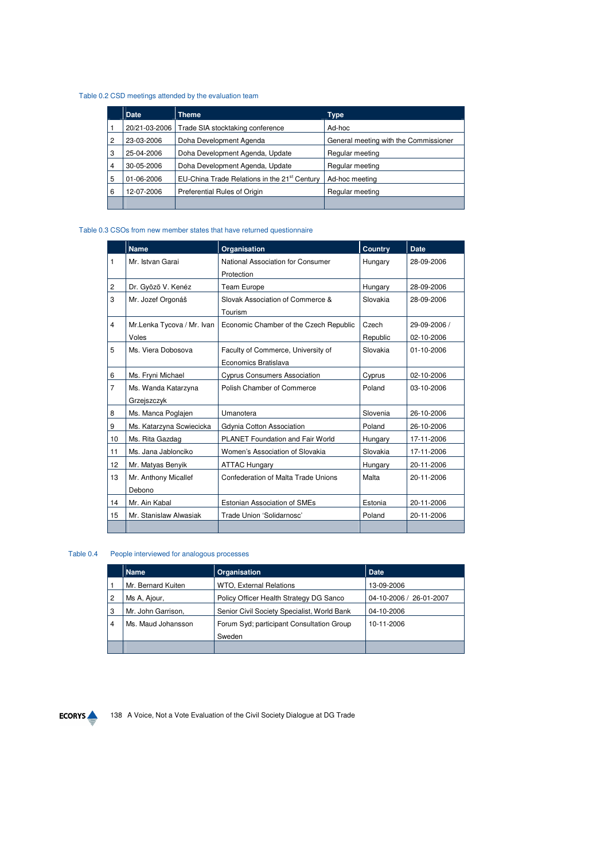### Table 0.2 CSD meetings attended by the evaluation team

|                | Date          | Theme                                                    | Type                                  |
|----------------|---------------|----------------------------------------------------------|---------------------------------------|
|                | 20/21-03-2006 | Trade SIA stocktaking conference                         | Ad-hoc                                |
| 2              | 23-03-2006    | Doha Development Agenda                                  | General meeting with the Commissioner |
| 3              | 25-04-2006    | Doha Development Agenda, Update                          | Regular meeting                       |
| $\overline{4}$ | 30-05-2006    | Doha Development Agenda, Update                          | Regular meeting                       |
| 5              | 01-06-2006    | EU-China Trade Relations in the 21 <sup>st</sup> Century | Ad-hoc meeting                        |
| 6              | 12-07-2006    | Preferential Rules of Origin                             | Regular meeting                       |
|                |               |                                                          |                                       |

#### Table 0.3 CSOs from new member states that have returned questionnaire

|                | <b>Name</b>                         | Organisation                                               | Country           | <b>Date</b>                |
|----------------|-------------------------------------|------------------------------------------------------------|-------------------|----------------------------|
| 1              | Mr. Istvan Garai                    | National Association for Consumer<br>Protection            | Hungary           | 28-09-2006                 |
| $\overline{c}$ | Dr. Gyözö V. Kenéz                  | <b>Team Europe</b>                                         | Hungary           | 28-09-2006                 |
| 3              | Mr. Jozef Orgonáš                   | Slovak Association of Commerce &<br>Tourism                | Slovakia          | 28-09-2006                 |
| $\overline{4}$ | Mr.Lenka Tycova / Mr. Ivan<br>Voles | Economic Chamber of the Czech Republic                     | Czech<br>Republic | 29-09-2006 /<br>02-10-2006 |
| 5              | Ms. Viera Dobosova                  | Faculty of Commerce, University of<br>Economics Bratislava | Slovakia          | 01-10-2006                 |
| 6              | Ms. Fryni Michael                   | <b>Cyprus Consumers Association</b>                        | Cyprus            | 02-10-2006                 |
| $\overline{7}$ | Ms. Wanda Katarzyna<br>Grzejszczyk  | Polish Chamber of Commerce                                 | Poland            | 03-10-2006                 |
| 8              | Ms. Manca Poglajen                  | Umanotera                                                  | Slovenia          | 26-10-2006                 |
| 9              | Ms. Katarzyna Scwiecicka            | Gdynia Cotton Association                                  | Poland            | 26-10-2006                 |
| 10             | Ms. Rita Gazdag                     | <b>PLANET Foundation and Fair World</b>                    | Hungary           | 17-11-2006                 |
| 11             | Ms. Jana Jablonciko                 | Women's Association of Slovakia                            | Slovakia          | 17-11-2006                 |
| 12             | Mr. Matyas Benyik                   | <b>ATTAC Hungary</b>                                       | Hungary           | 20-11-2006                 |
| 13             | Mr. Anthony Micallef<br>Debono      | Confederation of Malta Trade Unions                        | Malta             | 20-11-2006                 |
| 14             | Mr. Ain Kabal                       | <b>Estonian Association of SMEs</b>                        | Estonia           | 20-11-2006                 |
| 15             | Mr. Stanislaw Alwasiak              | Trade Union 'Solidarnosc'                                  | Poland            | 20-11-2006                 |

#### Table 0.4 People interviewed for analogous processes

|   | <b>Name</b>        | Organisation                                | <b>Date</b>             |
|---|--------------------|---------------------------------------------|-------------------------|
|   | Mr. Bernard Kuiten | WTO, External Relations                     | 13-09-2006              |
| 2 | Ms A, Ajour,       | Policy Officer Health Strategy DG Sanco     | 04-10-2006 / 26-01-2007 |
| 3 | Mr. John Garrison, | Senior Civil Society Specialist, World Bank | 04-10-2006              |
| 4 | Ms. Maud Johansson | Forum Syd; participant Consultation Group   | 10-11-2006              |
|   |                    | Sweden                                      |                         |
|   |                    |                                             |                         |

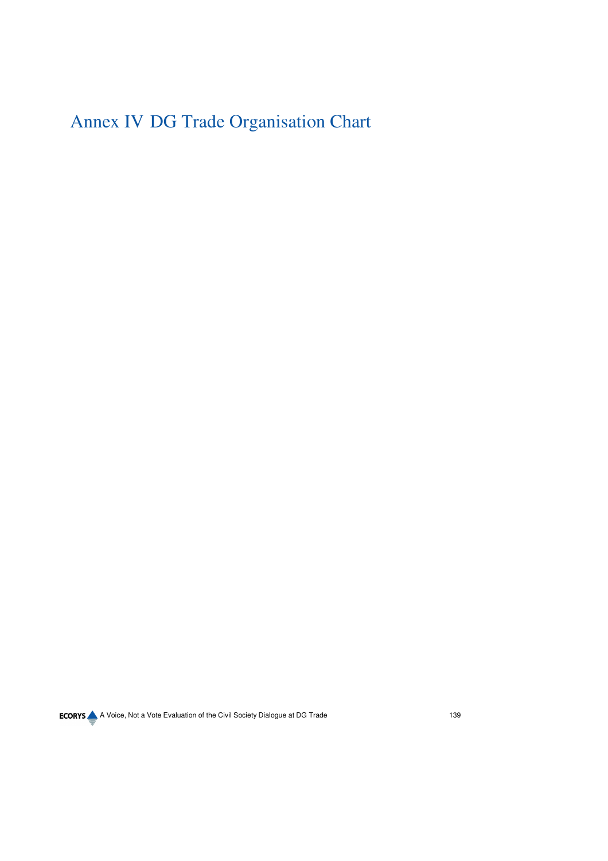# Annex IV DG Trade Organisation Chart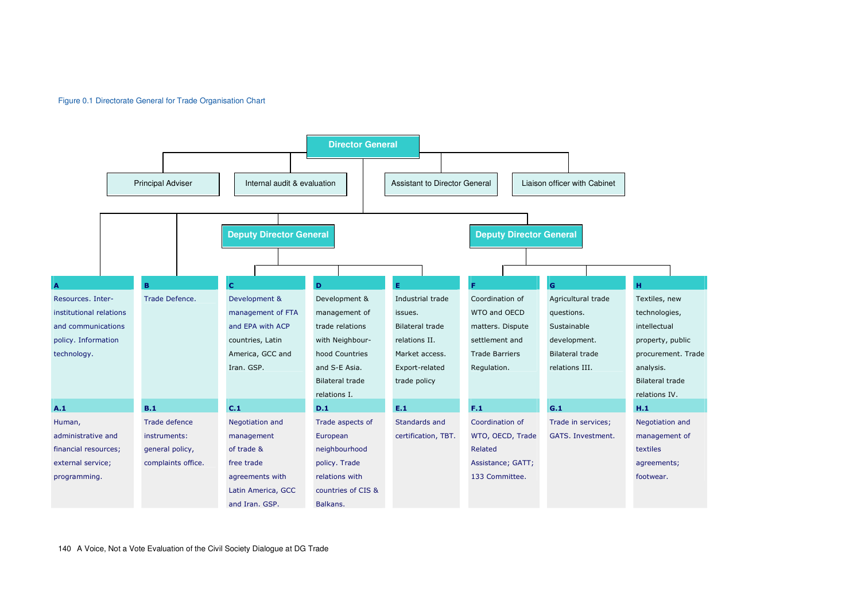#### Figure 0.1 Directorate General for Trade Organisation Chart

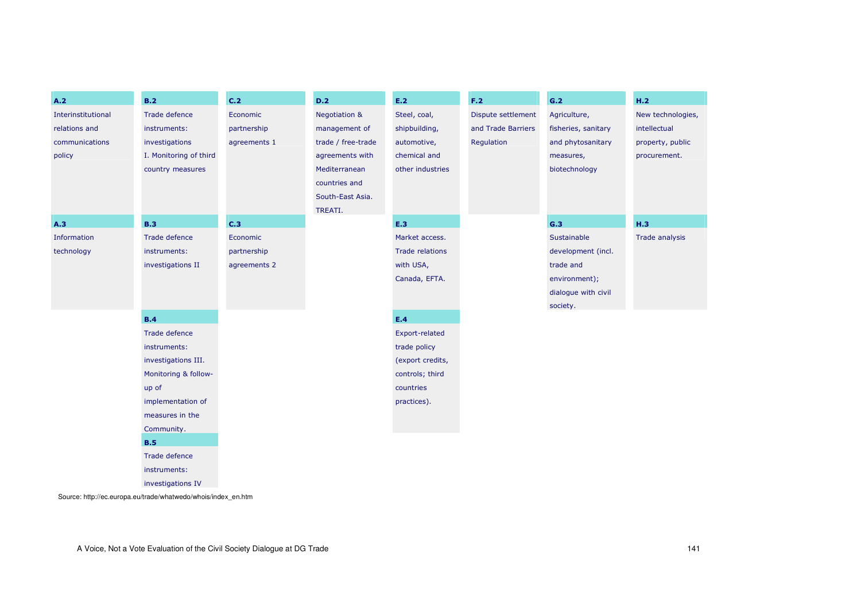| A.2                | B.2                    | C.2          | D.2                | E.2                    | F.2                | G.2                 | H.2               |
|--------------------|------------------------|--------------|--------------------|------------------------|--------------------|---------------------|-------------------|
| Interinstitutional | Trade defence          | Economic     | Negotiation &      | Steel, coal,           | Dispute settlement | Agriculture,        | New technologies, |
| relations and      | instruments:           | partnership  | management of      | shipbuilding,          | and Trade Barriers | fisheries, sanitary | intellectual      |
| communications     | investigations         | agreements 1 | trade / free-trade | automotive,            | Regulation         | and phytosanitary   | property, public  |
| policy             | I. Monitoring of third |              | agreements with    | chemical and           |                    | measures,           | procurement.      |
|                    | country measures       |              | Mediterranean      | other industries       |                    | biotechnology       |                   |
|                    |                        |              | countries and      |                        |                    |                     |                   |
|                    |                        |              | South-East Asia.   |                        |                    |                     |                   |
|                    |                        |              | TREATI.            |                        |                    |                     |                   |
| A.3                | B.3                    | C.3          |                    | E.3                    |                    | G.3                 | H.3               |
| Information        | Trade defence          | Economic     |                    | Market access.         |                    | Sustainable         | Trade analysis    |
| technology         | instruments:           | partnership  |                    | <b>Trade relations</b> |                    | development (incl.  |                   |
|                    | investigations II      | agreements 2 |                    | with USA,              |                    | trade and           |                   |
|                    |                        |              |                    | Canada, EFTA.          |                    | environment);       |                   |
|                    |                        |              |                    |                        |                    | dialogue with civil |                   |
|                    |                        |              |                    |                        |                    | society.            |                   |
|                    | B.4                    |              |                    | E.4                    |                    |                     |                   |
|                    | Trade defence          |              |                    | Export-related         |                    |                     |                   |
|                    | instruments:           |              |                    | trade policy           |                    |                     |                   |
|                    | investigations III.    |              |                    | (export credits,       |                    |                     |                   |
|                    | Monitoring & follow-   |              |                    | controls; third        |                    |                     |                   |
|                    | up of                  |              |                    | countries              |                    |                     |                   |
|                    | implementation of      |              |                    | practices).            |                    |                     |                   |
|                    | measures in the        |              |                    |                        |                    |                     |                   |
|                    | Community.             |              |                    |                        |                    |                     |                   |
|                    | B.5                    |              |                    |                        |                    |                     |                   |
|                    | Trade defence          |              |                    |                        |                    |                     |                   |
|                    | instruments:           |              |                    |                        |                    |                     |                   |
|                    | investigations IV      |              |                    |                        |                    |                     |                   |

Source: http://ec.europa.eu/trade/whatwedo/whois/index\_en.htm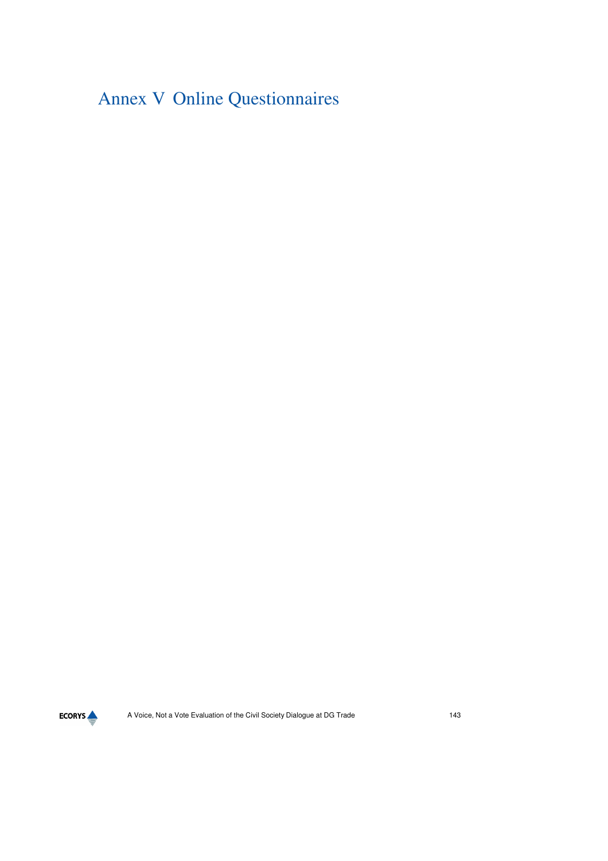# Annex V Online Questionnaires

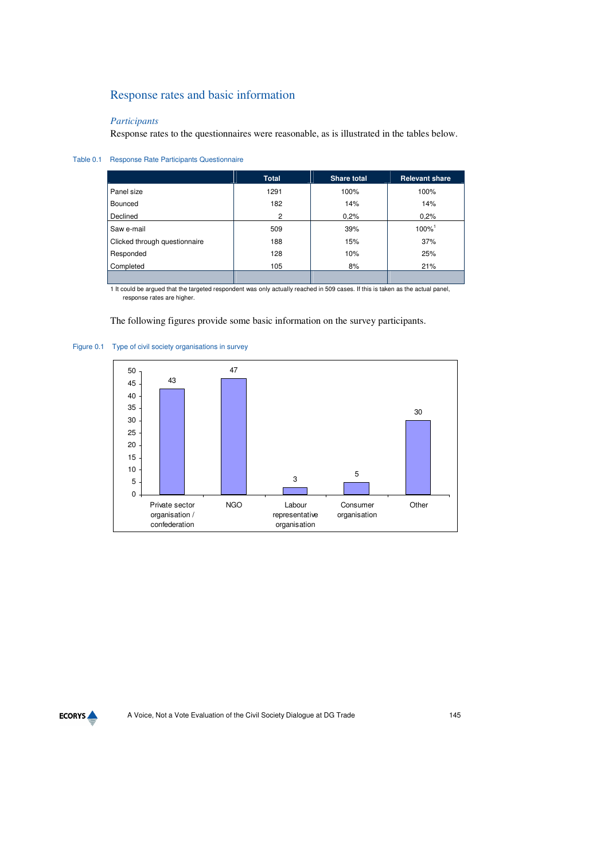## Response rates and basic information

#### *Participants*

Response rates to the questionnaires were reasonable, as is illustrated in the tables below.

#### Table 0.1 Response Rate Participants Questionnaire

|                               | <b>Total</b> | <b>Share total</b> | <b>Relevant share</b> |
|-------------------------------|--------------|--------------------|-----------------------|
| Panel size                    | 1291         | 100%               | 100%                  |
| Bounced                       | 182          | 14%                | 14%                   |
| Declined                      | 2            | 0.2%               | 0.2%                  |
| Saw e-mail                    | 509          | 39%                | 100%1                 |
| Clicked through questionnaire | 188          | 15%                | 37%                   |
| Responded                     | 128          | 10%                | 25%                   |
| Completed                     | 105          | 8%                 | 21%                   |
|                               |              |                    |                       |

1 It could be argued that the targeted respondent was only actually reached in 509 cases. If this is taken as the actual panel, response rates are higher.

The following figures provide some basic information on the survey participants.



#### Figure 0.1 Type of civil society organisations in survey

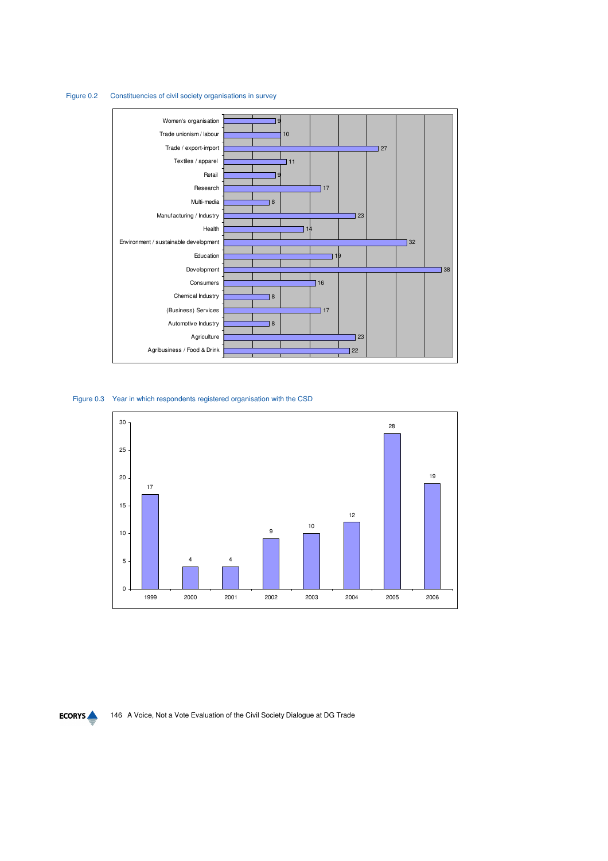#### Figure 0.2 Constituencies of civil society organisations in survey



Figure 0.3 Year in which respondents registered organisation with the CSD



**ECORYS** 

146 A Voice, Not a Vote Evaluation of the Civil Society Dialogue at DG Trade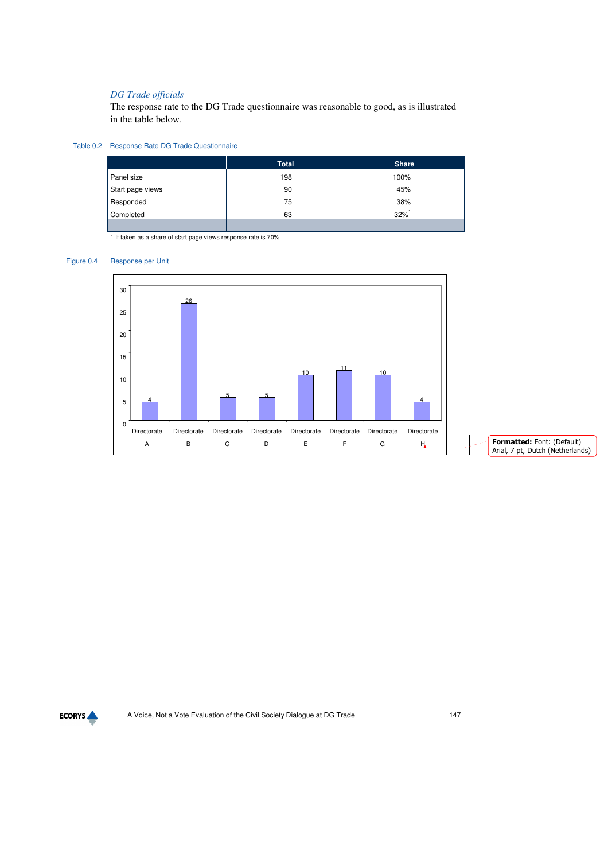### *DG Trade officials*

The response rate to the DG Trade questionnaire was reasonable to good, as is illustrated in the table below.

#### Table 0.2 Response Rate DG Trade Questionnaire

|                  | <b>Total</b> | <b>Share</b>        |
|------------------|--------------|---------------------|
| Panel size       | 198          | 100%                |
| Start page views | 90           | 45%                 |
| Responded        | 75           | 38%                 |
| Completed        | 63           | $32\%$ <sup>1</sup> |
|                  |              |                     |

1 If taken as a share of start page views response rate is 70%

#### Figure 0.4 Response per Unit



**ECORYS**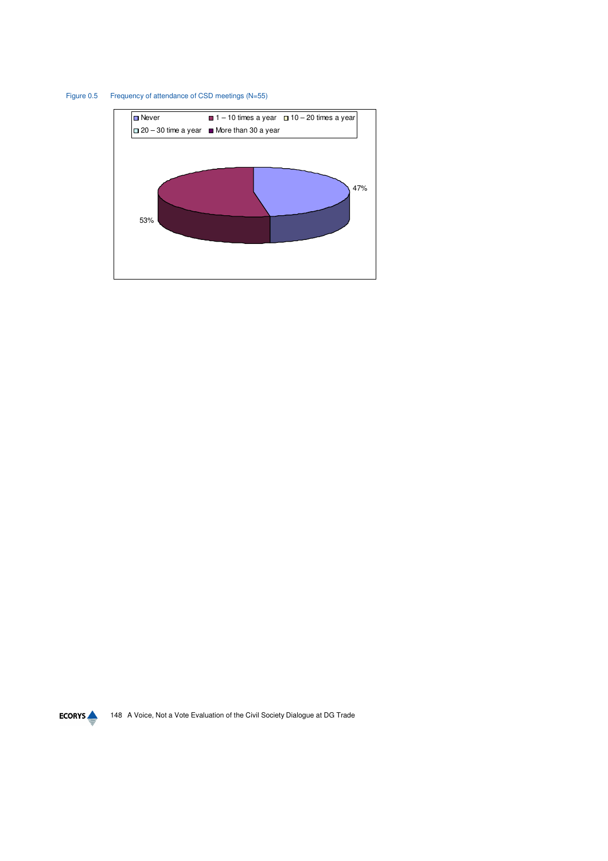

### Figure 0.5 Frequency of attendance of CSD meetings (N=55)

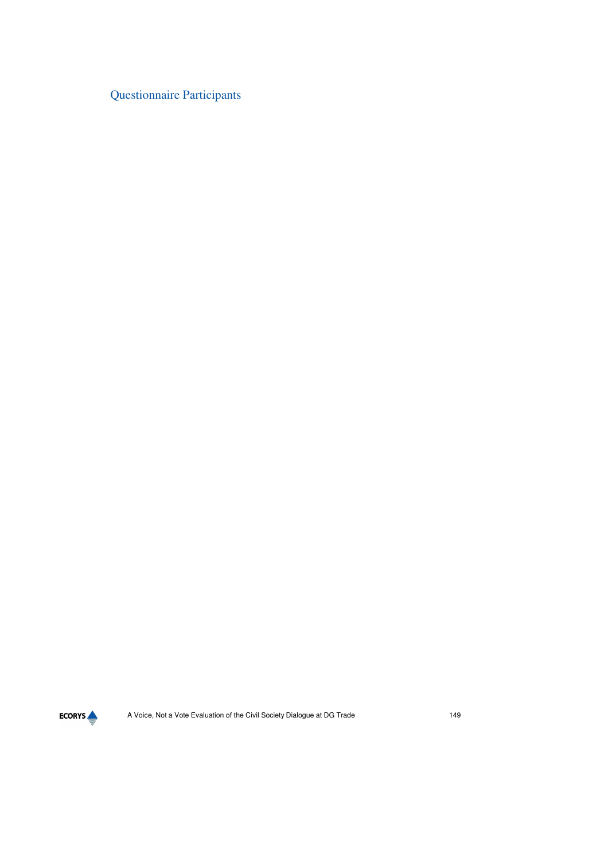Questionnaire Participants

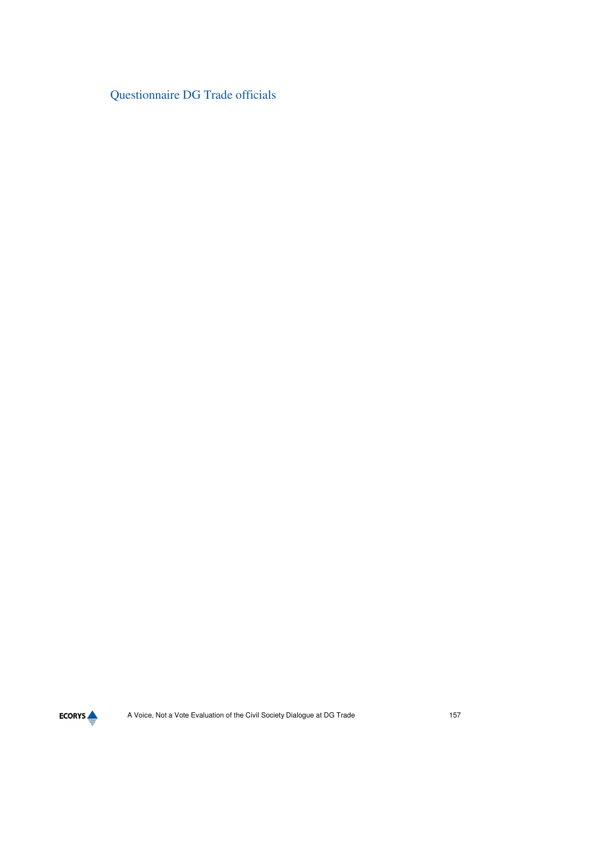Questionnaire DG Trade officials